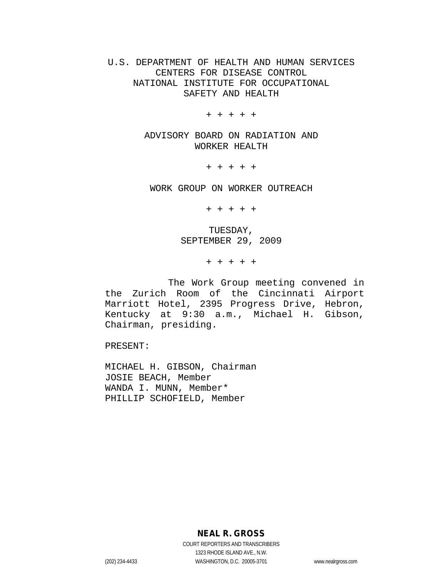## U.S. DEPARTMENT OF HEALTH AND HUMAN SERVICES CENTERS FOR DISEASE CONTROL NATIONAL INSTITUTE FOR OCCUPATIONAL SAFETY AND HEALTH

+ + + + +

ADVISORY BOARD ON RADIATION AND WORKER HEALTH

+ + + + +

WORK GROUP ON WORKER OUTREACH

+ + + + +

TUESDAY, SEPTEMBER 29, 2009

+ + + + +

The Work Group meeting convened in the Zurich Room of the Cincinnati Airport Marriott Hotel, 2395 Progress Drive, Hebron, Kentucky at 9:30 a.m., Michael H. Gibson, Chairman, presiding.

PRESENT:

MICHAEL H. GIBSON, Chairman JOSIE BEACH, Member WANDA I. MUNN, Member\* PHILLIP SCHOFIELD, Member

**NEAL R. GROSS**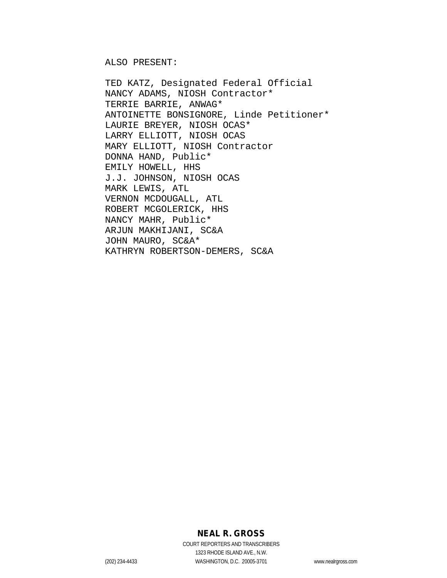ALSO PRESENT:

TED KATZ, Designated Federal Official NANCY ADAMS, NIOSH Contractor\* TERRIE BARRIE, ANWAG\* ANTOINETTE BONSIGNORE, Linde Petitioner\* LAURIE BREYER, NIOSH OCAS\* LARRY ELLIOTT, NIOSH OCAS MARY ELLIOTT, NIOSH Contractor DONNA HAND, Public\* EMILY HOWELL, HHS J.J. JOHNSON, NIOSH OCAS MARK LEWIS, ATL VERNON MCDOUGALL, ATL ROBERT MCGOLERICK, HHS NANCY MAHR, Public\* ARJUN MAKHIJANI, SC&A JOHN MAURO, SC&A\* KATHRYN ROBERTSON-DEMERS, SC&A

## **NEAL R. GROSS**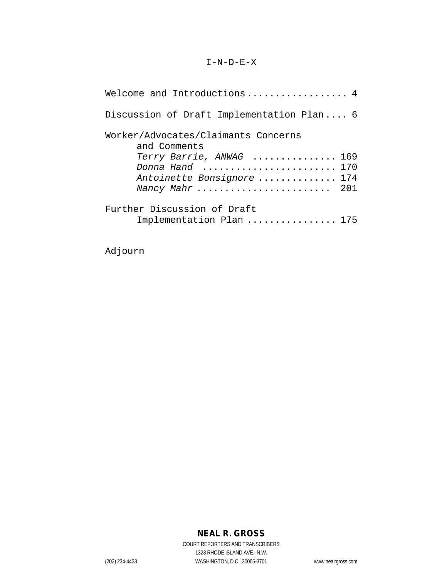### $I-N-D-E-X$

| Welcome and Introductions 4                             |     |
|---------------------------------------------------------|-----|
| Discussion of Draft Implementation Plan 6               |     |
| Worker/Advocates/Claimants Concerns<br>and Comments     |     |
| Terry Barrie, ANWAG  169                                |     |
| Donna Hand                                              | 170 |
| Antoinette Bonsignore  174                              |     |
| Nancy Mahr  201                                         |     |
| Further Discussion of Draft<br>Implementation Plan  175 |     |

Adjourn

# **NEAL R. GROSS**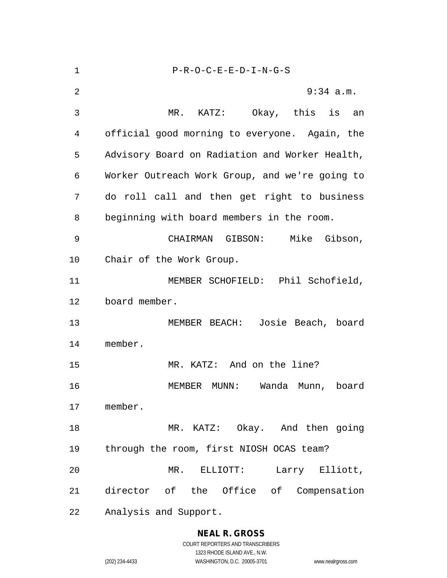| $\mathbf 1$ | $P-R-O-C-E-E-D-I-N-G-S$                        |
|-------------|------------------------------------------------|
| 2           | $9:34$ a.m.                                    |
| 3           | MR. KATZ: Okay, this is an                     |
| 4           | official good morning to everyone. Again, the  |
| 5           | Advisory Board on Radiation and Worker Health, |
| 6           | Worker Outreach Work Group, and we're going to |
| 7           | do roll call and then get right to business    |
| 8           | beginning with board members in the room.      |
| 9           | CHAIRMAN GIBSON: Mike Gibson,                  |
| 10          | Chair of the Work Group.                       |
| 11          | MEMBER SCHOFIELD: Phil Schofield,              |
| 12          | board member.                                  |
| 13          | MEMBER BEACH: Josie Beach, board               |
| 14          | member.                                        |
| 15          | MR. KATZ: And on the line?                     |
| 16          | MEMBER MUNN: Wanda Munn, board                 |
| 17          | member.                                        |
| 18          | MR. KATZ: Okay. And then going                 |
| 19          | through the room, first NIOSH OCAS team?       |
| 20          | MR. ELLIOTT:<br>Larry Elliott,                 |
| 21          | director of the Office of Compensation         |
| 22          | Analysis and Support.                          |

# **NEAL R. GROSS**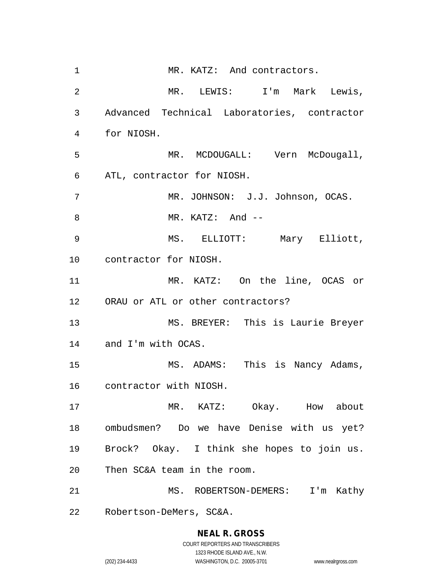1 MR. KATZ: And contractors. MR. LEWIS: I'm Mark Lewis, Advanced Technical Laboratories, contractor for NIOSH. 5 MR. MCDOUGALL: Vern McDougall, ATL, contractor for NIOSH. MR. JOHNSON: J.J. Johnson, OCAS. 8 MR. KATZ: And -- MS. ELLIOTT: Mary Elliott, contractor for NIOSH. MR. KATZ: On the line, OCAS or ORAU or ATL or other contractors? MS. BREYER: This is Laurie Breyer and I'm with OCAS. MS. ADAMS: This is Nancy Adams, contractor with NIOSH. MR. KATZ: Okay. How about ombudsmen? Do we have Denise with us yet? Brock? Okay. I think she hopes to join us. Then SC&A team in the room. MS. ROBERTSON-DEMERS: I'm Kathy Robertson-DeMers, SC&A.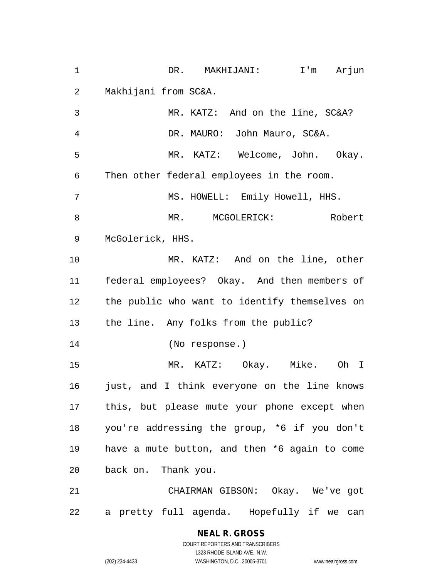DR. MAKHIJANI: I'm Arjun Makhijani from SC&A.

 MR. KATZ: And on the line, SC&A? DR. MAURO: John Mauro, SC&A. MR. KATZ: Welcome, John. Okay. Then other federal employees in the room. MS. HOWELL: Emily Howell, HHS. 8 MR. MCGOLERICK: Robert McGolerick, HHS. MR. KATZ: And on the line, other federal employees? Okay. And then members of the public who want to identify themselves on the line. Any folks from the public? (No response.) MR. KATZ: Okay. Mike. Oh I 16 just, and I think everyone on the line knows this, but please mute your phone except when you're addressing the group, \*6 if you don't have a mute button, and then \*6 again to come back on. Thank you. CHAIRMAN GIBSON: Okay. We've got

a pretty full agenda. Hopefully if we can

## **NEAL R. GROSS**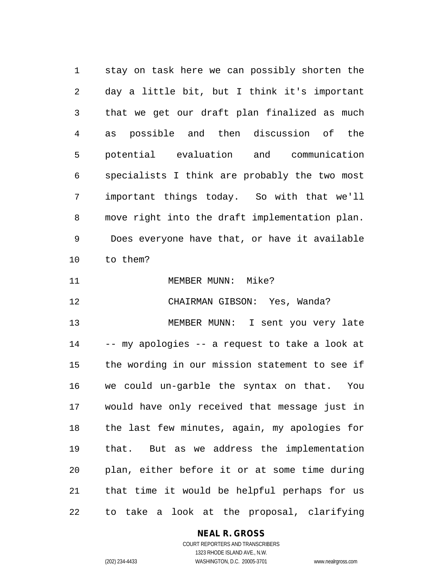stay on task here we can possibly shorten the day a little bit, but I think it's important that we get our draft plan finalized as much as possible and then discussion of the potential evaluation and communication specialists I think are probably the two most important things today. So with that we'll move right into the draft implementation plan. Does everyone have that, or have it available to them?

11 MEMBER MUNN: Mike?

CHAIRMAN GIBSON: Yes, Wanda?

 MEMBER MUNN: I sent you very late -- my apologies -- a request to take a look at the wording in our mission statement to see if we could un-garble the syntax on that. You would have only received that message just in the last few minutes, again, my apologies for that. But as we address the implementation plan, either before it or at some time during that time it would be helpful perhaps for us to take a look at the proposal, clarifying

#### **NEAL R. GROSS**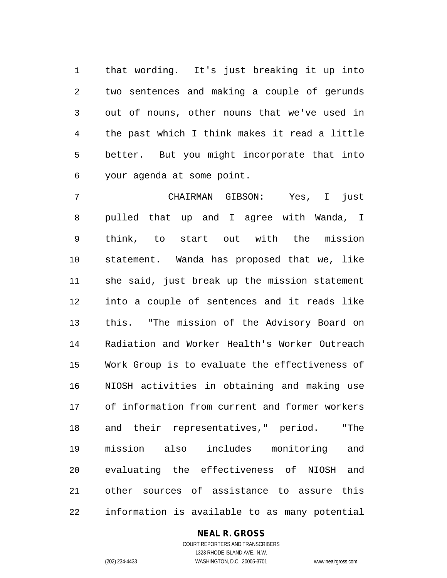that wording. It's just breaking it up into two sentences and making a couple of gerunds out of nouns, other nouns that we've used in the past which I think makes it read a little better. But you might incorporate that into your agenda at some point.

 CHAIRMAN GIBSON: Yes, I just pulled that up and I agree with Wanda, I think, to start out with the mission statement. Wanda has proposed that we, like she said, just break up the mission statement into a couple of sentences and it reads like this. "The mission of the Advisory Board on Radiation and Worker Health's Worker Outreach Work Group is to evaluate the effectiveness of NIOSH activities in obtaining and making use of information from current and former workers and their representatives," period. "The mission also includes monitoring and evaluating the effectiveness of NIOSH and other sources of assistance to assure this information is available to as many potential

#### **NEAL R. GROSS**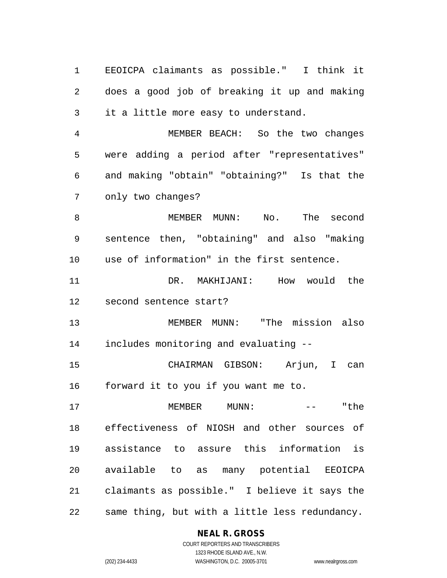EEOICPA claimants as possible." I think it does a good job of breaking it up and making it a little more easy to understand.

 MEMBER BEACH: So the two changes were adding a period after "representatives" and making "obtain" "obtaining?" Is that the only two changes?

 MEMBER MUNN: No. The second sentence then, "obtaining" and also "making use of information" in the first sentence.

 DR. MAKHIJANI: How would the second sentence start?

 MEMBER MUNN: "The mission also includes monitoring and evaluating --

 CHAIRMAN GIBSON: Arjun, I can forward it to you if you want me to.

17 MEMBER MUNN:  $--$  "the effectiveness of NIOSH and other sources of assistance to assure this information is available to as many potential EEOICPA claimants as possible." I believe it says the same thing, but with a little less redundancy.

#### **NEAL R. GROSS**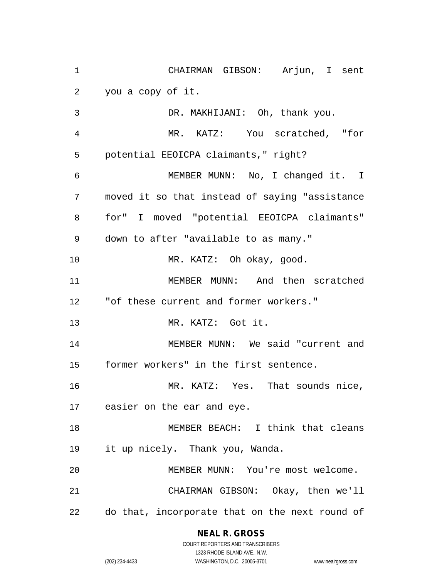CHAIRMAN GIBSON: Arjun, I sent you a copy of it.

 DR. MAKHIJANI: Oh, thank you. MR. KATZ: You scratched, "for potential EEOICPA claimants," right? MEMBER MUNN: No, I changed it. I moved it so that instead of saying "assistance for" I moved "potential EEOICPA claimants" down to after "available to as many." MR. KATZ: Oh okay, good. MEMBER MUNN: And then scratched "of these current and former workers." MR. KATZ: Got it. MEMBER MUNN: We said "current and former workers" in the first sentence. 16 MR. KATZ: Yes. That sounds nice, easier on the ear and eye. MEMBER BEACH: I think that cleans it up nicely. Thank you, Wanda. MEMBER MUNN: You're most welcome. CHAIRMAN GIBSON: Okay, then we'll do that, incorporate that on the next round of

#### **NEAL R. GROSS**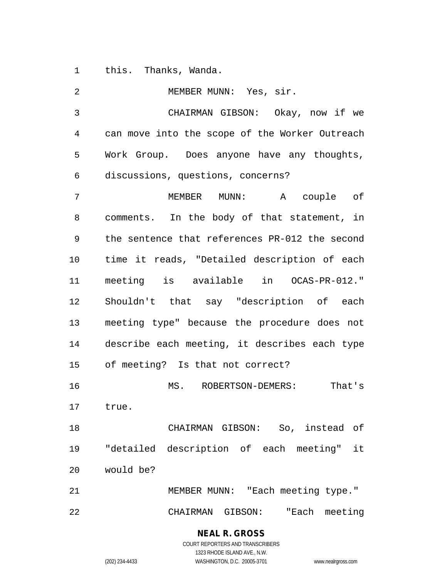this. Thanks, Wanda.

 MEMBER MUNN: Yes, sir. CHAIRMAN GIBSON: Okay, now if we can move into the scope of the Worker Outreach Work Group. Does anyone have any thoughts, discussions, questions, concerns? MEMBER MUNN: A couple of comments. In the body of that statement, in the sentence that references PR-012 the second time it reads, "Detailed description of each meeting is available in OCAS-PR-012." Shouldn't that say "description of each meeting type" because the procedure does not describe each meeting, it describes each type of meeting? Is that not correct? MS. ROBERTSON-DEMERS: That's true. CHAIRMAN GIBSON: So, instead of "detailed description of each meeting" it would be? MEMBER MUNN: "Each meeting type." CHAIRMAN GIBSON: "Each meeting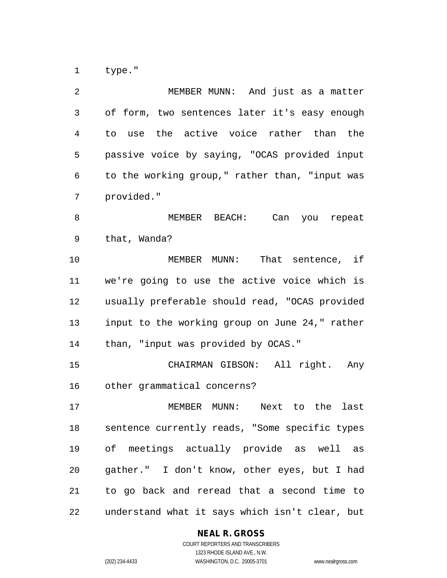type."

| 2  | MEMBER MUNN: And just as a matter              |
|----|------------------------------------------------|
| 3  | of form, two sentences later it's easy enough  |
| 4  | to use the active voice rather than the        |
| 5  | passive voice by saying, "OCAS provided input  |
| 6  | to the working group," rather than, "input was |
| 7  | provided."                                     |
| 8  | MEMBER BEACH: Can you repeat                   |
| 9  | that, Wanda?                                   |
| 10 | MEMBER MUNN: That sentence, if                 |
| 11 | we're going to use the active voice which is   |
| 12 | usually preferable should read, "OCAS provided |
| 13 | input to the working group on June 24," rather |
| 14 | than, "input was provided by OCAS."            |
| 15 | CHAIRMAN GIBSON: All right. Any                |
| 16 | other grammatical concerns?                    |
| 17 | MEMBER MUNN: Next to the last                  |
| 18 | sentence currently reads, "Some specific types |
| 19 | of meetings actually provide as well as        |
| 20 | gather." I don't know, other eyes, but I had   |
| 21 | to go back and reread that a second time to    |
| 22 | understand what it says which isn't clear, but |

## **NEAL R. GROSS**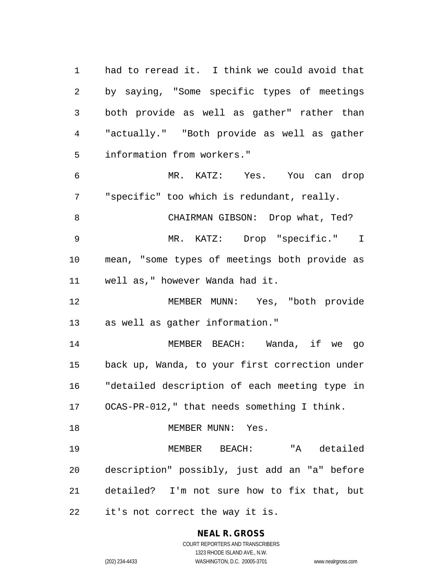had to reread it. I think we could avoid that by saying, "Some specific types of meetings both provide as well as gather" rather than "actually." "Both provide as well as gather information from workers." MR. KATZ: Yes. You can drop "specific" too which is redundant, really. CHAIRMAN GIBSON: Drop what, Ted? MR. KATZ: Drop "specific." I mean, "some types of meetings both provide as well as," however Wanda had it. MEMBER MUNN: Yes, "both provide as well as gather information." MEMBER BEACH: Wanda, if we go back up, Wanda, to your first correction under "detailed description of each meeting type in OCAS-PR-012," that needs something I think. 18 MEMBER MUNN: Yes. MEMBER BEACH: "A detailed description" possibly, just add an "a" before detailed? I'm not sure how to fix that, but it's not correct the way it is.

> **NEAL R. GROSS** COURT REPORTERS AND TRANSCRIBERS 1323 RHODE ISLAND AVE., N.W.

(202) 234-4433 WASHINGTON, D.C. 20005-3701 www.nealrgross.com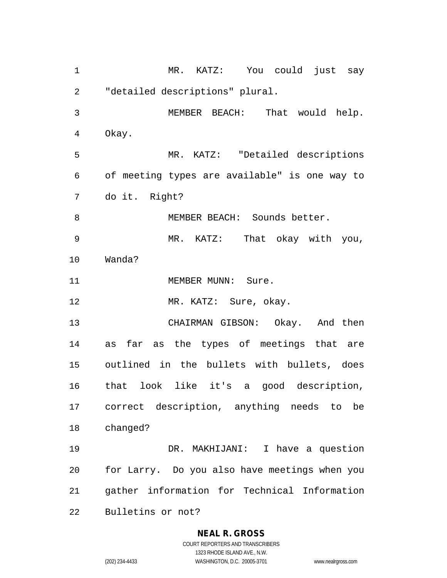MR. KATZ: You could just say "detailed descriptions" plural. MEMBER BEACH: That would help. Okay. MR. KATZ: "Detailed descriptions of meeting types are available" is one way to do it. Right? 8 MEMBER BEACH: Sounds better. MR. KATZ: That okay with you, Wanda? 11 MEMBER MUNN: Sure. 12 MR. KATZ: Sure, okay. CHAIRMAN GIBSON: Okay. And then as far as the types of meetings that are outlined in the bullets with bullets, does that look like it's a good description, correct description, anything needs to be changed? DR. MAKHIJANI: I have a question for Larry. Do you also have meetings when you gather information for Technical Information Bulletins or not?

#### **NEAL R. GROSS**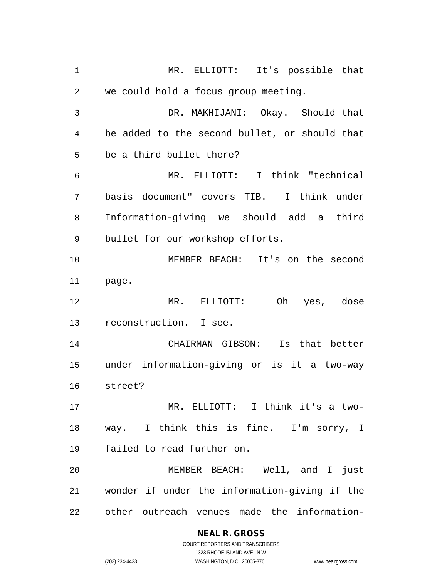MR. ELLIOTT: It's possible that we could hold a focus group meeting. DR. MAKHIJANI: Okay. Should that be added to the second bullet, or should that be a third bullet there? MR. ELLIOTT: I think "technical basis document" covers TIB. I think under Information-giving we should add a third bullet for our workshop efforts. MEMBER BEACH: It's on the second page. MR. ELLIOTT: Oh yes, dose reconstruction. I see. CHAIRMAN GIBSON: Is that better under information-giving or is it a two-way street? MR. ELLIOTT: I think it's a two- way. I think this is fine. I'm sorry, I failed to read further on. MEMBER BEACH: Well, and I just wonder if under the information-giving if the other outreach venues made the information-

> **NEAL R. GROSS** COURT REPORTERS AND TRANSCRIBERS 1323 RHODE ISLAND AVE., N.W.

(202) 234-4433 WASHINGTON, D.C. 20005-3701 www.nealrgross.com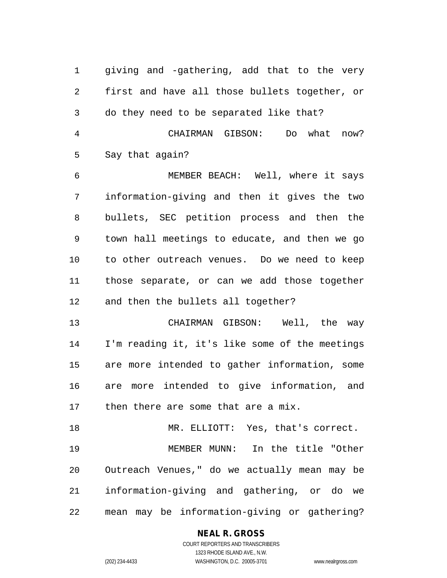giving and -gathering, add that to the very first and have all those bullets together, or do they need to be separated like that?

 CHAIRMAN GIBSON: Do what now? Say that again?

 MEMBER BEACH: Well, where it says information-giving and then it gives the two bullets, SEC petition process and then the town hall meetings to educate, and then we go to other outreach venues. Do we need to keep those separate, or can we add those together and then the bullets all together?

 CHAIRMAN GIBSON: Well, the way I'm reading it, it's like some of the meetings are more intended to gather information, some are more intended to give information, and then there are some that are a mix.

 MR. ELLIOTT: Yes, that's correct. MEMBER MUNN: In the title "Other Outreach Venues," do we actually mean may be information-giving and gathering, or do we mean may be information-giving or gathering?

#### **NEAL R. GROSS**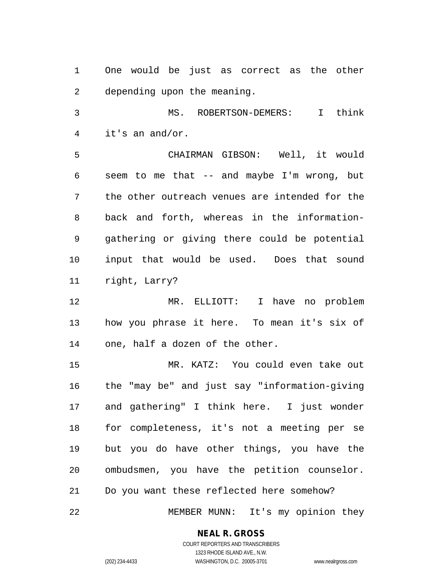One would be just as correct as the other depending upon the meaning.

 MS. ROBERTSON-DEMERS: I think it's an and/or.

 CHAIRMAN GIBSON: Well, it would seem to me that -- and maybe I'm wrong, but the other outreach venues are intended for the back and forth, whereas in the information- gathering or giving there could be potential input that would be used. Does that sound right, Larry?

 MR. ELLIOTT: I have no problem how you phrase it here. To mean it's six of one, half a dozen of the other.

 MR. KATZ: You could even take out the "may be" and just say "information-giving and gathering" I think here. I just wonder for completeness, it's not a meeting per se but you do have other things, you have the ombudsmen, you have the petition counselor. Do you want these reflected here somehow?

MEMBER MUNN: It's my opinion they

#### **NEAL R. GROSS**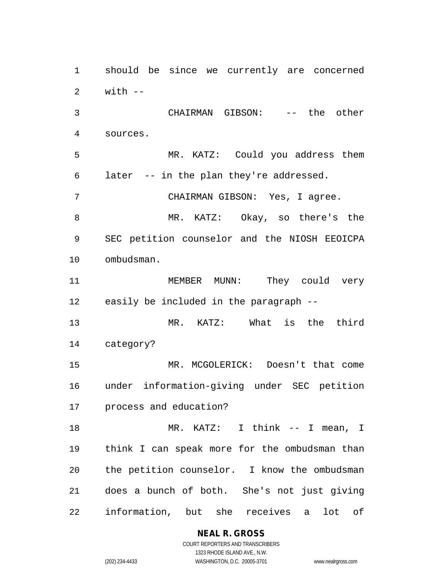with  $-$  CHAIRMAN GIBSON: -- the other sources. MR. KATZ: Could you address them later -- in the plan they're addressed. CHAIRMAN GIBSON: Yes, I agree. MR. KATZ: Okay, so there's the SEC petition counselor and the NIOSH EEOICPA ombudsman. MEMBER MUNN: They could very easily be included in the paragraph -- MR. KATZ: What is the third category? MR. MCGOLERICK: Doesn't that come under information-giving under SEC petition process and education? 18 MR. KATZ: I think -- I mean, I think I can speak more for the ombudsman than the petition counselor. I know the ombudsman does a bunch of both. She's not just giving information, but she receives a lot of

should be since we currently are concerned

COURT REPORTERS AND TRANSCRIBERS 1323 RHODE ISLAND AVE., N.W. (202) 234-4433 WASHINGTON, D.C. 20005-3701 www.nealrgross.com

**NEAL R. GROSS**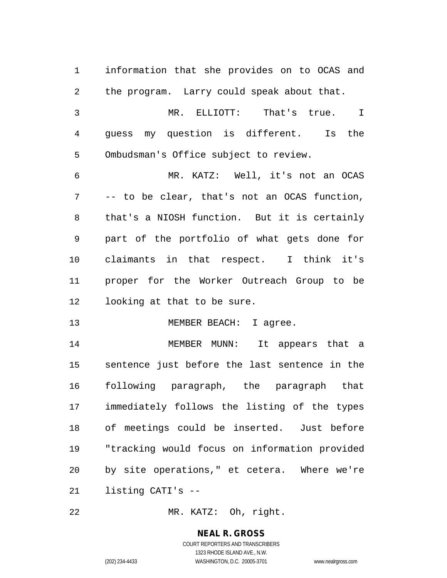| 1  | information that she provides on to OCAS and  |
|----|-----------------------------------------------|
| 2  | the program. Larry could speak about that.    |
| 3  | MR. ELLIOTT: That's true.<br>T                |
| 4  | guess my question is different.<br>Is the     |
| 5  | Ombudsman's Office subject to review.         |
| 6  | MR. KATZ: Well, it's not an OCAS              |
| 7  | -- to be clear, that's not an OCAS function,  |
| 8  | that's a NIOSH function. But it is certainly  |
| 9  | part of the portfolio of what gets done for   |
| 10 | claimants in that respect. I think it's       |
| 11 | proper for the Worker Outreach Group to be    |
| 12 | looking at that to be sure.                   |
| 13 | MEMBER BEACH: I agree.                        |
| 14 | MEMBER MUNN: It appears that a                |
| 15 | sentence just before the last sentence in the |
| 16 | following paragraph, the paragraph that       |
| 17 | immediately follows the listing of the types  |
| 18 | of meetings could be inserted. Just before    |
| 19 | "tracking would focus on information provided |
| 20 | by site operations," et cetera. Where we're   |
| 21 | listing CATI's --                             |
|    |                                               |

MR. KATZ: Oh, right.

**NEAL R. GROSS** COURT REPORTERS AND TRANSCRIBERS

1323 RHODE ISLAND AVE., N.W.

(202) 234-4433 WASHINGTON, D.C. 20005-3701 www.nealrgross.com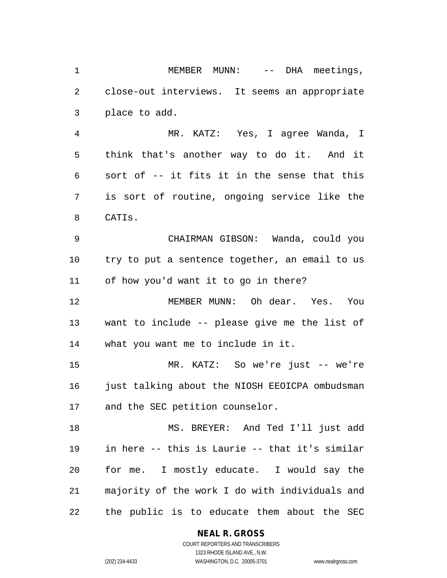1 MEMBER MUNN: -- DHA meetings, close-out interviews. It seems an appropriate place to add.

 MR. KATZ: Yes, I agree Wanda, I think that's another way to do it. And it sort of -- it fits it in the sense that this is sort of routine, ongoing service like the CATIs.

 CHAIRMAN GIBSON: Wanda, could you try to put a sentence together, an email to us of how you'd want it to go in there?

 MEMBER MUNN: Oh dear. Yes. You want to include -- please give me the list of what you want me to include in it.

 MR. KATZ: So we're just -- we're just talking about the NIOSH EEOICPA ombudsman and the SEC petition counselor.

 MS. BREYER: And Ted I'll just add in here -- this is Laurie -- that it's similar for me. I mostly educate. I would say the majority of the work I do with individuals and the public is to educate them about the SEC

#### **NEAL R. GROSS**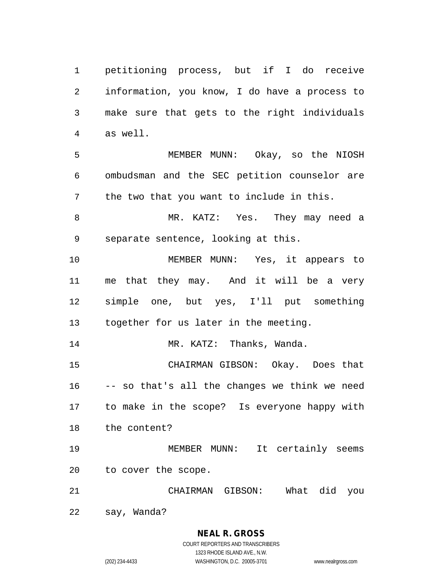petitioning process, but if I do receive information, you know, I do have a process to make sure that gets to the right individuals as well.

 MEMBER MUNN: Okay, so the NIOSH ombudsman and the SEC petition counselor are the two that you want to include in this.

 MR. KATZ: Yes. They may need a separate sentence, looking at this.

 MEMBER MUNN: Yes, it appears to me that they may. And it will be a very simple one, but yes, I'll put something together for us later in the meeting.

MR. KATZ: Thanks, Wanda.

 CHAIRMAN GIBSON: Okay. Does that -- so that's all the changes we think we need to make in the scope? Is everyone happy with the content?

 MEMBER MUNN: It certainly seems to cover the scope.

CHAIRMAN GIBSON: What did you

say, Wanda?

**NEAL R. GROSS** COURT REPORTERS AND TRANSCRIBERS

1323 RHODE ISLAND AVE., N.W. (202) 234-4433 WASHINGTON, D.C. 20005-3701 www.nealrgross.com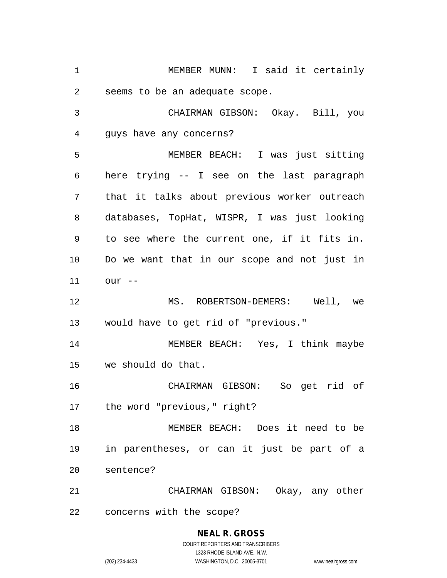MEMBER MUNN: I said it certainly seems to be an adequate scope. CHAIRMAN GIBSON: Okay. Bill, you guys have any concerns? MEMBER BEACH: I was just sitting here trying -- I see on the last paragraph that it talks about previous worker outreach databases, TopHat, WISPR, I was just looking to see where the current one, if it fits in. Do we want that in our scope and not just in our -- MS. ROBERTSON-DEMERS: Well, we would have to get rid of "previous." MEMBER BEACH: Yes, I think maybe we should do that. CHAIRMAN GIBSON: So get rid of the word "previous," right? MEMBER BEACH: Does it need to be in parentheses, or can it just be part of a sentence? CHAIRMAN GIBSON: Okay, any other concerns with the scope?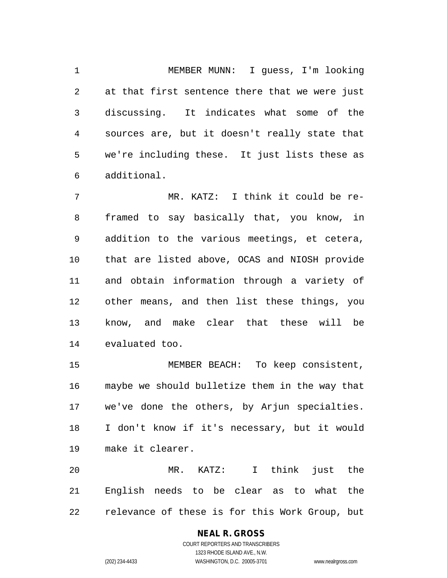MEMBER MUNN: I guess, I'm looking at that first sentence there that we were just discussing. It indicates what some of the sources are, but it doesn't really state that we're including these. It just lists these as additional.

 MR. KATZ: I think it could be re- framed to say basically that, you know, in addition to the various meetings, et cetera, that are listed above, OCAS and NIOSH provide and obtain information through a variety of other means, and then list these things, you know, and make clear that these will be evaluated too.

 MEMBER BEACH: To keep consistent, maybe we should bulletize them in the way that we've done the others, by Arjun specialties. I don't know if it's necessary, but it would make it clearer.

 MR. KATZ: I think just the English needs to be clear as to what the relevance of these is for this Work Group, but

# **NEAL R. GROSS**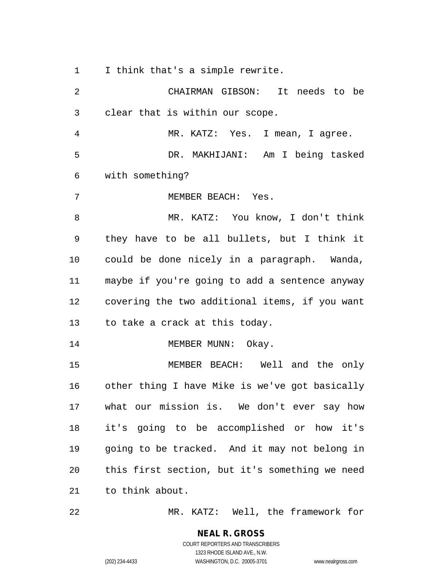I think that's a simple rewrite.

 CHAIRMAN GIBSON: It needs to be clear that is within our scope. MR. KATZ: Yes. I mean, I agree. DR. MAKHIJANI: Am I being tasked with something? MEMBER BEACH: Yes. MR. KATZ: You know, I don't think they have to be all bullets, but I think it could be done nicely in a paragraph. Wanda, maybe if you're going to add a sentence anyway covering the two additional items, if you want to take a crack at this today. 14 MEMBER MUNN: Okay. MEMBER BEACH: Well and the only other thing I have Mike is we've got basically what our mission is. We don't ever say how it's going to be accomplished or how it's going to be tracked. And it may not belong in this first section, but it's something we need to think about.

MR. KATZ: Well, the framework for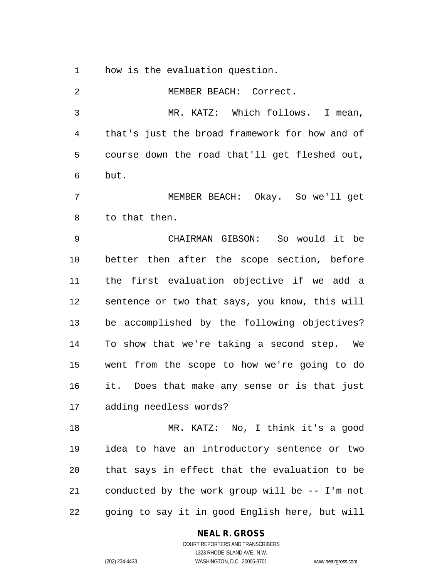how is the evaluation question.

| 2  | MEMBER BEACH: Correct.                         |
|----|------------------------------------------------|
| 3  | MR. KATZ: Which follows.<br>I mean,            |
| 4  | that's just the broad framework for how and of |
| 5  | course down the road that'll get fleshed out,  |
| 6  | but.                                           |
| 7  | MEMBER BEACH: Okay. So we'll get               |
| 8  | to that then.                                  |
| 9  | CHAIRMAN GIBSON: So would it be                |
| 10 | better then after the scope section, before    |
| 11 | the first evaluation objective if we add a     |
| 12 | sentence or two that says, you know, this will |
| 13 | be accomplished by the following objectives?   |
| 14 | To show that we're taking a second step. We    |
| 15 | went from the scope to how we're going to do   |
| 16 | it. Does that make any sense or is that just   |
| 17 | adding needless words?                         |
| 18 | MR. KATZ: No, I think it's a good              |
| 19 | idea to have an introductory sentence or two   |
| 20 | that says in effect that the evaluation to be  |
| 21 | conducted by the work group will be -- I'm not |
| 22 | going to say it in good English here, but will |

**NEAL R. GROSS**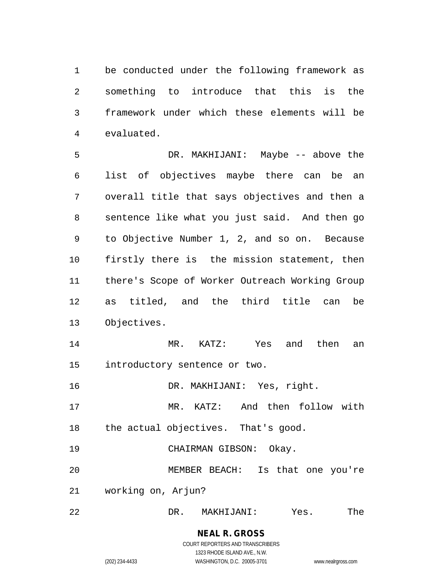be conducted under the following framework as something to introduce that this is the framework under which these elements will be evaluated.

 DR. MAKHIJANI: Maybe -- above the list of objectives maybe there can be an overall title that says objectives and then a sentence like what you just said. And then go to Objective Number 1, 2, and so on. Because firstly there is the mission statement, then there's Scope of Worker Outreach Working Group as titled, and the third title can be Objectives.

 MR. KATZ: Yes and then an introductory sentence or two.

DR. MAKHIJANI: Yes, right.

 MR. KATZ: And then follow with the actual objectives. That's good.

CHAIRMAN GIBSON: Okay.

 MEMBER BEACH: Is that one you're working on, Arjun?

DR. MAKHIJANI: Yes. The

### **NEAL R. GROSS** COURT REPORTERS AND TRANSCRIBERS

1323 RHODE ISLAND AVE., N.W. (202) 234-4433 WASHINGTON, D.C. 20005-3701 www.nealrgross.com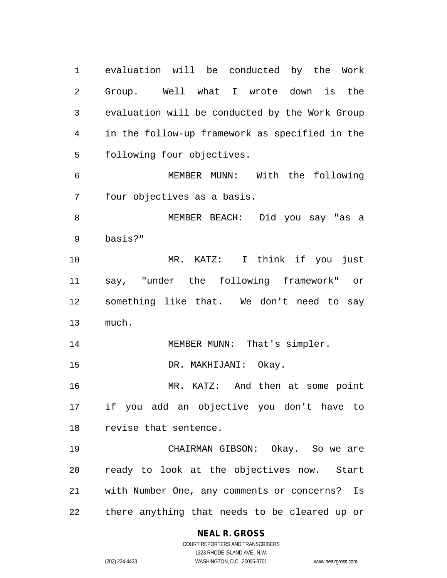evaluation will be conducted by the Work Group. Well what I wrote down is the evaluation will be conducted by the Work Group in the follow-up framework as specified in the following four objectives. MEMBER MUNN: With the following four objectives as a basis. MEMBER BEACH: Did you say "as a basis?" MR. KATZ: I think if you just say, "under the following framework" or something like that. We don't need to say much. 14 MEMBER MUNN: That's simpler. DR. MAKHIJANI: Okay. 16 MR. KATZ: And then at some point if you add an objective you don't have to revise that sentence. CHAIRMAN GIBSON: Okay. So we are ready to look at the objectives now. Start with Number One, any comments or concerns? Is there anything that needs to be cleared up or

#### **NEAL R. GROSS**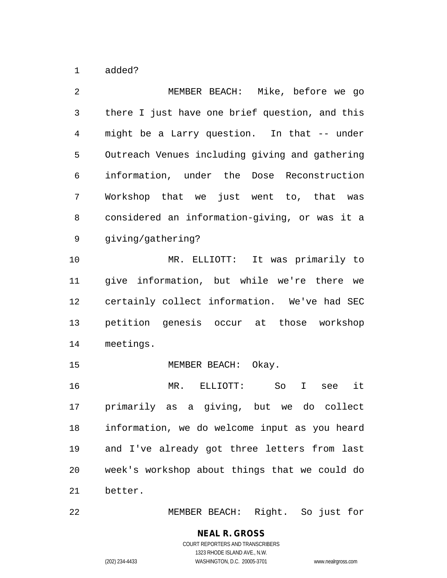added?

 MEMBER BEACH: Mike, before we go there I just have one brief question, and this might be a Larry question. In that -- under Outreach Venues including giving and gathering information, under the Dose Reconstruction Workshop that we just went to, that was considered an information-giving, or was it a giving/gathering? MR. ELLIOTT: It was primarily to give information, but while we're there we certainly collect information. We've had SEC petition genesis occur at those workshop meetings. 15 MEMBER BEACH: Okay. MR. ELLIOTT: So I see it primarily as a giving, but we do collect information, we do welcome input as you heard and I've already got three letters from last week's workshop about things that we could do better.

MEMBER BEACH: Right. So just for

#### **NEAL R. GROSS** COURT REPORTERS AND TRANSCRIBERS 1323 RHODE ISLAND AVE., N.W.

(202) 234-4433 WASHINGTON, D.C. 20005-3701 www.nealrgross.com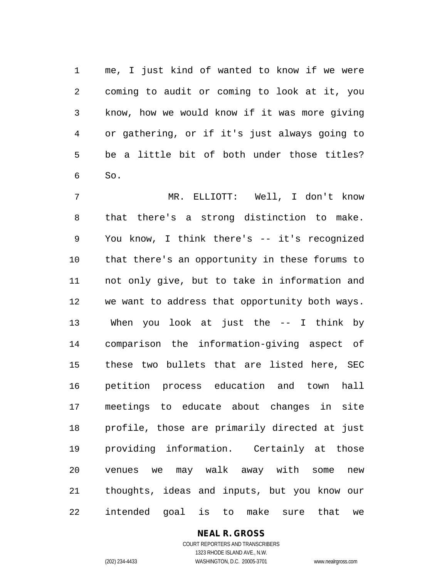me, I just kind of wanted to know if we were coming to audit or coming to look at it, you know, how we would know if it was more giving or gathering, or if it's just always going to be a little bit of both under those titles? So.

 MR. ELLIOTT: Well, I don't know that there's a strong distinction to make. You know, I think there's -- it's recognized that there's an opportunity in these forums to not only give, but to take in information and we want to address that opportunity both ways. When you look at just the -- I think by comparison the information-giving aspect of these two bullets that are listed here, SEC petition process education and town hall meetings to educate about changes in site profile, those are primarily directed at just providing information. Certainly at those venues we may walk away with some new thoughts, ideas and inputs, but you know our intended goal is to make sure that we

## **NEAL R. GROSS**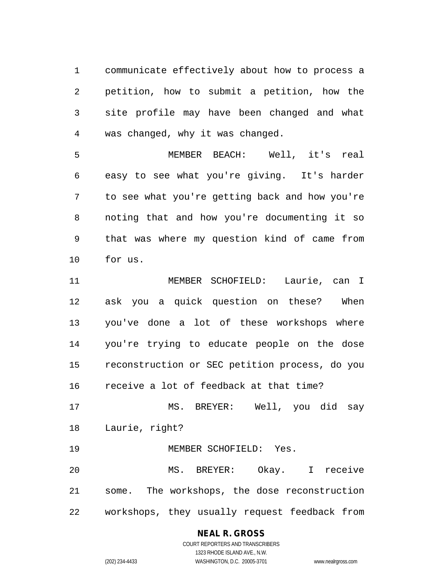communicate effectively about how to process a petition, how to submit a petition, how the site profile may have been changed and what was changed, why it was changed.

 MEMBER BEACH: Well, it's real easy to see what you're giving. It's harder to see what you're getting back and how you're noting that and how you're documenting it so that was where my question kind of came from for us.

 MEMBER SCHOFIELD: Laurie, can I ask you a quick question on these? When you've done a lot of these workshops where you're trying to educate people on the dose reconstruction or SEC petition process, do you receive a lot of feedback at that time?

 MS. BREYER: Well, you did say Laurie, right?

MEMBER SCHOFIELD: Yes.

 MS. BREYER: Okay. I receive some. The workshops, the dose reconstruction workshops, they usually request feedback from

# **NEAL R. GROSS**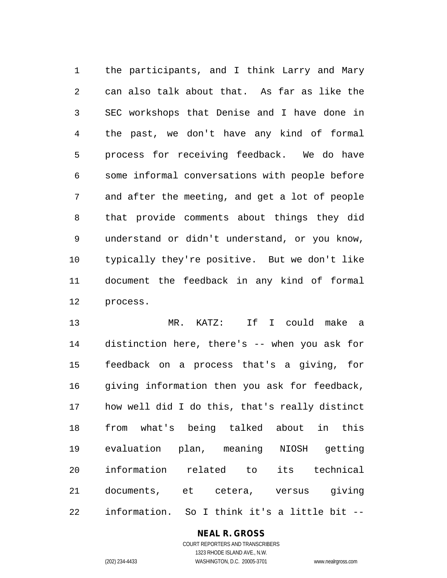the participants, and I think Larry and Mary can also talk about that. As far as like the SEC workshops that Denise and I have done in the past, we don't have any kind of formal process for receiving feedback. We do have some informal conversations with people before and after the meeting, and get a lot of people that provide comments about things they did understand or didn't understand, or you know, typically they're positive. But we don't like document the feedback in any kind of formal process.

 MR. KATZ: If I could make a distinction here, there's -- when you ask for feedback on a process that's a giving, for giving information then you ask for feedback, how well did I do this, that's really distinct from what's being talked about in this evaluation plan, meaning NIOSH getting information related to its technical documents, et cetera, versus giving information. So I think it's a little bit --

## **NEAL R. GROSS**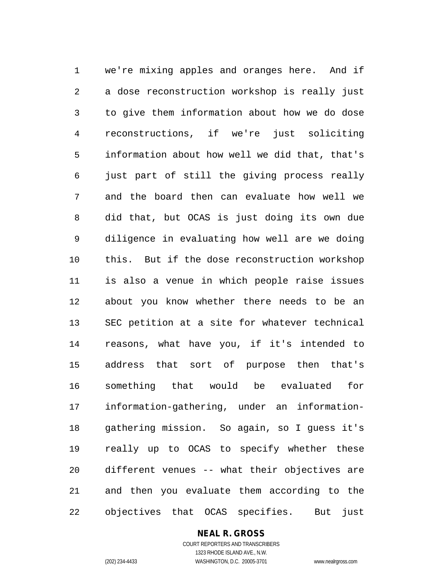we're mixing apples and oranges here. And if a dose reconstruction workshop is really just to give them information about how we do dose reconstructions, if we're just soliciting information about how well we did that, that's just part of still the giving process really and the board then can evaluate how well we did that, but OCAS is just doing its own due diligence in evaluating how well are we doing this. But if the dose reconstruction workshop is also a venue in which people raise issues about you know whether there needs to be an SEC petition at a site for whatever technical reasons, what have you, if it's intended to address that sort of purpose then that's something that would be evaluated for information-gathering, under an information- gathering mission. So again, so I guess it's really up to OCAS to specify whether these different venues -- what their objectives are and then you evaluate them according to the objectives that OCAS specifies. But just

#### **NEAL R. GROSS**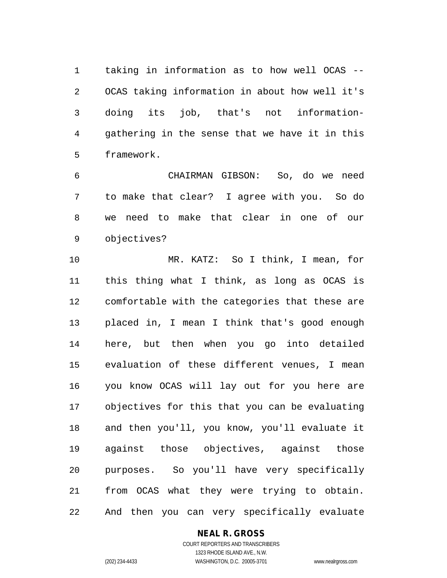taking in information as to how well OCAS -- OCAS taking information in about how well it's doing its job, that's not information- gathering in the sense that we have it in this framework.

 CHAIRMAN GIBSON: So, do we need to make that clear? I agree with you. So do we need to make that clear in one of our objectives?

 MR. KATZ: So I think, I mean, for this thing what I think, as long as OCAS is comfortable with the categories that these are placed in, I mean I think that's good enough here, but then when you go into detailed evaluation of these different venues, I mean you know OCAS will lay out for you here are objectives for this that you can be evaluating and then you'll, you know, you'll evaluate it against those objectives, against those purposes. So you'll have very specifically from OCAS what they were trying to obtain. And then you can very specifically evaluate

**NEAL R. GROSS**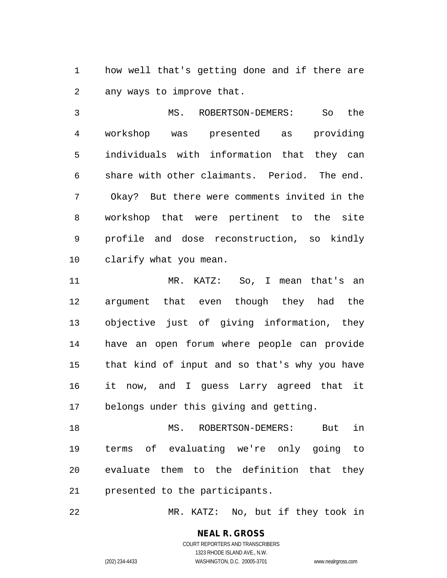how well that's getting done and if there are any ways to improve that.

 MS. ROBERTSON-DEMERS: So the workshop was presented as providing individuals with information that they can share with other claimants. Period. The end. Okay? But there were comments invited in the workshop that were pertinent to the site profile and dose reconstruction, so kindly clarify what you mean.

 MR. KATZ: So, I mean that's an argument that even though they had the objective just of giving information, they have an open forum where people can provide that kind of input and so that's why you have it now, and I guess Larry agreed that it belongs under this giving and getting.

 MS. ROBERTSON-DEMERS: But in terms of evaluating we're only going to evaluate them to the definition that they presented to the participants.

MR. KATZ: No, but if they took in

**NEAL R. GROSS** COURT REPORTERS AND TRANSCRIBERS

1323 RHODE ISLAND AVE., N.W. (202) 234-4433 WASHINGTON, D.C. 20005-3701 www.nealrgross.com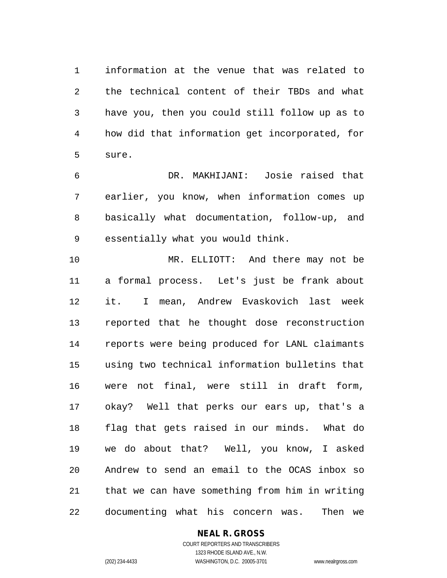information at the venue that was related to the technical content of their TBDs and what have you, then you could still follow up as to how did that information get incorporated, for sure.

 DR. MAKHIJANI: Josie raised that earlier, you know, when information comes up basically what documentation, follow-up, and essentially what you would think.

 MR. ELLIOTT: And there may not be a formal process. Let's just be frank about it. I mean, Andrew Evaskovich last week reported that he thought dose reconstruction reports were being produced for LANL claimants using two technical information bulletins that were not final, were still in draft form, okay? Well that perks our ears up, that's a flag that gets raised in our minds. What do we do about that? Well, you know, I asked Andrew to send an email to the OCAS inbox so that we can have something from him in writing documenting what his concern was. Then we

#### **NEAL R. GROSS** COURT REPORTERS AND TRANSCRIBERS

1323 RHODE ISLAND AVE., N.W. (202) 234-4433 WASHINGTON, D.C. 20005-3701 www.nealrgross.com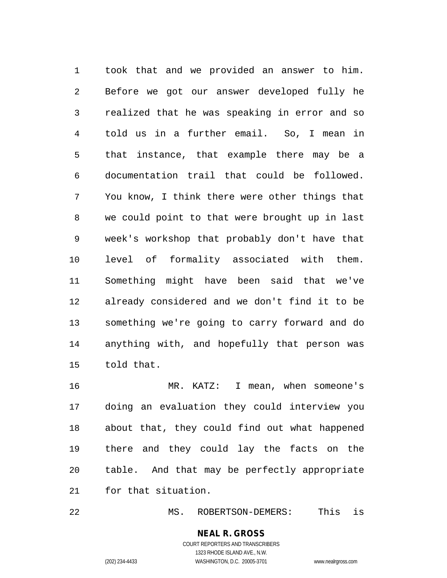took that and we provided an answer to him. Before we got our answer developed fully he realized that he was speaking in error and so told us in a further email. So, I mean in that instance, that example there may be a documentation trail that could be followed. You know, I think there were other things that we could point to that were brought up in last week's workshop that probably don't have that level of formality associated with them. Something might have been said that we've already considered and we don't find it to be something we're going to carry forward and do anything with, and hopefully that person was told that.

 MR. KATZ: I mean, when someone's doing an evaluation they could interview you about that, they could find out what happened there and they could lay the facts on the table. And that may be perfectly appropriate for that situation.

MS. ROBERTSON-DEMERS: This is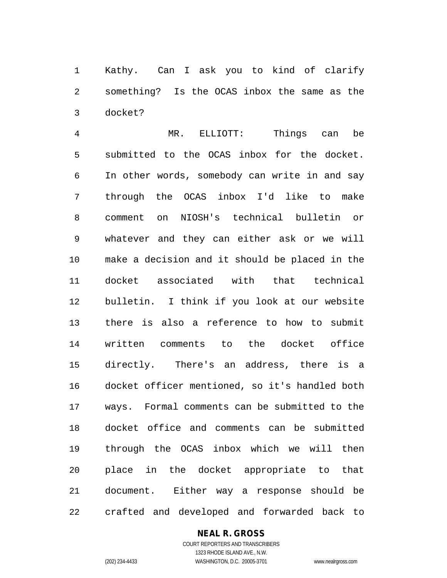Kathy. Can I ask you to kind of clarify something? Is the OCAS inbox the same as the docket?

 MR. ELLIOTT: Things can be submitted to the OCAS inbox for the docket. In other words, somebody can write in and say through the OCAS inbox I'd like to make comment on NIOSH's technical bulletin or whatever and they can either ask or we will make a decision and it should be placed in the docket associated with that technical bulletin. I think if you look at our website there is also a reference to how to submit written comments to the docket office directly. There's an address, there is a docket officer mentioned, so it's handled both ways. Formal comments can be submitted to the docket office and comments can be submitted through the OCAS inbox which we will then place in the docket appropriate to that document. Either way a response should be crafted and developed and forwarded back to

## **NEAL R. GROSS**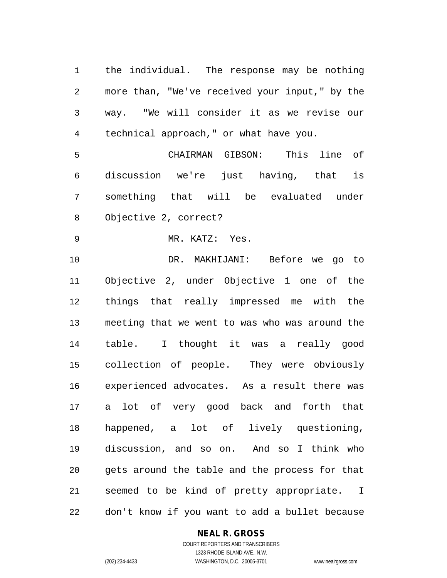the individual. The response may be nothing more than, "We've received your input," by the way. "We will consider it as we revise our technical approach," or what have you.

 CHAIRMAN GIBSON: This line of discussion we're just having, that is something that will be evaluated under Objective 2, correct?

MR. KATZ: Yes.

 DR. MAKHIJANI: Before we go to Objective 2, under Objective 1 one of the things that really impressed me with the meeting that we went to was who was around the table. I thought it was a really good collection of people. They were obviously experienced advocates. As a result there was a lot of very good back and forth that happened, a lot of lively questioning, discussion, and so on. And so I think who gets around the table and the process for that seemed to be kind of pretty appropriate. I don't know if you want to add a bullet because

#### **NEAL R. GROSS**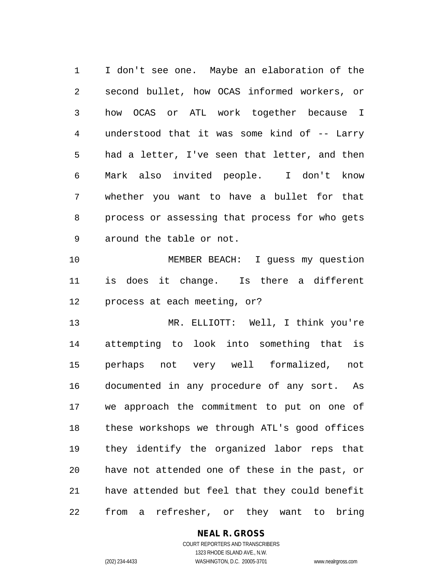I don't see one. Maybe an elaboration of the second bullet, how OCAS informed workers, or how OCAS or ATL work together because I understood that it was some kind of -- Larry had a letter, I've seen that letter, and then Mark also invited people. I don't know whether you want to have a bullet for that process or assessing that process for who gets around the table or not.

 MEMBER BEACH: I guess my question is does it change. Is there a different process at each meeting, or?

 MR. ELLIOTT: Well, I think you're attempting to look into something that is perhaps not very well formalized, not documented in any procedure of any sort. As we approach the commitment to put on one of these workshops we through ATL's good offices they identify the organized labor reps that have not attended one of these in the past, or have attended but feel that they could benefit from a refresher, or they want to bring

## **NEAL R. GROSS**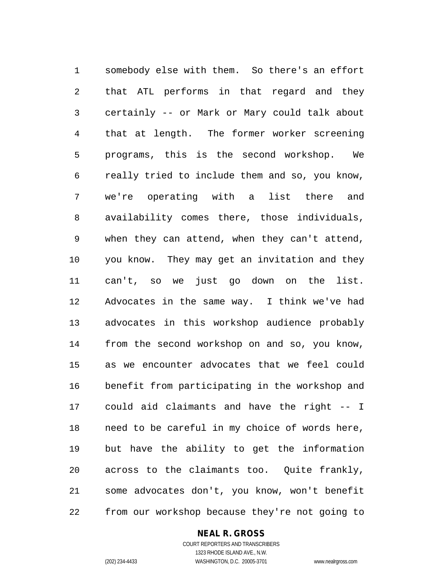somebody else with them. So there's an effort that ATL performs in that regard and they certainly -- or Mark or Mary could talk about that at length. The former worker screening programs, this is the second workshop. We really tried to include them and so, you know, we're operating with a list there and availability comes there, those individuals, when they can attend, when they can't attend, you know. They may get an invitation and they can't, so we just go down on the list. Advocates in the same way. I think we've had advocates in this workshop audience probably from the second workshop on and so, you know, as we encounter advocates that we feel could benefit from participating in the workshop and could aid claimants and have the right -- I need to be careful in my choice of words here, but have the ability to get the information across to the claimants too. Quite frankly, some advocates don't, you know, won't benefit from our workshop because they're not going to

#### **NEAL R. GROSS**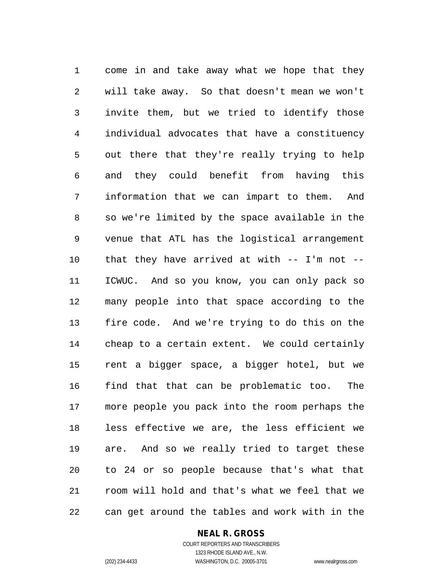come in and take away what we hope that they will take away. So that doesn't mean we won't invite them, but we tried to identify those individual advocates that have a constituency out there that they're really trying to help and they could benefit from having this information that we can impart to them. And so we're limited by the space available in the venue that ATL has the logistical arrangement that they have arrived at with -- I'm not -- ICWUC. And so you know, you can only pack so many people into that space according to the fire code. And we're trying to do this on the cheap to a certain extent. We could certainly rent a bigger space, a bigger hotel, but we find that that can be problematic too. The more people you pack into the room perhaps the less effective we are, the less efficient we are. And so we really tried to target these to 24 or so people because that's what that room will hold and that's what we feel that we can get around the tables and work with in the

#### **NEAL R. GROSS**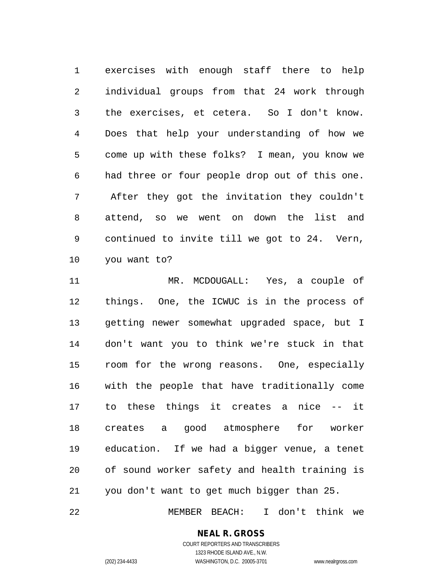exercises with enough staff there to help individual groups from that 24 work through the exercises, et cetera. So I don't know. Does that help your understanding of how we come up with these folks? I mean, you know we had three or four people drop out of this one. After they got the invitation they couldn't attend, so we went on down the list and continued to invite till we got to 24. Vern, you want to?

 MR. MCDOUGALL: Yes, a couple of things. One, the ICWUC is in the process of getting newer somewhat upgraded space, but I don't want you to think we're stuck in that room for the wrong reasons. One, especially with the people that have traditionally come to these things it creates a nice -- it creates a good atmosphere for worker education. If we had a bigger venue, a tenet of sound worker safety and health training is you don't want to get much bigger than 25.

MEMBER BEACH: I don't think we

#### **NEAL R. GROSS** COURT REPORTERS AND TRANSCRIBERS

1323 RHODE ISLAND AVE., N.W. (202) 234-4433 WASHINGTON, D.C. 20005-3701 www.nealrgross.com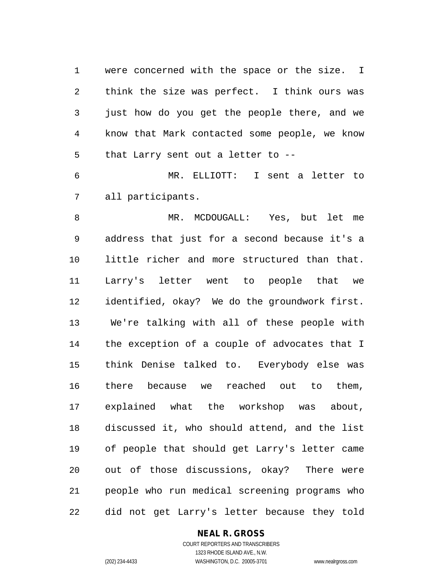were concerned with the space or the size. I think the size was perfect. I think ours was just how do you get the people there, and we know that Mark contacted some people, we know that Larry sent out a letter to --

 MR. ELLIOTT: I sent a letter to all participants.

 MR. MCDOUGALL: Yes, but let me address that just for a second because it's a little richer and more structured than that. Larry's letter went to people that we identified, okay? We do the groundwork first. We're talking with all of these people with the exception of a couple of advocates that I think Denise talked to. Everybody else was there because we reached out to them, explained what the workshop was about, discussed it, who should attend, and the list of people that should get Larry's letter came out of those discussions, okay? There were people who run medical screening programs who did not get Larry's letter because they told

#### **NEAL R. GROSS**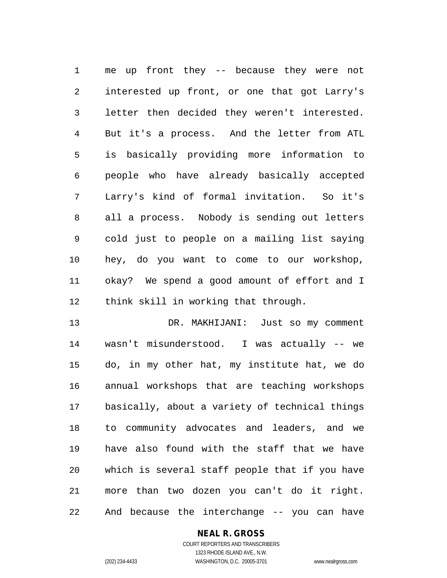me up front they -- because they were not interested up front, or one that got Larry's letter then decided they weren't interested. But it's a process. And the letter from ATL is basically providing more information to people who have already basically accepted Larry's kind of formal invitation. So it's all a process. Nobody is sending out letters cold just to people on a mailing list saying hey, do you want to come to our workshop, okay? We spend a good amount of effort and I think skill in working that through.

 DR. MAKHIJANI: Just so my comment wasn't misunderstood. I was actually -- we do, in my other hat, my institute hat, we do annual workshops that are teaching workshops basically, about a variety of technical things to community advocates and leaders, and we have also found with the staff that we have which is several staff people that if you have more than two dozen you can't do it right. And because the interchange -- you can have

## **NEAL R. GROSS**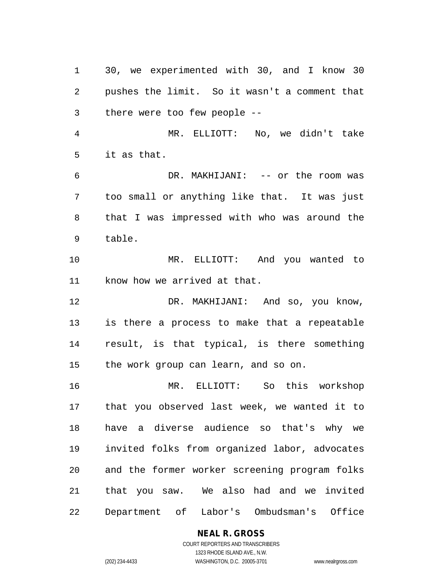30, we experimented with 30, and I know 30 pushes the limit. So it wasn't a comment that there were too few people -- MR. ELLIOTT: No, we didn't take it as that. DR. MAKHIJANI: -- or the room was too small or anything like that. It was just that I was impressed with who was around the table. MR. ELLIOTT: And you wanted to know how we arrived at that. DR. MAKHIJANI: And so, you know, is there a process to make that a repeatable result, is that typical, is there something the work group can learn, and so on. MR. ELLIOTT: So this workshop that you observed last week, we wanted it to have a diverse audience so that's why we invited folks from organized labor, advocates and the former worker screening program folks that you saw. We also had and we invited Department of Labor's Ombudsman's Office

**NEAL R. GROSS**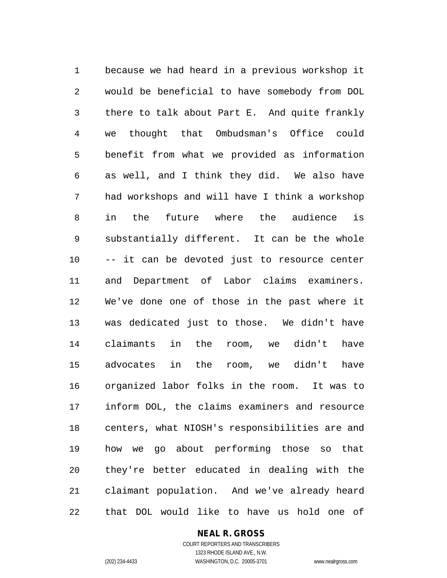because we had heard in a previous workshop it would be beneficial to have somebody from DOL there to talk about Part E. And quite frankly we thought that Ombudsman's Office could benefit from what we provided as information as well, and I think they did. We also have had workshops and will have I think a workshop in the future where the audience is substantially different. It can be the whole -- it can be devoted just to resource center and Department of Labor claims examiners. We've done one of those in the past where it was dedicated just to those. We didn't have claimants in the room, we didn't have advocates in the room, we didn't have organized labor folks in the room. It was to inform DOL, the claims examiners and resource centers, what NIOSH's responsibilities are and how we go about performing those so that they're better educated in dealing with the claimant population. And we've already heard that DOL would like to have us hold one of

## **NEAL R. GROSS**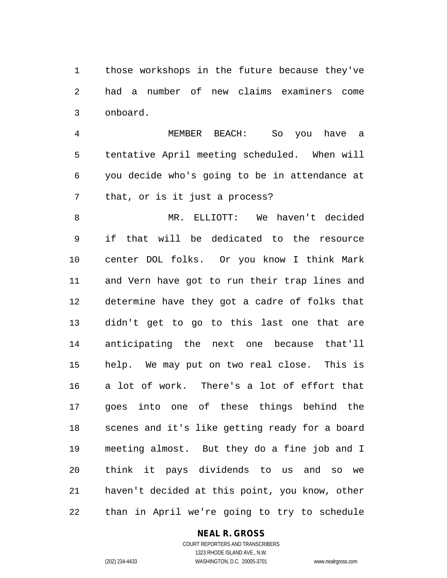those workshops in the future because they've had a number of new claims examiners come onboard.

 MEMBER BEACH: So you have a tentative April meeting scheduled. When will you decide who's going to be in attendance at that, or is it just a process?

 MR. ELLIOTT: We haven't decided if that will be dedicated to the resource center DOL folks. Or you know I think Mark and Vern have got to run their trap lines and determine have they got a cadre of folks that didn't get to go to this last one that are anticipating the next one because that'll help. We may put on two real close. This is a lot of work. There's a lot of effort that goes into one of these things behind the scenes and it's like getting ready for a board meeting almost. But they do a fine job and I think it pays dividends to us and so we haven't decided at this point, you know, other than in April we're going to try to schedule

#### **NEAL R. GROSS** COURT REPORTERS AND TRANSCRIBERS

1323 RHODE ISLAND AVE., N.W. (202) 234-4433 WASHINGTON, D.C. 20005-3701 www.nealrgross.com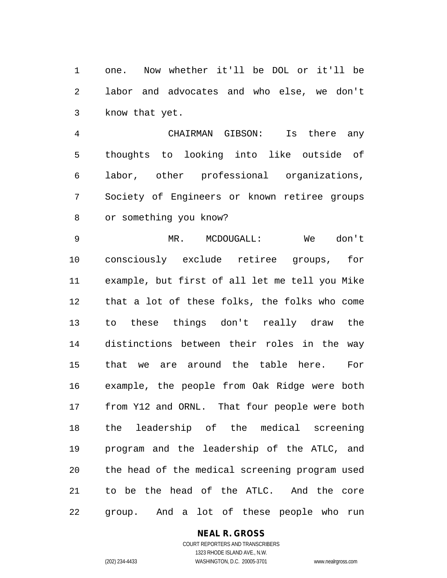one. Now whether it'll be DOL or it'll be labor and advocates and who else, we don't know that yet.

 CHAIRMAN GIBSON: Is there any thoughts to looking into like outside of labor, other professional organizations, Society of Engineers or known retiree groups or something you know?

 MR. MCDOUGALL: We don't consciously exclude retiree groups, for example, but first of all let me tell you Mike that a lot of these folks, the folks who come to these things don't really draw the distinctions between their roles in the way that we are around the table here. For example, the people from Oak Ridge were both from Y12 and ORNL. That four people were both the leadership of the medical screening program and the leadership of the ATLC, and the head of the medical screening program used to be the head of the ATLC. And the core group. And a lot of these people who run

> **NEAL R. GROSS** COURT REPORTERS AND TRANSCRIBERS

1323 RHODE ISLAND AVE., N.W. (202) 234-4433 WASHINGTON, D.C. 20005-3701 www.nealrgross.com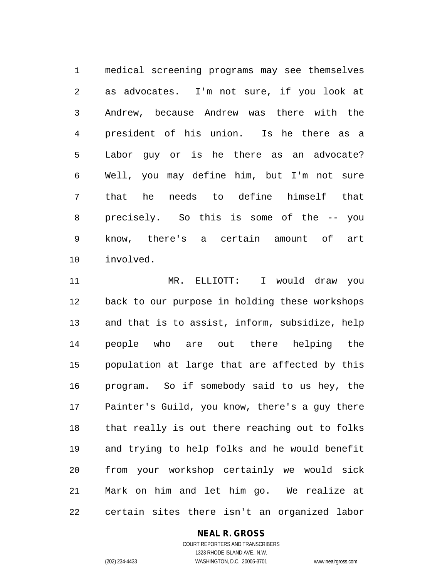medical screening programs may see themselves as advocates. I'm not sure, if you look at Andrew, because Andrew was there with the president of his union. Is he there as a Labor guy or is he there as an advocate? Well, you may define him, but I'm not sure that he needs to define himself that precisely. So this is some of the -- you know, there's a certain amount of art involved.

 MR. ELLIOTT: I would draw you back to our purpose in holding these workshops and that is to assist, inform, subsidize, help people who are out there helping the population at large that are affected by this program. So if somebody said to us hey, the Painter's Guild, you know, there's a guy there that really is out there reaching out to folks and trying to help folks and he would benefit from your workshop certainly we would sick Mark on him and let him go. We realize at certain sites there isn't an organized labor

## **NEAL R. GROSS**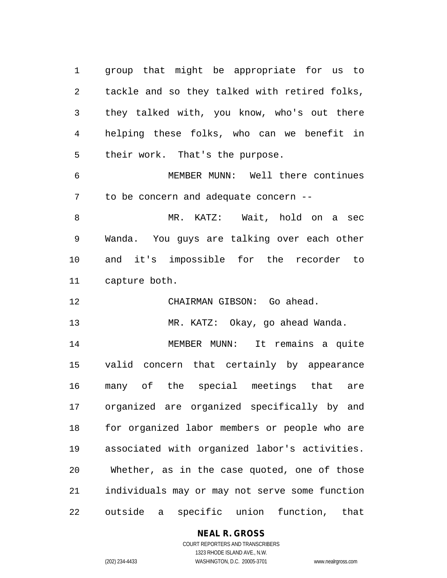group that might be appropriate for us to tackle and so they talked with retired folks, they talked with, you know, who's out there helping these folks, who can we benefit in their work. That's the purpose.

 MEMBER MUNN: Well there continues to be concern and adequate concern --

 MR. KATZ: Wait, hold on a sec Wanda. You guys are talking over each other and it's impossible for the recorder to capture both.

CHAIRMAN GIBSON: Go ahead.

MR. KATZ: Okay, go ahead Wanda.

 MEMBER MUNN: It remains a quite valid concern that certainly by appearance many of the special meetings that are organized are organized specifically by and for organized labor members or people who are associated with organized labor's activities. Whether, as in the case quoted, one of those individuals may or may not serve some function outside a specific union function, that

## **NEAL R. GROSS**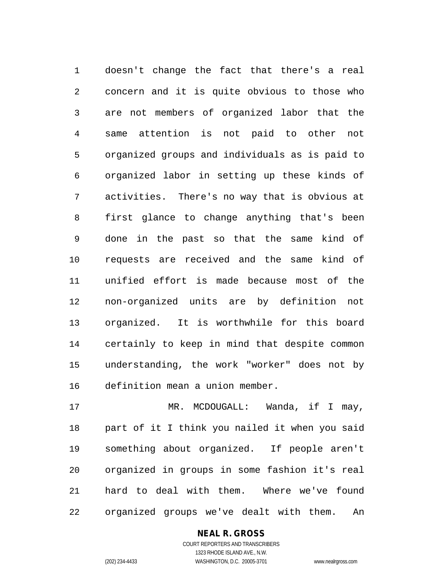doesn't change the fact that there's a real concern and it is quite obvious to those who are not members of organized labor that the same attention is not paid to other not organized groups and individuals as is paid to organized labor in setting up these kinds of activities. There's no way that is obvious at first glance to change anything that's been done in the past so that the same kind of requests are received and the same kind of unified effort is made because most of the non-organized units are by definition not organized. It is worthwhile for this board certainly to keep in mind that despite common understanding, the work "worker" does not by definition mean a union member.

17 MR. MCDOUGALL: Wanda, if I may, part of it I think you nailed it when you said something about organized. If people aren't organized in groups in some fashion it's real hard to deal with them. Where we've found organized groups we've dealt with them. An

> COURT REPORTERS AND TRANSCRIBERS 1323 RHODE ISLAND AVE., N.W. (202) 234-4433 WASHINGTON, D.C. 20005-3701 www.nealrgross.com

**NEAL R. GROSS**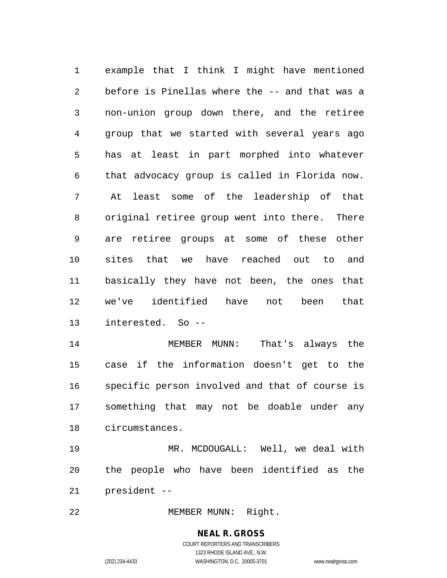example that I think I might have mentioned before is Pinellas where the -- and that was a non-union group down there, and the retiree group that we started with several years ago has at least in part morphed into whatever that advocacy group is called in Florida now. At least some of the leadership of that original retiree group went into there. There are retiree groups at some of these other sites that we have reached out to and basically they have not been, the ones that we've identified have not been that interested. So --

 MEMBER MUNN: That's always the case if the information doesn't get to the specific person involved and that of course is something that may not be doable under any circumstances.

 MR. MCDOUGALL: Well, we deal with the people who have been identified as the president --

MEMBER MUNN: Right.

# **NEAL R. GROSS**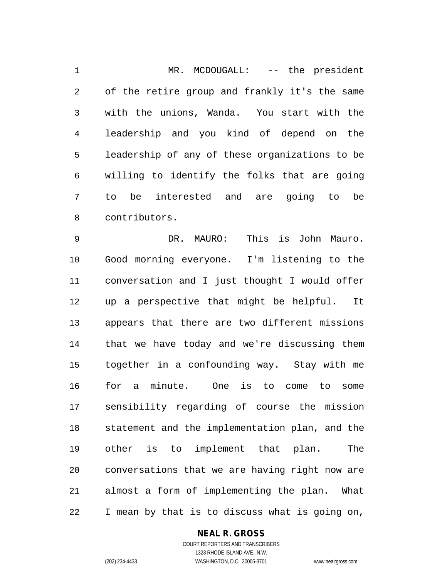1 MR. MCDOUGALL: -- the president of the retire group and frankly it's the same with the unions, Wanda. You start with the leadership and you kind of depend on the leadership of any of these organizations to be willing to identify the folks that are going to be interested and are going to be contributors.

 DR. MAURO: This is John Mauro. Good morning everyone. I'm listening to the conversation and I just thought I would offer up a perspective that might be helpful. It appears that there are two different missions that we have today and we're discussing them together in a confounding way. Stay with me for a minute. One is to come to some sensibility regarding of course the mission statement and the implementation plan, and the other is to implement that plan. The conversations that we are having right now are almost a form of implementing the plan. What I mean by that is to discuss what is going on,

#### **NEAL R. GROSS**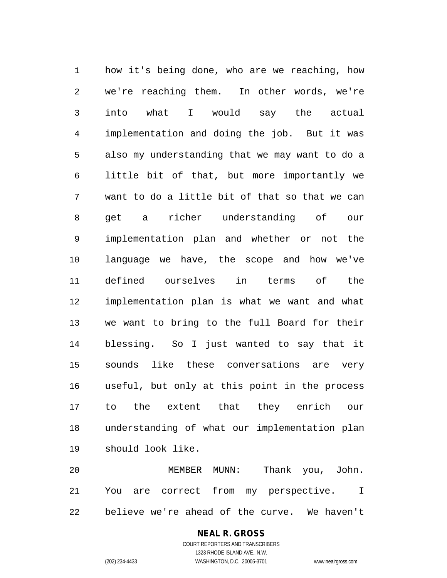how it's being done, who are we reaching, how we're reaching them. In other words, we're into what I would say the actual implementation and doing the job. But it was also my understanding that we may want to do a little bit of that, but more importantly we want to do a little bit of that so that we can get a richer understanding of our implementation plan and whether or not the language we have, the scope and how we've defined ourselves in terms of the implementation plan is what we want and what we want to bring to the full Board for their blessing. So I just wanted to say that it sounds like these conversations are very useful, but only at this point in the process to the extent that they enrich our understanding of what our implementation plan should look like.

 MEMBER MUNN: Thank you, John. You are correct from my perspective. I believe we're ahead of the curve. We haven't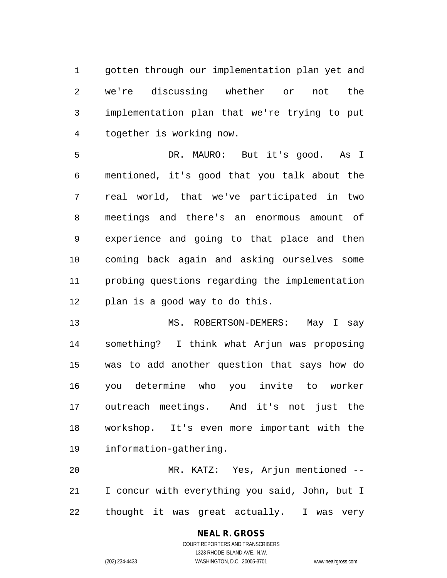gotten through our implementation plan yet and we're discussing whether or not the implementation plan that we're trying to put together is working now.

 DR. MAURO: But it's good. As I mentioned, it's good that you talk about the real world, that we've participated in two meetings and there's an enormous amount of experience and going to that place and then coming back again and asking ourselves some probing questions regarding the implementation plan is a good way to do this.

 MS. ROBERTSON-DEMERS: May I say something? I think what Arjun was proposing was to add another question that says how do you determine who you invite to worker outreach meetings. And it's not just the workshop. It's even more important with the information-gathering.

 MR. KATZ: Yes, Arjun mentioned -- I concur with everything you said, John, but I thought it was great actually. I was very

# **NEAL R. GROSS**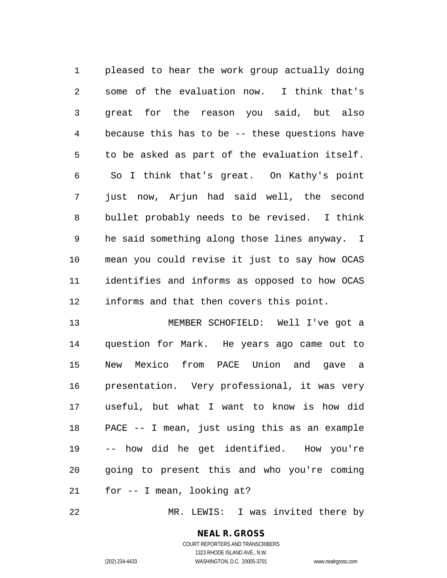pleased to hear the work group actually doing some of the evaluation now. I think that's great for the reason you said, but also because this has to be -- these questions have to be asked as part of the evaluation itself. So I think that's great. On Kathy's point just now, Arjun had said well, the second bullet probably needs to be revised. I think he said something along those lines anyway. I mean you could revise it just to say how OCAS identifies and informs as opposed to how OCAS informs and that then covers this point.

 MEMBER SCHOFIELD: Well I've got a question for Mark. He years ago came out to New Mexico from PACE Union and gave a presentation. Very professional, it was very useful, but what I want to know is how did PACE -- I mean, just using this as an example -- how did he get identified. How you're going to present this and who you're coming for -- I mean, looking at?

MR. LEWIS: I was invited there by

# **NEAL R. GROSS**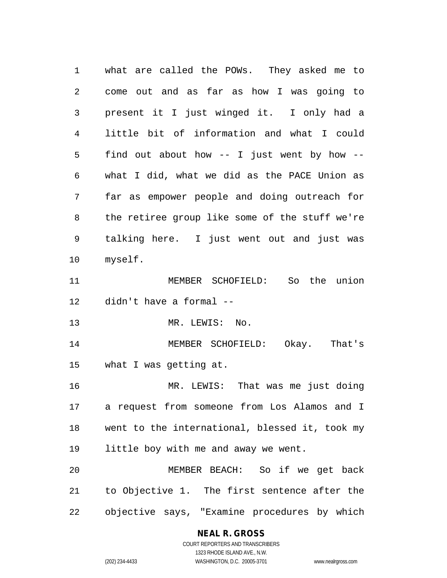what are called the POWs. They asked me to come out and as far as how I was going to present it I just winged it. I only had a little bit of information and what I could find out about how -- I just went by how -- what I did, what we did as the PACE Union as far as empower people and doing outreach for the retiree group like some of the stuff we're talking here. I just went out and just was myself. MEMBER SCHOFIELD: So the union didn't have a formal -- 13 MR. LEWIS: No. MEMBER SCHOFIELD: Okay. That's what I was getting at. MR. LEWIS: That was me just doing a request from someone from Los Alamos and I went to the international, blessed it, took my little boy with me and away we went. MEMBER BEACH: So if we get back to Objective 1. The first sentence after the objective says, "Examine procedures by which

#### **NEAL R. GROSS**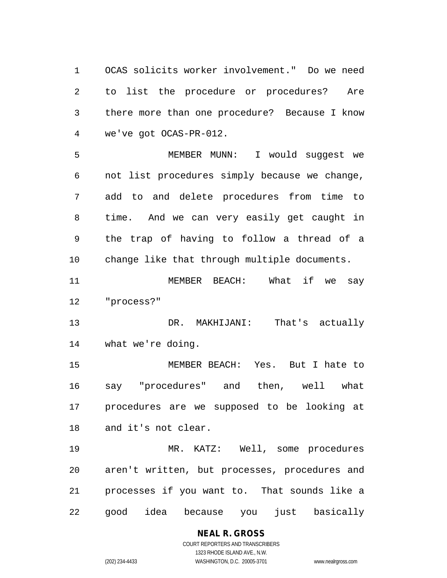OCAS solicits worker involvement." Do we need to list the procedure or procedures? Are there more than one procedure? Because I know we've got OCAS-PR-012.

 MEMBER MUNN: I would suggest we not list procedures simply because we change, add to and delete procedures from time to time. And we can very easily get caught in the trap of having to follow a thread of a change like that through multiple documents.

 MEMBER BEACH: What if we say "process?"

 DR. MAKHIJANI: That's actually what we're doing.

 MEMBER BEACH: Yes. But I hate to say "procedures" and then, well what procedures are we supposed to be looking at and it's not clear.

 MR. KATZ: Well, some procedures aren't written, but processes, procedures and processes if you want to. That sounds like a good idea because you just basically

## **NEAL R. GROSS** COURT REPORTERS AND TRANSCRIBERS

1323 RHODE ISLAND AVE., N.W. (202) 234-4433 WASHINGTON, D.C. 20005-3701 www.nealrgross.com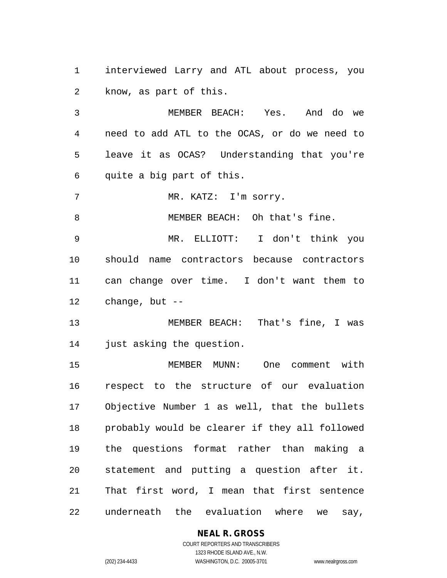interviewed Larry and ATL about process, you know, as part of this.

 MEMBER BEACH: Yes. And do we need to add ATL to the OCAS, or do we need to leave it as OCAS? Understanding that you're quite a big part of this.

MR. KATZ: I'm sorry.

MEMBER BEACH: Oh that's fine.

 MR. ELLIOTT: I don't think you should name contractors because contractors can change over time. I don't want them to change, but --

 MEMBER BEACH: That's fine, I was just asking the question.

 MEMBER MUNN: One comment with respect to the structure of our evaluation Objective Number 1 as well, that the bullets probably would be clearer if they all followed the questions format rather than making a statement and putting a question after it. That first word, I mean that first sentence underneath the evaluation where we say,

## **NEAL R. GROSS**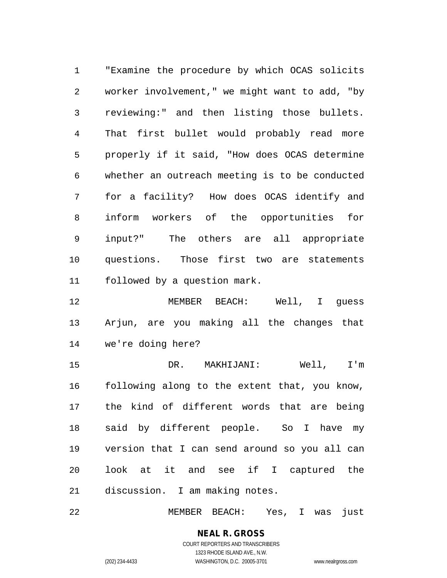"Examine the procedure by which OCAS solicits worker involvement," we might want to add, "by reviewing:" and then listing those bullets. That first bullet would probably read more properly if it said, "How does OCAS determine whether an outreach meeting is to be conducted for a facility? How does OCAS identify and inform workers of the opportunities for input?" The others are all appropriate questions. Those first two are statements followed by a question mark.

 MEMBER BEACH: Well, I guess Arjun, are you making all the changes that we're doing here?

 DR. MAKHIJANI: Well, I'm following along to the extent that, you know, the kind of different words that are being said by different people. So I have my version that I can send around so you all can look at it and see if I captured the discussion. I am making notes.

MEMBER BEACH: Yes, I was just

#### **NEAL R. GROSS** COURT REPORTERS AND TRANSCRIBERS 1323 RHODE ISLAND AVE., N.W.

(202) 234-4433 WASHINGTON, D.C. 20005-3701 www.nealrgross.com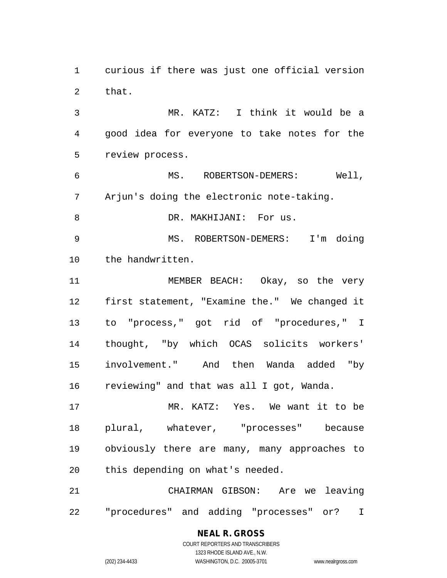curious if there was just one official version that.

 MR. KATZ: I think it would be a good idea for everyone to take notes for the review process.

 MS. ROBERTSON-DEMERS: Well, Arjun's doing the electronic note-taking.

8 DR. MAKHIJANI: For us.

 MS. ROBERTSON-DEMERS: I'm doing the handwritten.

 MEMBER BEACH: Okay, so the very first statement, "Examine the." We changed it to "process," got rid of "procedures," I thought, "by which OCAS solicits workers' involvement." And then Wanda added "by reviewing" and that was all I got, Wanda.

 MR. KATZ: Yes. We want it to be plural, whatever, "processes" because obviously there are many, many approaches to this depending on what's needed.

 CHAIRMAN GIBSON: Are we leaving "procedures" and adding "processes" or? I

# COURT REPORTERS AND TRANSCRIBERS 1323 RHODE ISLAND AVE., N.W. (202) 234-4433 WASHINGTON, D.C. 20005-3701 www.nealrgross.com

**NEAL R. GROSS**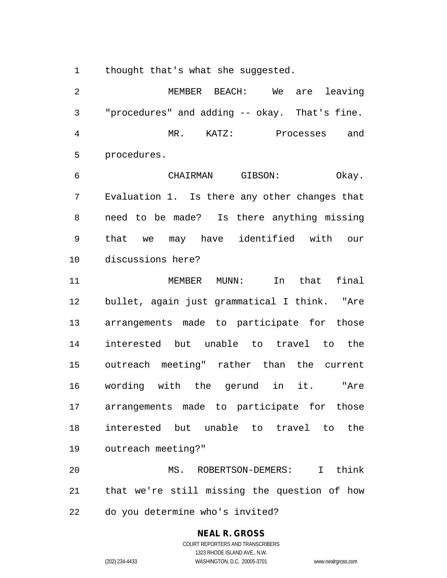1 thought that's what she suggested.

 MEMBER BEACH: We are leaving "procedures" and adding -- okay. That's fine. MR. KATZ: Processes and procedures.

 CHAIRMAN GIBSON: Okay. Evaluation 1. Is there any other changes that need to be made? Is there anything missing that we may have identified with our discussions here?

 MEMBER MUNN: In that final bullet, again just grammatical I think. "Are arrangements made to participate for those interested but unable to travel to the outreach meeting" rather than the current wording with the gerund in it. "Are arrangements made to participate for those interested but unable to travel to the outreach meeting?"

 MS. ROBERTSON-DEMERS: I think that we're still missing the question of how do you determine who's invited?

# **NEAL R. GROSS**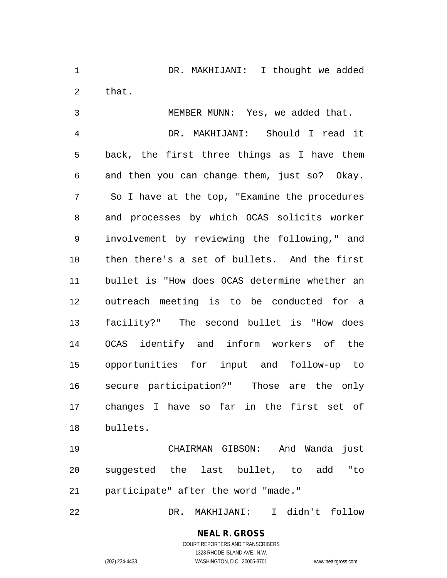1 DR. MAKHIJANI: I thought we added that.

MEMBER MUNN: Yes, we added that.

 DR. MAKHIJANI: Should I read it back, the first three things as I have them and then you can change them, just so? Okay. So I have at the top, "Examine the procedures and processes by which OCAS solicits worker involvement by reviewing the following," and then there's a set of bullets. And the first bullet is "How does OCAS determine whether an outreach meeting is to be conducted for a facility?" The second bullet is "How does OCAS identify and inform workers of the opportunities for input and follow-up to secure participation?" Those are the only changes I have so far in the first set of bullets.

 CHAIRMAN GIBSON: And Wanda just suggested the last bullet, to add "to participate" after the word "made."

DR. MAKHIJANI: I didn't follow

## **NEAL R. GROSS** COURT REPORTERS AND TRANSCRIBERS

1323 RHODE ISLAND AVE., N.W. (202) 234-4433 WASHINGTON, D.C. 20005-3701 www.nealrgross.com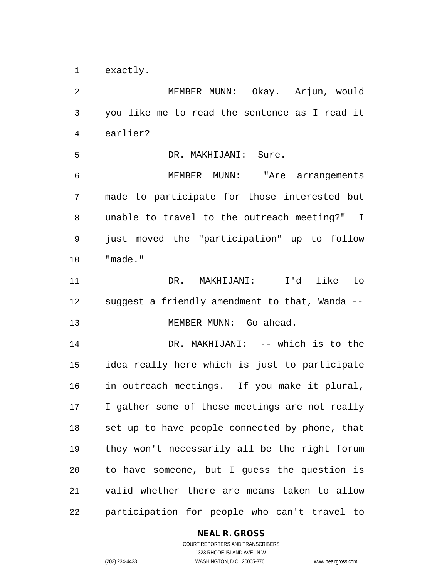exactly.

 MEMBER MUNN: Okay. Arjun, would you like me to read the sentence as I read it earlier? DR. MAKHIJANI: Sure. MEMBER MUNN: "Are arrangements made to participate for those interested but unable to travel to the outreach meeting?" I just moved the "participation" up to follow "made." DR. MAKHIJANI: I'd like to suggest a friendly amendment to that, Wanda -- 13 MEMBER MUNN: Go ahead. 14 DR. MAKHIJANI: -- which is to the idea really here which is just to participate in outreach meetings. If you make it plural, I gather some of these meetings are not really set up to have people connected by phone, that they won't necessarily all be the right forum to have someone, but I guess the question is valid whether there are means taken to allow participation for people who can't travel to

## **NEAL R. GROSS**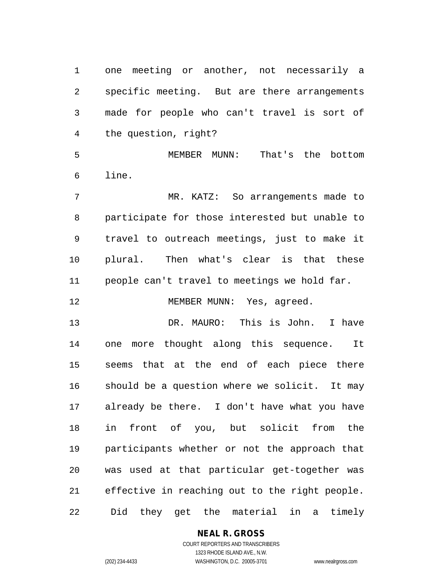one meeting or another, not necessarily a specific meeting. But are there arrangements made for people who can't travel is sort of the question, right?

 MEMBER MUNN: That's the bottom line.

 MR. KATZ: So arrangements made to participate for those interested but unable to travel to outreach meetings, just to make it plural. Then what's clear is that these people can't travel to meetings we hold far.

12 MEMBER MUNN: Yes, agreed.

 DR. MAURO: This is John. I have one more thought along this sequence. It seems that at the end of each piece there should be a question where we solicit. It may already be there. I don't have what you have in front of you, but solicit from the participants whether or not the approach that was used at that particular get-together was effective in reaching out to the right people. Did they get the material in a timely

## **NEAL R. GROSS**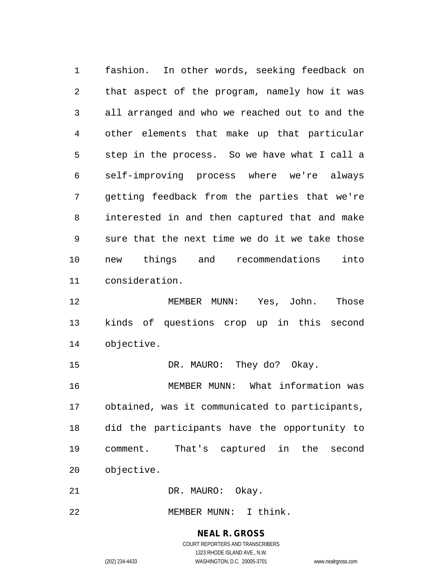fashion. In other words, seeking feedback on that aspect of the program, namely how it was all arranged and who we reached out to and the other elements that make up that particular step in the process. So we have what I call a self-improving process where we're always getting feedback from the parties that we're interested in and then captured that and make sure that the next time we do it we take those new things and recommendations into consideration.

 MEMBER MUNN: Yes, John. Those kinds of questions crop up in this second objective.

15 DR. MAURO: They do? Okay. MEMBER MUNN: What information was obtained, was it communicated to participants, did the participants have the opportunity to comment. That's captured in the second objective.

21 DR. MAURO: Okay.

MEMBER MUNN: I think.

## **NEAL R. GROSS**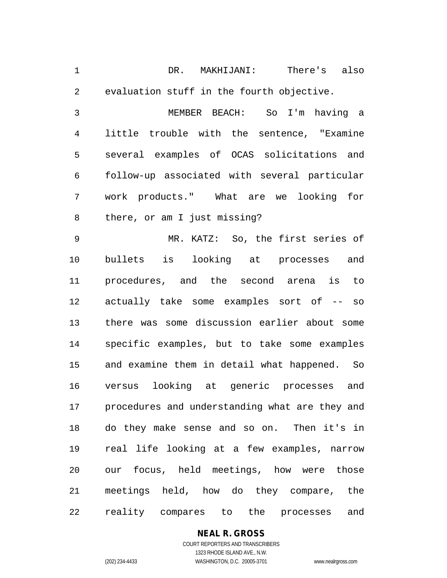DR. MAKHIJANI: There's also evaluation stuff in the fourth objective.

 MEMBER BEACH: So I'm having a little trouble with the sentence, "Examine several examples of OCAS solicitations and follow-up associated with several particular work products." What are we looking for there, or am I just missing?

 MR. KATZ: So, the first series of bullets is looking at processes and procedures, and the second arena is to actually take some examples sort of -- so there was some discussion earlier about some specific examples, but to take some examples and examine them in detail what happened. So versus looking at generic processes and procedures and understanding what are they and do they make sense and so on. Then it's in real life looking at a few examples, narrow our focus, held meetings, how were those meetings held, how do they compare, the reality compares to the processes and

# **NEAL R. GROSS**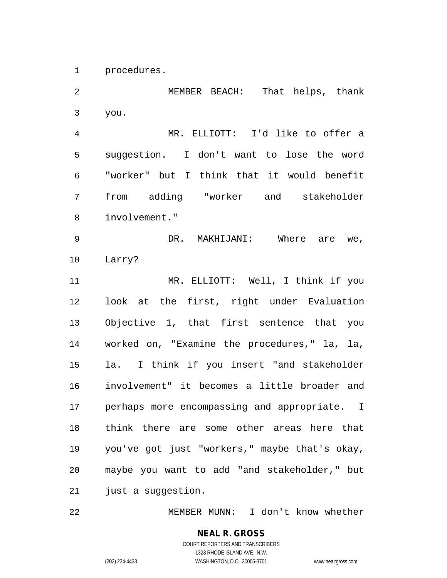procedures.

 MEMBER BEACH: That helps, thank you. MR. ELLIOTT: I'd like to offer a suggestion. I don't want to lose the word "worker" but I think that it would benefit from adding "worker and stakeholder involvement." DR. MAKHIJANI: Where are we, Larry? MR. ELLIOTT: Well, I think if you look at the first, right under Evaluation Objective 1, that first sentence that you worked on, "Examine the procedures," la, la, la. I think if you insert "and stakeholder involvement" it becomes a little broader and perhaps more encompassing and appropriate. I think there are some other areas here that you've got just "workers," maybe that's okay, maybe you want to add "and stakeholder," but 21 just a suggestion.

MEMBER MUNN: I don't know whether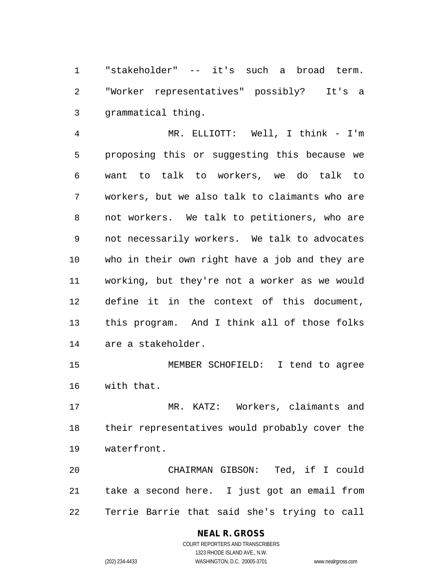"stakeholder" -- it's such a broad term. "Worker representatives" possibly? It's a grammatical thing.

 MR. ELLIOTT: Well, I think - I'm proposing this or suggesting this because we want to talk to workers, we do talk to workers, but we also talk to claimants who are not workers. We talk to petitioners, who are not necessarily workers. We talk to advocates who in their own right have a job and they are working, but they're not a worker as we would define it in the context of this document, this program. And I think all of those folks are a stakeholder.

 MEMBER SCHOFIELD: I tend to agree with that.

 MR. KATZ: Workers, claimants and their representatives would probably cover the waterfront.

 CHAIRMAN GIBSON: Ted, if I could take a second here. I just got an email from Terrie Barrie that said she's trying to call

# **NEAL R. GROSS**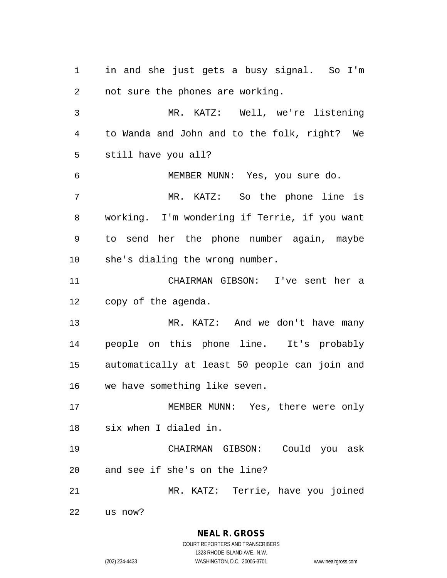in and she just gets a busy signal. So I'm not sure the phones are working. MR. KATZ: Well, we're listening to Wanda and John and to the folk, right? We still have you all? MEMBER MUNN: Yes, you sure do. MR. KATZ: So the phone line is working. I'm wondering if Terrie, if you want to send her the phone number again, maybe she's dialing the wrong number. CHAIRMAN GIBSON: I've sent her a copy of the agenda. MR. KATZ: And we don't have many people on this phone line. It's probably automatically at least 50 people can join and we have something like seven. MEMBER MUNN: Yes, there were only six when I dialed in. CHAIRMAN GIBSON: Could you ask and see if she's on the line? MR. KATZ: Terrie, have you joined us now?

> **NEAL R. GROSS** COURT REPORTERS AND TRANSCRIBERS

1323 RHODE ISLAND AVE., N.W. (202) 234-4433 WASHINGTON, D.C. 20005-3701 www.nealrgross.com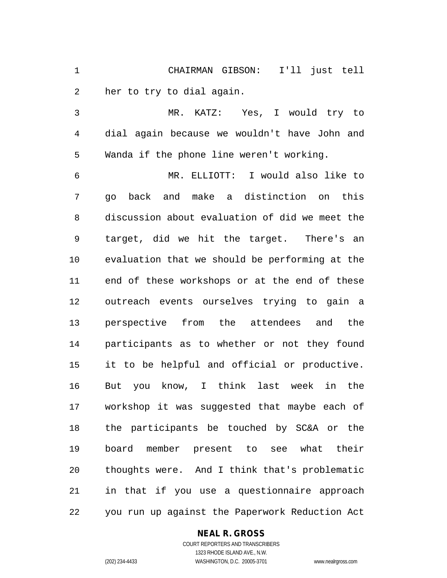CHAIRMAN GIBSON: I'll just tell her to try to dial again.

 MR. KATZ: Yes, I would try to dial again because we wouldn't have John and Wanda if the phone line weren't working.

 MR. ELLIOTT: I would also like to go back and make a distinction on this discussion about evaluation of did we meet the target, did we hit the target. There's an evaluation that we should be performing at the end of these workshops or at the end of these outreach events ourselves trying to gain a perspective from the attendees and the participants as to whether or not they found it to be helpful and official or productive. But you know, I think last week in the workshop it was suggested that maybe each of the participants be touched by SC&A or the board member present to see what their thoughts were. And I think that's problematic in that if you use a questionnaire approach you run up against the Paperwork Reduction Act

#### **NEAL R. GROSS**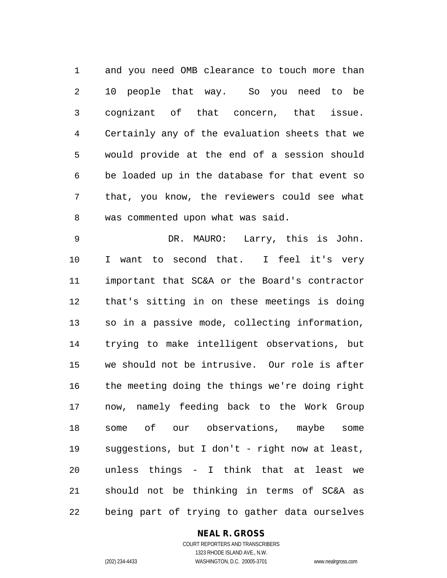and you need OMB clearance to touch more than 10 people that way. So you need to be cognizant of that concern, that issue. Certainly any of the evaluation sheets that we would provide at the end of a session should be loaded up in the database for that event so that, you know, the reviewers could see what was commented upon what was said.

 DR. MAURO: Larry, this is John. 10 I want to second that. I feel it's very important that SC&A or the Board's contractor that's sitting in on these meetings is doing so in a passive mode, collecting information, trying to make intelligent observations, but we should not be intrusive. Our role is after the meeting doing the things we're doing right now, namely feeding back to the Work Group some of our observations, maybe some suggestions, but I don't - right now at least, unless things - I think that at least we should not be thinking in terms of SC&A as being part of trying to gather data ourselves

#### **NEAL R. GROSS**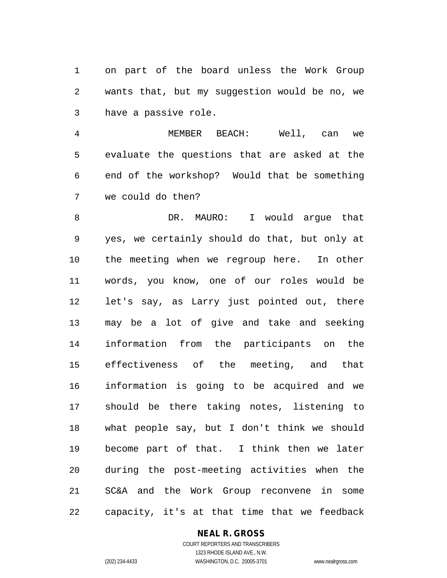on part of the board unless the Work Group wants that, but my suggestion would be no, we have a passive role.

 MEMBER BEACH: Well, can we evaluate the questions that are asked at the end of the workshop? Would that be something we could do then?

8 DR. MAURO: I would arque that yes, we certainly should do that, but only at the meeting when we regroup here. In other words, you know, one of our roles would be let's say, as Larry just pointed out, there may be a lot of give and take and seeking information from the participants on the effectiveness of the meeting, and that information is going to be acquired and we should be there taking notes, listening to what people say, but I don't think we should become part of that. I think then we later during the post-meeting activities when the SC&A and the Work Group reconvene in some capacity, it's at that time that we feedback

## **NEAL R. GROSS**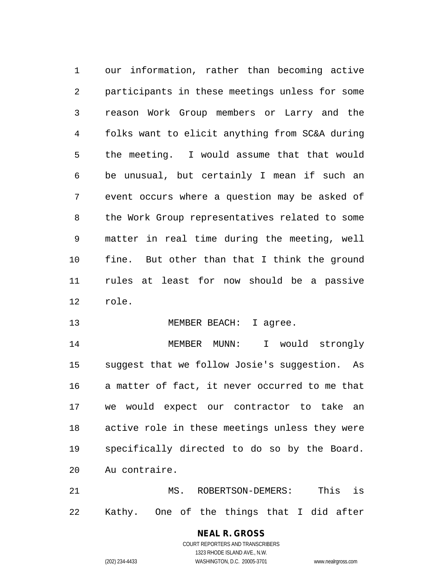our information, rather than becoming active participants in these meetings unless for some reason Work Group members or Larry and the folks want to elicit anything from SC&A during the meeting. I would assume that that would be unusual, but certainly I mean if such an event occurs where a question may be asked of the Work Group representatives related to some matter in real time during the meeting, well fine. But other than that I think the ground rules at least for now should be a passive role.

13 MEMBER BEACH: I agree.

 MEMBER MUNN: I would strongly suggest that we follow Josie's suggestion. As a matter of fact, it never occurred to me that we would expect our contractor to take an active role in these meetings unless they were specifically directed to do so by the Board. Au contraire.

 MS. ROBERTSON-DEMERS: This is Kathy. One of the things that I did after

# **NEAL R. GROSS**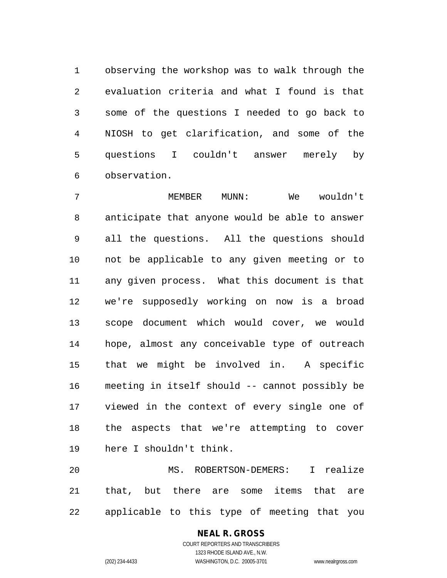observing the workshop was to walk through the evaluation criteria and what I found is that some of the questions I needed to go back to NIOSH to get clarification, and some of the questions I couldn't answer merely by observation.

 MEMBER MUNN: We wouldn't anticipate that anyone would be able to answer all the questions. All the questions should not be applicable to any given meeting or to any given process. What this document is that we're supposedly working on now is a broad scope document which would cover, we would hope, almost any conceivable type of outreach that we might be involved in. A specific meeting in itself should -- cannot possibly be viewed in the context of every single one of the aspects that we're attempting to cover here I shouldn't think.

 MS. ROBERTSON-DEMERS: I realize that, but there are some items that are applicable to this type of meeting that you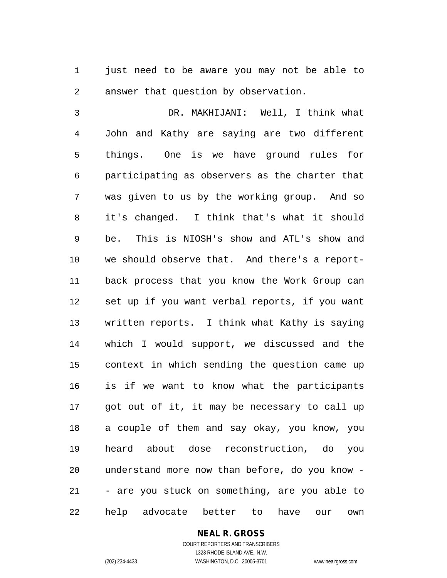1 just need to be aware you may not be able to answer that question by observation.

 DR. MAKHIJANI: Well, I think what John and Kathy are saying are two different things. One is we have ground rules for participating as observers as the charter that was given to us by the working group. And so it's changed. I think that's what it should be. This is NIOSH's show and ATL's show and we should observe that. And there's a report- back process that you know the Work Group can set up if you want verbal reports, if you want written reports. I think what Kathy is saying which I would support, we discussed and the context in which sending the question came up is if we want to know what the participants got out of it, it may be necessary to call up a couple of them and say okay, you know, you heard about dose reconstruction, do you understand more now than before, do you know - - are you stuck on something, are you able to help advocate better to have our own

## **NEAL R. GROSS**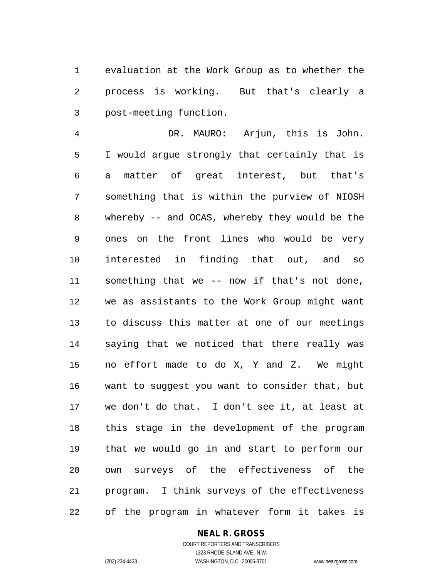evaluation at the Work Group as to whether the process is working. But that's clearly a post-meeting function.

 DR. MAURO: Arjun, this is John. I would argue strongly that certainly that is a matter of great interest, but that's something that is within the purview of NIOSH whereby -- and OCAS, whereby they would be the ones on the front lines who would be very interested in finding that out, and so something that we -- now if that's not done, we as assistants to the Work Group might want to discuss this matter at one of our meetings saying that we noticed that there really was no effort made to do X, Y and Z. We might want to suggest you want to consider that, but we don't do that. I don't see it, at least at this stage in the development of the program that we would go in and start to perform our own surveys of the effectiveness of the program. I think surveys of the effectiveness of the program in whatever form it takes is

#### **NEAL R. GROSS**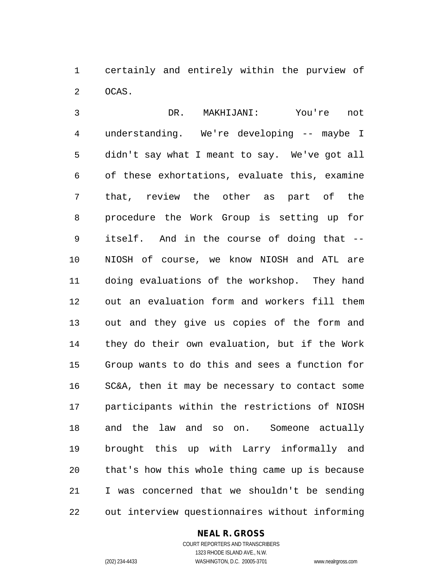certainly and entirely within the purview of OCAS.

 DR. MAKHIJANI: You're not understanding. We're developing -- maybe I didn't say what I meant to say. We've got all of these exhortations, evaluate this, examine that, review the other as part of the procedure the Work Group is setting up for itself. And in the course of doing that -- NIOSH of course, we know NIOSH and ATL are doing evaluations of the workshop. They hand out an evaluation form and workers fill them out and they give us copies of the form and they do their own evaluation, but if the Work Group wants to do this and sees a function for SC&A, then it may be necessary to contact some participants within the restrictions of NIOSH and the law and so on. Someone actually brought this up with Larry informally and that's how this whole thing came up is because I was concerned that we shouldn't be sending out interview questionnaires without informing

#### **NEAL R. GROSS**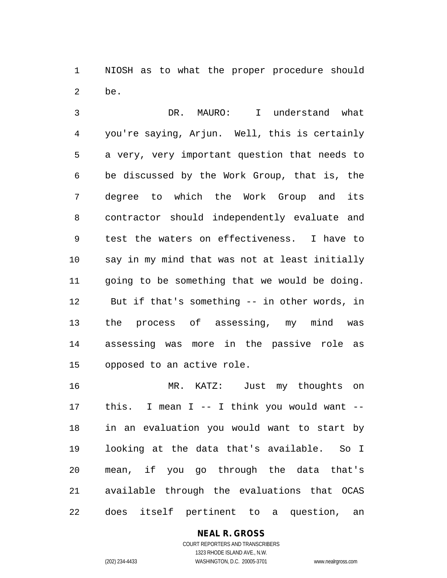NIOSH as to what the proper procedure should be.

 DR. MAURO: I understand what you're saying, Arjun. Well, this is certainly a very, very important question that needs to be discussed by the Work Group, that is, the degree to which the Work Group and its contractor should independently evaluate and test the waters on effectiveness. I have to say in my mind that was not at least initially going to be something that we would be doing. But if that's something -- in other words, in the process of assessing, my mind was assessing was more in the passive role as opposed to an active role.

 MR. KATZ: Just my thoughts on this. I mean I -- I think you would want -- in an evaluation you would want to start by looking at the data that's available. So I mean, if you go through the data that's available through the evaluations that OCAS does itself pertinent to a question, an

# **NEAL R. GROSS**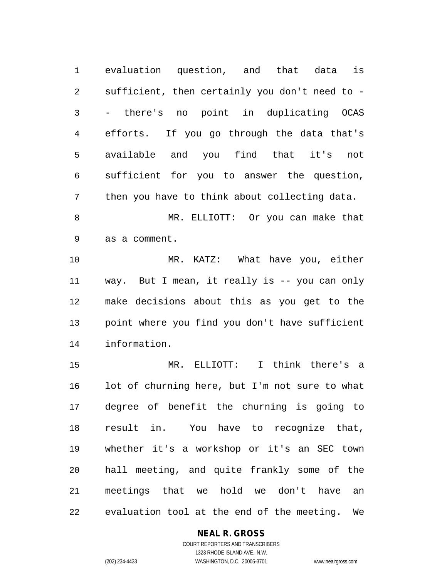evaluation question, and that data is sufficient, then certainly you don't need to - - there's no point in duplicating OCAS efforts. If you go through the data that's available and you find that it's not sufficient for you to answer the question, then you have to think about collecting data.

 MR. ELLIOTT: Or you can make that as a comment.

 MR. KATZ: What have you, either way. But I mean, it really is -- you can only make decisions about this as you get to the point where you find you don't have sufficient information.

 MR. ELLIOTT: I think there's a lot of churning here, but I'm not sure to what degree of benefit the churning is going to result in. You have to recognize that, whether it's a workshop or it's an SEC town hall meeting, and quite frankly some of the meetings that we hold we don't have an evaluation tool at the end of the meeting. We

# **NEAL R. GROSS**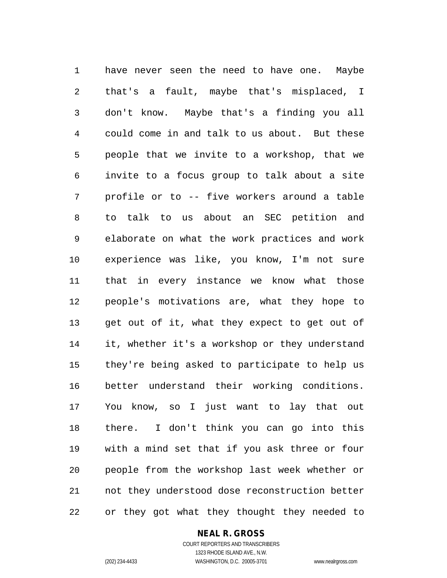have never seen the need to have one. Maybe that's a fault, maybe that's misplaced, I don't know. Maybe that's a finding you all could come in and talk to us about. But these people that we invite to a workshop, that we invite to a focus group to talk about a site profile or to -- five workers around a table to talk to us about an SEC petition and elaborate on what the work practices and work experience was like, you know, I'm not sure that in every instance we know what those people's motivations are, what they hope to get out of it, what they expect to get out of it, whether it's a workshop or they understand they're being asked to participate to help us better understand their working conditions. You know, so I just want to lay that out there. I don't think you can go into this with a mind set that if you ask three or four people from the workshop last week whether or not they understood dose reconstruction better or they got what they thought they needed to

#### **NEAL R. GROSS**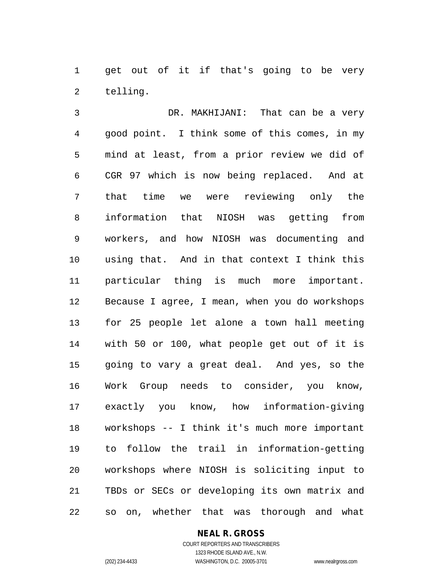1 get out of it if that's going to be very telling.

 DR. MAKHIJANI: That can be a very good point. I think some of this comes, in my mind at least, from a prior review we did of CGR 97 which is now being replaced. And at that time we were reviewing only the information that NIOSH was getting from workers, and how NIOSH was documenting and using that. And in that context I think this particular thing is much more important. Because I agree, I mean, when you do workshops for 25 people let alone a town hall meeting with 50 or 100, what people get out of it is going to vary a great deal. And yes, so the Work Group needs to consider, you know, exactly you know, how information-giving workshops -- I think it's much more important to follow the trail in information-getting workshops where NIOSH is soliciting input to TBDs or SECs or developing its own matrix and so on, whether that was thorough and what

#### **NEAL R. GROSS**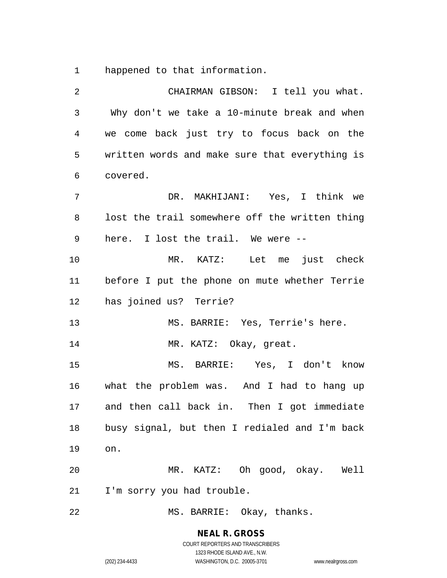happened to that information.

| 2  | CHAIRMAN GIBSON: I tell you what.              |
|----|------------------------------------------------|
| 3  | Why don't we take a 10-minute break and when   |
| 4  | we come back just try to focus back on the     |
| 5  | written words and make sure that everything is |
| 6  | covered.                                       |
| 7  | DR. MAKHIJANI: Yes, I think we                 |
| 8  | lost the trail somewhere off the written thing |
| 9  | here. I lost the trail. We were --             |
| 10 | MR. KATZ: Let me just check                    |
| 11 | before I put the phone on mute whether Terrie  |
| 12 | has joined us? Terrie?                         |
| 13 | MS. BARRIE: Yes, Terrie's here.                |
| 14 | MR. KATZ: Okay, great.                         |
| 15 | MS. BARRIE: Yes, I don't know                  |
| 16 | what the problem was. And I had to hang up     |
| 17 | and then call back in. Then I got immediate    |
| 18 | busy signal, but then I redialed and I'm back  |
| 19 | on.                                            |
| 20 | MR. KATZ: Oh good, okay. Well                  |
| 21 | I'm sorry you had trouble.                     |
| 22 | MS. BARRIE: Okay, thanks.                      |

**NEAL R. GROSS** COURT REPORTERS AND TRANSCRIBERS 1323 RHODE ISLAND AVE., N.W.

(202) 234-4433 WASHINGTON, D.C. 20005-3701 www.nealrgross.com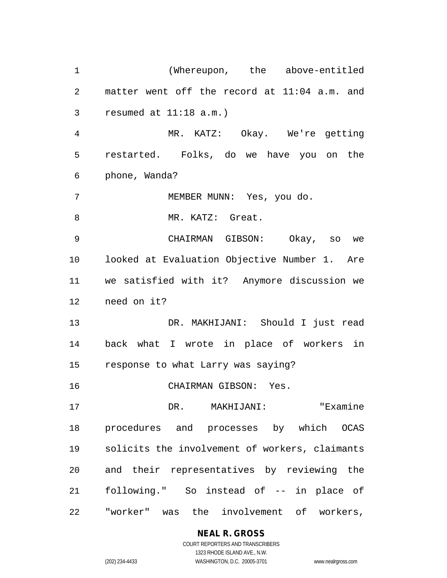(Whereupon, the above-entitled matter went off the record at 11:04 a.m. and resumed at 11:18 a.m.) MR. KATZ: Okay. We're getting restarted. Folks, do we have you on the phone, Wanda? MEMBER MUNN: Yes, you do. 8 MR. KATZ: Great. CHAIRMAN GIBSON: Okay, so we looked at Evaluation Objective Number 1. Are we satisfied with it? Anymore discussion we need on it? DR. MAKHIJANI: Should I just read back what I wrote in place of workers in response to what Larry was saying? CHAIRMAN GIBSON: Yes. DR. MAKHIJANI: "Examine procedures and processes by which OCAS solicits the involvement of workers, claimants and their representatives by reviewing the following." So instead of -- in place of "worker" was the involvement of workers,

# **NEAL R. GROSS**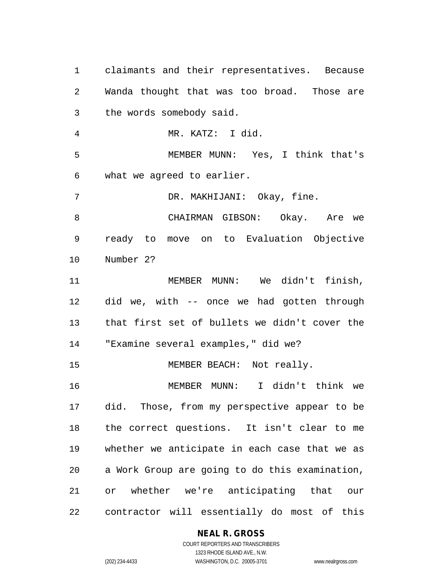claimants and their representatives. Because Wanda thought that was too broad. Those are the words somebody said. MR. KATZ: I did. MEMBER MUNN: Yes, I think that's what we agreed to earlier. DR. MAKHIJANI: Okay, fine. CHAIRMAN GIBSON: Okay. Are we ready to move on to Evaluation Objective Number 2? MEMBER MUNN: We didn't finish, did we, with -- once we had gotten through that first set of bullets we didn't cover the "Examine several examples," did we? 15 MEMBER BEACH: Not really. MEMBER MUNN: I didn't think we did. Those, from my perspective appear to be the correct questions. It isn't clear to me whether we anticipate in each case that we as a Work Group are going to do this examination, or whether we're anticipating that our contractor will essentially do most of this

#### **NEAL R. GROSS** COURT REPORTERS AND TRANSCRIBERS

1323 RHODE ISLAND AVE., N.W.

(202) 234-4433 WASHINGTON, D.C. 20005-3701 www.nealrgross.com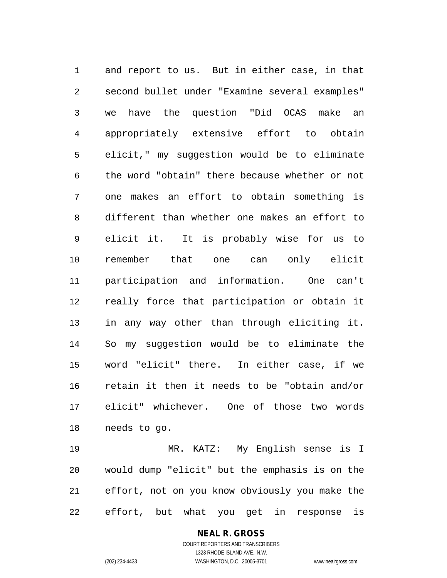and report to us. But in either case, in that second bullet under "Examine several examples" we have the question "Did OCAS make an appropriately extensive effort to obtain elicit," my suggestion would be to eliminate the word "obtain" there because whether or not one makes an effort to obtain something is different than whether one makes an effort to elicit it. It is probably wise for us to remember that one can only elicit participation and information. One can't really force that participation or obtain it in any way other than through eliciting it. So my suggestion would be to eliminate the word "elicit" there. In either case, if we retain it then it needs to be "obtain and/or elicit" whichever. One of those two words needs to go.

 MR. KATZ: My English sense is I would dump "elicit" but the emphasis is on the effort, not on you know obviously you make the effort, but what you get in response is

> COURT REPORTERS AND TRANSCRIBERS 1323 RHODE ISLAND AVE., N.W. (202) 234-4433 WASHINGTON, D.C. 20005-3701 www.nealrgross.com

**NEAL R. GROSS**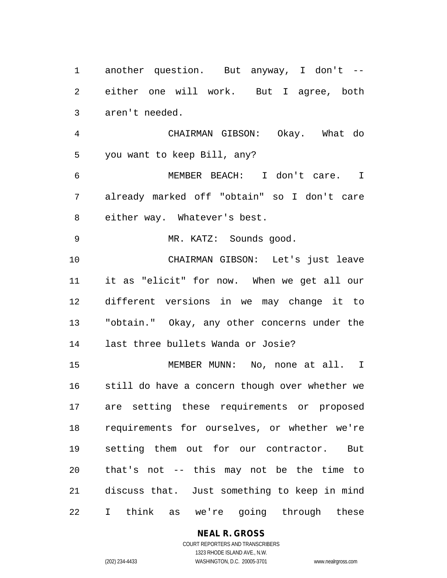another question. But anyway, I don't -- either one will work. But I agree, both aren't needed.

 CHAIRMAN GIBSON: Okay. What do you want to keep Bill, any?

 MEMBER BEACH: I don't care. I already marked off "obtain" so I don't care either way. Whatever's best.

MR. KATZ: Sounds good.

 CHAIRMAN GIBSON: Let's just leave it as "elicit" for now. When we get all our different versions in we may change it to "obtain." Okay, any other concerns under the last three bullets Wanda or Josie?

 MEMBER MUNN: No, none at all. I still do have a concern though over whether we are setting these requirements or proposed requirements for ourselves, or whether we're setting them out for our contractor. But that's not -- this may not be the time to discuss that. Just something to keep in mind I think as we're going through these

**NEAL R. GROSS**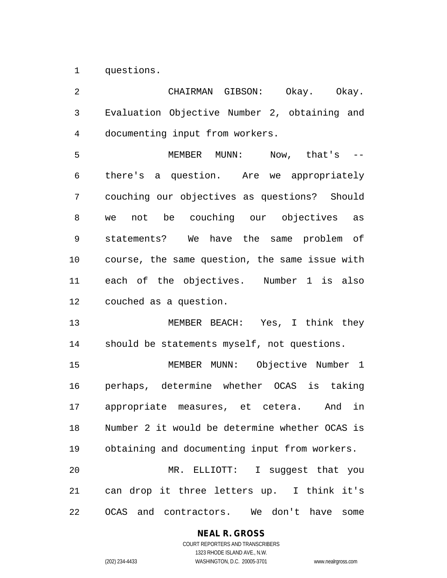questions.

 CHAIRMAN GIBSON: Okay. Okay. Evaluation Objective Number 2, obtaining and documenting input from workers. MEMBER MUNN: Now, that's -- there's a question. Are we appropriately couching our objectives as questions? Should we not be couching our objectives as statements? We have the same problem of course, the same question, the same issue with each of the objectives. Number 1 is also couched as a question. MEMBER BEACH: Yes, I think they should be statements myself, not questions. MEMBER MUNN: Objective Number 1 perhaps, determine whether OCAS is taking appropriate measures, et cetera. And in Number 2 it would be determine whether OCAS is obtaining and documenting input from workers. MR. ELLIOTT: I suggest that you can drop it three letters up. I think it's OCAS and contractors. We don't have some

## **NEAL R. GROSS** COURT REPORTERS AND TRANSCRIBERS

1323 RHODE ISLAND AVE., N.W.

(202) 234-4433 WASHINGTON, D.C. 20005-3701 www.nealrgross.com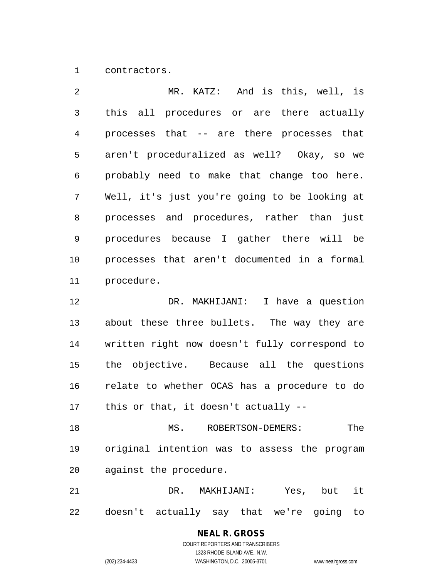contractors.

 MR. KATZ: And is this, well, is this all procedures or are there actually processes that -- are there processes that aren't proceduralized as well? Okay, so we probably need to make that change too here. Well, it's just you're going to be looking at processes and procedures, rather than just procedures because I gather there will be processes that aren't documented in a formal procedure. DR. MAKHIJANI: I have a question about these three bullets. The way they are written right now doesn't fully correspond to the objective. Because all the questions relate to whether OCAS has a procedure to do this or that, it doesn't actually -- MS. ROBERTSON-DEMERS: The original intention was to assess the program

against the procedure.

 DR. MAKHIJANI: Yes, but it doesn't actually say that we're going to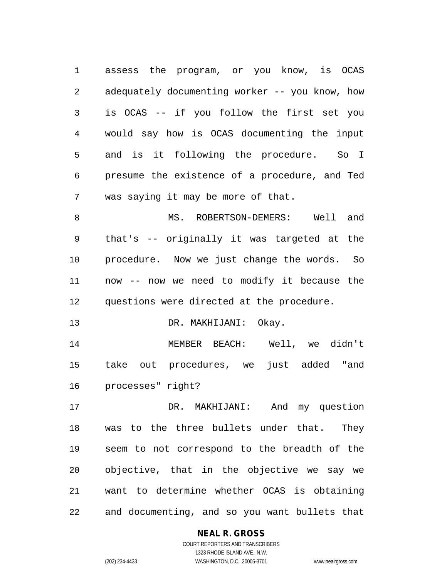assess the program, or you know, is OCAS adequately documenting worker -- you know, how is OCAS -- if you follow the first set you would say how is OCAS documenting the input and is it following the procedure. So I presume the existence of a procedure, and Ted was saying it may be more of that.

8 MS. ROBERTSON-DEMERS: Well and that's -- originally it was targeted at the procedure. Now we just change the words. So now -- now we need to modify it because the questions were directed at the procedure.

13 DR. MAKHIJANI: Okay.

 MEMBER BEACH: Well, we didn't take out procedures, we just added "and processes" right?

 DR. MAKHIJANI: And my question was to the three bullets under that. They seem to not correspond to the breadth of the objective, that in the objective we say we want to determine whether OCAS is obtaining and documenting, and so you want bullets that

### **NEAL R. GROSS** COURT REPORTERS AND TRANSCRIBERS

1323 RHODE ISLAND AVE., N.W. (202) 234-4433 WASHINGTON, D.C. 20005-3701 www.nealrgross.com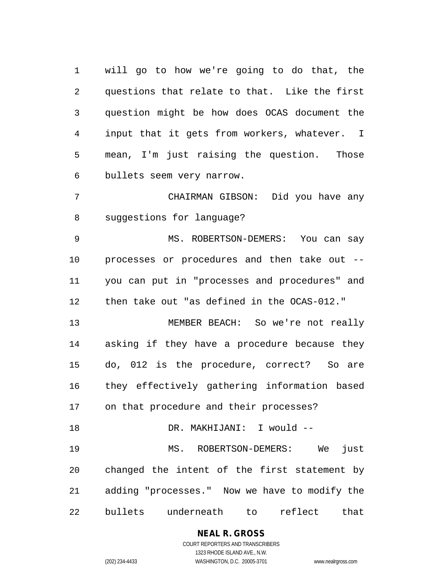will go to how we're going to do that, the questions that relate to that. Like the first question might be how does OCAS document the input that it gets from workers, whatever. I mean, I'm just raising the question. Those bullets seem very narrow.

 CHAIRMAN GIBSON: Did you have any suggestions for language?

 MS. ROBERTSON-DEMERS: You can say processes or procedures and then take out -- you can put in "processes and procedures" and then take out "as defined in the OCAS-012."

 MEMBER BEACH: So we're not really asking if they have a procedure because they do, 012 is the procedure, correct? So are they effectively gathering information based on that procedure and their processes?

18 DR. MAKHIJANI: I would -- MS. ROBERTSON-DEMERS: We just changed the intent of the first statement by adding "processes." Now we have to modify the bullets underneath to reflect that

> **NEAL R. GROSS** COURT REPORTERS AND TRANSCRIBERS 1323 RHODE ISLAND AVE., N.W.

(202) 234-4433 WASHINGTON, D.C. 20005-3701 www.nealrgross.com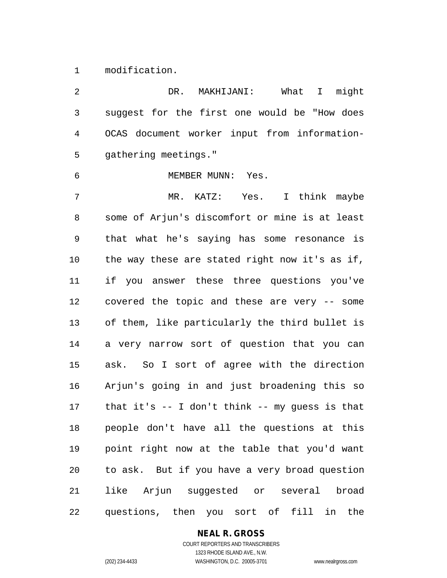modification.

 DR. MAKHIJANI: What I might suggest for the first one would be "How does OCAS document worker input from information- gathering meetings." MEMBER MUNN: Yes. MR. KATZ: Yes. I think maybe some of Arjun's discomfort or mine is at least that what he's saying has some resonance is the way these are stated right now it's as if, if you answer these three questions you've covered the topic and these are very -- some of them, like particularly the third bullet is a very narrow sort of question that you can ask. So I sort of agree with the direction Arjun's going in and just broadening this so that it's -- I don't think -- my guess is that people don't have all the questions at this point right now at the table that you'd want to ask. But if you have a very broad question like Arjun suggested or several broad questions, then you sort of fill in the

## **NEAL R. GROSS**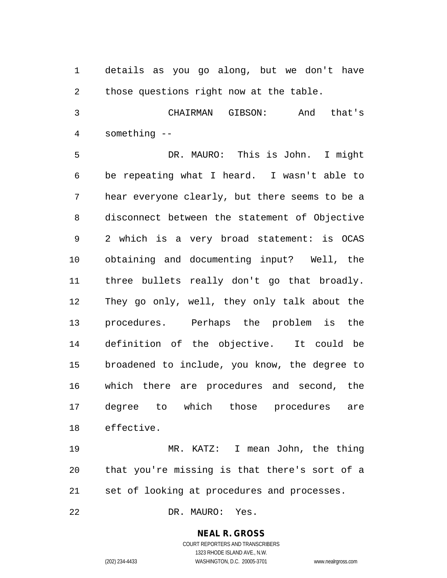details as you go along, but we don't have those questions right now at the table.

 CHAIRMAN GIBSON: And that's something --

 DR. MAURO: This is John. I might be repeating what I heard. I wasn't able to hear everyone clearly, but there seems to be a disconnect between the statement of Objective 2 which is a very broad statement: is OCAS obtaining and documenting input? Well, the three bullets really don't go that broadly. They go only, well, they only talk about the procedures. Perhaps the problem is the definition of the objective. It could be broadened to include, you know, the degree to which there are procedures and second, the degree to which those procedures are effective.

 MR. KATZ: I mean John, the thing that you're missing is that there's sort of a set of looking at procedures and processes.

DR. MAURO: Yes.

## **NEAL R. GROSS**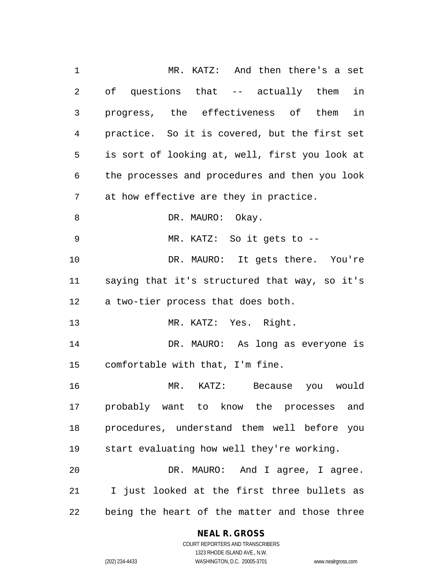MR. KATZ: And then there's a set of questions that -- actually them in progress, the effectiveness of them in practice. So it is covered, but the first set is sort of looking at, well, first you look at the processes and procedures and then you look at how effective are they in practice. 8 DR. MAURO: Okay. MR. KATZ: So it gets to -- 10 DR. MAURO: It gets there. You're saying that it's structured that way, so it's a two-tier process that does both. MR. KATZ: Yes. Right. DR. MAURO: As long as everyone is comfortable with that, I'm fine. MR. KATZ: Because you would probably want to know the processes and procedures, understand them well before you start evaluating how well they're working. DR. MAURO: And I agree, I agree. I just looked at the first three bullets as being the heart of the matter and those three

#### **NEAL R. GROSS**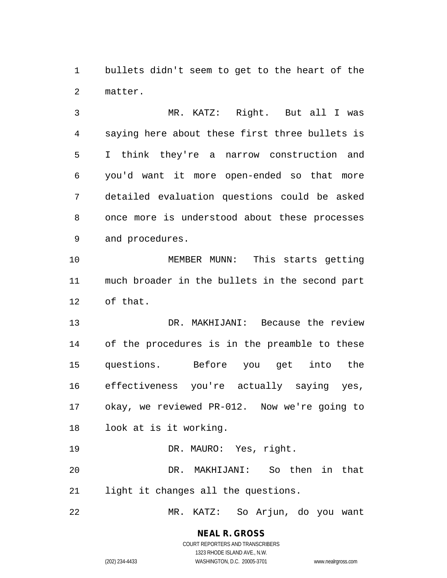bullets didn't seem to get to the heart of the matter.

 MR. KATZ: Right. But all I was saying here about these first three bullets is I think they're a narrow construction and you'd want it more open-ended so that more detailed evaluation questions could be asked once more is understood about these processes and procedures.

 MEMBER MUNN: This starts getting much broader in the bullets in the second part of that.

 DR. MAKHIJANI: Because the review of the procedures is in the preamble to these questions. Before you get into the effectiveness you're actually saying yes, okay, we reviewed PR-012. Now we're going to look at is it working.

DR. MAURO: Yes, right.

 DR. MAKHIJANI: So then in that light it changes all the questions.

MR. KATZ: So Arjun, do you want

## **NEAL R. GROSS** COURT REPORTERS AND TRANSCRIBERS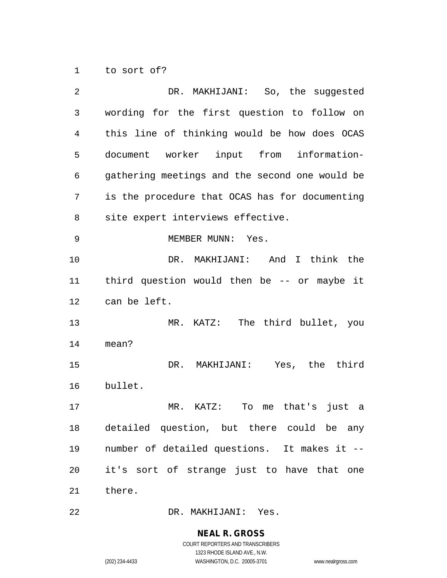to sort of?

| 2  | DR. MAKHIJANI: So, the suggested               |
|----|------------------------------------------------|
| 3  | wording for the first question to follow on    |
| 4  | this line of thinking would be how does OCAS   |
| 5  | document worker input from information-        |
| 6  | gathering meetings and the second one would be |
| 7  | is the procedure that OCAS has for documenting |
| 8  | site expert interviews effective.              |
| 9  | MEMBER MUNN: Yes.                              |
| 10 | DR. MAKHIJANI: And I think the                 |
| 11 | third question would then be $-$ or maybe it   |
| 12 | can be left.                                   |
| 13 | MR. KATZ: The third bullet, you                |
| 14 | mean?                                          |
| 15 | DR. MAKHIJANI: Yes, the third                  |
| 16 | bullet.                                        |
| 17 | MR. KATZ: To me that's just a                  |
| 18 | detailed question, but there could be any      |
| 19 | number of detailed questions. It makes it --   |
| 20 | it's sort of strange just to have that one     |
| 21 | there.                                         |
| 22 | DR. MAKHIJANI: Yes.                            |

# **NEAL R. GROSS**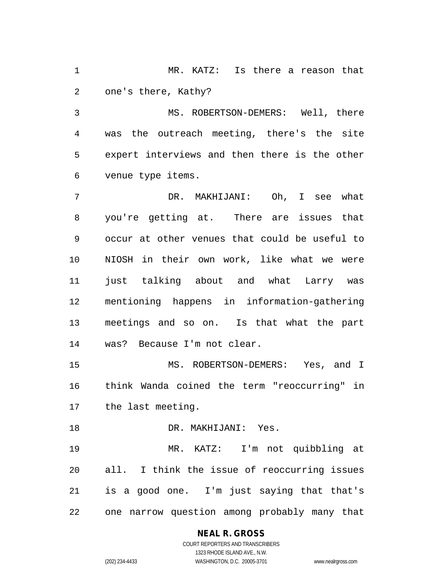MR. KATZ: Is there a reason that one's there, Kathy?

 MS. ROBERTSON-DEMERS: Well, there was the outreach meeting, there's the site expert interviews and then there is the other venue type items.

 DR. MAKHIJANI: Oh, I see what you're getting at. There are issues that occur at other venues that could be useful to NIOSH in their own work, like what we were just talking about and what Larry was mentioning happens in information-gathering meetings and so on. Is that what the part was? Because I'm not clear.

 MS. ROBERTSON-DEMERS: Yes, and I think Wanda coined the term "reoccurring" in the last meeting.

 DR. MAKHIJANI: Yes. MR. KATZ: I'm not quibbling at all. I think the issue of reoccurring issues is a good one. I'm just saying that that's one narrow question among probably many that

## **NEAL R. GROSS**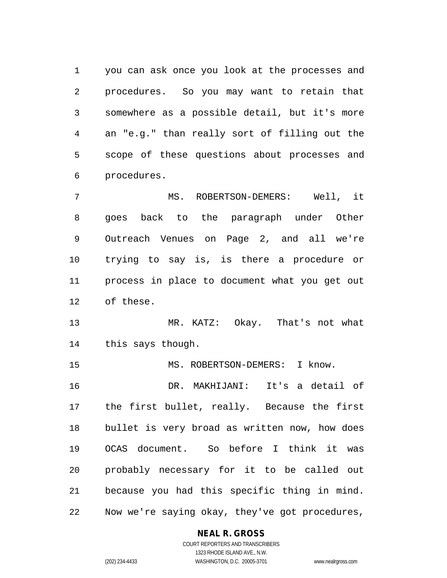you can ask once you look at the processes and procedures. So you may want to retain that somewhere as a possible detail, but it's more an "e.g." than really sort of filling out the scope of these questions about processes and procedures.

 MS. ROBERTSON-DEMERS: Well, it goes back to the paragraph under Other Outreach Venues on Page 2, and all we're trying to say is, is there a procedure or process in place to document what you get out of these.

 MR. KATZ: Okay. That's not what this says though.

15 MS. ROBERTSON-DEMERS: I know. DR. MAKHIJANI: It's a detail of the first bullet, really. Because the first bullet is very broad as written now, how does OCAS document. So before I think it was probably necessary for it to be called out because you had this specific thing in mind. Now we're saying okay, they've got procedures,

## **NEAL R. GROSS**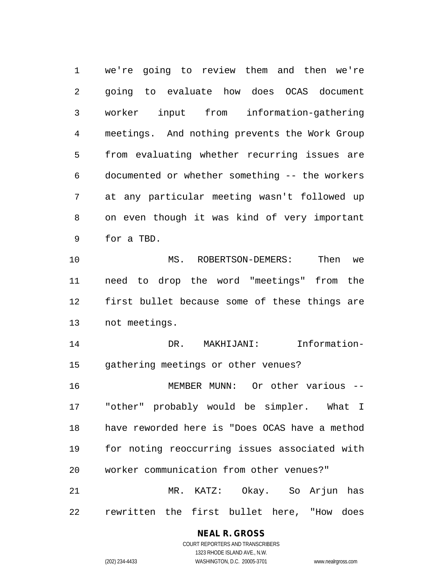we're going to review them and then we're going to evaluate how does OCAS document worker input from information-gathering meetings. And nothing prevents the Work Group from evaluating whether recurring issues are documented or whether something -- the workers at any particular meeting wasn't followed up on even though it was kind of very important for a TBD. MS. ROBERTSON-DEMERS: Then we need to drop the word "meetings" from the first bullet because some of these things are not meetings. DR. MAKHIJANI: Information- gathering meetings or other venues? MEMBER MUNN: Or other various -- "other" probably would be simpler. What I have reworded here is "Does OCAS have a method for noting reoccurring issues associated with

 MR. KATZ: Okay. So Arjun has rewritten the first bullet here, "How does

worker communication from other venues?"

#### **NEAL R. GROSS**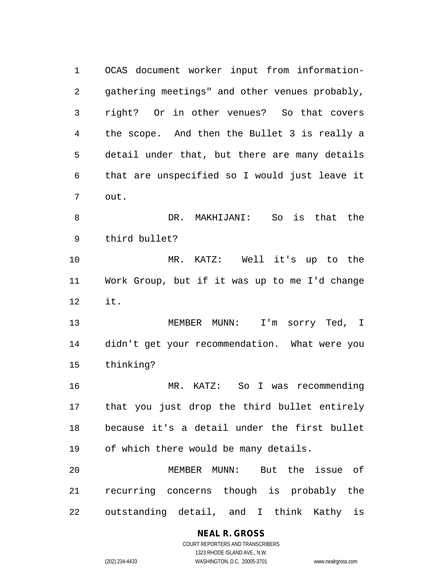OCAS document worker input from information- gathering meetings" and other venues probably, right? Or in other venues? So that covers the scope. And then the Bullet 3 is really a detail under that, but there are many details that are unspecified so I would just leave it out. DR. MAKHIJANI: So is that the third bullet? MR. KATZ: Well it's up to the Work Group, but if it was up to me I'd change it. MEMBER MUNN: I'm sorry Ted, I didn't get your recommendation. What were you thinking? MR. KATZ: So I was recommending that you just drop the third bullet entirely because it's a detail under the first bullet of which there would be many details. MEMBER MUNN: But the issue of recurring concerns though is probably the outstanding detail, and I think Kathy is

#### **NEAL R. GROSS**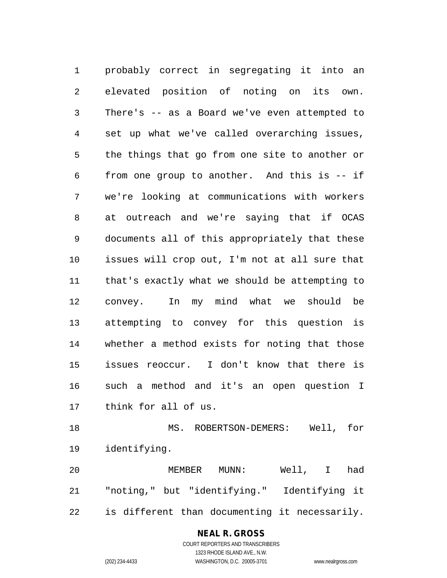probably correct in segregating it into an elevated position of noting on its own. There's -- as a Board we've even attempted to set up what we've called overarching issues, the things that go from one site to another or from one group to another. And this is -- if we're looking at communications with workers at outreach and we're saying that if OCAS documents all of this appropriately that these issues will crop out, I'm not at all sure that that's exactly what we should be attempting to convey. In my mind what we should be attempting to convey for this question is whether a method exists for noting that those issues reoccur. I don't know that there is such a method and it's an open question I think for all of us.

 MS. ROBERTSON-DEMERS: Well, for identifying.

 MEMBER MUNN: Well, I had "noting," but "identifying." Identifying it is different than documenting it necessarily.

### **NEAL R. GROSS** COURT REPORTERS AND TRANSCRIBERS

1323 RHODE ISLAND AVE., N.W.

(202) 234-4433 WASHINGTON, D.C. 20005-3701 www.nealrgross.com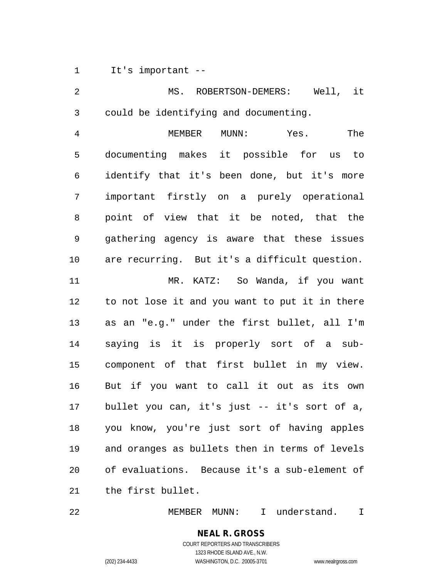It's important --

 MS. ROBERTSON-DEMERS: Well, it could be identifying and documenting. MEMBER MUNN: Yes. The documenting makes it possible for us to identify that it's been done, but it's more important firstly on a purely operational point of view that it be noted, that the gathering agency is aware that these issues are recurring. But it's a difficult question. MR. KATZ: So Wanda, if you want to not lose it and you want to put it in there as an "e.g." under the first bullet, all I'm saying is it is properly sort of a sub- component of that first bullet in my view. But if you want to call it out as its own bullet you can, it's just -- it's sort of a, you know, you're just sort of having apples and oranges as bullets then in terms of levels of evaluations. Because it's a sub-element of the first bullet.

MEMBER MUNN: I understand. I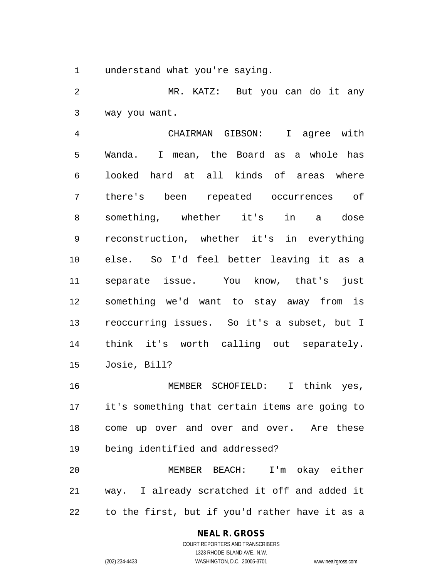understand what you're saying.

 MR. KATZ: But you can do it any way you want.

 CHAIRMAN GIBSON: I agree with Wanda. I mean, the Board as a whole has looked hard at all kinds of areas where there's been repeated occurrences of something, whether it's in a dose reconstruction, whether it's in everything else. So I'd feel better leaving it as a separate issue. You know, that's just something we'd want to stay away from is reoccurring issues. So it's a subset, but I think it's worth calling out separately. Josie, Bill?

 MEMBER SCHOFIELD: I think yes, it's something that certain items are going to come up over and over and over. Are these being identified and addressed?

 MEMBER BEACH: I'm okay either way. I already scratched it off and added it to the first, but if you'd rather have it as a

### **NEAL R. GROSS** COURT REPORTERS AND TRANSCRIBERS

1323 RHODE ISLAND AVE., N.W.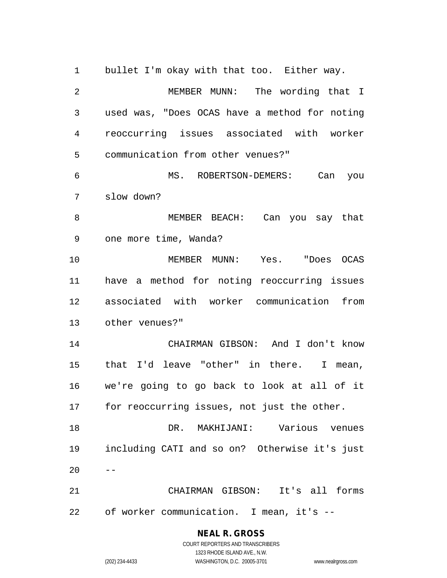bullet I'm okay with that too. Either way. MEMBER MUNN: The wording that I used was, "Does OCAS have a method for noting reoccurring issues associated with worker communication from other venues?" MS. ROBERTSON-DEMERS: Can you slow down? MEMBER BEACH: Can you say that one more time, Wanda? MEMBER MUNN: Yes. "Does OCAS have a method for noting reoccurring issues associated with worker communication from other venues?" CHAIRMAN GIBSON: And I don't know that I'd leave "other" in there. I mean, we're going to go back to look at all of it for reoccurring issues, not just the other. DR. MAKHIJANI: Various venues including CATI and so on? Otherwise it's just  $20 - -$  CHAIRMAN GIBSON: It's all forms of worker communication. I mean, it's --

**NEAL R. GROSS**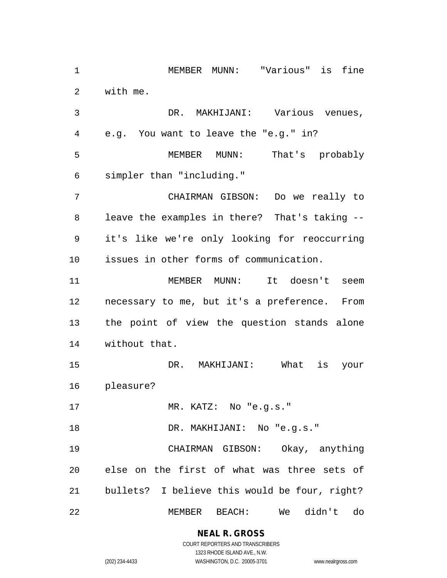MEMBER MUNN: "Various" is fine with me.

 DR. MAKHIJANI: Various venues, e.g. You want to leave the "e.g." in? MEMBER MUNN: That's probably simpler than "including." CHAIRMAN GIBSON: Do we really to leave the examples in there? That's taking -- it's like we're only looking for reoccurring issues in other forms of communication. MEMBER MUNN: It doesn't seem necessary to me, but it's a preference. From the point of view the question stands alone without that. DR. MAKHIJANI: What is your pleasure? MR. KATZ: No "e.g.s." 18 DR. MAKHIJANI: No "e.g.s." CHAIRMAN GIBSON: Okay, anything else on the first of what was three sets of bullets? I believe this would be four, right? MEMBER BEACH: We didn't do

**NEAL R. GROSS**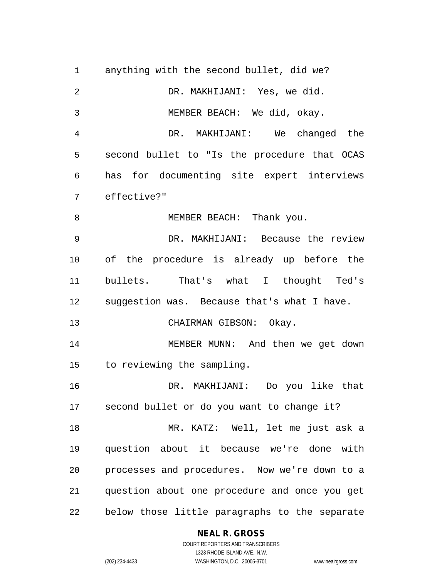anything with the second bullet, did we? DR. MAKHIJANI: Yes, we did. MEMBER BEACH: We did, okay. DR. MAKHIJANI: We changed the second bullet to "Is the procedure that OCAS has for documenting site expert interviews effective?" 8 MEMBER BEACH: Thank you. DR. MAKHIJANI: Because the review of the procedure is already up before the bullets. That's what I thought Ted's suggestion was. Because that's what I have. CHAIRMAN GIBSON: Okay. MEMBER MUNN: And then we get down to reviewing the sampling. DR. MAKHIJANI: Do you like that second bullet or do you want to change it? MR. KATZ: Well, let me just ask a question about it because we're done with processes and procedures. Now we're down to a question about one procedure and once you get below those little paragraphs to the separate

#### **NEAL R. GROSS**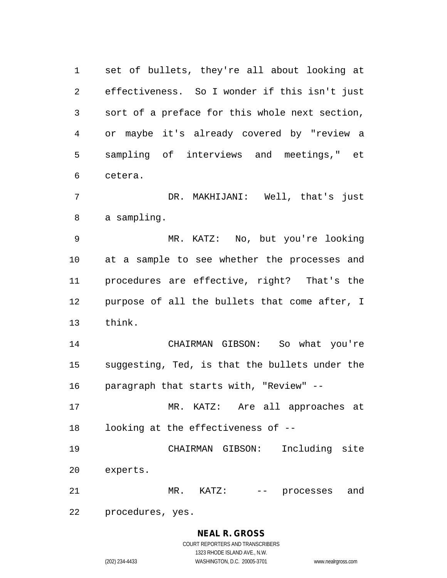set of bullets, they're all about looking at effectiveness. So I wonder if this isn't just sort of a preface for this whole next section, or maybe it's already covered by "review a sampling of interviews and meetings," et cetera.

 DR. MAKHIJANI: Well, that's just a sampling.

 MR. KATZ: No, but you're looking at a sample to see whether the processes and procedures are effective, right? That's the purpose of all the bullets that come after, I think.

 CHAIRMAN GIBSON: So what you're suggesting, Ted, is that the bullets under the paragraph that starts with, "Review" --

 MR. KATZ: Are all approaches at looking at the effectiveness of --

 CHAIRMAN GIBSON: Including site experts.

21 MR. KATZ: -- processes and

procedures, yes.

# **NEAL R. GROSS**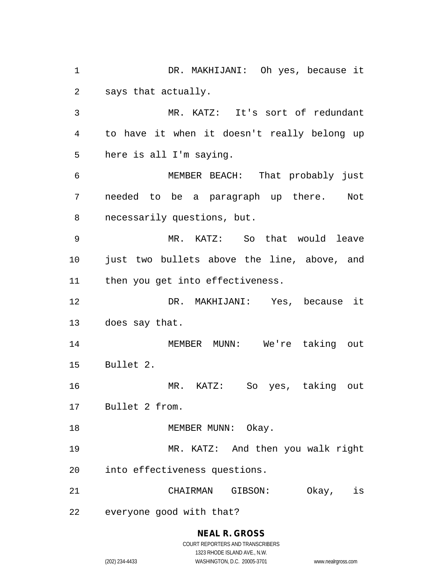DR. MAKHIJANI: Oh yes, because it says that actually. MR. KATZ: It's sort of redundant to have it when it doesn't really belong up here is all I'm saying. MEMBER BEACH: That probably just needed to be a paragraph up there. Not necessarily questions, but. MR. KATZ: So that would leave just two bullets above the line, above, and then you get into effectiveness. DR. MAKHIJANI: Yes, because it does say that. MEMBER MUNN: We're taking out Bullet 2. MR. KATZ: So yes, taking out Bullet 2 from. 18 MEMBER MUNN: Okay. MR. KATZ: And then you walk right into effectiveness questions. CHAIRMAN GIBSON: Okay, is everyone good with that?

(202) 234-4433 WASHINGTON, D.C. 20005-3701 www.nealrgross.com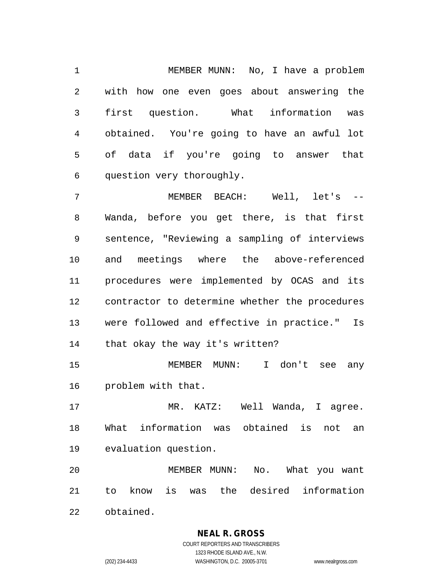MEMBER MUNN: No, I have a problem with how one even goes about answering the first question. What information was obtained. You're going to have an awful lot of data if you're going to answer that question very thoroughly.

 MEMBER BEACH: Well, let's -- Wanda, before you get there, is that first sentence, "Reviewing a sampling of interviews and meetings where the above-referenced procedures were implemented by OCAS and its contractor to determine whether the procedures were followed and effective in practice." Is that okay the way it's written?

 MEMBER MUNN: I don't see any problem with that.

 MR. KATZ: Well Wanda, I agree. What information was obtained is not an evaluation question.

 MEMBER MUNN: No. What you want to know is was the desired information obtained.

**NEAL R. GROSS**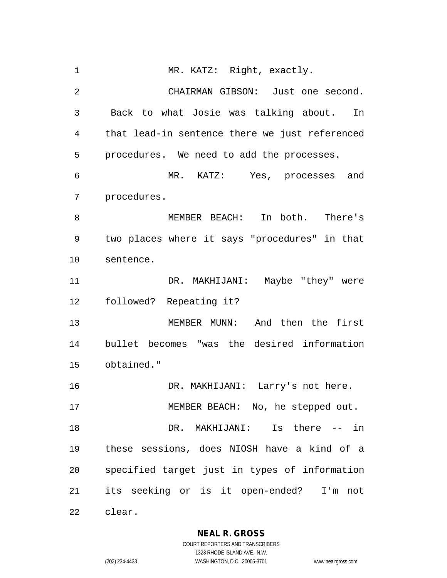1 MR. KATZ: Right, exactly. CHAIRMAN GIBSON: Just one second. Back to what Josie was talking about. In that lead-in sentence there we just referenced procedures. We need to add the processes. MR. KATZ: Yes, processes and procedures. MEMBER BEACH: In both. There's two places where it says "procedures" in that sentence. DR. MAKHIJANI: Maybe "they" were followed? Repeating it? MEMBER MUNN: And then the first bullet becomes "was the desired information obtained." DR. MAKHIJANI: Larry's not here. 17 MEMBER BEACH: No, he stepped out. DR. MAKHIJANI: Is there -- in these sessions, does NIOSH have a kind of a specified target just in types of information its seeking or is it open-ended? I'm not clear.

**NEAL R. GROSS**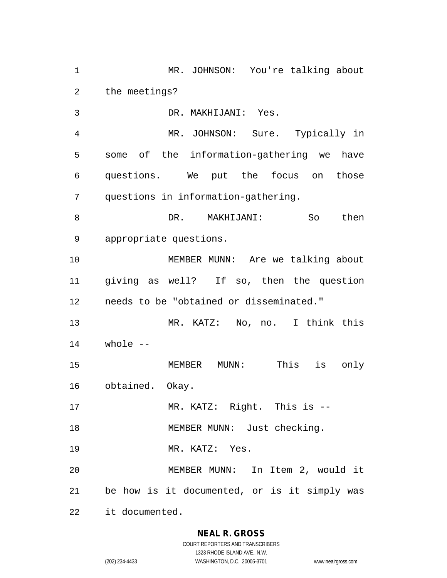MR. JOHNSON: You're talking about the meetings? DR. MAKHIJANI: Yes. MR. JOHNSON: Sure. Typically in some of the information-gathering we have questions. We put the focus on those questions in information-gathering. DR. MAKHIJANI: So then appropriate questions. MEMBER MUNN: Are we talking about giving as well? If so, then the question needs to be "obtained or disseminated." MR. KATZ: No, no. I think this whole -- MEMBER MUNN: This is only obtained. Okay. 17 MR. KATZ: Right. This is --18 MEMBER MUNN: Just checking. MR. KATZ: Yes. MEMBER MUNN: In Item 2, would it be how is it documented, or is it simply was it documented.

## **NEAL R. GROSS**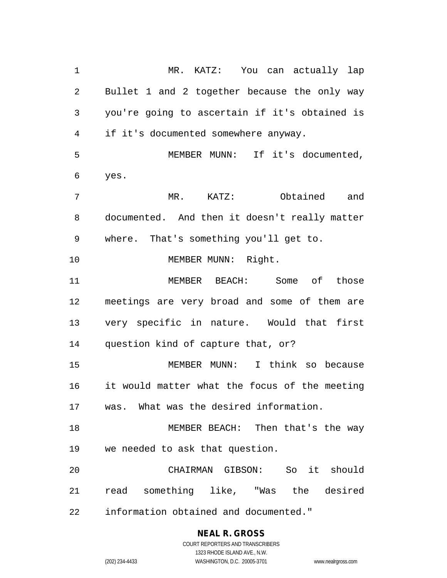MR. KATZ: You can actually lap Bullet 1 and 2 together because the only way you're going to ascertain if it's obtained is if it's documented somewhere anyway. MEMBER MUNN: If it's documented, yes. MR. KATZ: Obtained and documented. And then it doesn't really matter where. That's something you'll get to. 10 MEMBER MUNN: Right. MEMBER BEACH: Some of those meetings are very broad and some of them are very specific in nature. Would that first question kind of capture that, or? MEMBER MUNN: I think so because it would matter what the focus of the meeting was. What was the desired information. MEMBER BEACH: Then that's the way we needed to ask that question. CHAIRMAN GIBSON: So it should read something like, "Was the desired information obtained and documented."

## **NEAL R. GROSS** COURT REPORTERS AND TRANSCRIBERS 1323 RHODE ISLAND AVE., N.W.

(202) 234-4433 WASHINGTON, D.C. 20005-3701 www.nealrgross.com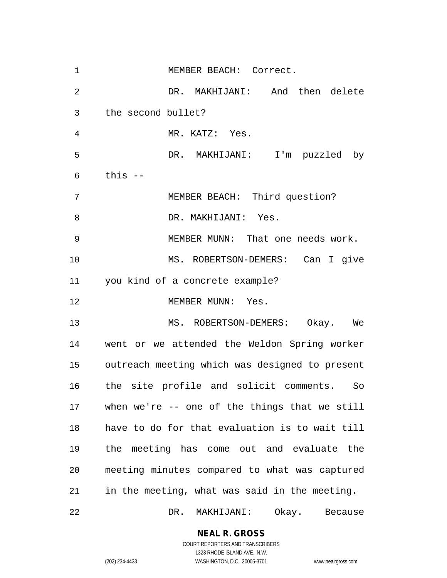| $\mathbf 1$    | MEMBER BEACH: Correct.                         |
|----------------|------------------------------------------------|
| $\overline{2}$ | DR. MAKHIJANI: And then delete                 |
| 3              | the second bullet?                             |
| 4              | MR. KATZ: Yes.                                 |
| 5              | DR. MAKHIJANI: I'm puzzled by                  |
| 6              | this --                                        |
| 7              | MEMBER BEACH: Third question?                  |
| 8              | DR. MAKHIJANI: Yes.                            |
| 9              | MEMBER MUNN: That one needs work.              |
| 10             | MS. ROBERTSON-DEMERS: Can I give               |
| 11             | you kind of a concrete example?                |
| 12             | MEMBER MUNN: Yes.                              |
| 13             | MS. ROBERTSON-DEMERS: Okay. We                 |
| 14             | went or we attended the Weldon Spring worker   |
| 15             | outreach meeting which was designed to present |
| 16             | the site profile and solicit comments. So      |
| 17             | when we're $-$ one of the things that we still |
| 18             | have to do for that evaluation is to wait till |
| 19             | the meeting has come out and evaluate the      |
| 20             | meeting minutes compared to what was captured  |
| 21             | in the meeting, what was said in the meeting.  |
| 22             | DR.<br>MAKHIJANI:<br>Okay. Because             |

**NEAL R. GROSS**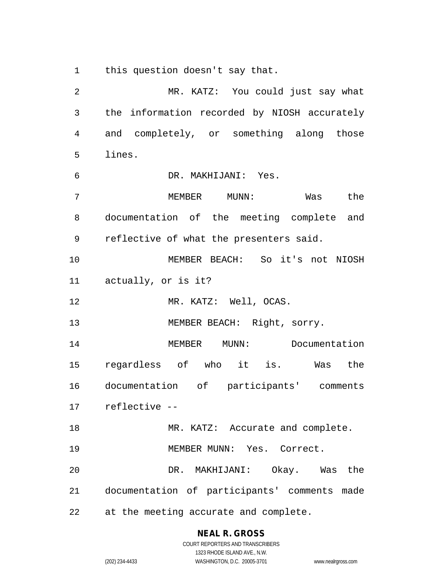this question doesn't say that.

 MR. KATZ: You could just say what the information recorded by NIOSH accurately and completely, or something along those lines. DR. MAKHIJANI: Yes. MEMBER MUNN: Was the documentation of the meeting complete and reflective of what the presenters said. MEMBER BEACH: So it's not NIOSH actually, or is it? 12 MR. KATZ: Well, OCAS. 13 MEMBER BEACH: Right, sorry. MEMBER MUNN: Documentation regardless of who it is. Was the documentation of participants' comments reflective -- 18 MR. KATZ: Accurate and complete. MEMBER MUNN: Yes. Correct. DR. MAKHIJANI: Okay. Was the documentation of participants' comments made at the meeting accurate and complete.

# **NEAL R. GROSS**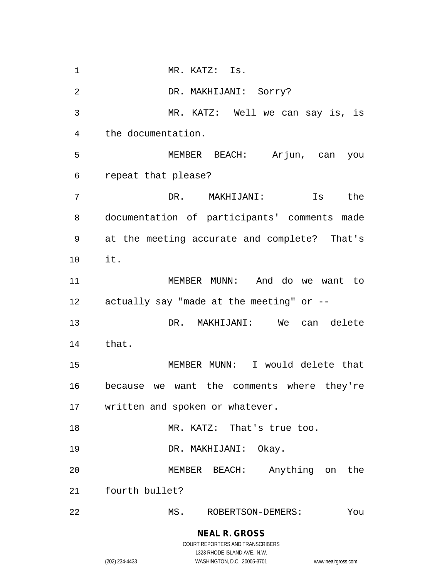1 MR. KATZ: Is. DR. MAKHIJANI: Sorry? MR. KATZ: Well we can say is, is the documentation. MEMBER BEACH: Arjun, can you repeat that please? DR. MAKHIJANI: Is the documentation of participants' comments made at the meeting accurate and complete? That's it. MEMBER MUNN: And do we want to actually say "made at the meeting" or -- DR. MAKHIJANI: We can delete that. MEMBER MUNN: I would delete that because we want the comments where they're written and spoken or whatever. 18 MR. KATZ: That's true too. DR. MAKHIJANI: Okay. MEMBER BEACH: Anything on the fourth bullet? MS. ROBERTSON-DEMERS: You

# **NEAL R. GROSS**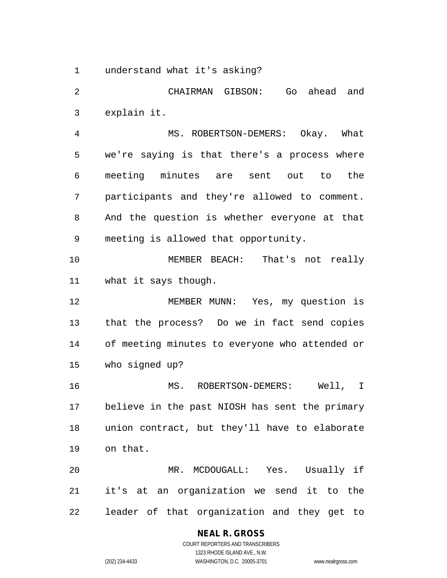understand what it's asking?

 CHAIRMAN GIBSON: Go ahead and explain it. MS. ROBERTSON-DEMERS: Okay. What we're saying is that there's a process where meeting minutes are sent out to the participants and they're allowed to comment. And the question is whether everyone at that meeting is allowed that opportunity. MEMBER BEACH: That's not really what it says though. MEMBER MUNN: Yes, my question is that the process? Do we in fact send copies of meeting minutes to everyone who attended or who signed up? MS. ROBERTSON-DEMERS: Well, I believe in the past NIOSH has sent the primary union contract, but they'll have to elaborate on that. MR. MCDOUGALL: Yes. Usually if it's at an organization we send it to the leader of that organization and they get to

## **NEAL R. GROSS**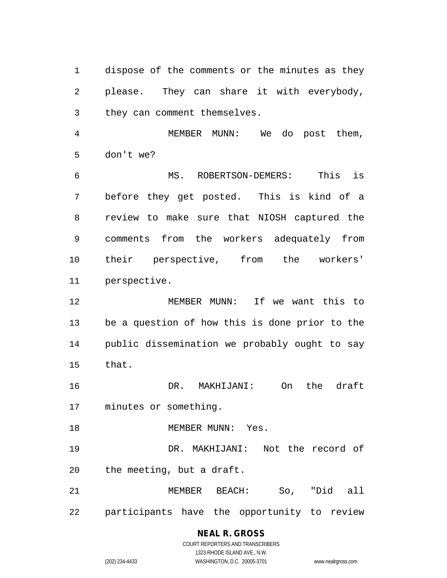dispose of the comments or the minutes as they please. They can share it with everybody, they can comment themselves.

 MEMBER MUNN: We do post them, don't we?

 MS. ROBERTSON-DEMERS: This is before they get posted. This is kind of a review to make sure that NIOSH captured the comments from the workers adequately from their perspective, from the workers' perspective.

 MEMBER MUNN: If we want this to be a question of how this is done prior to the public dissemination we probably ought to say that.

 DR. MAKHIJANI: On the draft minutes or something.

18 MEMBER MUNN: Yes.

 DR. MAKHIJANI: Not the record of the meeting, but a draft.

 MEMBER BEACH: So, "Did all participants have the opportunity to review

# **NEAL R. GROSS**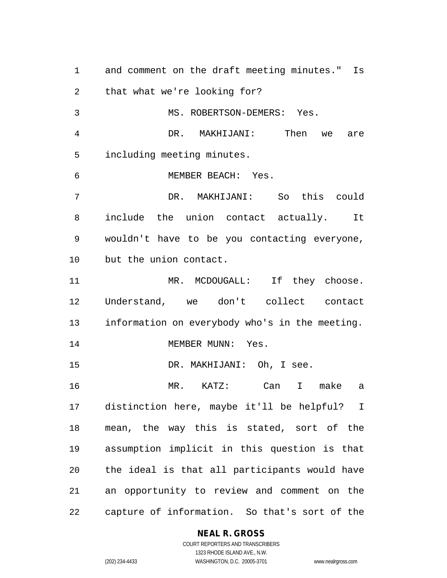and comment on the draft meeting minutes." Is that what we're looking for? MS. ROBERTSON-DEMERS: Yes. DR. MAKHIJANI: Then we are including meeting minutes. MEMBER BEACH: Yes. DR. MAKHIJANI: So this could include the union contact actually. It wouldn't have to be you contacting everyone, but the union contact. 11 MR. MCDOUGALL: If they choose. Understand, we don't collect contact information on everybody who's in the meeting. 14 MEMBER MUNN: Yes. DR. MAKHIJANI: Oh, I see. MR. KATZ: Can I make a distinction here, maybe it'll be helpful? I mean, the way this is stated, sort of the assumption implicit in this question is that the ideal is that all participants would have an opportunity to review and comment on the capture of information. So that's sort of the

#### **NEAL R. GROSS**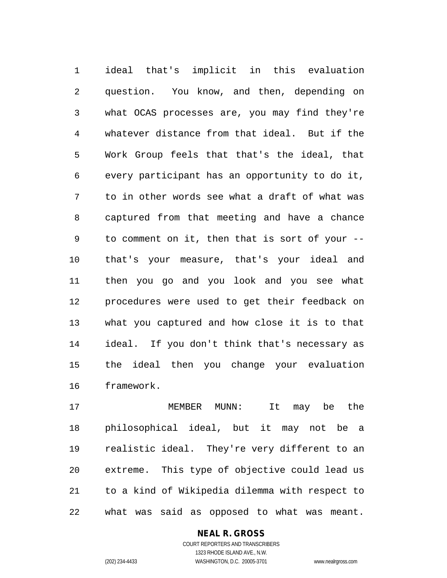ideal that's implicit in this evaluation question. You know, and then, depending on what OCAS processes are, you may find they're whatever distance from that ideal. But if the Work Group feels that that's the ideal, that every participant has an opportunity to do it, to in other words see what a draft of what was captured from that meeting and have a chance to comment on it, then that is sort of your -- that's your measure, that's your ideal and then you go and you look and you see what procedures were used to get their feedback on what you captured and how close it is to that ideal. If you don't think that's necessary as the ideal then you change your evaluation framework.

 MEMBER MUNN: It may be the philosophical ideal, but it may not be a realistic ideal. They're very different to an extreme. This type of objective could lead us to a kind of Wikipedia dilemma with respect to what was said as opposed to what was meant.

#### **NEAL R. GROSS**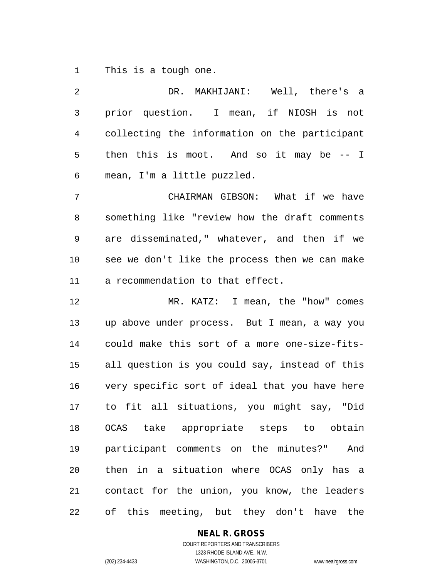This is a tough one.

 DR. MAKHIJANI: Well, there's a prior question. I mean, if NIOSH is not collecting the information on the participant then this is moot. And so it may be -- I mean, I'm a little puzzled. CHAIRMAN GIBSON: What if we have something like "review how the draft comments are disseminated," whatever, and then if we see we don't like the process then we can make a recommendation to that effect. MR. KATZ: I mean, the "how" comes up above under process. But I mean, a way you could make this sort of a more one-size-fits- all question is you could say, instead of this very specific sort of ideal that you have here to fit all situations, you might say, "Did OCAS take appropriate steps to obtain participant comments on the minutes?" And then in a situation where OCAS only has a contact for the union, you know, the leaders of this meeting, but they don't have the

**NEAL R. GROSS**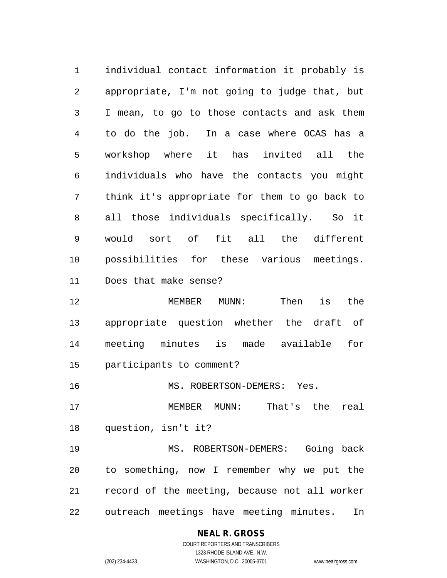individual contact information it probably is appropriate, I'm not going to judge that, but I mean, to go to those contacts and ask them to do the job. In a case where OCAS has a workshop where it has invited all the individuals who have the contacts you might think it's appropriate for them to go back to all those individuals specifically. So it would sort of fit all the different possibilities for these various meetings. Does that make sense?

 MEMBER MUNN: Then is the appropriate question whether the draft of meeting minutes is made available for participants to comment?

MS. ROBERTSON-DEMERS: Yes.

 MEMBER MUNN: That's the real question, isn't it?

 MS. ROBERTSON-DEMERS: Going back to something, now I remember why we put the record of the meeting, because not all worker outreach meetings have meeting minutes. In

## **NEAL R. GROSS**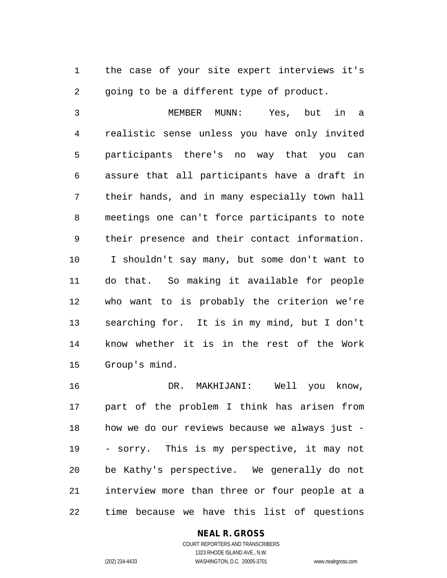the case of your site expert interviews it's 2 going to be a different type of product.

 MEMBER MUNN: Yes, but in a realistic sense unless you have only invited participants there's no way that you can assure that all participants have a draft in their hands, and in many especially town hall meetings one can't force participants to note their presence and their contact information. I shouldn't say many, but some don't want to do that. So making it available for people who want to is probably the criterion we're searching for. It is in my mind, but I don't know whether it is in the rest of the Work Group's mind.

 DR. MAKHIJANI: Well you know, part of the problem I think has arisen from how we do our reviews because we always just - - sorry. This is my perspective, it may not be Kathy's perspective. We generally do not interview more than three or four people at a time because we have this list of questions

## **NEAL R. GROSS**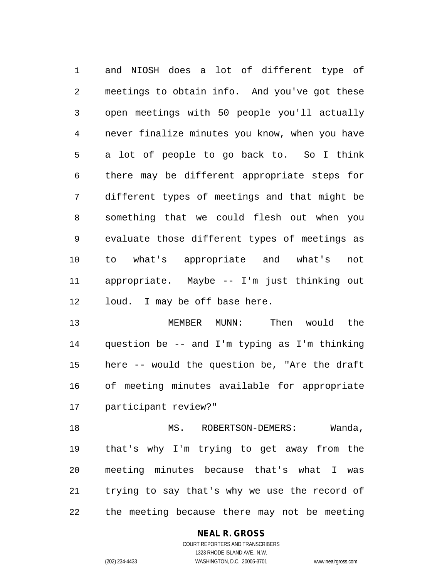and NIOSH does a lot of different type of meetings to obtain info. And you've got these open meetings with 50 people you'll actually never finalize minutes you know, when you have a lot of people to go back to. So I think there may be different appropriate steps for different types of meetings and that might be something that we could flesh out when you evaluate those different types of meetings as to what's appropriate and what's not appropriate. Maybe -- I'm just thinking out loud. I may be off base here.

 MEMBER MUNN: Then would the question be -- and I'm typing as I'm thinking here -- would the question be, "Are the draft of meeting minutes available for appropriate participant review?"

18 MS. ROBERTSON-DEMERS: Wanda, that's why I'm trying to get away from the meeting minutes because that's what I was trying to say that's why we use the record of the meeting because there may not be meeting

## **NEAL R. GROSS**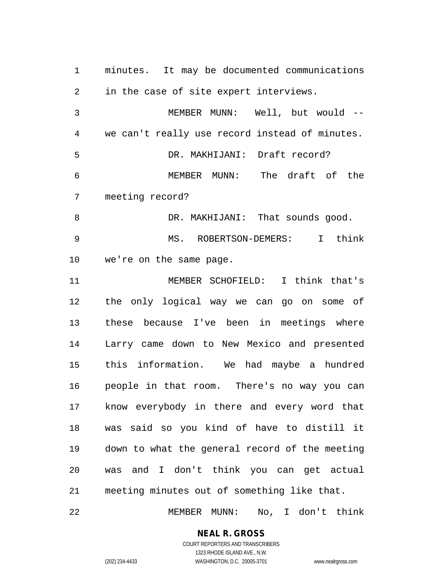minutes. It may be documented communications in the case of site expert interviews. MEMBER MUNN: Well, but would -- we can't really use record instead of minutes. DR. MAKHIJANI: Draft record? MEMBER MUNN: The draft of the meeting record? 8 DR. MAKHIJANI: That sounds good. MS. ROBERTSON-DEMERS: I think we're on the same page. MEMBER SCHOFIELD: I think that's the only logical way we can go on some of these because I've been in meetings where Larry came down to New Mexico and presented this information. We had maybe a hundred people in that room. There's no way you can know everybody in there and every word that was said so you kind of have to distill it down to what the general record of the meeting was and I don't think you can get actual meeting minutes out of something like that.

MEMBER MUNN: No, I don't think

**NEAL R. GROSS**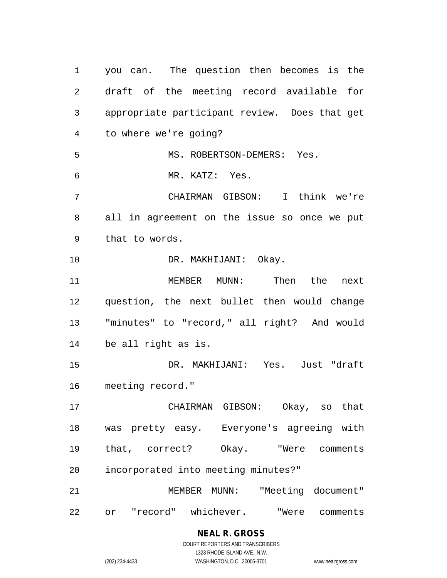you can. The question then becomes is the draft of the meeting record available for appropriate participant review. Does that get to where we're going? MS. ROBERTSON-DEMERS: Yes. MR. KATZ: Yes. CHAIRMAN GIBSON: I think we're all in agreement on the issue so once we put that to words. DR. MAKHIJANI: Okay. MEMBER MUNN: Then the next question, the next bullet then would change "minutes" to "record," all right? And would be all right as is. DR. MAKHIJANI: Yes. Just "draft meeting record." CHAIRMAN GIBSON: Okay, so that was pretty easy. Everyone's agreeing with that, correct? Okay. "Were comments incorporated into meeting minutes?" MEMBER MUNN: "Meeting document" or "record" whichever. "Were comments

# **NEAL R. GROSS**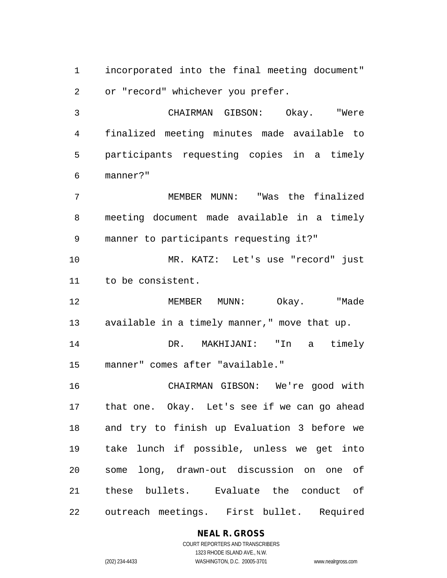incorporated into the final meeting document" or "record" whichever you prefer.

 CHAIRMAN GIBSON: Okay. "Were finalized meeting minutes made available to participants requesting copies in a timely manner?"

 MEMBER MUNN: "Was the finalized meeting document made available in a timely manner to participants requesting it?"

 MR. KATZ: Let's use "record" just to be consistent.

 MEMBER MUNN: Okay. "Made available in a timely manner," move that up.

 DR. MAKHIJANI: "In a timely manner" comes after "available."

 CHAIRMAN GIBSON: We're good with that one. Okay. Let's see if we can go ahead and try to finish up Evaluation 3 before we take lunch if possible, unless we get into some long, drawn-out discussion on one of these bullets. Evaluate the conduct of outreach meetings. First bullet. Required

## **NEAL R. GROSS**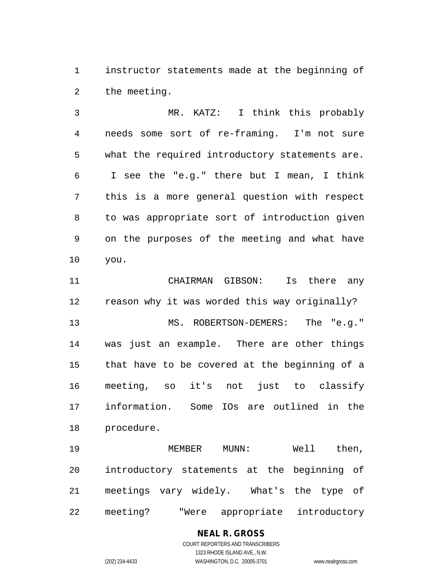instructor statements made at the beginning of the meeting.

 MR. KATZ: I think this probably needs some sort of re-framing. I'm not sure what the required introductory statements are. I see the "e.g." there but I mean, I think this is a more general question with respect to was appropriate sort of introduction given on the purposes of the meeting and what have you.

 CHAIRMAN GIBSON: Is there any reason why it was worded this way originally? MS. ROBERTSON-DEMERS: The "e.g." was just an example. There are other things that have to be covered at the beginning of a meeting, so it's not just to classify information. Some IOs are outlined in the procedure.

 MEMBER MUNN: Well then, introductory statements at the beginning of meetings vary widely. What's the type of meeting? "Were appropriate introductory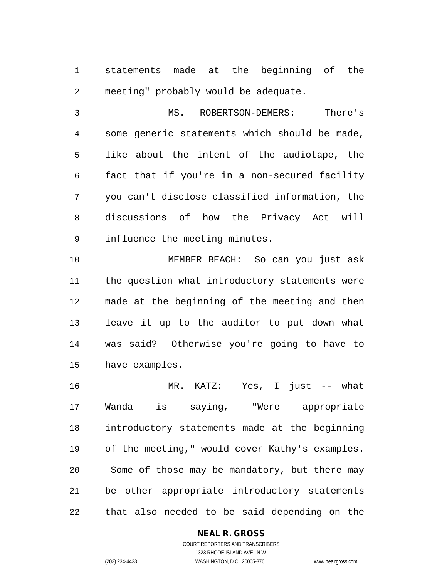statements made at the beginning of the meeting" probably would be adequate.

 MS. ROBERTSON-DEMERS: There's some generic statements which should be made, like about the intent of the audiotape, the fact that if you're in a non-secured facility you can't disclose classified information, the discussions of how the Privacy Act will influence the meeting minutes.

 MEMBER BEACH: So can you just ask the question what introductory statements were made at the beginning of the meeting and then leave it up to the auditor to put down what was said? Otherwise you're going to have to have examples.

 MR. KATZ: Yes, I just -- what Wanda is saying, "Were appropriate introductory statements made at the beginning of the meeting," would cover Kathy's examples. Some of those may be mandatory, but there may be other appropriate introductory statements that also needed to be said depending on the

#### **NEAL R. GROSS**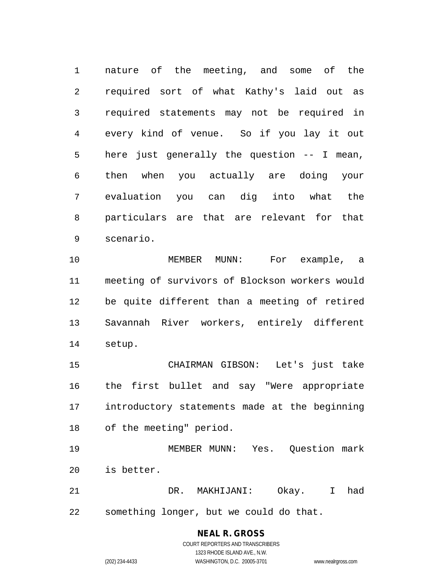nature of the meeting, and some of the required sort of what Kathy's laid out as required statements may not be required in every kind of venue. So if you lay it out here just generally the question -- I mean, then when you actually are doing your evaluation you can dig into what the particulars are that are relevant for that scenario.

 MEMBER MUNN: For example, a meeting of survivors of Blockson workers would be quite different than a meeting of retired Savannah River workers, entirely different setup.

 CHAIRMAN GIBSON: Let's just take the first bullet and say "Were appropriate introductory statements made at the beginning of the meeting" period.

 MEMBER MUNN: Yes. Question mark is better.

 DR. MAKHIJANI: Okay. I had something longer, but we could do that.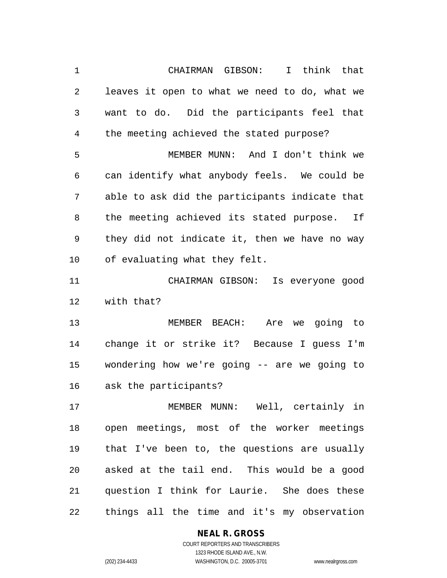CHAIRMAN GIBSON: I think that leaves it open to what we need to do, what we want to do. Did the participants feel that the meeting achieved the stated purpose? MEMBER MUNN: And I don't think we can identify what anybody feels. We could be able to ask did the participants indicate that the meeting achieved its stated purpose. If they did not indicate it, then we have no way of evaluating what they felt. CHAIRMAN GIBSON: Is everyone good with that? MEMBER BEACH: Are we going to change it or strike it? Because I guess I'm wondering how we're going -- are we going to ask the participants? MEMBER MUNN: Well, certainly in open meetings, most of the worker meetings that I've been to, the questions are usually asked at the tail end. This would be a good question I think for Laurie. She does these things all the time and it's my observation

## **NEAL R. GROSS**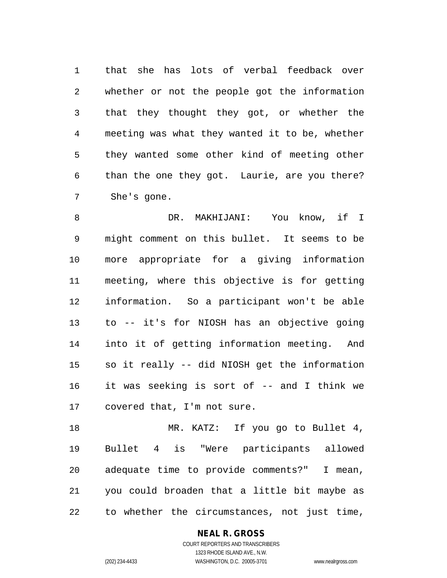that she has lots of verbal feedback over whether or not the people got the information that they thought they got, or whether the meeting was what they wanted it to be, whether they wanted some other kind of meeting other than the one they got. Laurie, are you there? She's gone.

 DR. MAKHIJANI: You know, if I might comment on this bullet. It seems to be more appropriate for a giving information meeting, where this objective is for getting information. So a participant won't be able to -- it's for NIOSH has an objective going into it of getting information meeting. And so it really -- did NIOSH get the information it was seeking is sort of -- and I think we covered that, I'm not sure.

18 MR. KATZ: If you go to Bullet 4, Bullet 4 is "Were participants allowed adequate time to provide comments?" I mean, you could broaden that a little bit maybe as to whether the circumstances, not just time,

### **NEAL R. GROSS** COURT REPORTERS AND TRANSCRIBERS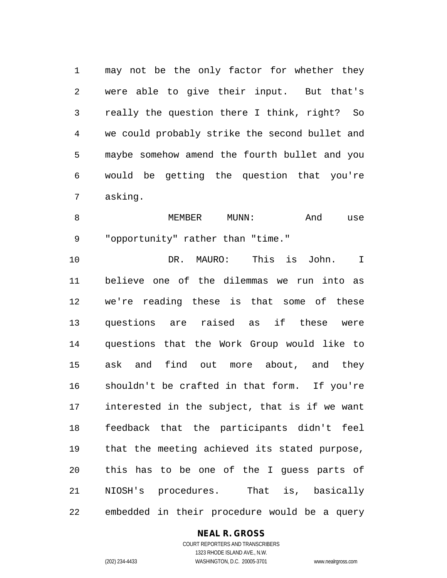may not be the only factor for whether they were able to give their input. But that's really the question there I think, right? So we could probably strike the second bullet and maybe somehow amend the fourth bullet and you would be getting the question that you're asking.

8 MEMBER MUNN: And use "opportunity" rather than "time."

 DR. MAURO: This is John. I believe one of the dilemmas we run into as we're reading these is that some of these questions are raised as if these were questions that the Work Group would like to ask and find out more about, and they shouldn't be crafted in that form. If you're interested in the subject, that is if we want feedback that the participants didn't feel that the meeting achieved its stated purpose, this has to be one of the I guess parts of NIOSH's procedures. That is, basically embedded in their procedure would be a query

#### **NEAL R. GROSS**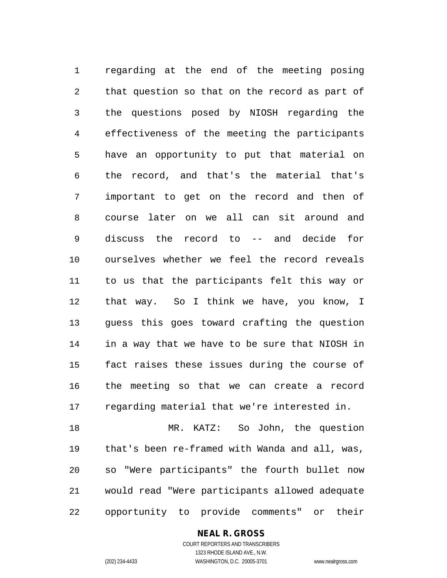regarding at the end of the meeting posing that question so that on the record as part of the questions posed by NIOSH regarding the effectiveness of the meeting the participants have an opportunity to put that material on the record, and that's the material that's important to get on the record and then of course later on we all can sit around and discuss the record to -- and decide for ourselves whether we feel the record reveals to us that the participants felt this way or that way. So I think we have, you know, I guess this goes toward crafting the question in a way that we have to be sure that NIOSH in fact raises these issues during the course of the meeting so that we can create a record regarding material that we're interested in.

 MR. KATZ: So John, the question that's been re-framed with Wanda and all, was, so "Were participants" the fourth bullet now would read "Were participants allowed adequate opportunity to provide comments" or their

## **NEAL R. GROSS**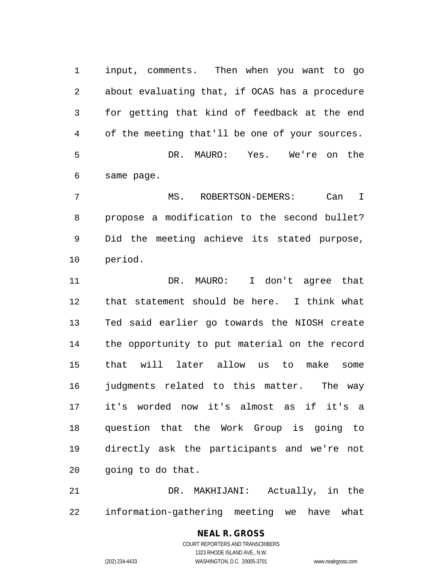input, comments. Then when you want to go about evaluating that, if OCAS has a procedure for getting that kind of feedback at the end of the meeting that'll be one of your sources. DR. MAURO: Yes. We're on the same page.

 MS. ROBERTSON-DEMERS: Can I propose a modification to the second bullet? Did the meeting achieve its stated purpose, period.

11 DR. MAURO: I don't agree that that statement should be here. I think what Ted said earlier go towards the NIOSH create the opportunity to put material on the record that will later allow us to make some judgments related to this matter. The way it's worded now it's almost as if it's a question that the Work Group is going to directly ask the participants and we're not going to do that.

 DR. MAKHIJANI: Actually, in the information-gathering meeting we have what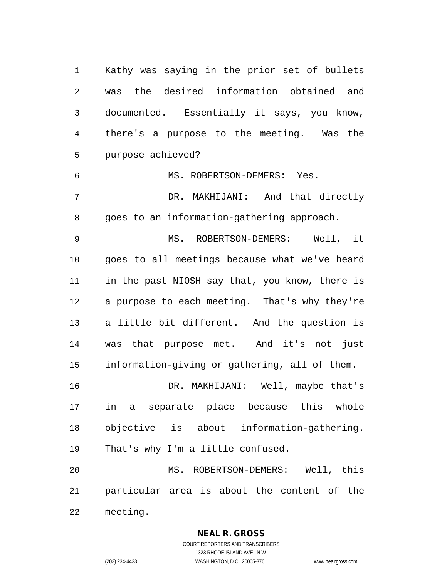Kathy was saying in the prior set of bullets was the desired information obtained and documented. Essentially it says, you know, there's a purpose to the meeting. Was the purpose achieved?

 MS. ROBERTSON-DEMERS: Yes. DR. MAKHIJANI: And that directly goes to an information-gathering approach.

 MS. ROBERTSON-DEMERS: Well, it goes to all meetings because what we've heard in the past NIOSH say that, you know, there is a purpose to each meeting. That's why they're a little bit different. And the question is was that purpose met. And it's not just information-giving or gathering, all of them.

 DR. MAKHIJANI: Well, maybe that's in a separate place because this whole objective is about information-gathering. That's why I'm a little confused.

 MS. ROBERTSON-DEMERS: Well, this particular area is about the content of the meeting.

**NEAL R. GROSS**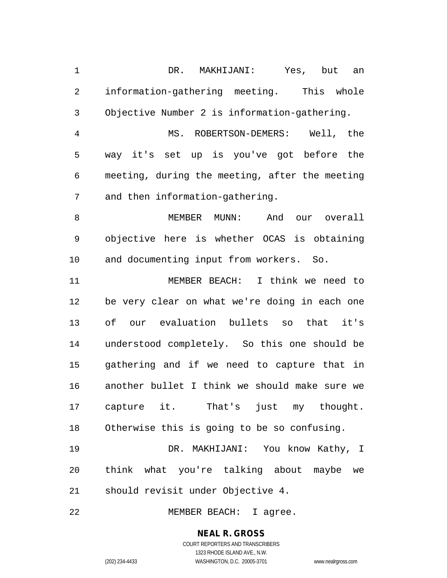DR. MAKHIJANI: Yes, but an information-gathering meeting. This whole Objective Number 2 is information-gathering. MS. ROBERTSON-DEMERS: Well, the way it's set up is you've got before the meeting, during the meeting, after the meeting and then information-gathering. MEMBER MUNN: And our overall objective here is whether OCAS is obtaining and documenting input from workers. So. MEMBER BEACH: I think we need to be very clear on what we're doing in each one of our evaluation bullets so that it's understood completely. So this one should be gathering and if we need to capture that in another bullet I think we should make sure we capture it. That's just my thought. Otherwise this is going to be so confusing. DR. MAKHIJANI: You know Kathy, I think what you're talking about maybe we should revisit under Objective 4.

22 MEMBER BEACH: I agree.

## **NEAL R. GROSS**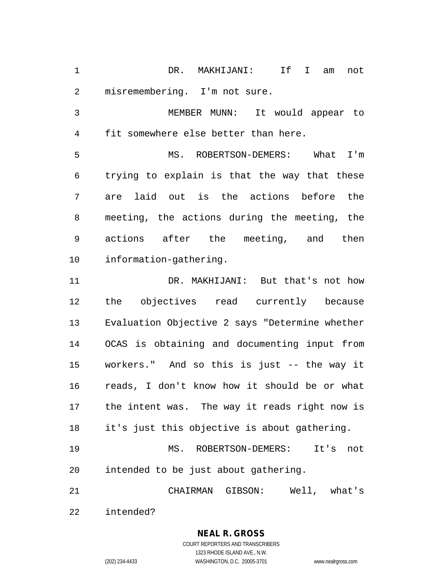DR. MAKHIJANI: If I am not misremembering. I'm not sure.

 MEMBER MUNN: It would appear to fit somewhere else better than here.

 MS. ROBERTSON-DEMERS: What I'm trying to explain is that the way that these are laid out is the actions before the meeting, the actions during the meeting, the actions after the meeting, and then information-gathering.

 DR. MAKHIJANI: But that's not how the objectives read currently because Evaluation Objective 2 says "Determine whether OCAS is obtaining and documenting input from workers." And so this is just -- the way it reads, I don't know how it should be or what the intent was. The way it reads right now is it's just this objective is about gathering.

 MS. ROBERTSON-DEMERS: It's not intended to be just about gathering.

CHAIRMAN GIBSON: Well, what's

intended?

**NEAL R. GROSS** COURT REPORTERS AND TRANSCRIBERS

1323 RHODE ISLAND AVE., N.W. (202) 234-4433 WASHINGTON, D.C. 20005-3701 www.nealrgross.com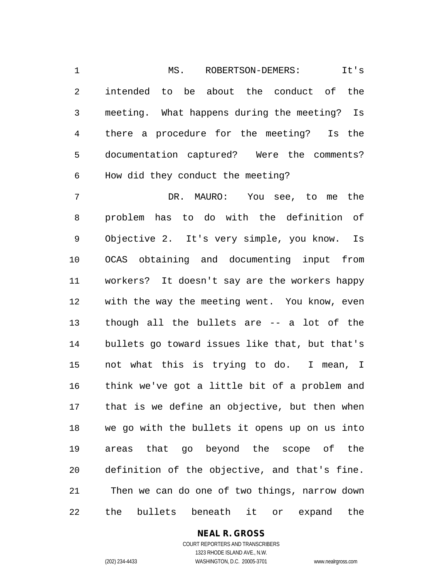MS. ROBERTSON-DEMERS: It's intended to be about the conduct of the meeting. What happens during the meeting? Is there a procedure for the meeting? Is the documentation captured? Were the comments? How did they conduct the meeting?

 DR. MAURO: You see, to me the problem has to do with the definition of Objective 2. It's very simple, you know. Is OCAS obtaining and documenting input from workers? It doesn't say are the workers happy with the way the meeting went. You know, even though all the bullets are -- a lot of the bullets go toward issues like that, but that's not what this is trying to do. I mean, I think we've got a little bit of a problem and that is we define an objective, but then when we go with the bullets it opens up on us into areas that go beyond the scope of the definition of the objective, and that's fine. Then we can do one of two things, narrow down the bullets beneath it or expand the

**NEAL R. GROSS**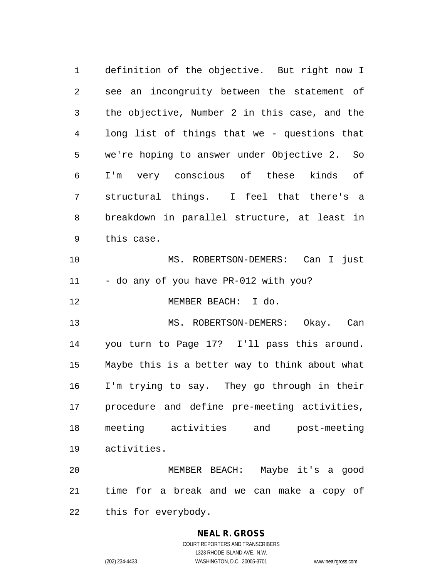definition of the objective. But right now I see an incongruity between the statement of the objective, Number 2 in this case, and the long list of things that we - questions that we're hoping to answer under Objective 2. So I'm very conscious of these kinds of structural things. I feel that there's a breakdown in parallel structure, at least in this case. MS. ROBERTSON-DEMERS: Can I just 11 - do any of you have PR-012 with you? MEMBER BEACH: I do. MS. ROBERTSON-DEMERS: Okay. Can you turn to Page 17? I'll pass this around. Maybe this is a better way to think about what I'm trying to say. They go through in their procedure and define pre-meeting activities, meeting activities and post-meeting activities. MEMBER BEACH: Maybe it's a good

 time for a break and we can make a copy of this for everybody.

> **NEAL R. GROSS** COURT REPORTERS AND TRANSCRIBERS

1323 RHODE ISLAND AVE., N.W. (202) 234-4433 WASHINGTON, D.C. 20005-3701 www.nealrgross.com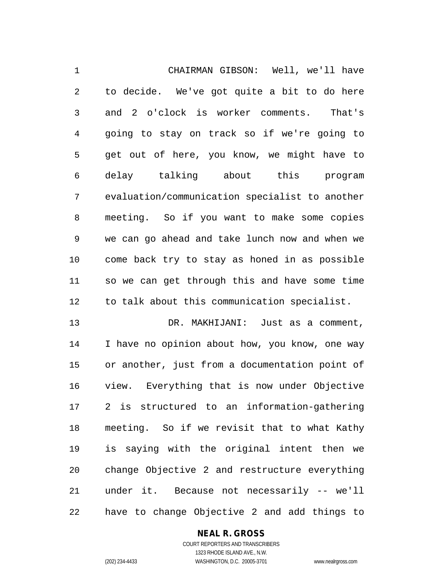CHAIRMAN GIBSON: Well, we'll have to decide. We've got quite a bit to do here and 2 o'clock is worker comments. That's going to stay on track so if we're going to get out of here, you know, we might have to delay talking about this program evaluation/communication specialist to another meeting. So if you want to make some copies we can go ahead and take lunch now and when we come back try to stay as honed in as possible so we can get through this and have some time to talk about this communication specialist.

 DR. MAKHIJANI: Just as a comment, I have no opinion about how, you know, one way or another, just from a documentation point of view. Everything that is now under Objective 2 is structured to an information-gathering meeting. So if we revisit that to what Kathy is saying with the original intent then we change Objective 2 and restructure everything under it. Because not necessarily -- we'll have to change Objective 2 and add things to

## **NEAL R. GROSS**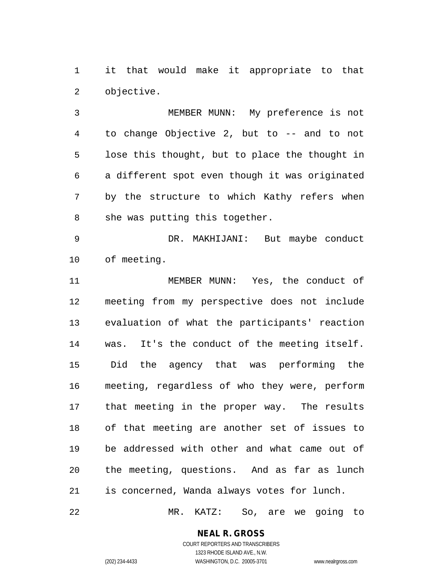it that would make it appropriate to that objective.

 MEMBER MUNN: My preference is not to change Objective 2, but to -- and to not lose this thought, but to place the thought in a different spot even though it was originated by the structure to which Kathy refers when she was putting this together.

 DR. MAKHIJANI: But maybe conduct of meeting.

 MEMBER MUNN: Yes, the conduct of meeting from my perspective does not include evaluation of what the participants' reaction was. It's the conduct of the meeting itself. Did the agency that was performing the meeting, regardless of who they were, perform that meeting in the proper way. The results of that meeting are another set of issues to be addressed with other and what came out of the meeting, questions. And as far as lunch is concerned, Wanda always votes for lunch.

MR. KATZ: So, are we going to

#### **NEAL R. GROSS**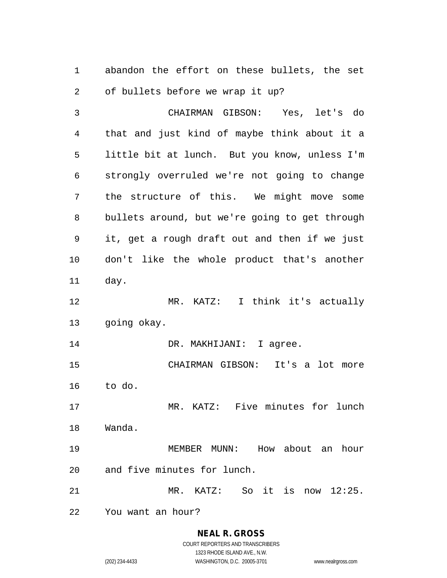abandon the effort on these bullets, the set of bullets before we wrap it up?

 CHAIRMAN GIBSON: Yes, let's do that and just kind of maybe think about it a little bit at lunch. But you know, unless I'm strongly overruled we're not going to change the structure of this. We might move some bullets around, but we're going to get through it, get a rough draft out and then if we just don't like the whole product that's another day. MR. KATZ: I think it's actually going okay. 14 DR. MAKHIJANI: I agree. CHAIRMAN GIBSON: It's a lot more to do. MR. KATZ: Five minutes for lunch Wanda. MEMBER MUNN: How about an hour and five minutes for lunch. MR. KATZ: So it is now 12:25. You want an hour?

> **NEAL R. GROSS** COURT REPORTERS AND TRANSCRIBERS

1323 RHODE ISLAND AVE., N.W. (202) 234-4433 WASHINGTON, D.C. 20005-3701 www.nealrgross.com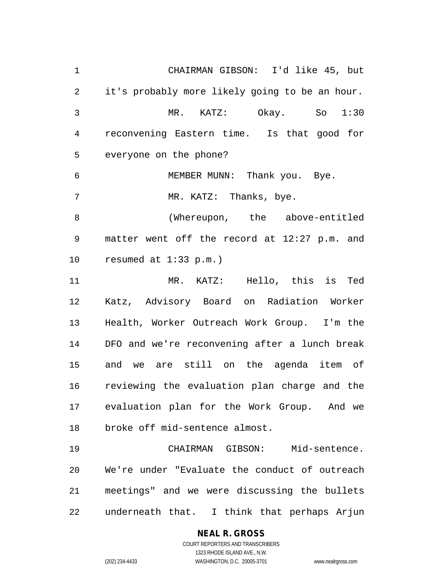CHAIRMAN GIBSON: I'd like 45, but it's probably more likely going to be an hour. MR. KATZ: Okay. So 1:30 reconvening Eastern time. Is that good for everyone on the phone? MEMBER MUNN: Thank you. Bye. 7 MR. KATZ: Thanks, bye. (Whereupon, the above-entitled matter went off the record at 12:27 p.m. and resumed at 1:33 p.m.) MR. KATZ: Hello, this is Ted Katz, Advisory Board on Radiation Worker Health, Worker Outreach Work Group. I'm the DFO and we're reconvening after a lunch break and we are still on the agenda item of reviewing the evaluation plan charge and the evaluation plan for the Work Group. And we broke off mid-sentence almost. CHAIRMAN GIBSON: Mid-sentence. We're under "Evaluate the conduct of outreach meetings" and we were discussing the bullets underneath that. I think that perhaps Arjun

## **NEAL R. GROSS**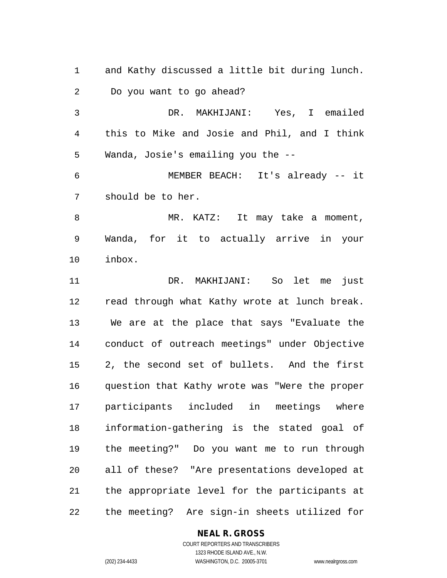and Kathy discussed a little bit during lunch. Do you want to go ahead?

 DR. MAKHIJANI: Yes, I emailed this to Mike and Josie and Phil, and I think Wanda, Josie's emailing you the --

 MEMBER BEACH: It's already -- it should be to her.

8 MR. KATZ: It may take a moment, Wanda, for it to actually arrive in your inbox.

 DR. MAKHIJANI: So let me just read through what Kathy wrote at lunch break. We are at the place that says "Evaluate the conduct of outreach meetings" under Objective 2, the second set of bullets. And the first question that Kathy wrote was "Were the proper participants included in meetings where information-gathering is the stated goal of the meeting?" Do you want me to run through all of these? "Are presentations developed at the appropriate level for the participants at the meeting? Are sign-in sheets utilized for

#### **NEAL R. GROSS**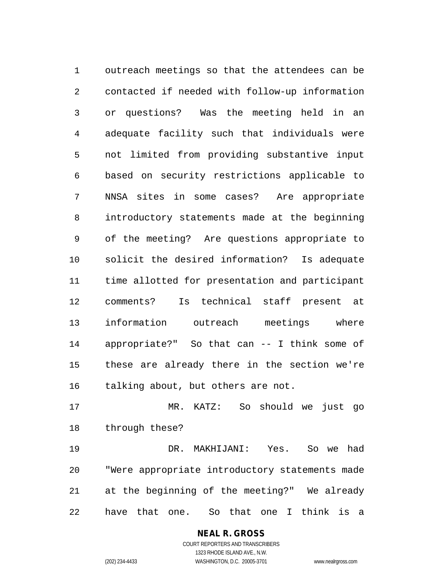outreach meetings so that the attendees can be contacted if needed with follow-up information or questions? Was the meeting held in an adequate facility such that individuals were not limited from providing substantive input based on security restrictions applicable to NNSA sites in some cases? Are appropriate introductory statements made at the beginning of the meeting? Are questions appropriate to solicit the desired information? Is adequate time allotted for presentation and participant comments? Is technical staff present at information outreach meetings where appropriate?" So that can -- I think some of these are already there in the section we're talking about, but others are not.

 MR. KATZ: So should we just go through these?

 DR. MAKHIJANI: Yes. So we had "Were appropriate introductory statements made at the beginning of the meeting?" We already have that one. So that one I think is a

#### **NEAL R. GROSS**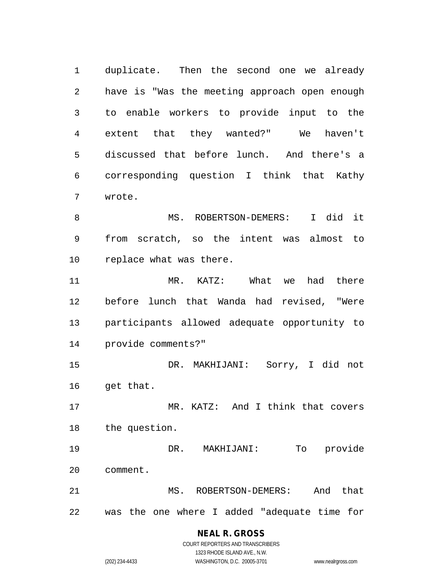duplicate. Then the second one we already have is "Was the meeting approach open enough to enable workers to provide input to the extent that they wanted?" We haven't discussed that before lunch. And there's a corresponding question I think that Kathy wrote.

8 MS. ROBERTSON-DEMERS: I did it from scratch, so the intent was almost to replace what was there.

 MR. KATZ: What we had there before lunch that Wanda had revised, "Were participants allowed adequate opportunity to provide comments?"

 DR. MAKHIJANI: Sorry, I did not get that.

 MR. KATZ: And I think that covers the question.

 DR. MAKHIJANI: To provide comment. 21 MS. ROBERTSON-DEMERS: And that

was the one where I added "adequate time for

#### **NEAL R. GROSS** COURT REPORTERS AND TRANSCRIBERS

1323 RHODE ISLAND AVE., N.W. (202) 234-4433 WASHINGTON, D.C. 20005-3701 www.nealrgross.com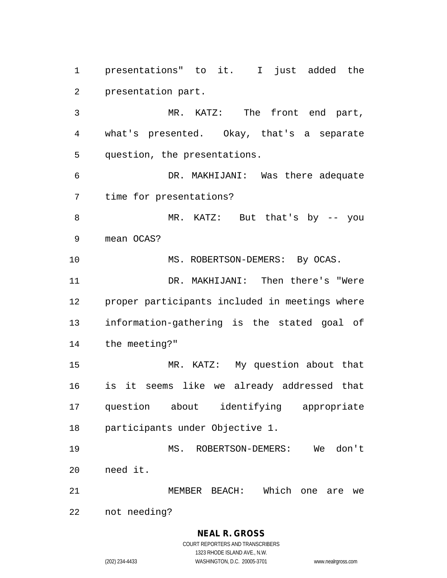presentations" to it. I just added the presentation part.

 MR. KATZ: The front end part, what's presented. Okay, that's a separate question, the presentations.

 DR. MAKHIJANI: Was there adequate time for presentations?

 MR. KATZ: But that's by -- you mean OCAS?

10 MS. ROBERTSON-DEMERS: By OCAS.

 DR. MAKHIJANI: Then there's "Were proper participants included in meetings where information-gathering is the stated goal of the meeting?"

 MR. KATZ: My question about that is it seems like we already addressed that question about identifying appropriate participants under Objective 1.

 MS. ROBERTSON-DEMERS: We don't need it.

MEMBER BEACH: Which one are we

not needing?

#### **NEAL R. GROSS** COURT REPORTERS AND TRANSCRIBERS

1323 RHODE ISLAND AVE., N.W.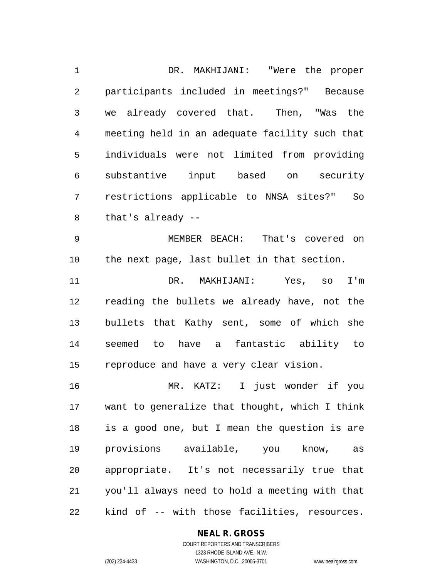DR. MAKHIJANI: "Were the proper participants included in meetings?" Because we already covered that. Then, "Was the meeting held in an adequate facility such that individuals were not limited from providing substantive input based on security restrictions applicable to NNSA sites?" So that's already --

 MEMBER BEACH: That's covered on the next page, last bullet in that section.

 DR. MAKHIJANI: Yes, so I'm reading the bullets we already have, not the bullets that Kathy sent, some of which she seemed to have a fantastic ability to reproduce and have a very clear vision.

 MR. KATZ: I just wonder if you want to generalize that thought, which I think is a good one, but I mean the question is are provisions available, you know, as appropriate. It's not necessarily true that you'll always need to hold a meeting with that kind of -- with those facilities, resources.

#### **NEAL R. GROSS**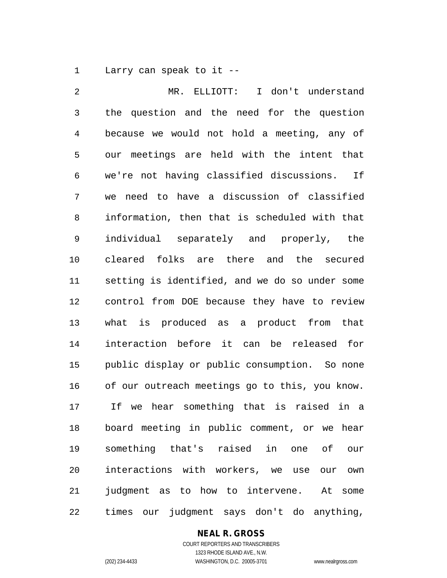Larry can speak to it --

 MR. ELLIOTT: I don't understand the question and the need for the question because we would not hold a meeting, any of our meetings are held with the intent that we're not having classified discussions. If we need to have a discussion of classified information, then that is scheduled with that individual separately and properly, the cleared folks are there and the secured setting is identified, and we do so under some control from DOE because they have to review what is produced as a product from that interaction before it can be released for public display or public consumption. So none of our outreach meetings go to this, you know. If we hear something that is raised in a board meeting in public comment, or we hear something that's raised in one of our interactions with workers, we use our own judgment as to how to intervene. At some times our judgment says don't do anything,

#### **NEAL R. GROSS** COURT REPORTERS AND TRANSCRIBERS

1323 RHODE ISLAND AVE., N.W. (202) 234-4433 WASHINGTON, D.C. 20005-3701 www.nealrgross.com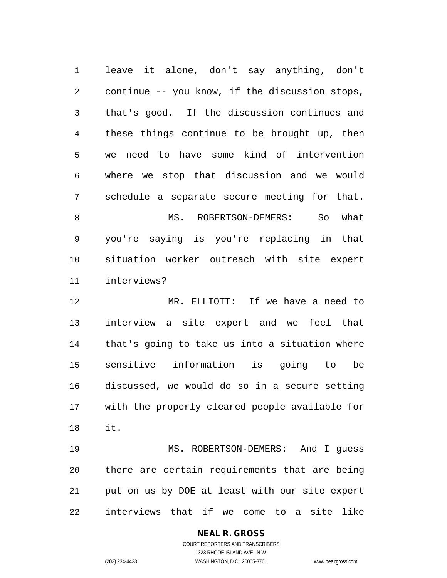leave it alone, don't say anything, don't continue -- you know, if the discussion stops, that's good. If the discussion continues and these things continue to be brought up, then we need to have some kind of intervention where we stop that discussion and we would schedule a separate secure meeting for that. 8 MS. ROBERTSON-DEMERS: So what you're saying is you're replacing in that situation worker outreach with site expert interviews?

 MR. ELLIOTT: If we have a need to interview a site expert and we feel that that's going to take us into a situation where sensitive information is going to be discussed, we would do so in a secure setting with the properly cleared people available for it.

 MS. ROBERTSON-DEMERS: And I guess there are certain requirements that are being put on us by DOE at least with our site expert interviews that if we come to a site like

**NEAL R. GROSS**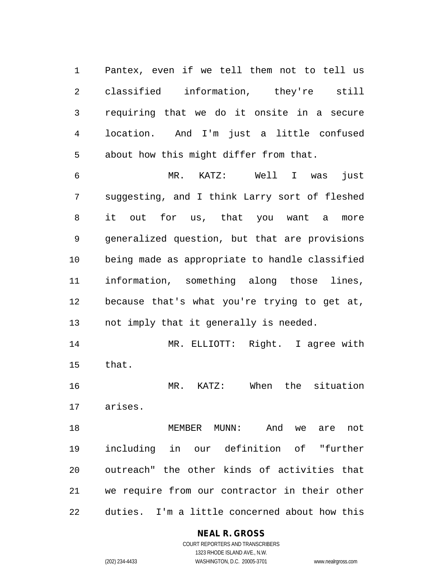Pantex, even if we tell them not to tell us classified information, they're still requiring that we do it onsite in a secure location. And I'm just a little confused about how this might differ from that.

 MR. KATZ: Well I was just suggesting, and I think Larry sort of fleshed it out for us, that you want a more generalized question, but that are provisions being made as appropriate to handle classified information, something along those lines, because that's what you're trying to get at, not imply that it generally is needed.

 MR. ELLIOTT: Right. I agree with that.

 MR. KATZ: When the situation arises.

 MEMBER MUNN: And we are not including in our definition of "further outreach" the other kinds of activities that we require from our contractor in their other duties. I'm a little concerned about how this

#### **NEAL R. GROSS**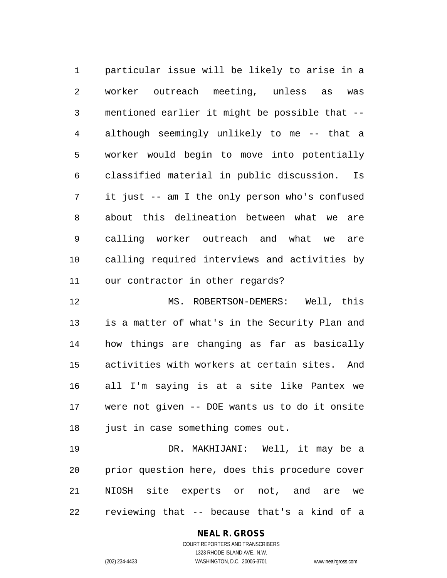particular issue will be likely to arise in a worker outreach meeting, unless as was mentioned earlier it might be possible that -- although seemingly unlikely to me -- that a worker would begin to move into potentially classified material in public discussion. Is it just -- am I the only person who's confused about this delineation between what we are calling worker outreach and what we are calling required interviews and activities by our contractor in other regards?

 MS. ROBERTSON-DEMERS: Well, this is a matter of what's in the Security Plan and how things are changing as far as basically activities with workers at certain sites. And all I'm saying is at a site like Pantex we were not given -- DOE wants us to do it onsite 18 just in case something comes out.

 DR. MAKHIJANI: Well, it may be a prior question here, does this procedure cover NIOSH site experts or not, and are we reviewing that -- because that's a kind of a

# **NEAL R. GROSS**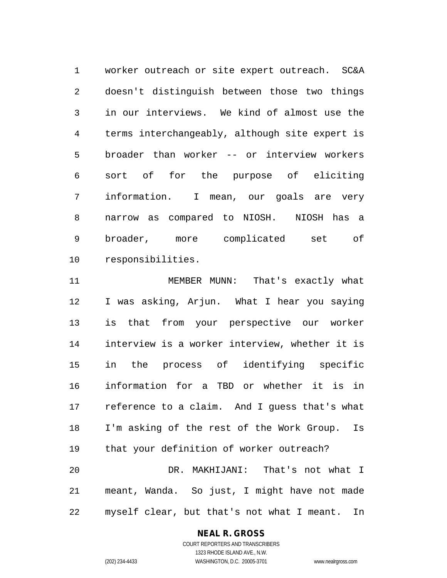worker outreach or site expert outreach. SC&A doesn't distinguish between those two things in our interviews. We kind of almost use the terms interchangeably, although site expert is broader than worker -- or interview workers sort of for the purpose of eliciting information. I mean, our goals are very narrow as compared to NIOSH. NIOSH has a broader, more complicated set of responsibilities.

 MEMBER MUNN: That's exactly what I was asking, Arjun. What I hear you saying is that from your perspective our worker interview is a worker interview, whether it is in the process of identifying specific information for a TBD or whether it is in reference to a claim. And I guess that's what I'm asking of the rest of the Work Group. Is that your definition of worker outreach? DR. MAKHIJANI: That's not what I meant, Wanda. So just, I might have not made myself clear, but that's not what I meant. In

#### **NEAL R. GROSS**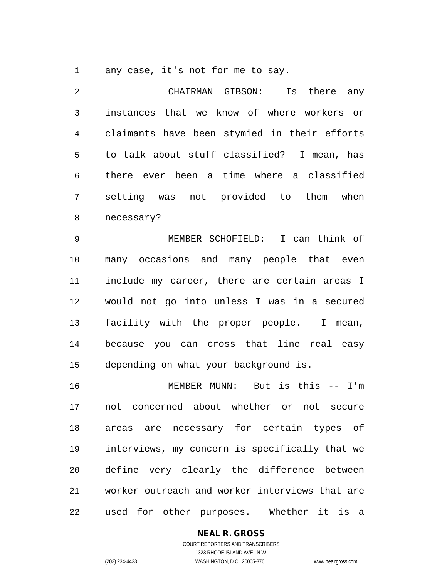any case, it's not for me to say.

 CHAIRMAN GIBSON: Is there any instances that we know of where workers or claimants have been stymied in their efforts to talk about stuff classified? I mean, has there ever been a time where a classified setting was not provided to them when necessary?

 MEMBER SCHOFIELD: I can think of many occasions and many people that even include my career, there are certain areas I would not go into unless I was in a secured facility with the proper people. I mean, because you can cross that line real easy depending on what your background is.

 MEMBER MUNN: But is this -- I'm not concerned about whether or not secure areas are necessary for certain types of interviews, my concern is specifically that we define very clearly the difference between worker outreach and worker interviews that are used for other purposes. Whether it is a

#### **NEAL R. GROSS**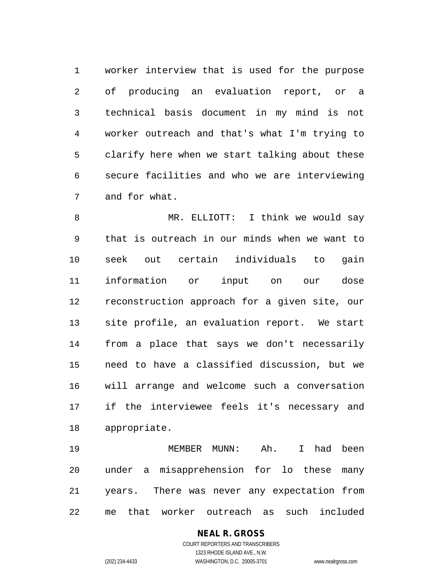worker interview that is used for the purpose of producing an evaluation report, or a technical basis document in my mind is not worker outreach and that's what I'm trying to clarify here when we start talking about these secure facilities and who we are interviewing and for what.

 MR. ELLIOTT: I think we would say that is outreach in our minds when we want to seek out certain individuals to gain information or input on our dose reconstruction approach for a given site, our site profile, an evaluation report. We start from a place that says we don't necessarily need to have a classified discussion, but we will arrange and welcome such a conversation if the interviewee feels it's necessary and appropriate.

 MEMBER MUNN: Ah. I had been under a misapprehension for lo these many years. There was never any expectation from me that worker outreach as such included

# **NEAL R. GROSS**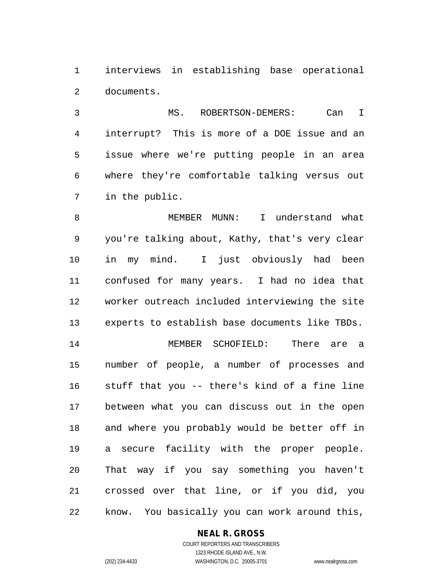interviews in establishing base operational documents.

 MS. ROBERTSON-DEMERS: Can I interrupt? This is more of a DOE issue and an issue where we're putting people in an area where they're comfortable talking versus out in the public.

 MEMBER MUNN: I understand what you're talking about, Kathy, that's very clear in my mind. I just obviously had been confused for many years. I had no idea that worker outreach included interviewing the site experts to establish base documents like TBDs. MEMBER SCHOFIELD: There are a number of people, a number of processes and stuff that you -- there's kind of a fine line between what you can discuss out in the open and where you probably would be better off in a secure facility with the proper people. That way if you say something you haven't crossed over that line, or if you did, you know. You basically you can work around this,

#### **NEAL R. GROSS**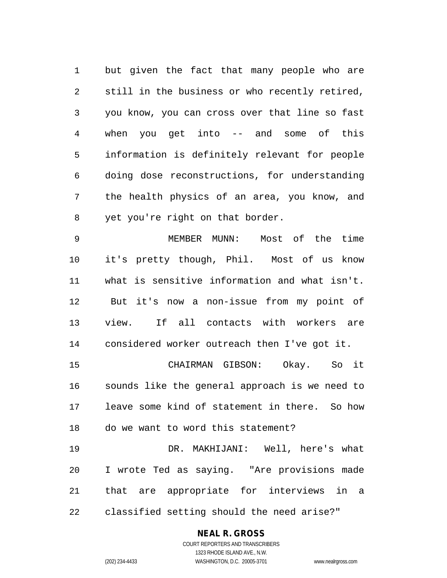but given the fact that many people who are still in the business or who recently retired, you know, you can cross over that line so fast when you get into -- and some of this information is definitely relevant for people doing dose reconstructions, for understanding the health physics of an area, you know, and yet you're right on that border.

 MEMBER MUNN: Most of the time it's pretty though, Phil. Most of us know what is sensitive information and what isn't. But it's now a non-issue from my point of view. If all contacts with workers are considered worker outreach then I've got it.

 CHAIRMAN GIBSON: Okay. So it sounds like the general approach is we need to leave some kind of statement in there. So how do we want to word this statement?

 DR. MAKHIJANI: Well, here's what I wrote Ted as saying. "Are provisions made that are appropriate for interviews in a classified setting should the need arise?"

#### **NEAL R. GROSS**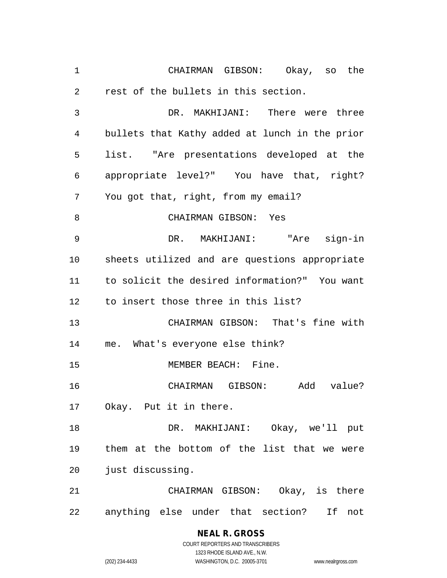CHAIRMAN GIBSON: Okay, so the rest of the bullets in this section. DR. MAKHIJANI: There were three bullets that Kathy added at lunch in the prior list. "Are presentations developed at the appropriate level?" You have that, right? You got that, right, from my email? CHAIRMAN GIBSON: Yes DR. MAKHIJANI: "Are sign-in sheets utilized and are questions appropriate to solicit the desired information?" You want to insert those three in this list? CHAIRMAN GIBSON: That's fine with me. What's everyone else think? 15 MEMBER BEACH: Fine. CHAIRMAN GIBSON: Add value? Okay. Put it in there. DR. MAKHIJANI: Okay, we'll put them at the bottom of the list that we were just discussing. CHAIRMAN GIBSON: Okay, is there anything else under that section? If not

# **NEAL R. GROSS**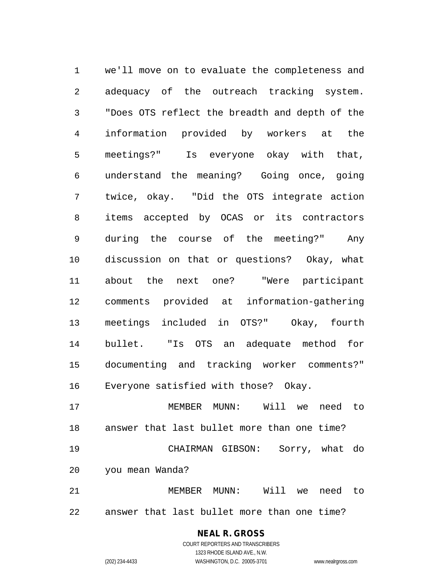we'll move on to evaluate the completeness and adequacy of the outreach tracking system. "Does OTS reflect the breadth and depth of the information provided by workers at the meetings?" Is everyone okay with that, understand the meaning? Going once, going twice, okay. "Did the OTS integrate action items accepted by OCAS or its contractors during the course of the meeting?" Any discussion on that or questions? Okay, what about the next one? "Were participant comments provided at information-gathering meetings included in OTS?" Okay, fourth bullet. "Is OTS an adequate method for documenting and tracking worker comments?" Everyone satisfied with those? Okay. MEMBER MUNN: Will we need to

 answer that last bullet more than one time? CHAIRMAN GIBSON: Sorry, what do you mean Wanda?

 MEMBER MUNN: Will we need to answer that last bullet more than one time?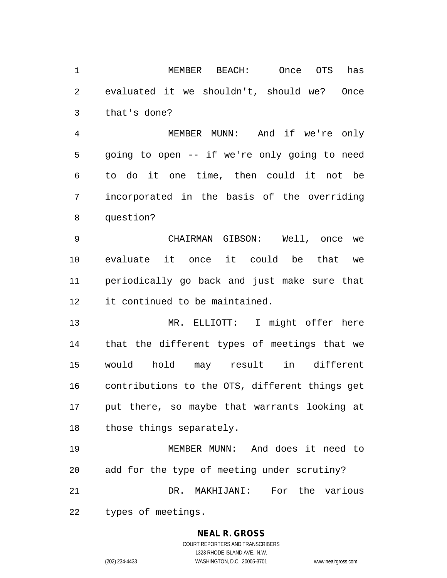MEMBER BEACH: Once OTS has evaluated it we shouldn't, should we? Once that's done?

 MEMBER MUNN: And if we're only going to open -- if we're only going to need to do it one time, then could it not be incorporated in the basis of the overriding question?

 CHAIRMAN GIBSON: Well, once we evaluate it once it could be that we periodically go back and just make sure that it continued to be maintained.

 MR. ELLIOTT: I might offer here that the different types of meetings that we would hold may result in different contributions to the OTS, different things get put there, so maybe that warrants looking at those things separately.

 MEMBER MUNN: And does it need to add for the type of meeting under scrutiny? DR. MAKHIJANI: For the various types of meetings.

# **NEAL R. GROSS**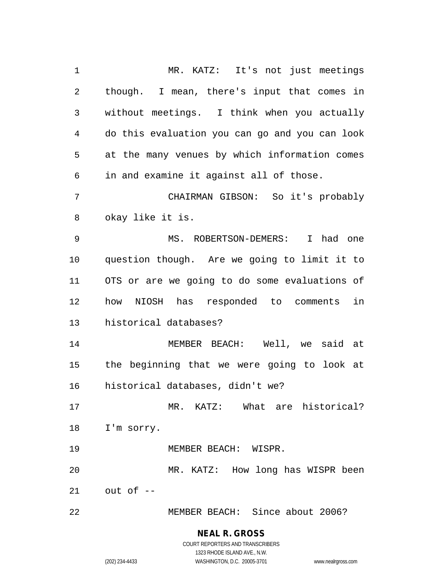MR. KATZ: It's not just meetings though. I mean, there's input that comes in without meetings. I think when you actually do this evaluation you can go and you can look at the many venues by which information comes in and examine it against all of those. CHAIRMAN GIBSON: So it's probably okay like it is. MS. ROBERTSON-DEMERS: I had one question though. Are we going to limit it to OTS or are we going to do some evaluations of how NIOSH has responded to comments in historical databases? MEMBER BEACH: Well, we said at the beginning that we were going to look at historical databases, didn't we? MR. KATZ: What are historical? I'm sorry. MEMBER BEACH: WISPR. MR. KATZ: How long has WISPR been out of -- MEMBER BEACH: Since about 2006?

#### **NEAL R. GROSS** COURT REPORTERS AND TRANSCRIBERS

1323 RHODE ISLAND AVE., N.W.

(202) 234-4433 WASHINGTON, D.C. 20005-3701 www.nealrgross.com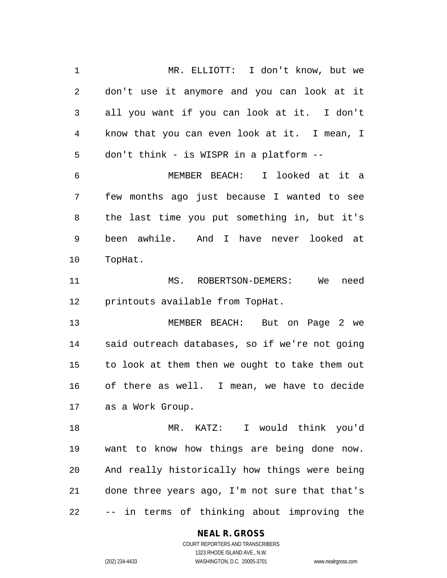MR. ELLIOTT: I don't know, but we don't use it anymore and you can look at it all you want if you can look at it. I don't know that you can even look at it. I mean, I don't think - is WISPR in a platform -- MEMBER BEACH: I looked at it a few months ago just because I wanted to see the last time you put something in, but it's been awhile. And I have never looked at TopHat. MS. ROBERTSON-DEMERS: We need printouts available from TopHat. MEMBER BEACH: But on Page 2 we said outreach databases, so if we're not going to look at them then we ought to take them out of there as well. I mean, we have to decide as a Work Group. MR. KATZ: I would think you'd want to know how things are being done now. And really historically how things were being done three years ago, I'm not sure that that's -- in terms of thinking about improving the

> **NEAL R. GROSS** COURT REPORTERS AND TRANSCRIBERS

> > 1323 RHODE ISLAND AVE., N.W.

(202) 234-4433 WASHINGTON, D.C. 20005-3701 www.nealrgross.com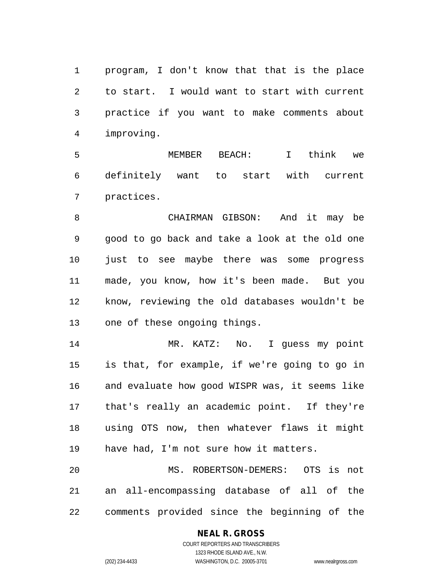program, I don't know that that is the place to start. I would want to start with current practice if you want to make comments about improving.

 MEMBER BEACH: I think we definitely want to start with current practices.

 CHAIRMAN GIBSON: And it may be good to go back and take a look at the old one just to see maybe there was some progress made, you know, how it's been made. But you know, reviewing the old databases wouldn't be one of these ongoing things.

14 MR. KATZ: No. I guess my point is that, for example, if we're going to go in and evaluate how good WISPR was, it seems like that's really an academic point. If they're using OTS now, then whatever flaws it might have had, I'm not sure how it matters.

 MS. ROBERTSON-DEMERS: OTS is not an all-encompassing database of all of the comments provided since the beginning of the

#### **NEAL R. GROSS** COURT REPORTERS AND TRANSCRIBERS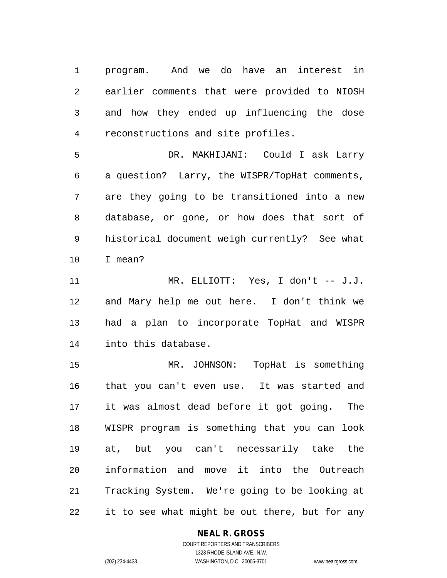program. And we do have an interest in earlier comments that were provided to NIOSH and how they ended up influencing the dose reconstructions and site profiles.

 DR. MAKHIJANI: Could I ask Larry a question? Larry, the WISPR/TopHat comments, are they going to be transitioned into a new database, or gone, or how does that sort of historical document weigh currently? See what I mean?

 MR. ELLIOTT: Yes, I don't -- J.J. and Mary help me out here. I don't think we had a plan to incorporate TopHat and WISPR into this database.

 MR. JOHNSON: TopHat is something that you can't even use. It was started and it was almost dead before it got going. The WISPR program is something that you can look at, but you can't necessarily take the information and move it into the Outreach Tracking System. We're going to be looking at it to see what might be out there, but for any

#### **NEAL R. GROSS**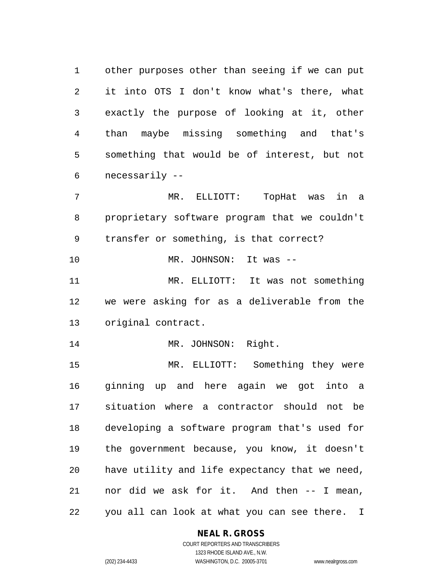other purposes other than seeing if we can put it into OTS I don't know what's there, what exactly the purpose of looking at it, other than maybe missing something and that's something that would be of interest, but not necessarily --

 MR. ELLIOTT: TopHat was in a proprietary software program that we couldn't transfer or something, is that correct? MR. JOHNSON: It was --

 MR. ELLIOTT: It was not something we were asking for as a deliverable from the original contract.

14 MR. JOHNSON: Right.

 MR. ELLIOTT: Something they were ginning up and here again we got into a situation where a contractor should not be developing a software program that's used for the government because, you know, it doesn't have utility and life expectancy that we need, nor did we ask for it. And then -- I mean, you all can look at what you can see there. I

#### **NEAL R. GROSS**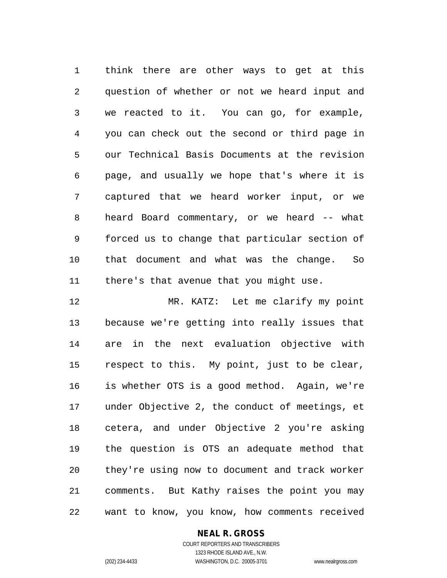think there are other ways to get at this question of whether or not we heard input and we reacted to it. You can go, for example, you can check out the second or third page in our Technical Basis Documents at the revision page, and usually we hope that's where it is captured that we heard worker input, or we heard Board commentary, or we heard -- what forced us to change that particular section of that document and what was the change. So there's that avenue that you might use.

 MR. KATZ: Let me clarify my point because we're getting into really issues that are in the next evaluation objective with respect to this. My point, just to be clear, is whether OTS is a good method. Again, we're under Objective 2, the conduct of meetings, et cetera, and under Objective 2 you're asking the question is OTS an adequate method that they're using now to document and track worker comments. But Kathy raises the point you may want to know, you know, how comments received

#### **NEAL R. GROSS**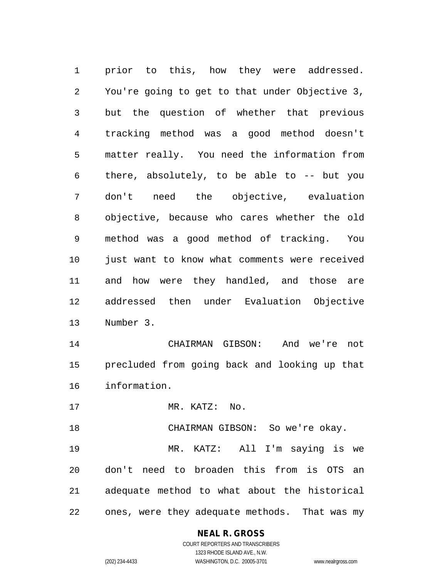prior to this, how they were addressed. You're going to get to that under Objective 3, but the question of whether that previous tracking method was a good method doesn't matter really. You need the information from there, absolutely, to be able to -- but you don't need the objective, evaluation objective, because who cares whether the old method was a good method of tracking. You just want to know what comments were received and how were they handled, and those are addressed then under Evaluation Objective Number 3.

 CHAIRMAN GIBSON: And we're not precluded from going back and looking up that information.

MR. KATZ: No.

CHAIRMAN GIBSON: So we're okay.

 MR. KATZ: All I'm saying is we don't need to broaden this from is OTS an adequate method to what about the historical ones, were they adequate methods. That was my

# **NEAL R. GROSS**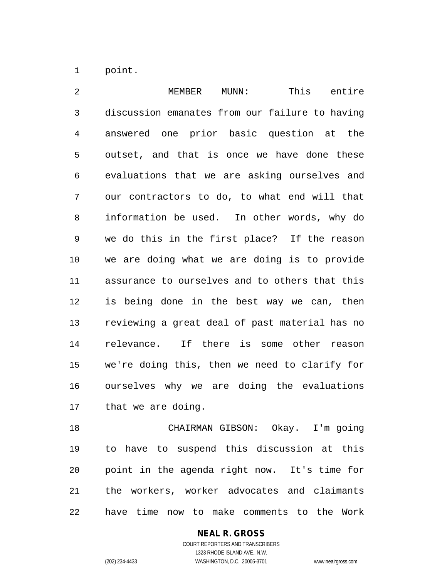point.

2 MEMBER MUNN: This entire discussion emanates from our failure to having answered one prior basic question at the outset, and that is once we have done these evaluations that we are asking ourselves and our contractors to do, to what end will that information be used. In other words, why do we do this in the first place? If the reason we are doing what we are doing is to provide assurance to ourselves and to others that this is being done in the best way we can, then reviewing a great deal of past material has no relevance. If there is some other reason we're doing this, then we need to clarify for ourselves why we are doing the evaluations that we are doing.

 CHAIRMAN GIBSON: Okay. I'm going to have to suspend this discussion at this point in the agenda right now. It's time for the workers, worker advocates and claimants have time now to make comments to the Work

## **NEAL R. GROSS**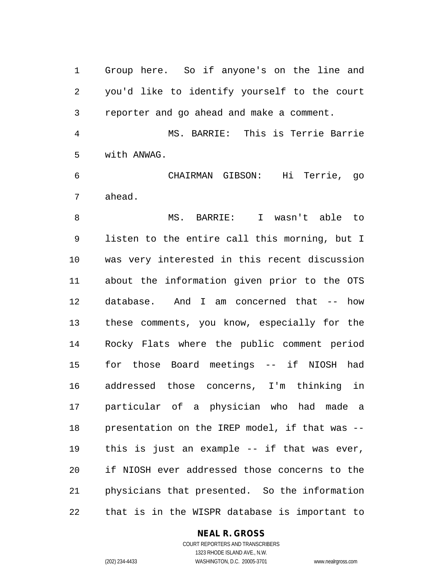Group here. So if anyone's on the line and you'd like to identify yourself to the court reporter and go ahead and make a comment.

 MS. BARRIE: This is Terrie Barrie with ANWAG.

 CHAIRMAN GIBSON: Hi Terrie, go ahead.

 MS. BARRIE: I wasn't able to listen to the entire call this morning, but I was very interested in this recent discussion about the information given prior to the OTS database. And I am concerned that -- how these comments, you know, especially for the Rocky Flats where the public comment period for those Board meetings -- if NIOSH had addressed those concerns, I'm thinking in particular of a physician who had made a presentation on the IREP model, if that was -- this is just an example -- if that was ever, if NIOSH ever addressed those concerns to the physicians that presented. So the information that is in the WISPR database is important to

#### **NEAL R. GROSS**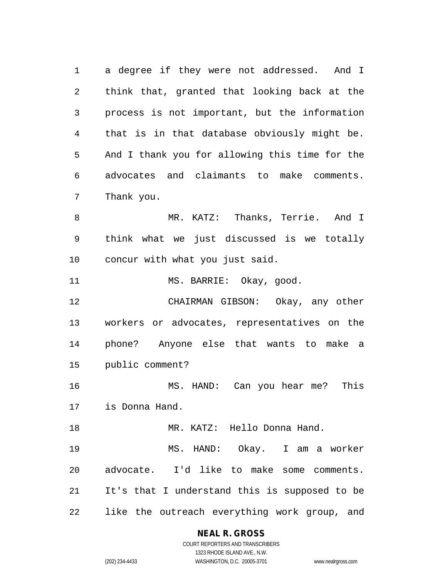a degree if they were not addressed. And I think that, granted that looking back at the process is not important, but the information that is in that database obviously might be. And I thank you for allowing this time for the advocates and claimants to make comments. Thank you. MR. KATZ: Thanks, Terrie. And I

 think what we just discussed is we totally concur with what you just said.

11 MS. BARRIE: Okay, good.

 CHAIRMAN GIBSON: Okay, any other workers or advocates, representatives on the phone? Anyone else that wants to make a public comment?

 MS. HAND: Can you hear me? This is Donna Hand.

 MR. KATZ: Hello Donna Hand. MS. HAND: Okay. I am a worker advocate. I'd like to make some comments. It's that I understand this is supposed to be like the outreach everything work group, and

#### **NEAL R. GROSS**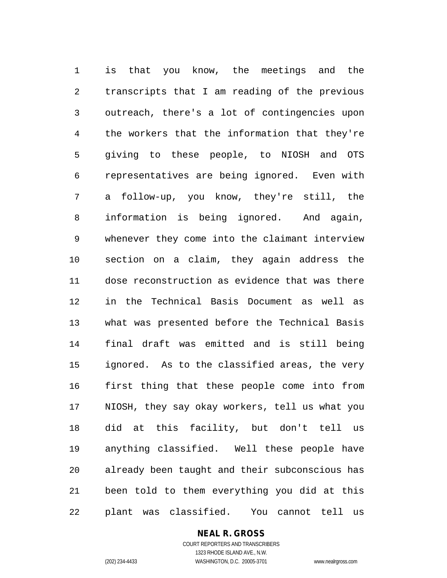is that you know, the meetings and the transcripts that I am reading of the previous outreach, there's a lot of contingencies upon the workers that the information that they're giving to these people, to NIOSH and OTS representatives are being ignored. Even with a follow-up, you know, they're still, the information is being ignored. And again, whenever they come into the claimant interview section on a claim, they again address the dose reconstruction as evidence that was there in the Technical Basis Document as well as what was presented before the Technical Basis final draft was emitted and is still being ignored. As to the classified areas, the very first thing that these people come into from NIOSH, they say okay workers, tell us what you did at this facility, but don't tell us anything classified. Well these people have already been taught and their subconscious has been told to them everything you did at this plant was classified. You cannot tell us

## **NEAL R. GROSS**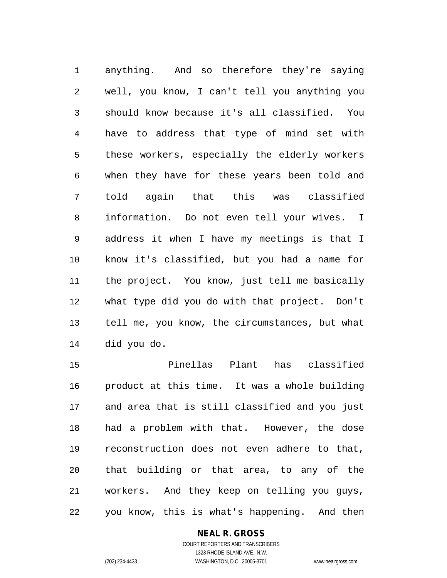anything. And so therefore they're saying well, you know, I can't tell you anything you should know because it's all classified. You have to address that type of mind set with these workers, especially the elderly workers when they have for these years been told and told again that this was classified information. Do not even tell your wives. I address it when I have my meetings is that I know it's classified, but you had a name for the project. You know, just tell me basically what type did you do with that project. Don't tell me, you know, the circumstances, but what did you do.

 Pinellas Plant has classified product at this time. It was a whole building and area that is still classified and you just had a problem with that. However, the dose reconstruction does not even adhere to that, that building or that area, to any of the workers. And they keep on telling you guys, you know, this is what's happening. And then

#### **NEAL R. GROSS**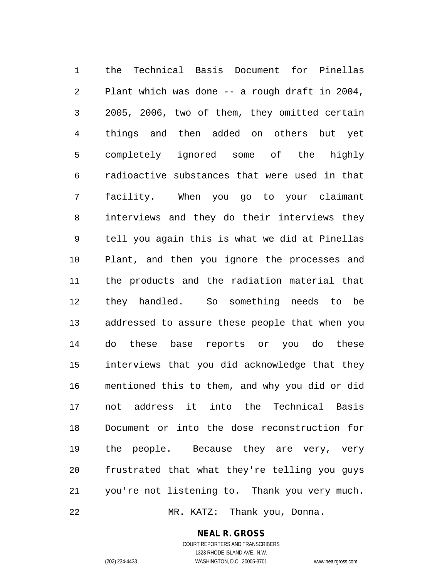the Technical Basis Document for Pinellas Plant which was done -- a rough draft in 2004, 2005, 2006, two of them, they omitted certain things and then added on others but yet completely ignored some of the highly radioactive substances that were used in that facility. When you go to your claimant interviews and they do their interviews they tell you again this is what we did at Pinellas Plant, and then you ignore the processes and the products and the radiation material that they handled. So something needs to be addressed to assure these people that when you do these base reports or you do these interviews that you did acknowledge that they mentioned this to them, and why you did or did not address it into the Technical Basis Document or into the dose reconstruction for the people. Because they are very, very frustrated that what they're telling you guys you're not listening to. Thank you very much. MR. KATZ: Thank you, Donna.

#### **NEAL R. GROSS**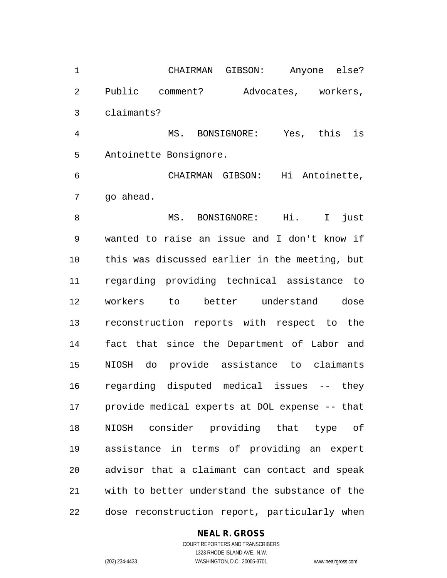CHAIRMAN GIBSON: Anyone else? Public comment? Advocates, workers, claimants?

 MS. BONSIGNORE: Yes, this is Antoinette Bonsignore.

 CHAIRMAN GIBSON: Hi Antoinette, go ahead.

8 MS. BONSIGNORE: Hi. I just wanted to raise an issue and I don't know if this was discussed earlier in the meeting, but regarding providing technical assistance to workers to better understand dose reconstruction reports with respect to the fact that since the Department of Labor and NIOSH do provide assistance to claimants regarding disputed medical issues -- they provide medical experts at DOL expense -- that NIOSH consider providing that type of assistance in terms of providing an expert advisor that a claimant can contact and speak with to better understand the substance of the dose reconstruction report, particularly when

#### **NEAL R. GROSS**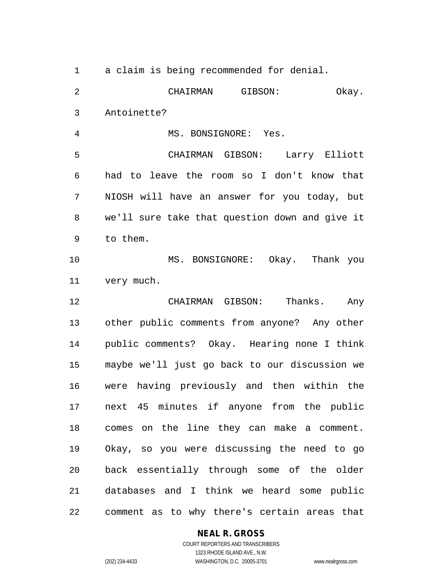a claim is being recommended for denial. CHAIRMAN GIBSON: Okay. Antoinette? MS. BONSIGNORE: Yes. CHAIRMAN GIBSON: Larry Elliott had to leave the room so I don't know that NIOSH will have an answer for you today, but we'll sure take that question down and give it to them. MS. BONSIGNORE: Okay. Thank you very much. CHAIRMAN GIBSON: Thanks. Any other public comments from anyone? Any other public comments? Okay. Hearing none I think maybe we'll just go back to our discussion we were having previously and then within the next 45 minutes if anyone from the public comes on the line they can make a comment. Okay, so you were discussing the need to go back essentially through some of the older databases and I think we heard some public comment as to why there's certain areas that

#### **NEAL R. GROSS**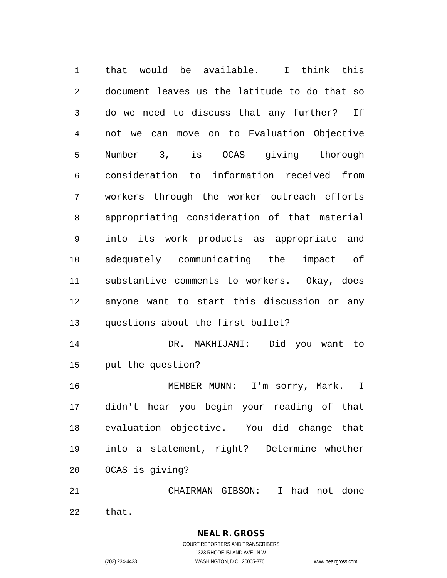that would be available. I think this document leaves us the latitude to do that so do we need to discuss that any further? If not we can move on to Evaluation Objective Number 3, is OCAS giving thorough consideration to information received from workers through the worker outreach efforts appropriating consideration of that material into its work products as appropriate and adequately communicating the impact of substantive comments to workers. Okay, does anyone want to start this discussion or any questions about the first bullet? DR. MAKHIJANI: Did you want to put the question? MEMBER MUNN: I'm sorry, Mark. I didn't hear you begin your reading of that evaluation objective. You did change that into a statement, right? Determine whether OCAS is giving?

 CHAIRMAN GIBSON: I had not done that.

> COURT REPORTERS AND TRANSCRIBERS 1323 RHODE ISLAND AVE., N.W. (202) 234-4433 WASHINGTON, D.C. 20005-3701 www.nealrgross.com

**NEAL R. GROSS**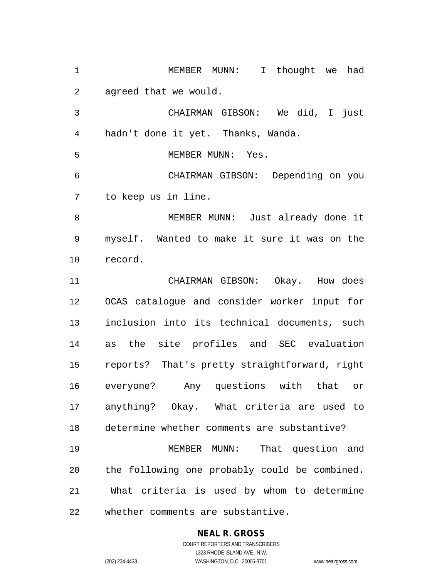MEMBER MUNN: I thought we had agreed that we would.

 CHAIRMAN GIBSON: We did, I just hadn't done it yet. Thanks, Wanda.

MEMBER MUNN: Yes.

 CHAIRMAN GIBSON: Depending on you to keep us in line.

 MEMBER MUNN: Just already done it myself. Wanted to make it sure it was on the record.

 CHAIRMAN GIBSON: Okay. How does OCAS catalogue and consider worker input for inclusion into its technical documents, such as the site profiles and SEC evaluation reports? That's pretty straightforward, right everyone? Any questions with that or anything? Okay. What criteria are used to determine whether comments are substantive? MEMBER MUNN: That question and the following one probably could be combined.

 What criteria is used by whom to determine whether comments are substantive.

## **NEAL R. GROSS**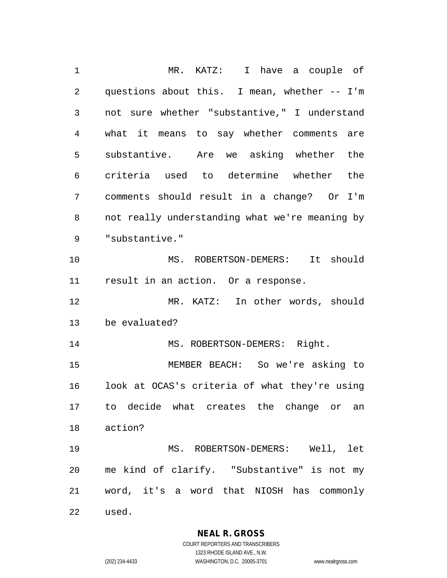MR. KATZ: I have a couple of questions about this. I mean, whether -- I'm not sure whether "substantive," I understand what it means to say whether comments are substantive. Are we asking whether the criteria used to determine whether the comments should result in a change? Or I'm not really understanding what we're meaning by "substantive." MS. ROBERTSON-DEMERS: It should result in an action. Or a response. MR. KATZ: In other words, should be evaluated? 14 MS. ROBERTSON-DEMERS: Right. MEMBER BEACH: So we're asking to look at OCAS's criteria of what they're using to decide what creates the change or an action? MS. ROBERTSON-DEMERS: Well, let me kind of clarify. "Substantive" is not my word, it's a word that NIOSH has commonly used.

> **NEAL R. GROSS** COURT REPORTERS AND TRANSCRIBERS

1323 RHODE ISLAND AVE., N.W. (202) 234-4433 WASHINGTON, D.C. 20005-3701 www.nealrgross.com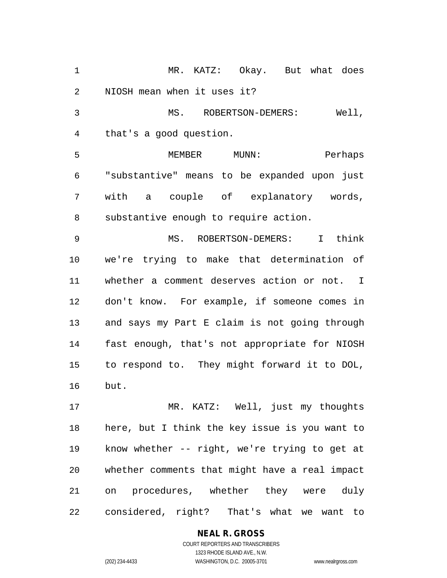MR. KATZ: Okay. But what does NIOSH mean when it uses it? MS. ROBERTSON-DEMERS: Well, that's a good question. 5 MEMBER MUNN: Perhaps "substantive" means to be expanded upon just with a couple of explanatory words, substantive enough to require action. MS. ROBERTSON-DEMERS: I think we're trying to make that determination of

 whether a comment deserves action or not. I don't know. For example, if someone comes in and says my Part E claim is not going through fast enough, that's not appropriate for NIOSH to respond to. They might forward it to DOL, but.

 MR. KATZ: Well, just my thoughts here, but I think the key issue is you want to know whether -- right, we're trying to get at whether comments that might have a real impact on procedures, whether they were duly considered, right? That's what we want to

#### **NEAL R. GROSS** COURT REPORTERS AND TRANSCRIBERS

1323 RHODE ISLAND AVE., N.W. (202) 234-4433 WASHINGTON, D.C. 20005-3701 www.nealrgross.com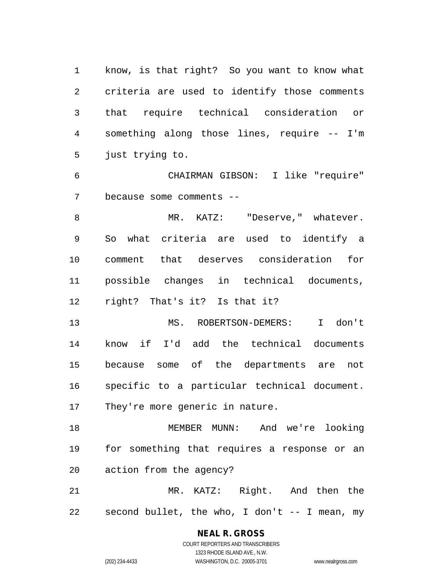know, is that right? So you want to know what criteria are used to identify those comments that require technical consideration or something along those lines, require -- I'm just trying to.

 CHAIRMAN GIBSON: I like "require" because some comments --

8 MR. KATZ: "Deserve," whatever. So what criteria are used to identify a comment that deserves consideration for possible changes in technical documents, right? That's it? Is that it?

 MS. ROBERTSON-DEMERS: I don't know if I'd add the technical documents because some of the departments are not specific to a particular technical document. They're more generic in nature.

 MEMBER MUNN: And we're looking for something that requires a response or an action from the agency?

 MR. KATZ: Right. And then the second bullet, the who, I don't -- I mean, my

# **NEAL R. GROSS**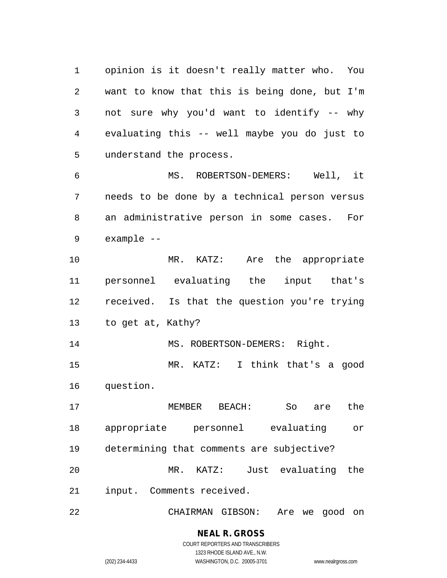opinion is it doesn't really matter who. You want to know that this is being done, but I'm not sure why you'd want to identify -- why evaluating this -- well maybe you do just to understand the process.

 MS. ROBERTSON-DEMERS: Well, it needs to be done by a technical person versus an administrative person in some cases. For example --

 MR. KATZ: Are the appropriate personnel evaluating the input that's received. Is that the question you're trying to get at, Kathy?

14 MS. ROBERTSON-DEMERS: Right. MR. KATZ: I think that's a good

question.

 MEMBER BEACH: So are the appropriate personnel evaluating or determining that comments are subjective? MR. KATZ: Just evaluating the input. Comments received.

CHAIRMAN GIBSON: Are we good on

**NEAL R. GROSS** COURT REPORTERS AND TRANSCRIBERS

1323 RHODE ISLAND AVE., N.W.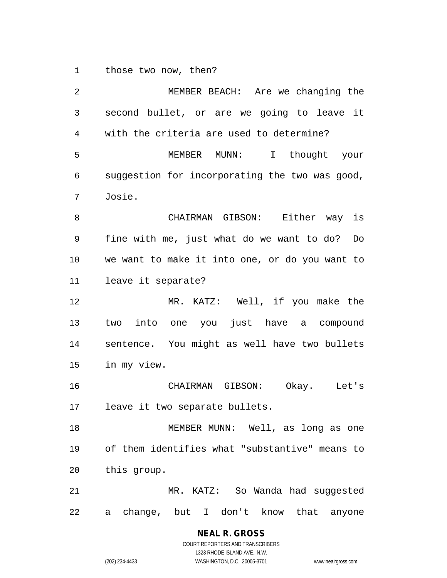those two now, then?

 MEMBER BEACH: Are we changing the second bullet, or are we going to leave it with the criteria are used to determine? MEMBER MUNN: I thought your suggestion for incorporating the two was good, Josie. CHAIRMAN GIBSON: Either way is fine with me, just what do we want to do? Do we want to make it into one, or do you want to leave it separate? MR. KATZ: Well, if you make the two into one you just have a compound sentence. You might as well have two bullets in my view. CHAIRMAN GIBSON: Okay. Let's leave it two separate bullets. 18 MEMBER MUNN: Well, as long as one of them identifies what "substantive" means to this group. MR. KATZ: So Wanda had suggested a change, but I don't know that anyone

# **NEAL R. GROSS**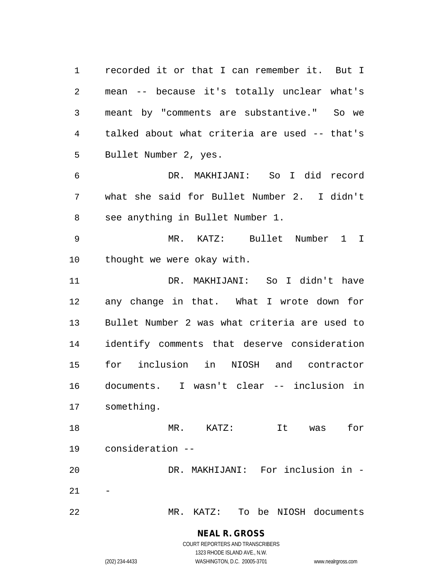recorded it or that I can remember it. But I mean -- because it's totally unclear what's meant by "comments are substantive." So we talked about what criteria are used -- that's Bullet Number 2, yes. DR. MAKHIJANI: So I did record what she said for Bullet Number 2. I didn't see anything in Bullet Number 1. MR. KATZ: Bullet Number 1 I thought we were okay with. DR. MAKHIJANI: So I didn't have any change in that. What I wrote down for Bullet Number 2 was what criteria are used to identify comments that deserve consideration for inclusion in NIOSH and contractor documents. I wasn't clear -- inclusion in something. MR. KATZ: It was for consideration -- DR. MAKHIJANI: For inclusion in -  $21 - -$ MR. KATZ: To be NIOSH documents

#### **NEAL R. GROSS** COURT REPORTERS AND TRANSCRIBERS

1323 RHODE ISLAND AVE., N.W.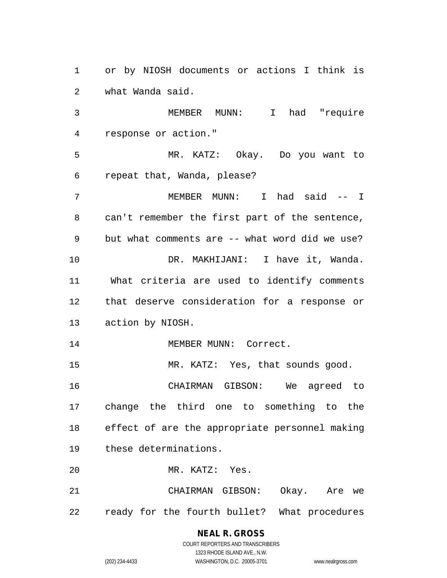or by NIOSH documents or actions I think is what Wanda said.

 MEMBER MUNN: I had "require response or action."

 MR. KATZ: Okay. Do you want to repeat that, Wanda, please?

 MEMBER MUNN: I had said -- I can't remember the first part of the sentence, but what comments are -- what word did we use? DR. MAKHIJANI: I have it, Wanda. What criteria are used to identify comments that deserve consideration for a response or action by NIOSH.

14 MEMBER MUNN: Correct.

15 MR. KATZ: Yes, that sounds good.

 CHAIRMAN GIBSON: We agreed to change the third one to something to the effect of are the appropriate personnel making these determinations.

MR. KATZ: Yes.

 CHAIRMAN GIBSON: Okay. Are we ready for the fourth bullet? What procedures

## **NEAL R. GROSS**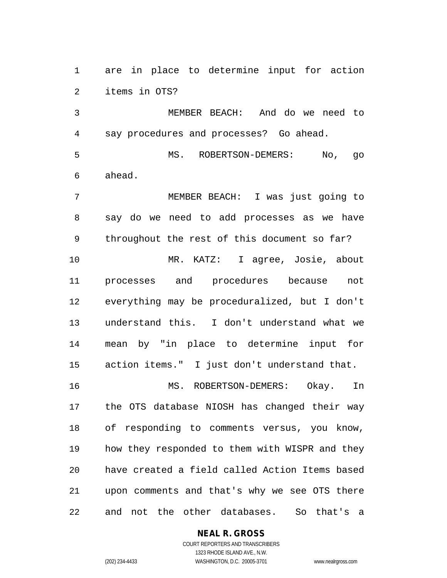are in place to determine input for action items in OTS?

 MEMBER BEACH: And do we need to say procedures and processes? Go ahead.

 MS. ROBERTSON-DEMERS: No, go ahead.

 MEMBER BEACH: I was just going to say do we need to add processes as we have throughout the rest of this document so far?

 MR. KATZ: I agree, Josie, about processes and procedures because not everything may be proceduralized, but I don't understand this. I don't understand what we mean by "in place to determine input for action items." I just don't understand that.

 MS. ROBERTSON-DEMERS: Okay. In the OTS database NIOSH has changed their way of responding to comments versus, you know, how they responded to them with WISPR and they have created a field called Action Items based upon comments and that's why we see OTS there and not the other databases. So that's a

## **NEAL R. GROSS**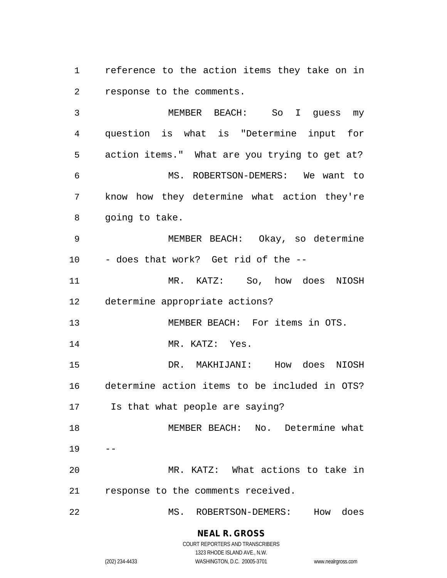reference to the action items they take on in response to the comments.

 MEMBER BEACH: So I guess my question is what is "Determine input for action items." What are you trying to get at? MS. ROBERTSON-DEMERS: We want to know how they determine what action they're going to take. MEMBER BEACH: Okay, so determine - does that work? Get rid of the --

 MR. KATZ: So, how does NIOSH determine appropriate actions?

MEMBER BEACH: For items in OTS.

14 MR. KATZ: Yes.

 DR. MAKHIJANI: How does NIOSH determine action items to be included in OTS? Is that what people are saying?

 MEMBER BEACH: No. Determine what MR. KATZ: What actions to take in

response to the comments received.

MS. ROBERTSON-DEMERS: How does

**NEAL R. GROSS** COURT REPORTERS AND TRANSCRIBERS

1323 RHODE ISLAND AVE., N.W.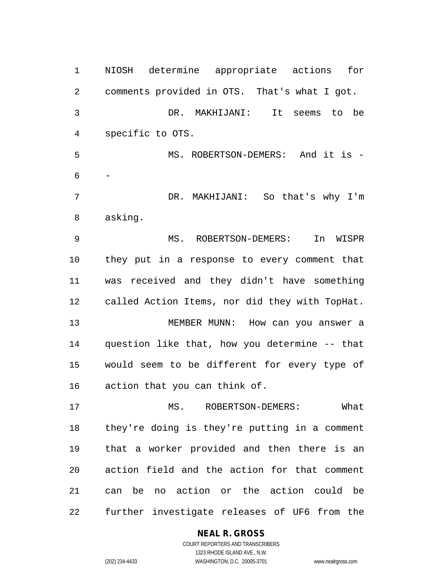NIOSH determine appropriate actions for comments provided in OTS. That's what I got. DR. MAKHIJANI: It seems to be specific to OTS. MS. ROBERTSON-DEMERS: And it is - - DR. MAKHIJANI: So that's why I'm asking. MS. ROBERTSON-DEMERS: In WISPR they put in a response to every comment that was received and they didn't have something called Action Items, nor did they with TopHat. MEMBER MUNN: How can you answer a question like that, how you determine -- that would seem to be different for every type of action that you can think of. 17 MS. ROBERTSON-DEMERS: What they're doing is they're putting in a comment that a worker provided and then there is an action field and the action for that comment can be no action or the action could be further investigate releases of UF6 from the

#### **NEAL R. GROSS** COURT REPORTERS AND TRANSCRIBERS

1323 RHODE ISLAND AVE., N.W.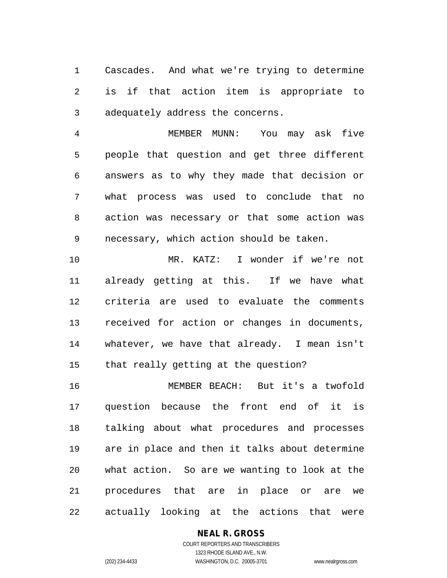Cascades. And what we're trying to determine is if that action item is appropriate to adequately address the concerns.

 MEMBER MUNN: You may ask five people that question and get three different answers as to why they made that decision or what process was used to conclude that no action was necessary or that some action was necessary, which action should be taken.

 MR. KATZ: I wonder if we're not already getting at this. If we have what criteria are used to evaluate the comments received for action or changes in documents, whatever, we have that already. I mean isn't that really getting at the question?

 MEMBER BEACH: But it's a twofold question because the front end of it is talking about what procedures and processes are in place and then it talks about determine what action. So are we wanting to look at the procedures that are in place or are we actually looking at the actions that were

## **NEAL R. GROSS**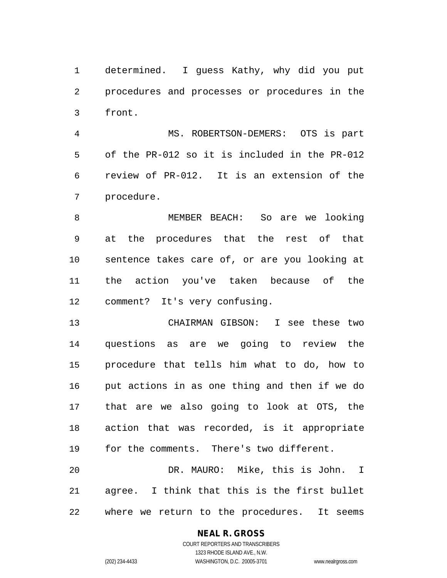determined. I guess Kathy, why did you put procedures and processes or procedures in the front.

 MS. ROBERTSON-DEMERS: OTS is part of the PR-012 so it is included in the PR-012 review of PR-012. It is an extension of the procedure.

 MEMBER BEACH: So are we looking at the procedures that the rest of that sentence takes care of, or are you looking at the action you've taken because of the comment? It's very confusing.

 CHAIRMAN GIBSON: I see these two questions as are we going to review the procedure that tells him what to do, how to put actions in as one thing and then if we do that are we also going to look at OTS, the action that was recorded, is it appropriate for the comments. There's two different.

 DR. MAURO: Mike, this is John. I agree. I think that this is the first bullet where we return to the procedures. It seems

#### **NEAL R. GROSS**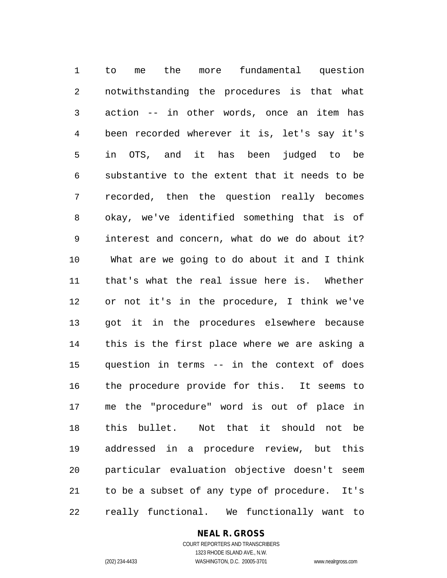to me the more fundamental question notwithstanding the procedures is that what action -- in other words, once an item has been recorded wherever it is, let's say it's in OTS, and it has been judged to be substantive to the extent that it needs to be recorded, then the question really becomes okay, we've identified something that is of interest and concern, what do we do about it? What are we going to do about it and I think that's what the real issue here is. Whether or not it's in the procedure, I think we've got it in the procedures elsewhere because this is the first place where we are asking a question in terms -- in the context of does the procedure provide for this. It seems to me the "procedure" word is out of place in this bullet. Not that it should not be addressed in a procedure review, but this particular evaluation objective doesn't seem to be a subset of any type of procedure. It's really functional. We functionally want to

#### **NEAL R. GROSS**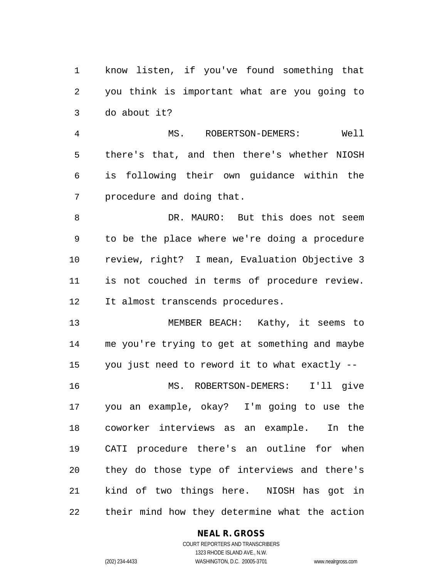know listen, if you've found something that you think is important what are you going to do about it?

 MS. ROBERTSON-DEMERS: Well there's that, and then there's whether NIOSH is following their own guidance within the procedure and doing that.

 DR. MAURO: But this does not seem to be the place where we're doing a procedure review, right? I mean, Evaluation Objective 3 is not couched in terms of procedure review. It almost transcends procedures.

 MEMBER BEACH: Kathy, it seems to me you're trying to get at something and maybe you just need to reword it to what exactly -- MS. ROBERTSON-DEMERS: I'll give you an example, okay? I'm going to use the coworker interviews as an example. In the CATI procedure there's an outline for when they do those type of interviews and there's kind of two things here. NIOSH has got in their mind how they determine what the action

## **NEAL R. GROSS**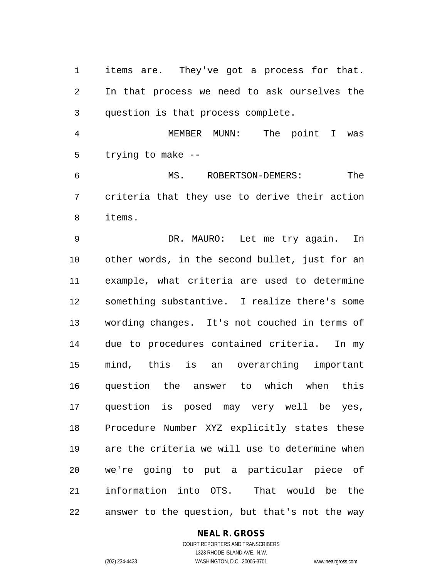items are. They've got a process for that. In that process we need to ask ourselves the question is that process complete.

 MEMBER MUNN: The point I was trying to make --

 MS. ROBERTSON-DEMERS: The criteria that they use to derive their action items.

 DR. MAURO: Let me try again. In other words, in the second bullet, just for an example, what criteria are used to determine something substantive. I realize there's some wording changes. It's not couched in terms of due to procedures contained criteria. In my mind, this is an overarching important question the answer to which when this question is posed may very well be yes, Procedure Number XYZ explicitly states these are the criteria we will use to determine when we're going to put a particular piece of information into OTS. That would be the answer to the question, but that's not the way

**NEAL R. GROSS**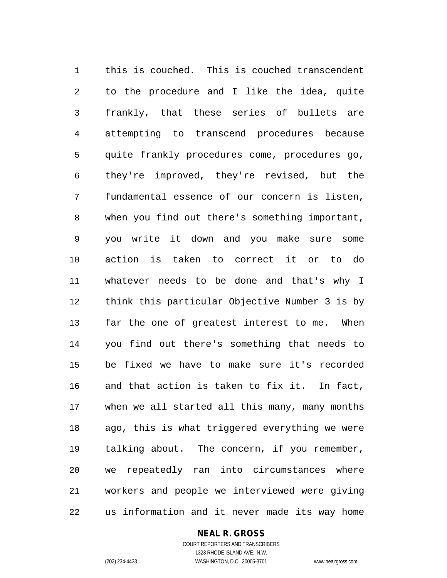this is couched. This is couched transcendent to the procedure and I like the idea, quite frankly, that these series of bullets are attempting to transcend procedures because quite frankly procedures come, procedures go, they're improved, they're revised, but the fundamental essence of our concern is listen, when you find out there's something important, you write it down and you make sure some action is taken to correct it or to do whatever needs to be done and that's why I think this particular Objective Number 3 is by far the one of greatest interest to me. When you find out there's something that needs to be fixed we have to make sure it's recorded and that action is taken to fix it. In fact, when we all started all this many, many months ago, this is what triggered everything we were talking about. The concern, if you remember, we repeatedly ran into circumstances where workers and people we interviewed were giving us information and it never made its way home

#### **NEAL R. GROSS** COURT REPORTERS AND TRANSCRIBERS

1323 RHODE ISLAND AVE., N.W. (202) 234-4433 WASHINGTON, D.C. 20005-3701 www.nealrgross.com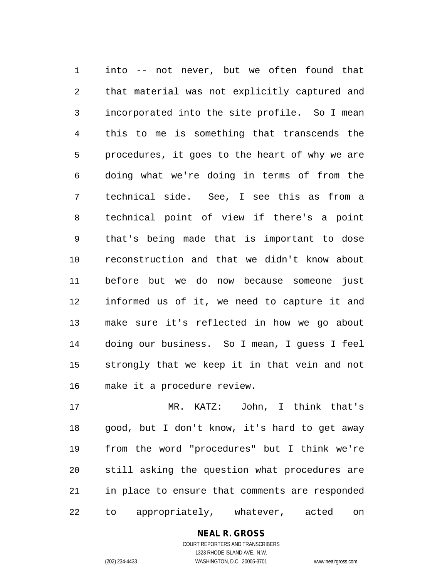into -- not never, but we often found that that material was not explicitly captured and incorporated into the site profile. So I mean this to me is something that transcends the procedures, it goes to the heart of why we are doing what we're doing in terms of from the technical side. See, I see this as from a technical point of view if there's a point that's being made that is important to dose reconstruction and that we didn't know about before but we do now because someone just informed us of it, we need to capture it and make sure it's reflected in how we go about doing our business. So I mean, I guess I feel strongly that we keep it in that vein and not make it a procedure review.

 MR. KATZ: John, I think that's good, but I don't know, it's hard to get away from the word "procedures" but I think we're still asking the question what procedures are in place to ensure that comments are responded to appropriately, whatever, acted on

## **NEAL R. GROSS**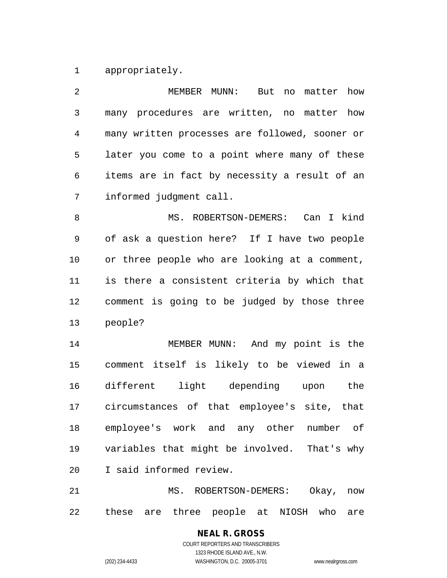appropriately.

| 2  | MEMBER MUNN:<br>But no matter how              |
|----|------------------------------------------------|
| 3  | many procedures are written, no matter how     |
| 4  | many written processes are followed, sooner or |
| 5  | later you come to a point where many of these  |
| 6  | items are in fact by necessity a result of an  |
| 7  | informed judgment call.                        |
| 8  | MS. ROBERTSON-DEMERS: Can I kind               |
| 9  | of ask a question here? If I have two people   |
| 10 | or three people who are looking at a comment,  |
| 11 | is there a consistent criteria by which that   |
| 12 | comment is going to be judged by those three   |
| 13 | people?                                        |
| 14 | MEMBER MUNN: And my point is the               |
| 15 | comment itself is likely to be viewed in a     |
| 16 | different light depending upon the             |
| 17 | circumstances of that employee's site, that    |
| 18 | employee's work and any other number of        |
| 19 | variables that might be involved. That's why   |
| 20 | I said informed review.                        |
| 21 | MS. ROBERTSON-DEMERS:<br>Okay,<br>now          |

these are three people at NIOSH who are

# **NEAL R. GROSS**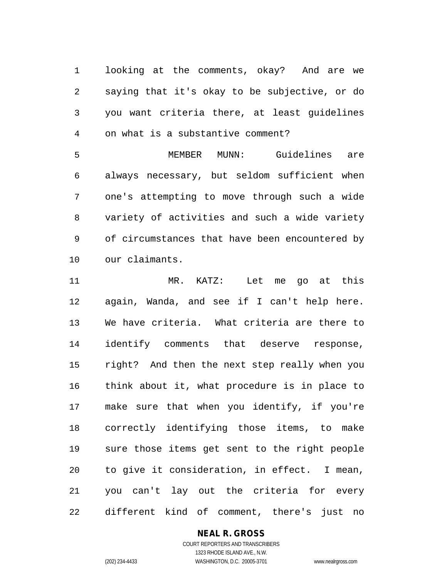looking at the comments, okay? And are we saying that it's okay to be subjective, or do you want criteria there, at least guidelines on what is a substantive comment?

 MEMBER MUNN: Guidelines are always necessary, but seldom sufficient when one's attempting to move through such a wide variety of activities and such a wide variety of circumstances that have been encountered by our claimants.

 MR. KATZ: Let me go at this again, Wanda, and see if I can't help here. We have criteria. What criteria are there to identify comments that deserve response, right? And then the next step really when you think about it, what procedure is in place to make sure that when you identify, if you're correctly identifying those items, to make sure those items get sent to the right people to give it consideration, in effect. I mean, you can't lay out the criteria for every different kind of comment, there's just no

### **NEAL R. GROSS** COURT REPORTERS AND TRANSCRIBERS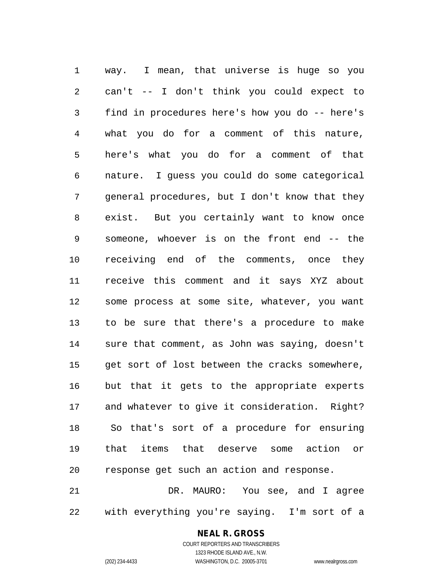way. I mean, that universe is huge so you can't -- I don't think you could expect to find in procedures here's how you do -- here's what you do for a comment of this nature, here's what you do for a comment of that nature. I guess you could do some categorical general procedures, but I don't know that they exist. But you certainly want to know once someone, whoever is on the front end -- the receiving end of the comments, once they receive this comment and it says XYZ about some process at some site, whatever, you want to be sure that there's a procedure to make sure that comment, as John was saying, doesn't get sort of lost between the cracks somewhere, but that it gets to the appropriate experts and whatever to give it consideration. Right? So that's sort of a procedure for ensuring that items that deserve some action or response get such an action and response. DR. MAURO: You see, and I agree

with everything you're saying. I'm sort of a

## **NEAL R. GROSS**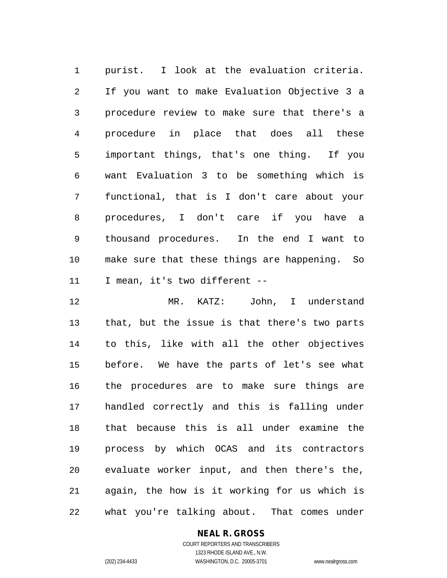purist. I look at the evaluation criteria. If you want to make Evaluation Objective 3 a procedure review to make sure that there's a procedure in place that does all these important things, that's one thing. If you want Evaluation 3 to be something which is functional, that is I don't care about your procedures, I don't care if you have a thousand procedures. In the end I want to make sure that these things are happening. So I mean, it's two different --

 MR. KATZ: John, I understand that, but the issue is that there's two parts to this, like with all the other objectives before. We have the parts of let's see what the procedures are to make sure things are handled correctly and this is falling under that because this is all under examine the process by which OCAS and its contractors evaluate worker input, and then there's the, again, the how is it working for us which is what you're talking about. That comes under

#### **NEAL R. GROSS** COURT REPORTERS AND TRANSCRIBERS

1323 RHODE ISLAND AVE., N.W.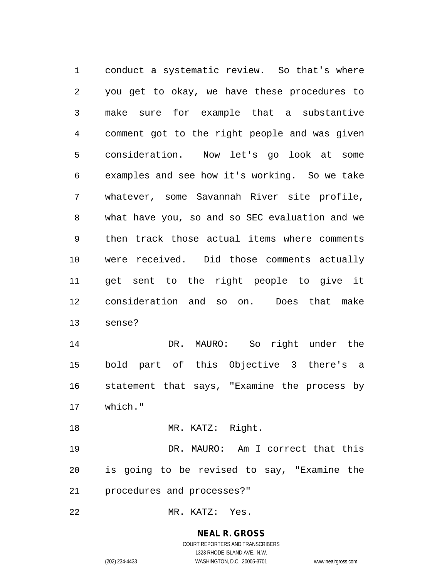conduct a systematic review. So that's where you get to okay, we have these procedures to make sure for example that a substantive comment got to the right people and was given consideration. Now let's go look at some examples and see how it's working. So we take whatever, some Savannah River site profile, what have you, so and so SEC evaluation and we then track those actual items where comments were received. Did those comments actually get sent to the right people to give it consideration and so on. Does that make sense? DR. MAURO: So right under the bold part of this Objective 3 there's a statement that says, "Examine the process by which." 18 MR. KATZ: Right. DR. MAURO: Am I correct that this is going to be revised to say, "Examine the procedures and processes?"

MR. KATZ: Yes.

**NEAL R. GROSS** COURT REPORTERS AND TRANSCRIBERS 1323 RHODE ISLAND AVE., N.W.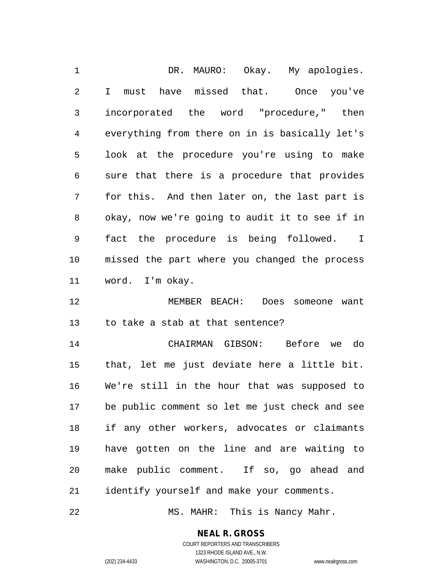1 DR. MAURO: Okay. My apologies. I must have missed that. Once you've incorporated the word "procedure," then everything from there on in is basically let's look at the procedure you're using to make sure that there is a procedure that provides for this. And then later on, the last part is okay, now we're going to audit it to see if in fact the procedure is being followed. I missed the part where you changed the process word. I'm okay.

 MEMBER BEACH: Does someone want to take a stab at that sentence?

 CHAIRMAN GIBSON: Before we do that, let me just deviate here a little bit. We're still in the hour that was supposed to be public comment so let me just check and see if any other workers, advocates or claimants have gotten on the line and are waiting to make public comment. If so, go ahead and identify yourself and make your comments.

22 MS. MAHR: This is Nancy Mahr.

#### **NEAL R. GROSS** COURT REPORTERS AND TRANSCRIBERS

1323 RHODE ISLAND AVE., N.W.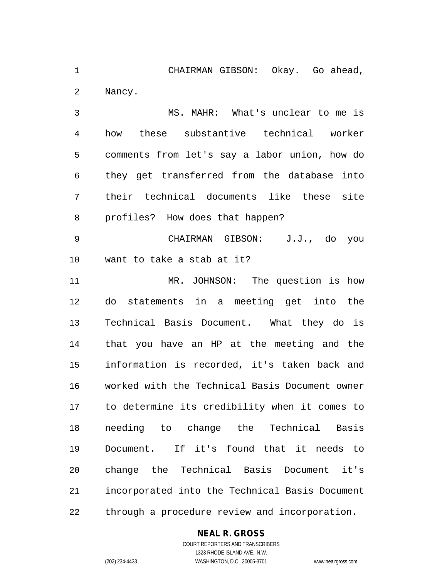CHAIRMAN GIBSON: Okay. Go ahead, Nancy.

 MS. MAHR: What's unclear to me is how these substantive technical worker comments from let's say a labor union, how do they get transferred from the database into their technical documents like these site profiles? How does that happen?

 CHAIRMAN GIBSON: J.J., do you want to take a stab at it?

 MR. JOHNSON: The question is how do statements in a meeting get into the Technical Basis Document. What they do is that you have an HP at the meeting and the information is recorded, it's taken back and worked with the Technical Basis Document owner to determine its credibility when it comes to needing to change the Technical Basis Document. If it's found that it needs to change the Technical Basis Document it's incorporated into the Technical Basis Document through a procedure review and incorporation.

## **NEAL R. GROSS**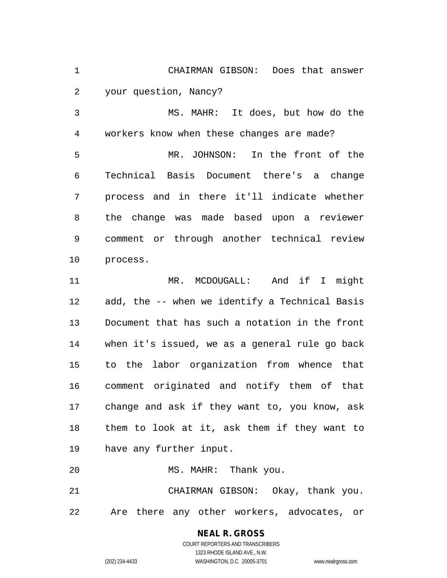CHAIRMAN GIBSON: Does that answer your question, Nancy?

 MS. MAHR: It does, but how do the workers know when these changes are made? MR. JOHNSON: In the front of the Technical Basis Document there's a change process and in there it'll indicate whether the change was made based upon a reviewer comment or through another technical review process.

11 MR. MCDOUGALL: And if I might add, the -- when we identify a Technical Basis Document that has such a notation in the front when it's issued, we as a general rule go back to the labor organization from whence that comment originated and notify them of that change and ask if they want to, you know, ask them to look at it, ask them if they want to have any further input.

MS. MAHR: Thank you.

 CHAIRMAN GIBSON: Okay, thank you. Are there any other workers, advocates, or

**NEAL R. GROSS**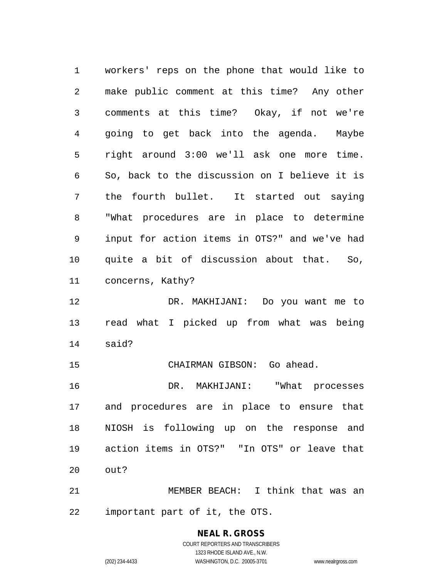workers' reps on the phone that would like to make public comment at this time? Any other comments at this time? Okay, if not we're going to get back into the agenda. Maybe right around 3:00 we'll ask one more time. So, back to the discussion on I believe it is the fourth bullet. It started out saying "What procedures are in place to determine input for action items in OTS?" and we've had quite a bit of discussion about that. So, concerns, Kathy? DR. MAKHIJANI: Do you want me to read what I picked up from what was being said? CHAIRMAN GIBSON: Go ahead. DR. MAKHIJANI: "What processes and procedures are in place to ensure that NIOSH is following up on the response and action items in OTS?" "In OTS" or leave that out? MEMBER BEACH: I think that was an

important part of it, the OTS.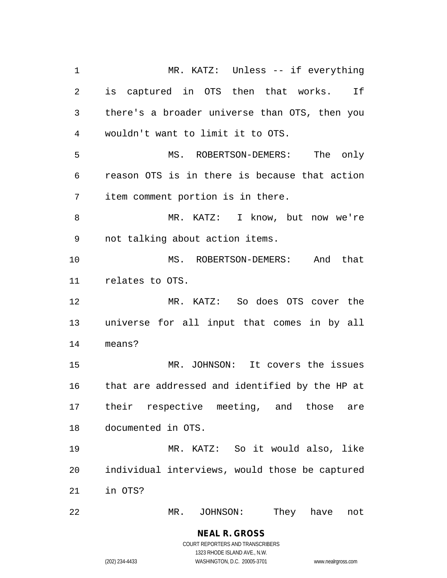MR. KATZ: Unless -- if everything is captured in OTS then that works. If there's a broader universe than OTS, then you wouldn't want to limit it to OTS. MS. ROBERTSON-DEMERS: The only reason OTS is in there is because that action item comment portion is in there. MR. KATZ: I know, but now we're not talking about action items. MS. ROBERTSON-DEMERS: And that relates to OTS. MR. KATZ: So does OTS cover the universe for all input that comes in by all means? MR. JOHNSON: It covers the issues that are addressed and identified by the HP at their respective meeting, and those are documented in OTS. MR. KATZ: So it would also, like individual interviews, would those be captured in OTS? MR. JOHNSON: They have not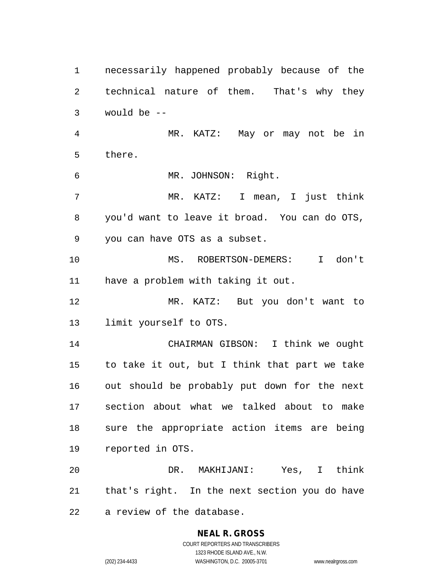necessarily happened probably because of the technical nature of them. That's why they would be -- MR. KATZ: May or may not be in there. MR. JOHNSON: Right. MR. KATZ: I mean, I just think you'd want to leave it broad. You can do OTS, you can have OTS as a subset. MS. ROBERTSON-DEMERS: I don't have a problem with taking it out. MR. KATZ: But you don't want to limit yourself to OTS. CHAIRMAN GIBSON: I think we ought to take it out, but I think that part we take out should be probably put down for the next section about what we talked about to make sure the appropriate action items are being reported in OTS. DR. MAKHIJANI: Yes, I think that's right. In the next section you do have a review of the database.

### **NEAL R. GROSS** COURT REPORTERS AND TRANSCRIBERS 1323 RHODE ISLAND AVE., N.W.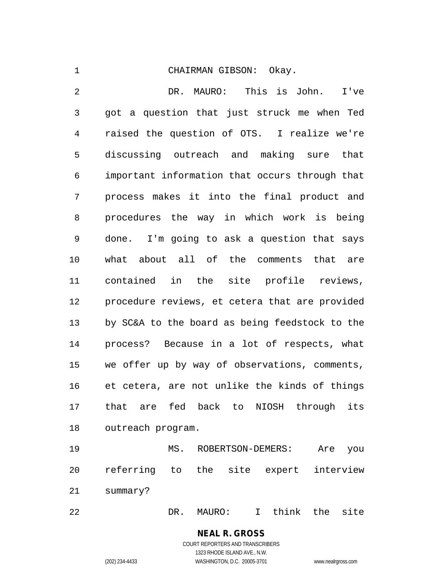#### CHAIRMAN GIBSON: Okay.

 DR. MAURO: This is John. I've got a question that just struck me when Ted raised the question of OTS. I realize we're discussing outreach and making sure that important information that occurs through that process makes it into the final product and procedures the way in which work is being done. I'm going to ask a question that says what about all of the comments that are contained in the site profile reviews, procedure reviews, et cetera that are provided by SC&A to the board as being feedstock to the process? Because in a lot of respects, what we offer up by way of observations, comments, et cetera, are not unlike the kinds of things that are fed back to NIOSH through its outreach program.

 MS. ROBERTSON-DEMERS: Are you referring to the site expert interview summary?

DR. MAURO: I think the site

**NEAL R. GROSS** COURT REPORTERS AND TRANSCRIBERS 1323 RHODE ISLAND AVE., N.W.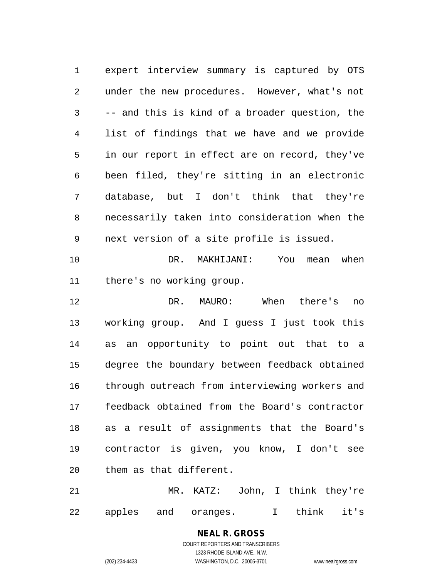expert interview summary is captured by OTS under the new procedures. However, what's not -- and this is kind of a broader question, the list of findings that we have and we provide in our report in effect are on record, they've been filed, they're sitting in an electronic database, but I don't think that they're necessarily taken into consideration when the next version of a site profile is issued.

 DR. MAKHIJANI: You mean when there's no working group.

 DR. MAURO: When there's no working group. And I guess I just took this as an opportunity to point out that to a degree the boundary between feedback obtained through outreach from interviewing workers and feedback obtained from the Board's contractor as a result of assignments that the Board's contractor is given, you know, I don't see them as that different.

 MR. KATZ: John, I think they're apples and oranges. I think it's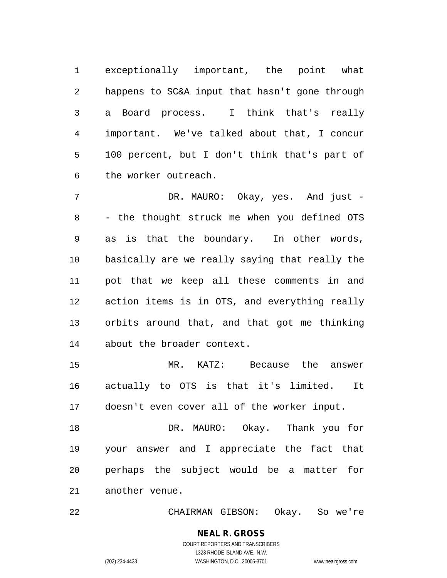exceptionally important, the point what happens to SC&A input that hasn't gone through a Board process. I think that's really important. We've talked about that, I concur 100 percent, but I don't think that's part of the worker outreach.

 DR. MAURO: Okay, yes. And just - - the thought struck me when you defined OTS as is that the boundary. In other words, basically are we really saying that really the pot that we keep all these comments in and action items is in OTS, and everything really orbits around that, and that got me thinking about the broader context.

 MR. KATZ: Because the answer actually to OTS is that it's limited. It doesn't even cover all of the worker input.

 DR. MAURO: Okay. Thank you for your answer and I appreciate the fact that perhaps the subject would be a matter for another venue.

CHAIRMAN GIBSON: Okay. So we're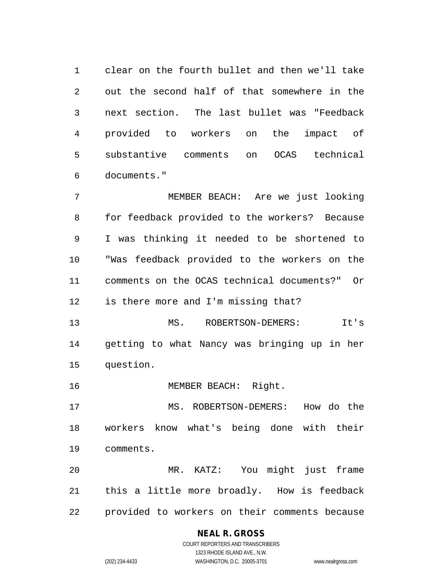clear on the fourth bullet and then we'll take out the second half of that somewhere in the next section. The last bullet was "Feedback provided to workers on the impact of substantive comments on OCAS technical documents."

 MEMBER BEACH: Are we just looking for feedback provided to the workers? Because I was thinking it needed to be shortened to "Was feedback provided to the workers on the comments on the OCAS technical documents?" Or is there more and I'm missing that?

 MS. ROBERTSON-DEMERS: It's getting to what Nancy was bringing up in her question.

MEMBER BEACH: Right.

 MS. ROBERTSON-DEMERS: How do the workers know what's being done with their comments.

 MR. KATZ: You might just frame this a little more broadly. How is feedback provided to workers on their comments because

## **NEAL R. GROSS** COURT REPORTERS AND TRANSCRIBERS

1323 RHODE ISLAND AVE., N.W.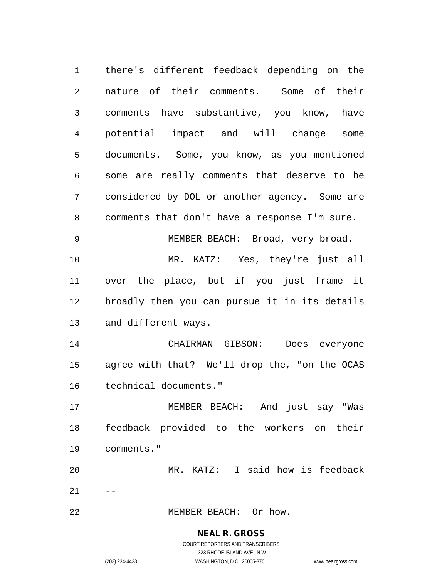there's different feedback depending on the nature of their comments. Some of their comments have substantive, you know, have potential impact and will change some documents. Some, you know, as you mentioned some are really comments that deserve to be considered by DOL or another agency. Some are comments that don't have a response I'm sure. MEMBER BEACH: Broad, very broad. MR. KATZ: Yes, they're just all over the place, but if you just frame it broadly then you can pursue it in its details and different ways. CHAIRMAN GIBSON: Does everyone agree with that? We'll drop the, "on the OCAS technical documents." MEMBER BEACH: And just say "Was feedback provided to the workers on their comments." MR. KATZ: I said how is feedback  $21 - -$ MEMBER BEACH: Or how.

> **NEAL R. GROSS** COURT REPORTERS AND TRANSCRIBERS

> > 1323 RHODE ISLAND AVE., N.W.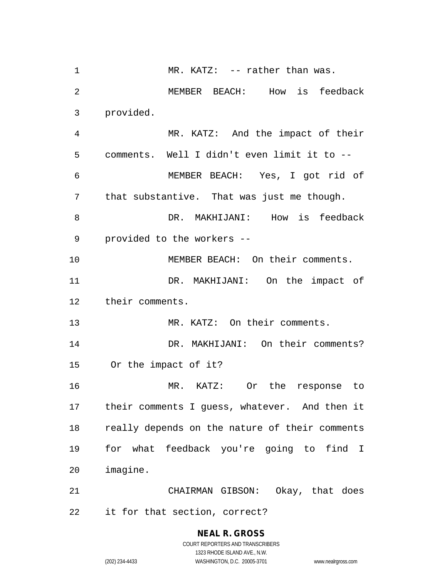1 MR. KATZ: -- rather than was. MEMBER BEACH: How is feedback provided. MR. KATZ: And the impact of their comments. Well I didn't even limit it to -- MEMBER BEACH: Yes, I got rid of that substantive. That was just me though. 8 DR. MAKHIJANI: How is feedback provided to the workers -- MEMBER BEACH: On their comments. DR. MAKHIJANI: On the impact of their comments. MR. KATZ: On their comments. DR. MAKHIJANI: On their comments? Or the impact of it? MR. KATZ: Or the response to their comments I guess, whatever. And then it really depends on the nature of their comments for what feedback you're going to find I imagine. CHAIRMAN GIBSON: Okay, that does it for that section, correct?

> COURT REPORTERS AND TRANSCRIBERS 1323 RHODE ISLAND AVE., N.W. (202) 234-4433 WASHINGTON, D.C. 20005-3701 www.nealrgross.com

**NEAL R. GROSS**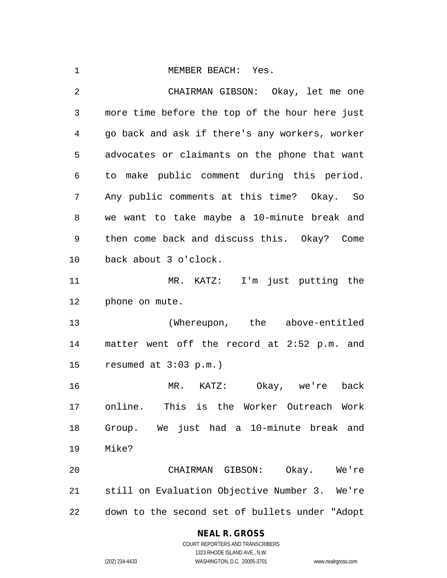| 1              | MEMBER BEACH: Yes.                             |
|----------------|------------------------------------------------|
| $\overline{2}$ | CHAIRMAN GIBSON: Okay, let me one              |
| 3              | more time before the top of the hour here just |
| 4              | go back and ask if there's any workers, worker |
| 5              | advocates or claimants on the phone that want  |
| 6              | to make public comment during this period.     |
| 7              | Any public comments at this time? Okay. So     |
| 8              | we want to take maybe a 10-minute break and    |
| 9              | then come back and discuss this. Okay? Come    |
| 10             | back about 3 o'clock.                          |
| 11             | MR. KATZ: I'm just putting the                 |
| 12             | phone on mute.                                 |
| 13             | (Whereupon, the above-entitled                 |
| 14             | matter went off the record at 2:52 p.m. and    |
| 15             | resumed at 3:03 p.m.)                          |
| 16             | Okay, we're back<br>MR. KATZ:                  |
| 17             | online. This is the Worker Outreach Work       |
| 18             | Group. We just had a 10-minute break and       |
| 19             | Mike?                                          |
| 20             | CHAIRMAN GIBSON: Okay. We're                   |
| 21             | still on Evaluation Objective Number 3. We're  |
| 22             | down to the second set of bullets under "Adopt |

## **NEAL R. GROSS**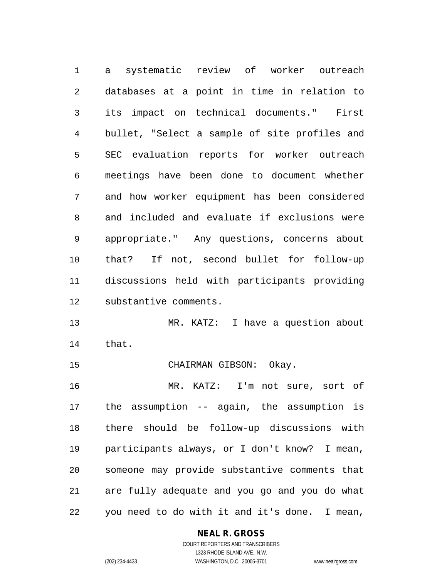a systematic review of worker outreach databases at a point in time in relation to its impact on technical documents." First bullet, "Select a sample of site profiles and SEC evaluation reports for worker outreach meetings have been done to document whether and how worker equipment has been considered and included and evaluate if exclusions were appropriate." Any questions, concerns about that? If not, second bullet for follow-up discussions held with participants providing substantive comments.

 MR. KATZ: I have a question about that.

CHAIRMAN GIBSON: Okay.

 MR. KATZ: I'm not sure, sort of the assumption -- again, the assumption is there should be follow-up discussions with participants always, or I don't know? I mean, someone may provide substantive comments that are fully adequate and you go and you do what you need to do with it and it's done. I mean,

#### **NEAL R. GROSS**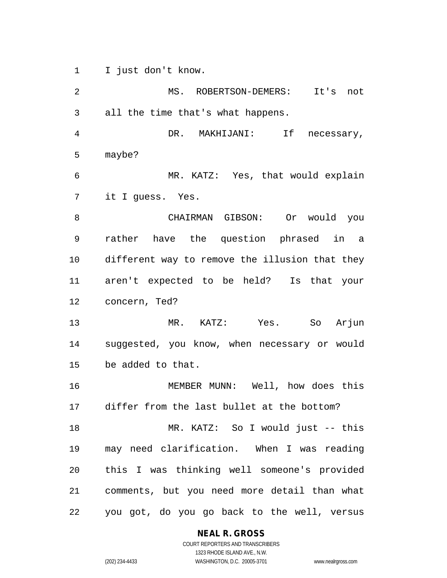I just don't know.

 MS. ROBERTSON-DEMERS: It's not all the time that's what happens. DR. MAKHIJANI: If necessary, maybe? MR. KATZ: Yes, that would explain it I guess. Yes. CHAIRMAN GIBSON: Or would you rather have the question phrased in a different way to remove the illusion that they aren't expected to be held? Is that your concern, Ted? MR. KATZ: Yes. So Arjun suggested, you know, when necessary or would be added to that. MEMBER MUNN: Well, how does this differ from the last bullet at the bottom? MR. KATZ: So I would just -- this may need clarification. When I was reading this I was thinking well someone's provided comments, but you need more detail than what you got, do you go back to the well, versus

**NEAL R. GROSS**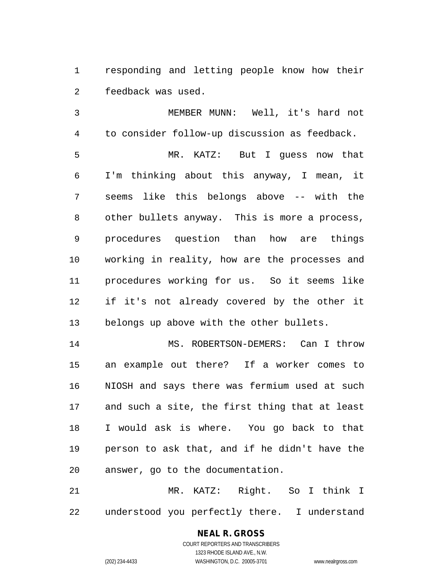responding and letting people know how their feedback was used.

 MEMBER MUNN: Well, it's hard not to consider follow-up discussion as feedback. MR. KATZ: But I guess now that I'm thinking about this anyway, I mean, it seems like this belongs above -- with the other bullets anyway. This is more a process, procedures question than how are things working in reality, how are the processes and procedures working for us. So it seems like if it's not already covered by the other it belongs up above with the other bullets.

14 MS. ROBERTSON-DEMERS: Can I throw an example out there? If a worker comes to NIOSH and says there was fermium used at such and such a site, the first thing that at least I would ask is where. You go back to that person to ask that, and if he didn't have the answer, go to the documentation.

 MR. KATZ: Right. So I think I understood you perfectly there. I understand

### **NEAL R. GROSS** COURT REPORTERS AND TRANSCRIBERS

1323 RHODE ISLAND AVE., N.W.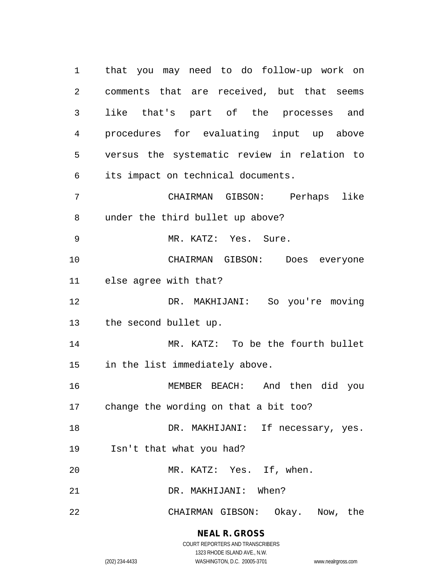that you may need to do follow-up work on comments that are received, but that seems like that's part of the processes and procedures for evaluating input up above versus the systematic review in relation to its impact on technical documents. CHAIRMAN GIBSON: Perhaps like under the third bullet up above? MR. KATZ: Yes. Sure. CHAIRMAN GIBSON: Does everyone else agree with that? DR. MAKHIJANI: So you're moving the second bullet up. MR. KATZ: To be the fourth bullet in the list immediately above. MEMBER BEACH: And then did you change the wording on that a bit too? 18 DR. MAKHIJANI: If necessary, yes. Isn't that what you had? MR. KATZ: Yes. If, when. DR. MAKHIJANI: When? CHAIRMAN GIBSON: Okay. Now, the

## **NEAL R. GROSS**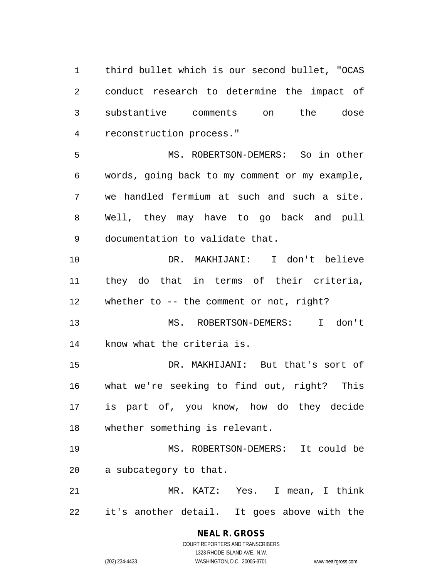third bullet which is our second bullet, "OCAS conduct research to determine the impact of substantive comments on the dose reconstruction process."

 MS. ROBERTSON-DEMERS: So in other words, going back to my comment or my example, we handled fermium at such and such a site. Well, they may have to go back and pull documentation to validate that.

 DR. MAKHIJANI: I don't believe they do that in terms of their criteria, whether to -- the comment or not, right?

 MS. ROBERTSON-DEMERS: I don't know what the criteria is.

 DR. MAKHIJANI: But that's sort of what we're seeking to find out, right? This is part of, you know, how do they decide whether something is relevant.

 MS. ROBERTSON-DEMERS: It could be a subcategory to that.

 MR. KATZ: Yes. I mean, I think it's another detail. It goes above with the

## **NEAL R. GROSS**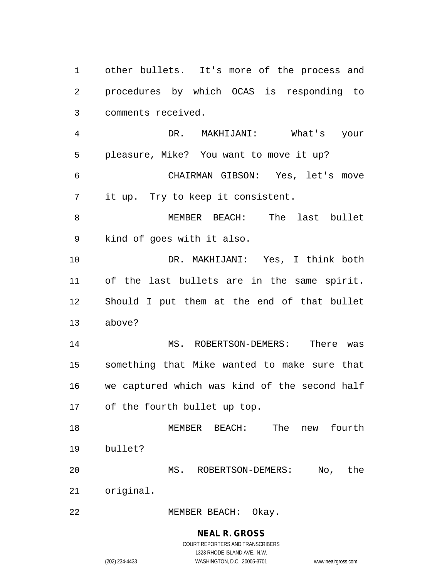other bullets. It's more of the process and procedures by which OCAS is responding to comments received. DR. MAKHIJANI: What's your pleasure, Mike? You want to move it up? CHAIRMAN GIBSON: Yes, let's move it up. Try to keep it consistent. MEMBER BEACH: The last bullet kind of goes with it also. DR. MAKHIJANI: Yes, I think both of the last bullets are in the same spirit. Should I put them at the end of that bullet above? MS. ROBERTSON-DEMERS: There was something that Mike wanted to make sure that we captured which was kind of the second half of the fourth bullet up top. MEMBER BEACH: The new fourth bullet? MS. ROBERTSON-DEMERS: No, the original. MEMBER BEACH: Okay.

**NEAL R. GROSS**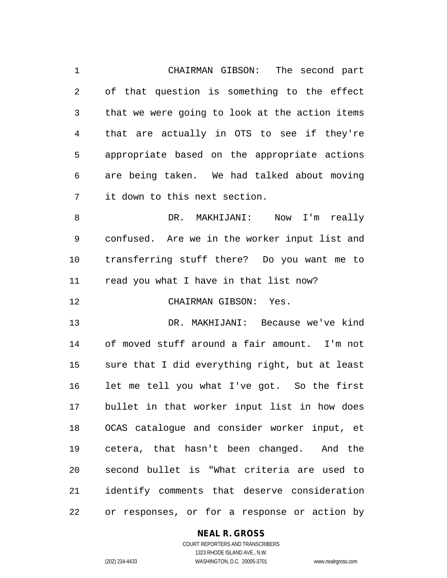CHAIRMAN GIBSON: The second part of that question is something to the effect that we were going to look at the action items that are actually in OTS to see if they're appropriate based on the appropriate actions are being taken. We had talked about moving it down to this next section.

 DR. MAKHIJANI: Now I'm really confused. Are we in the worker input list and transferring stuff there? Do you want me to read you what I have in that list now?

CHAIRMAN GIBSON: Yes.

 DR. MAKHIJANI: Because we've kind of moved stuff around a fair amount. I'm not sure that I did everything right, but at least let me tell you what I've got. So the first bullet in that worker input list in how does OCAS catalogue and consider worker input, et cetera, that hasn't been changed. And the second bullet is "What criteria are used to identify comments that deserve consideration or responses, or for a response or action by

#### **NEAL R. GROSS** COURT REPORTERS AND TRANSCRIBERS

1323 RHODE ISLAND AVE., N.W. (202) 234-4433 WASHINGTON, D.C. 20005-3701 www.nealrgross.com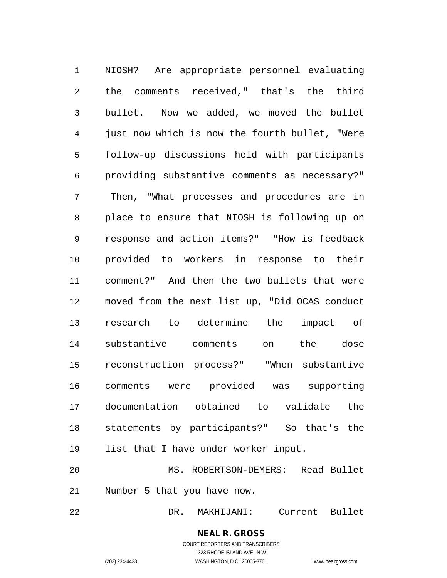NIOSH? Are appropriate personnel evaluating the comments received," that's the third bullet. Now we added, we moved the bullet just now which is now the fourth bullet, "Were follow-up discussions held with participants providing substantive comments as necessary?" Then, "What processes and procedures are in place to ensure that NIOSH is following up on response and action items?" "How is feedback provided to workers in response to their comment?" And then the two bullets that were moved from the next list up, "Did OCAS conduct research to determine the impact of substantive comments on the dose reconstruction process?" "When substantive comments were provided was supporting documentation obtained to validate the statements by participants?" So that's the list that I have under worker input. MS. ROBERTSON-DEMERS: Read Bullet

Number 5 that you have now.

DR. MAKHIJANI: Current Bullet

**NEAL R. GROSS** COURT REPORTERS AND TRANSCRIBERS 1323 RHODE ISLAND AVE., N.W.

(202) 234-4433 WASHINGTON, D.C. 20005-3701 www.nealrgross.com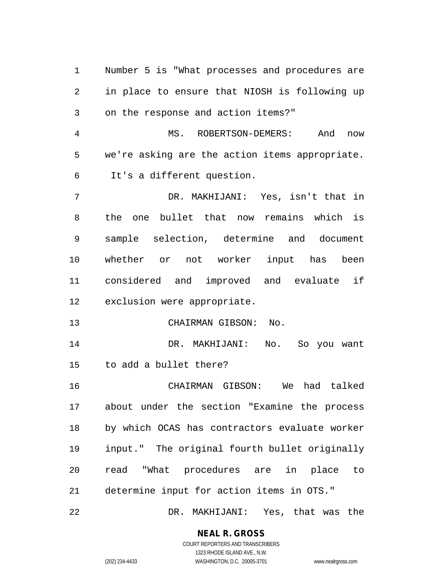Number 5 is "What processes and procedures are in place to ensure that NIOSH is following up on the response and action items?" MS. ROBERTSON-DEMERS: And now we're asking are the action items appropriate. It's a different question. DR. MAKHIJANI: Yes, isn't that in the one bullet that now remains which is sample selection, determine and document whether or not worker input has been considered and improved and evaluate if exclusion were appropriate. CHAIRMAN GIBSON: No. DR. MAKHIJANI: No. So you want to add a bullet there? CHAIRMAN GIBSON: We had talked about under the section "Examine the process by which OCAS has contractors evaluate worker input." The original fourth bullet originally read "What procedures are in place to determine input for action items in OTS." DR. MAKHIJANI: Yes, that was the

**NEAL R. GROSS**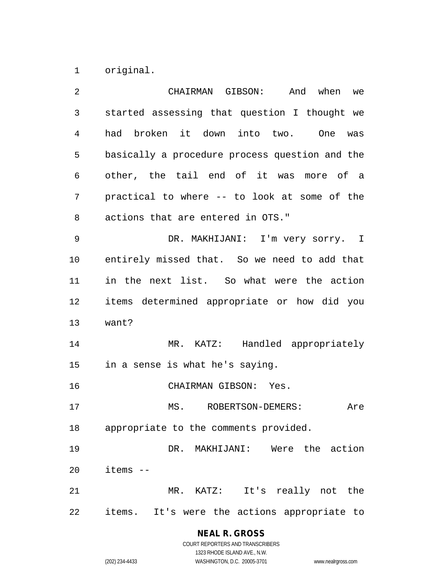original.

| 2  | CHAIRMAN GIBSON: And when<br>we                |
|----|------------------------------------------------|
| 3  | started assessing that question I thought we   |
| 4  | had broken it down into two. One<br>was        |
| 5  | basically a procedure process question and the |
| 6  | other, the tail end of it was more of a        |
| 7  | practical to where -- to look at some of the   |
| 8  | actions that are entered in OTS."              |
| 9  | DR. MAKHIJANI: I'm very sorry. I               |
| 10 | entirely missed that. So we need to add that   |
| 11 | in the next list. So what were the action      |
| 12 | items determined appropriate or how did you    |
| 13 | want?                                          |
| 14 | MR. KATZ: Handled appropriately                |
| 15 | in a sense is what he's saying.                |
| 16 | CHAIRMAN GIBSON: Yes.                          |
| 17 | MS. ROBERTSON-DEMERS:<br>Are                   |
| 18 | appropriate to the comments provided.          |
| 19 | DR. MAKHIJANI: Were the action                 |
| 20 | items --                                       |
| 21 | MR. KATZ: It's really not the                  |
| 22 | items. It's were the actions appropriate to    |

**NEAL R. GROSS**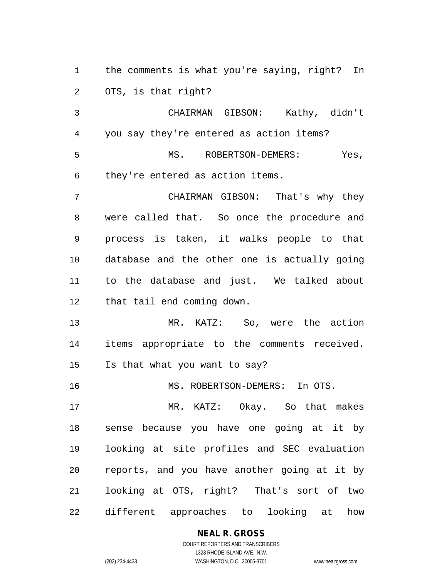the comments is what you're saying, right? In OTS, is that right?

 CHAIRMAN GIBSON: Kathy, didn't you say they're entered as action items? MS. ROBERTSON-DEMERS: Yes, they're entered as action items.

 CHAIRMAN GIBSON: That's why they were called that. So once the procedure and process is taken, it walks people to that database and the other one is actually going to the database and just. We talked about that tail end coming down.

 MR. KATZ: So, were the action items appropriate to the comments received. Is that what you want to say?

MS. ROBERTSON-DEMERS: In OTS.

 MR. KATZ: Okay. So that makes sense because you have one going at it by looking at site profiles and SEC evaluation reports, and you have another going at it by looking at OTS, right? That's sort of two different approaches to looking at how

## **NEAL R. GROSS**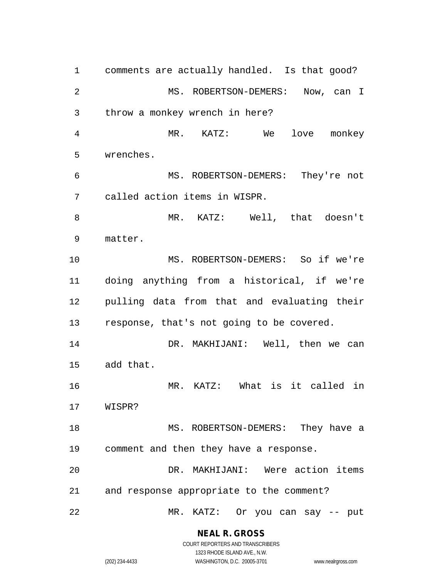comments are actually handled. Is that good? MS. ROBERTSON-DEMERS: Now, can I throw a monkey wrench in here? MR. KATZ: We love monkey wrenches. MS. ROBERTSON-DEMERS: They're not called action items in WISPR. MR. KATZ: Well, that doesn't matter. MS. ROBERTSON-DEMERS: So if we're doing anything from a historical, if we're pulling data from that and evaluating their response, that's not going to be covered. DR. MAKHIJANI: Well, then we can add that. MR. KATZ: What is it called in WISPR? 18 MS. ROBERTSON-DEMERS: They have a comment and then they have a response. DR. MAKHIJANI: Were action items and response appropriate to the comment? MR. KATZ: Or you can say -- put

> **NEAL R. GROSS** COURT REPORTERS AND TRANSCRIBERS

1323 RHODE ISLAND AVE., N.W. (202) 234-4433 WASHINGTON, D.C. 20005-3701 www.nealrgross.com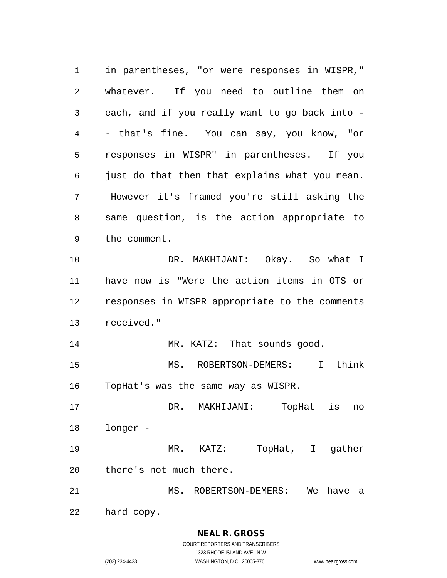in parentheses, "or were responses in WISPR," whatever. If you need to outline them on each, and if you really want to go back into - - that's fine. You can say, you know, "or responses in WISPR" in parentheses. If you just do that then that explains what you mean. However it's framed you're still asking the same question, is the action appropriate to the comment. DR. MAKHIJANI: Okay. So what I have now is "Were the action items in OTS or responses in WISPR appropriate to the comments received." 14 MR. KATZ: That sounds good. MS. ROBERTSON-DEMERS: I think TopHat's was the same way as WISPR. DR. MAKHIJANI: TopHat is no longer - MR. KATZ: TopHat, I gather there's not much there. MS. ROBERTSON-DEMERS: We have a hard copy.

**NEAL R. GROSS**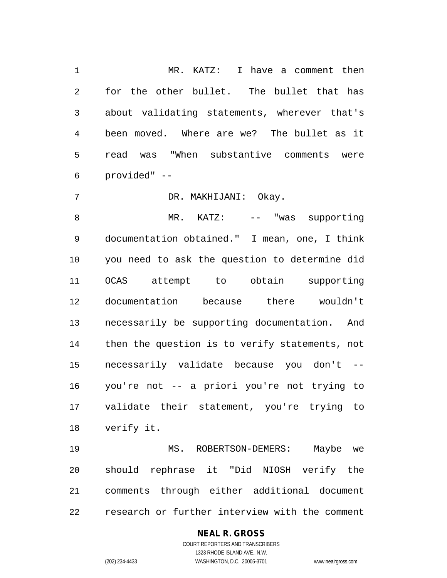MR. KATZ: I have a comment then for the other bullet. The bullet that has about validating statements, wherever that's been moved. Where are we? The bullet as it read was "When substantive comments were provided" --

DR. MAKHIJANI: Okay.

8 MR. KATZ: -- "was supporting documentation obtained." I mean, one, I think you need to ask the question to determine did OCAS attempt to obtain supporting documentation because there wouldn't necessarily be supporting documentation. And then the question is to verify statements, not necessarily validate because you don't -- you're not -- a priori you're not trying to validate their statement, you're trying to verify it.

 MS. ROBERTSON-DEMERS: Maybe we should rephrase it "Did NIOSH verify the comments through either additional document research or further interview with the comment

## **NEAL R. GROSS**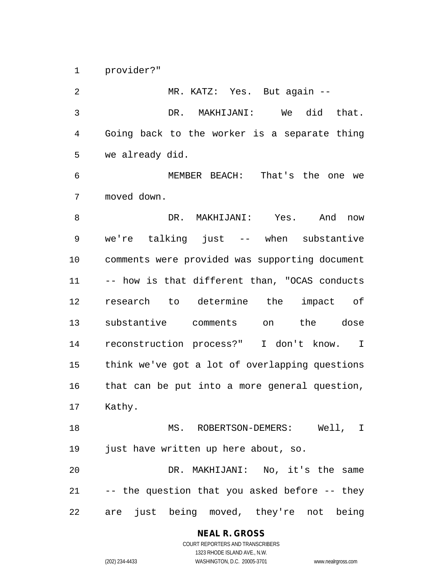provider?"

 MR. KATZ: Yes. But again -- DR. MAKHIJANI: We did that. Going back to the worker is a separate thing we already did. MEMBER BEACH: That's the one we moved down. DR. MAKHIJANI: Yes. And now we're talking just -- when substantive comments were provided was supporting document -- how is that different than, "OCAS conducts research to determine the impact of substantive comments on the dose reconstruction process?" I don't know. I think we've got a lot of overlapping questions that can be put into a more general question, Kathy. MS. ROBERTSON-DEMERS: Well, I just have written up here about, so. DR. MAKHIJANI: No, it's the same -- the question that you asked before -- they are just being moved, they're not being

## **NEAL R. GROSS**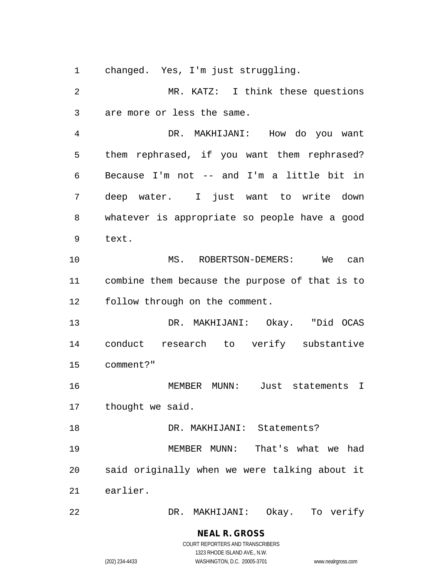changed. Yes, I'm just struggling.

 MR. KATZ: I think these questions are more or less the same.

 DR. MAKHIJANI: How do you want them rephrased, if you want them rephrased? Because I'm not -- and I'm a little bit in deep water. I just want to write down whatever is appropriate so people have a good text.

 MS. ROBERTSON-DEMERS: We can combine them because the purpose of that is to follow through on the comment.

 DR. MAKHIJANI: Okay. "Did OCAS conduct research to verify substantive comment?"

 MEMBER MUNN: Just statements I thought we said.

18 DR. MAKHIJANI: Statements? MEMBER MUNN: That's what we had said originally when we were talking about it earlier.

DR. MAKHIJANI: Okay. To verify

# **NEAL R. GROSS**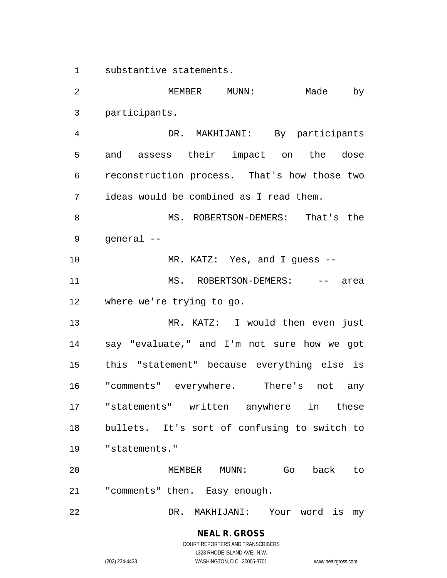substantive statements.

 MEMBER MUNN: Made by participants. DR. MAKHIJANI: By participants and assess their impact on the dose reconstruction process. That's how those two ideas would be combined as I read them. 8 MS. ROBERTSON-DEMERS: That's the general -- MR. KATZ: Yes, and I guess -- 11 MS. ROBERTSON-DEMERS: -- area where we're trying to go. MR. KATZ: I would then even just say "evaluate," and I'm not sure how we got this "statement" because everything else is "comments" everywhere. There's not any "statements" written anywhere in these bullets. It's sort of confusing to switch to "statements." MEMBER MUNN: Go back to "comments" then. Easy enough. DR. MAKHIJANI: Your word is my

# **NEAL R. GROSS**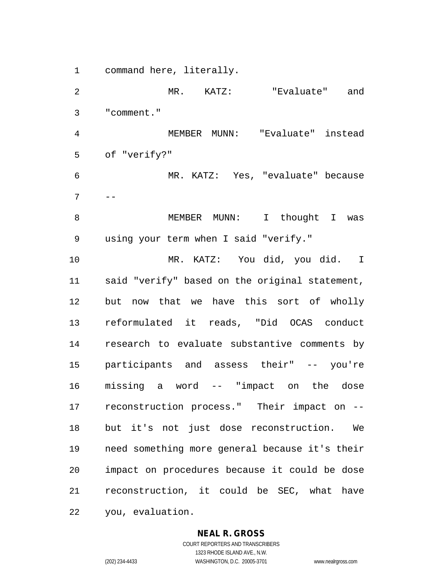command here, literally.

 MR. KATZ: "Evaluate" and "comment." MEMBER MUNN: "Evaluate" instead of "verify?" MR. KATZ: Yes, "evaluate" because  $7 - -$  MEMBER MUNN: I thought I was using your term when I said "verify." MR. KATZ: You did, you did. I said "verify" based on the original statement, but now that we have this sort of wholly reformulated it reads, "Did OCAS conduct research to evaluate substantive comments by participants and assess their" -- you're missing a word -- "impact on the dose reconstruction process." Their impact on -- but it's not just dose reconstruction. We need something more general because it's their impact on procedures because it could be dose reconstruction, it could be SEC, what have you, evaluation.

#### **NEAL R. GROSS**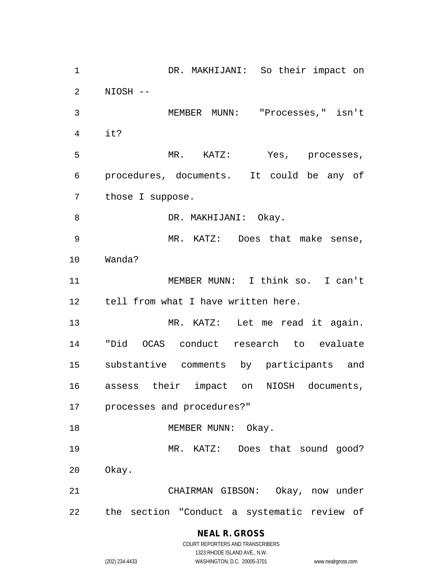DR. MAKHIJANI: So their impact on NIOSH -- MEMBER MUNN: "Processes," isn't it? MR. KATZ: Yes, processes, procedures, documents. It could be any of those I suppose. 8 DR. MAKHIJANI: Okay. MR. KATZ: Does that make sense, Wanda? MEMBER MUNN: I think so. I can't tell from what I have written here. 13 MR. KATZ: Let me read it again. "Did OCAS conduct research to evaluate substantive comments by participants and assess their impact on NIOSH documents, processes and procedures?" 18 MEMBER MUNN: Okay. MR. KATZ: Does that sound good? Okay. CHAIRMAN GIBSON: Okay, now under the section "Conduct a systematic review of

## **NEAL R. GROSS**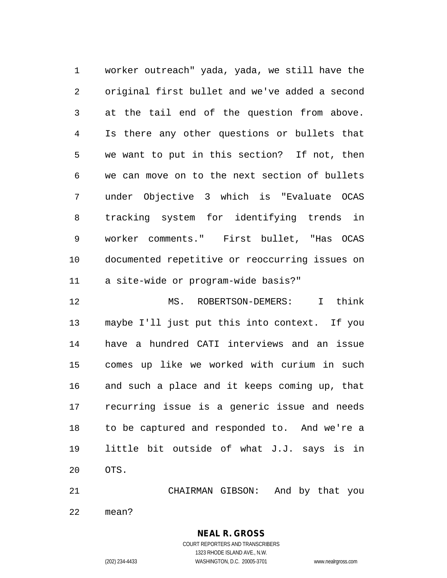worker outreach" yada, yada, we still have the original first bullet and we've added a second at the tail end of the question from above. Is there any other questions or bullets that we want to put in this section? If not, then we can move on to the next section of bullets under Objective 3 which is "Evaluate OCAS tracking system for identifying trends in worker comments." First bullet, "Has OCAS documented repetitive or reoccurring issues on a site-wide or program-wide basis?"

 MS. ROBERTSON-DEMERS: I think maybe I'll just put this into context. If you have a hundred CATI interviews and an issue comes up like we worked with curium in such and such a place and it keeps coming up, that recurring issue is a generic issue and needs to be captured and responded to. And we're a little bit outside of what J.J. says is in OTS.

CHAIRMAN GIBSON: And by that you

mean?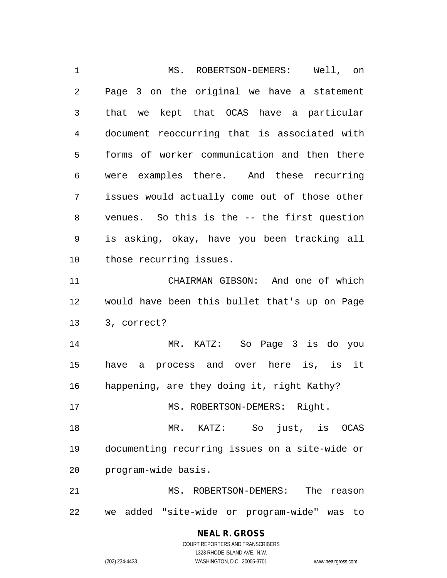MS. ROBERTSON-DEMERS: Well, on Page 3 on the original we have a statement that we kept that OCAS have a particular document reoccurring that is associated with forms of worker communication and then there were examples there. And these recurring issues would actually come out of those other venues. So this is the -- the first question is asking, okay, have you been tracking all those recurring issues. CHAIRMAN GIBSON: And one of which would have been this bullet that's up on Page 3, correct? MR. KATZ: So Page 3 is do you have a process and over here is, is it happening, are they doing it, right Kathy? 17 MS. ROBERTSON-DEMERS: Right. MR. KATZ: So just, is OCAS documenting recurring issues on a site-wide or program-wide basis. MS. ROBERTSON-DEMERS: The reason we added "site-wide or program-wide" was to

#### **NEAL R. GROSS** COURT REPORTERS AND TRANSCRIBERS

1323 RHODE ISLAND AVE., N.W. (202) 234-4433 WASHINGTON, D.C. 20005-3701 www.nealrgross.com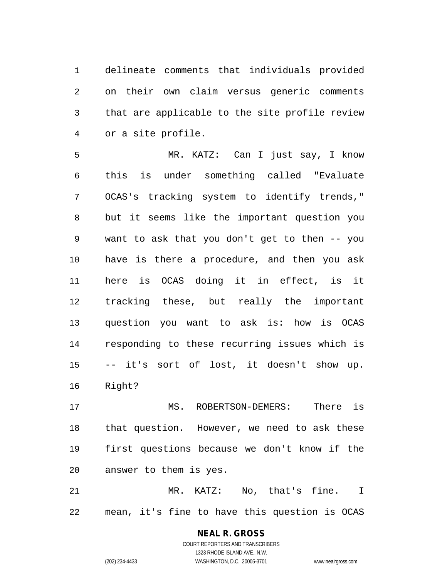delineate comments that individuals provided on their own claim versus generic comments that are applicable to the site profile review or a site profile.

 MR. KATZ: Can I just say, I know this is under something called "Evaluate OCAS's tracking system to identify trends," but it seems like the important question you want to ask that you don't get to then -- you have is there a procedure, and then you ask here is OCAS doing it in effect, is it tracking these, but really the important question you want to ask is: how is OCAS responding to these recurring issues which is -- it's sort of lost, it doesn't show up. Right?

 MS. ROBERTSON-DEMERS: There is that question. However, we need to ask these first questions because we don't know if the answer to them is yes.

 MR. KATZ: No, that's fine. I mean, it's fine to have this question is OCAS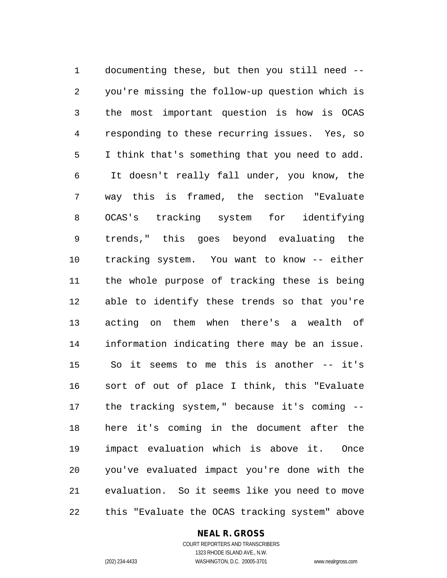documenting these, but then you still need -- you're missing the follow-up question which is the most important question is how is OCAS responding to these recurring issues. Yes, so I think that's something that you need to add. It doesn't really fall under, you know, the way this is framed, the section "Evaluate OCAS's tracking system for identifying trends," this goes beyond evaluating the tracking system. You want to know -- either the whole purpose of tracking these is being able to identify these trends so that you're acting on them when there's a wealth of information indicating there may be an issue. So it seems to me this is another -- it's sort of out of place I think, this "Evaluate the tracking system," because it's coming -- here it's coming in the document after the impact evaluation which is above it. Once you've evaluated impact you're done with the evaluation. So it seems like you need to move this "Evaluate the OCAS tracking system" above

#### **NEAL R. GROSS** COURT REPORTERS AND TRANSCRIBERS

1323 RHODE ISLAND AVE., N.W. (202) 234-4433 WASHINGTON, D.C. 20005-3701 www.nealrgross.com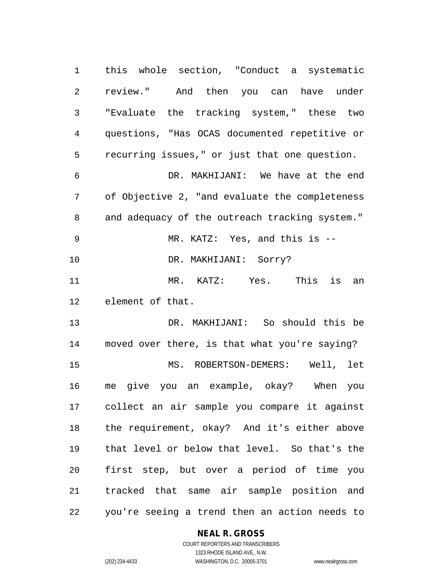this whole section, "Conduct a systematic review." And then you can have under "Evaluate the tracking system," these two questions, "Has OCAS documented repetitive or recurring issues," or just that one question. DR. MAKHIJANI: We have at the end of Objective 2, "and evaluate the completeness and adequacy of the outreach tracking system." MR. KATZ: Yes, and this is --

10 DR. MAKHIJANI: Sorry?

 MR. KATZ: Yes. This is an element of that.

 DR. MAKHIJANI: So should this be moved over there, is that what you're saying? MS. ROBERTSON-DEMERS: Well, let me give you an example, okay? When you collect an air sample you compare it against the requirement, okay? And it's either above that level or below that level. So that's the first step, but over a period of time you tracked that same air sample position and you're seeing a trend then an action needs to

## **NEAL R. GROSS**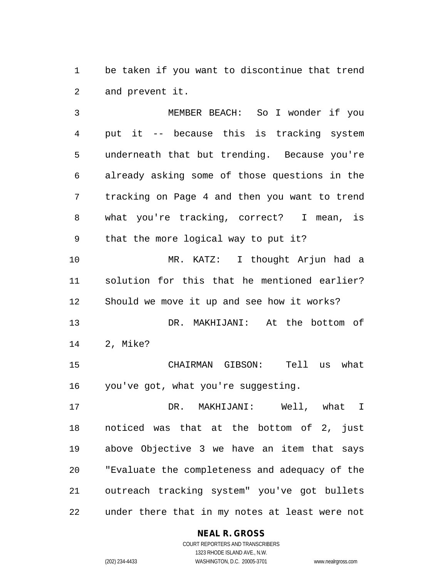be taken if you want to discontinue that trend and prevent it.

 MEMBER BEACH: So I wonder if you put it -- because this is tracking system underneath that but trending. Because you're already asking some of those questions in the tracking on Page 4 and then you want to trend what you're tracking, correct? I mean, is that the more logical way to put it? MR. KATZ: I thought Arjun had a solution for this that he mentioned earlier? Should we move it up and see how it works? DR. MAKHIJANI: At the bottom of

2, Mike?

 CHAIRMAN GIBSON: Tell us what you've got, what you're suggesting.

 DR. MAKHIJANI: Well, what I noticed was that at the bottom of 2, just above Objective 3 we have an item that says "Evaluate the completeness and adequacy of the outreach tracking system" you've got bullets under there that in my notes at least were not

> **NEAL R. GROSS** COURT REPORTERS AND TRANSCRIBERS

> > 1323 RHODE ISLAND AVE., N.W.

(202) 234-4433 WASHINGTON, D.C. 20005-3701 www.nealrgross.com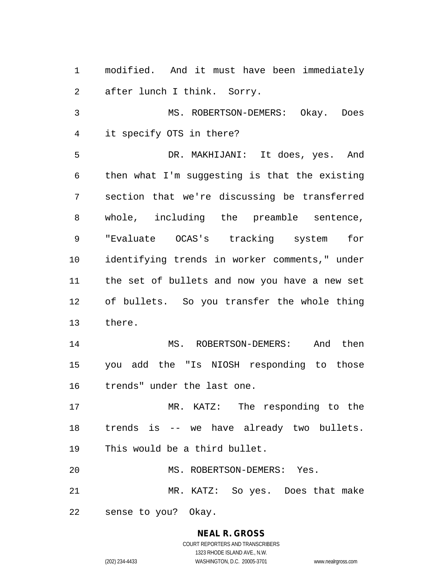modified. And it must have been immediately after lunch I think. Sorry. MS. ROBERTSON-DEMERS: Okay. Does it specify OTS in there? DR. MAKHIJANI: It does, yes. And then what I'm suggesting is that the existing section that we're discussing be transferred whole, including the preamble sentence, "Evaluate OCAS's tracking system for identifying trends in worker comments," under the set of bullets and now you have a new set of bullets. So you transfer the whole thing there. MS. ROBERTSON-DEMERS: And then you add the "Is NIOSH responding to those trends" under the last one. MR. KATZ: The responding to the trends is -- we have already two bullets. This would be a third bullet. MS. ROBERTSON-DEMERS: Yes. MR. KATZ: So yes. Does that make sense to you? Okay.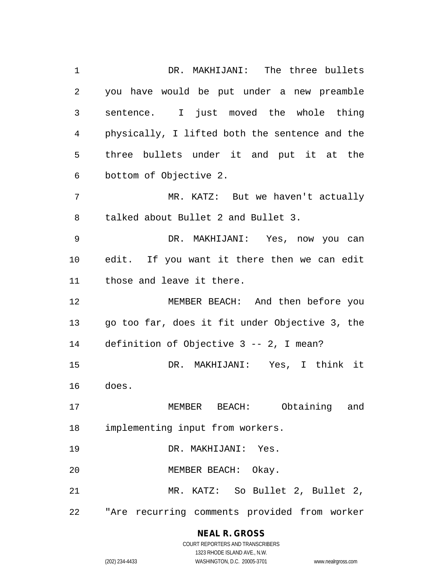DR. MAKHIJANI: The three bullets you have would be put under a new preamble sentence. I just moved the whole thing physically, I lifted both the sentence and the three bullets under it and put it at the bottom of Objective 2. MR. KATZ: But we haven't actually talked about Bullet 2 and Bullet 3. DR. MAKHIJANI: Yes, now you can edit. If you want it there then we can edit those and leave it there. MEMBER BEACH: And then before you go too far, does it fit under Objective 3, the definition of Objective 3 -- 2, I mean? DR. MAKHIJANI: Yes, I think it does. MEMBER BEACH: Obtaining and implementing input from workers. DR. MAKHIJANI: Yes. MEMBER BEACH: Okay. MR. KATZ: So Bullet 2, Bullet 2, "Are recurring comments provided from worker

## **NEAL R. GROSS**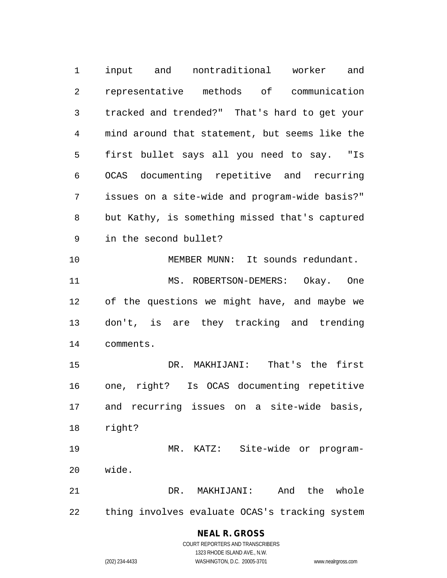input and nontraditional worker and representative methods of communication tracked and trended?" That's hard to get your mind around that statement, but seems like the first bullet says all you need to say. "Is OCAS documenting repetitive and recurring issues on a site-wide and program-wide basis?" but Kathy, is something missed that's captured in the second bullet? MEMBER MUNN: It sounds redundant. 11 MS. ROBERTSON-DEMERS: Okay. One of the questions we might have, and maybe we don't, is are they tracking and trending comments. DR. MAKHIJANI: That's the first one, right? Is OCAS documenting repetitive and recurring issues on a site-wide basis, right? MR. KATZ: Site-wide or program- wide. DR. MAKHIJANI: And the whole thing involves evaluate OCAS's tracking system

#### **NEAL R. GROSS** COURT REPORTERS AND TRANSCRIBERS

1323 RHODE ISLAND AVE., N.W.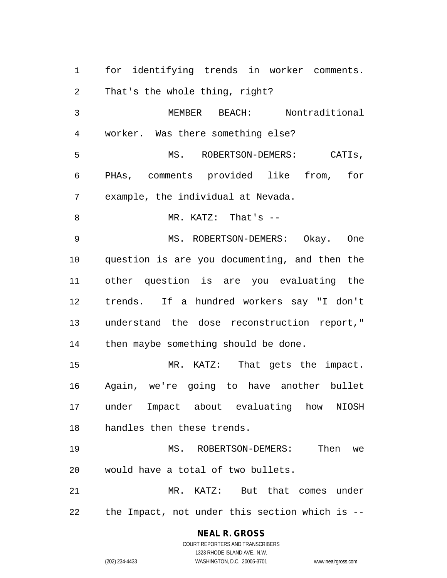for identifying trends in worker comments. That's the whole thing, right? MEMBER BEACH: Nontraditional worker. Was there something else? MS. ROBERTSON-DEMERS: CATIs, PHAs, comments provided like from, for example, the individual at Nevada. MR. KATZ: That's -- MS. ROBERTSON-DEMERS: Okay. One question is are you documenting, and then the other question is are you evaluating the trends. If a hundred workers say "I don't understand the dose reconstruction report," then maybe something should be done. MR. KATZ: That gets the impact. Again, we're going to have another bullet under Impact about evaluating how NIOSH handles then these trends. MS. ROBERTSON-DEMERS: Then we would have a total of two bullets. MR. KATZ: But that comes under the Impact, not under this section which is --

## **NEAL R. GROSS**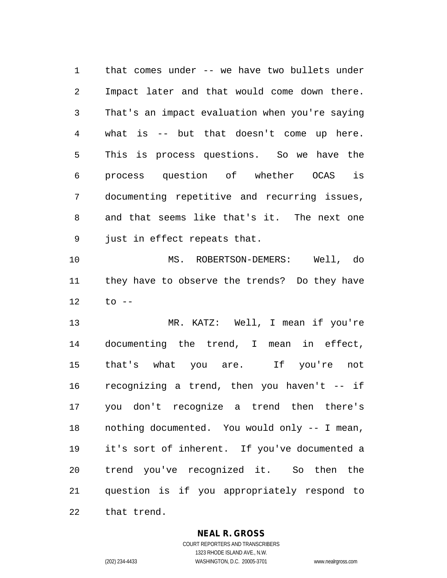that comes under -- we have two bullets under Impact later and that would come down there. That's an impact evaluation when you're saying what is -- but that doesn't come up here. This is process questions. So we have the process question of whether OCAS is documenting repetitive and recurring issues, and that seems like that's it. The next one just in effect repeats that.

 MS. ROBERTSON-DEMERS: Well, do they have to observe the trends? Do they have to --

 MR. KATZ: Well, I mean if you're documenting the trend, I mean in effect, that's what you are. If you're not recognizing a trend, then you haven't -- if you don't recognize a trend then there's nothing documented. You would only -- I mean, it's sort of inherent. If you've documented a trend you've recognized it. So then the question is if you appropriately respond to that trend.

**NEAL R. GROSS**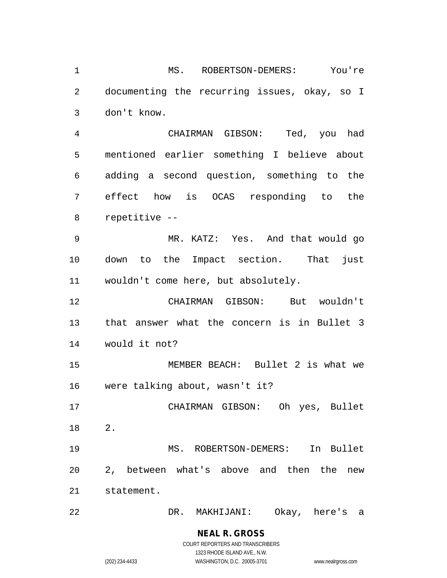MS. ROBERTSON-DEMERS: You're documenting the recurring issues, okay, so I don't know.

 CHAIRMAN GIBSON: Ted, you had mentioned earlier something I believe about adding a second question, something to the effect how is OCAS responding to the repetitive --

 MR. KATZ: Yes. And that would go down to the Impact section. That just wouldn't come here, but absolutely.

 CHAIRMAN GIBSON: But wouldn't that answer what the concern is in Bullet 3 would it not?

 MEMBER BEACH: Bullet 2 is what we were talking about, wasn't it?

 CHAIRMAN GIBSON: Oh yes, Bullet 2.

 MS. ROBERTSON-DEMERS: In Bullet 2, between what's above and then the new statement.

DR. MAKHIJANI: Okay, here's a

**NEAL R. GROSS** COURT REPORTERS AND TRANSCRIBERS 1323 RHODE ISLAND AVE., N.W.

(202) 234-4433 WASHINGTON, D.C. 20005-3701 www.nealrgross.com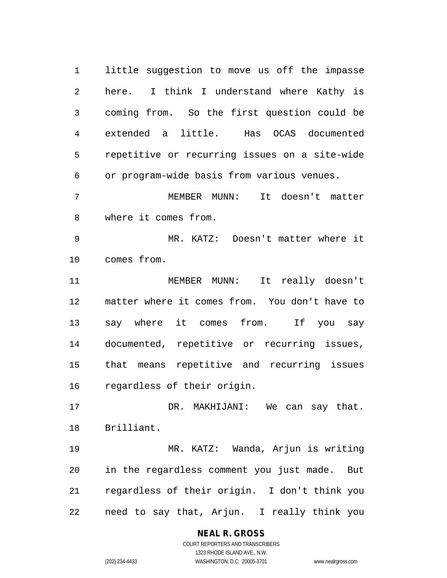little suggestion to move us off the impasse here. I think I understand where Kathy is coming from. So the first question could be extended a little. Has OCAS documented repetitive or recurring issues on a site-wide or program-wide basis from various venues.

 MEMBER MUNN: It doesn't matter where it comes from.

 MR. KATZ: Doesn't matter where it comes from.

 MEMBER MUNN: It really doesn't matter where it comes from. You don't have to say where it comes from. If you say documented, repetitive or recurring issues, that means repetitive and recurring issues regardless of their origin.

 DR. MAKHIJANI: We can say that. Brilliant.

 MR. KATZ: Wanda, Arjun is writing in the regardless comment you just made. But regardless of their origin. I don't think you need to say that, Arjun. I really think you

## **NEAL R. GROSS**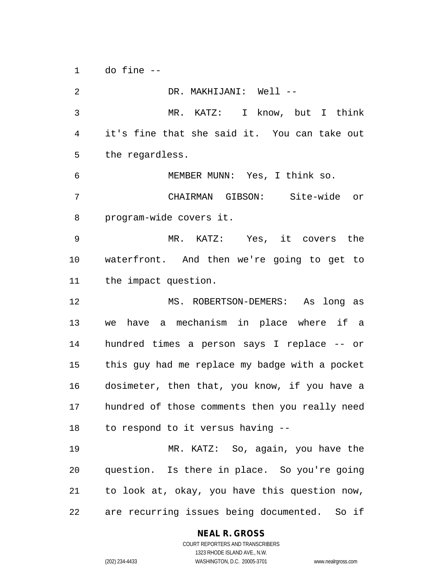do fine --

 DR. MAKHIJANI: Well -- MR. KATZ: I know, but I think it's fine that she said it. You can take out the regardless. MEMBER MUNN: Yes, I think so. CHAIRMAN GIBSON: Site-wide or program-wide covers it. MR. KATZ: Yes, it covers the waterfront. And then we're going to get to the impact question. MS. ROBERTSON-DEMERS: As long as we have a mechanism in place where if a hundred times a person says I replace -- or this guy had me replace my badge with a pocket dosimeter, then that, you know, if you have a hundred of those comments then you really need to respond to it versus having -- MR. KATZ: So, again, you have the question. Is there in place. So you're going to look at, okay, you have this question now, are recurring issues being documented. So if

## **NEAL R. GROSS**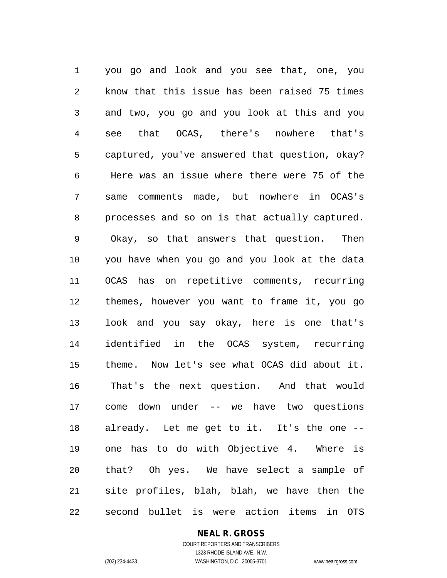you go and look and you see that, one, you know that this issue has been raised 75 times and two, you go and you look at this and you see that OCAS, there's nowhere that's captured, you've answered that question, okay? Here was an issue where there were 75 of the same comments made, but nowhere in OCAS's processes and so on is that actually captured. Okay, so that answers that question. Then you have when you go and you look at the data OCAS has on repetitive comments, recurring themes, however you want to frame it, you go look and you say okay, here is one that's identified in the OCAS system, recurring theme. Now let's see what OCAS did about it. That's the next question. And that would come down under -- we have two questions already. Let me get to it. It's the one -- one has to do with Objective 4. Where is that? Oh yes. We have select a sample of site profiles, blah, blah, we have then the second bullet is were action items in OTS

## **NEAL R. GROSS**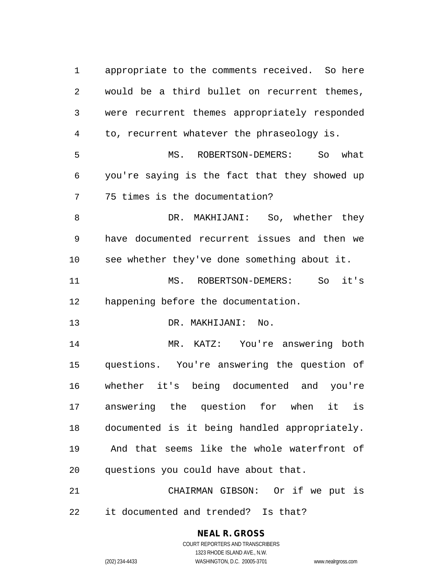appropriate to the comments received. So here would be a third bullet on recurrent themes, were recurrent themes appropriately responded to, recurrent whatever the phraseology is. MS. ROBERTSON-DEMERS: So what you're saying is the fact that they showed up 75 times is the documentation? DR. MAKHIJANI: So, whether they have documented recurrent issues and then we see whether they've done something about it. MS. ROBERTSON-DEMERS: So it's happening before the documentation. DR. MAKHIJANI: No. MR. KATZ: You're answering both questions. You're answering the question of whether it's being documented and you're answering the question for when it is documented is it being handled appropriately. And that seems like the whole waterfront of questions you could have about that. CHAIRMAN GIBSON: Or if we put is it documented and trended? Is that?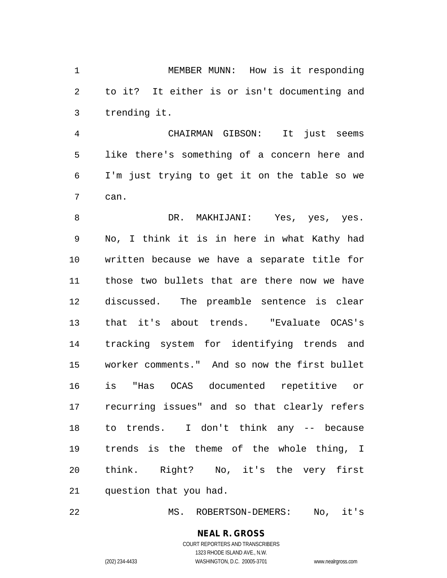MEMBER MUNN: How is it responding to it? It either is or isn't documenting and trending it.

 CHAIRMAN GIBSON: It just seems like there's something of a concern here and I'm just trying to get it on the table so we can.

8 BR. MAKHIJANI: Yes, yes, yes. No, I think it is in here in what Kathy had written because we have a separate title for those two bullets that are there now we have discussed. The preamble sentence is clear that it's about trends. "Evaluate OCAS's tracking system for identifying trends and worker comments." And so now the first bullet is "Has OCAS documented repetitive or recurring issues" and so that clearly refers to trends. I don't think any -- because trends is the theme of the whole thing, I think. Right? No, it's the very first question that you had.

MS. ROBERTSON-DEMERS: No, it's

**NEAL R. GROSS** COURT REPORTERS AND TRANSCRIBERS 1323 RHODE ISLAND AVE., N.W.

(202) 234-4433 WASHINGTON, D.C. 20005-3701 www.nealrgross.com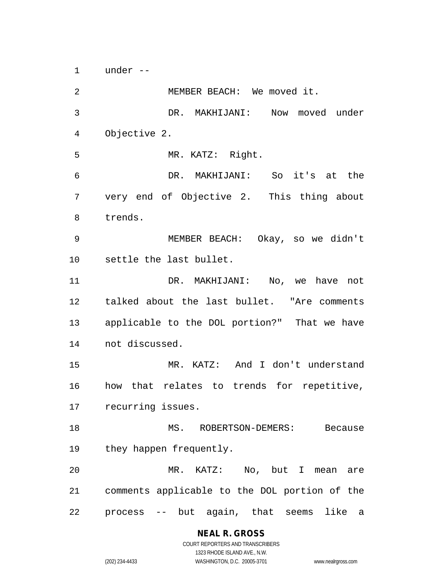under --

 MEMBER BEACH: We moved it. DR. MAKHIJANI: Now moved under Objective 2. MR. KATZ: Right. DR. MAKHIJANI: So it's at the very end of Objective 2. This thing about trends. MEMBER BEACH: Okay, so we didn't settle the last bullet. 11 DR. MAKHIJANI: No, we have not talked about the last bullet. "Are comments applicable to the DOL portion?" That we have not discussed. MR. KATZ: And I don't understand how that relates to trends for repetitive, recurring issues. MS. ROBERTSON-DEMERS: Because they happen frequently. MR. KATZ: No, but I mean are comments applicable to the DOL portion of the process -- but again, that seems like a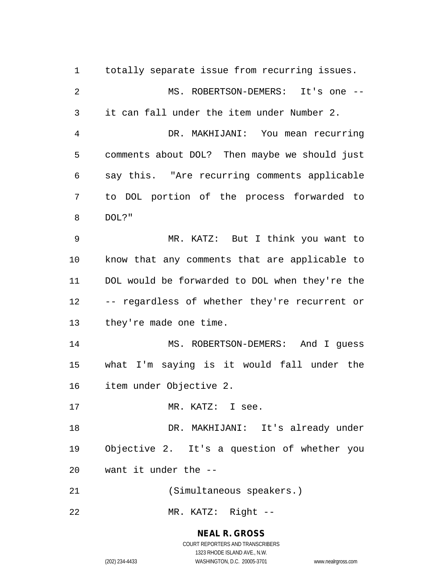totally separate issue from recurring issues. MS. ROBERTSON-DEMERS: It's one -- it can fall under the item under Number 2. DR. MAKHIJANI: You mean recurring comments about DOL? Then maybe we should just say this. "Are recurring comments applicable to DOL portion of the process forwarded to DOL?" MR. KATZ: But I think you want to know that any comments that are applicable to DOL would be forwarded to DOL when they're the -- regardless of whether they're recurrent or they're made one time. MS. ROBERTSON-DEMERS: And I guess what I'm saying is it would fall under the item under Objective 2. 17 MR. KATZ: I see. DR. MAKHIJANI: It's already under Objective 2. It's a question of whether you want it under the -- (Simultaneous speakers.) MR. KATZ: Right --

## **NEAL R. GROSS**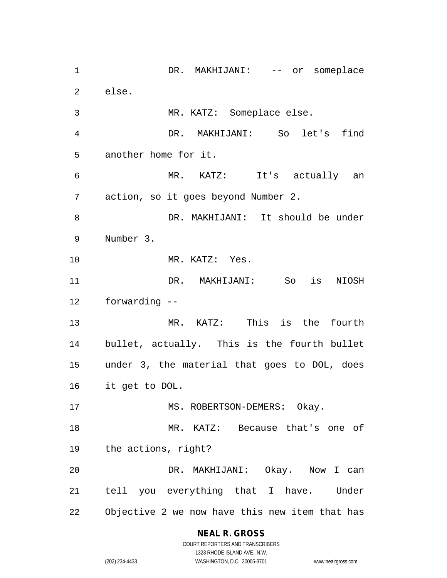1 DR. MAKHIJANI: -- or someplace else. MR. KATZ: Someplace else. DR. MAKHIJANI: So let's find another home for it. MR. KATZ: It's actually an action, so it goes beyond Number 2. DR. MAKHIJANI: It should be under Number 3. MR. KATZ: Yes. DR. MAKHIJANI: So is NIOSH forwarding -- MR. KATZ: This is the fourth bullet, actually. This is the fourth bullet under 3, the material that goes to DOL, does it get to DOL. 17 MS. ROBERTSON-DEMERS: Okay. MR. KATZ: Because that's one of the actions, right? DR. MAKHIJANI: Okay. Now I can tell you everything that I have. Under Objective 2 we now have this new item that has

## **NEAL R. GROSS**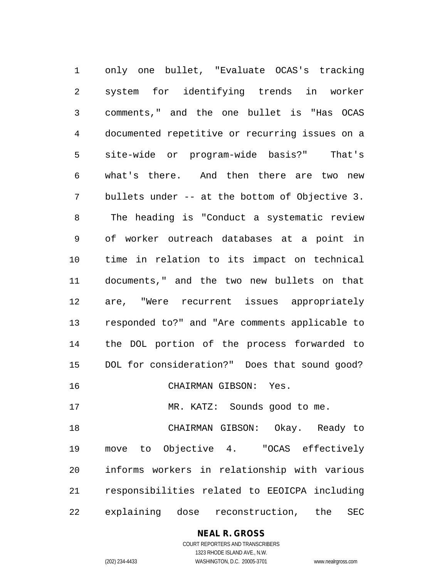only one bullet, "Evaluate OCAS's tracking system for identifying trends in worker comments," and the one bullet is "Has OCAS documented repetitive or recurring issues on a site-wide or program-wide basis?" That's what's there. And then there are two new bullets under -- at the bottom of Objective 3. The heading is "Conduct a systematic review of worker outreach databases at a point in time in relation to its impact on technical documents," and the two new bullets on that are, "Were recurrent issues appropriately responded to?" and "Are comments applicable to the DOL portion of the process forwarded to DOL for consideration?" Does that sound good? CHAIRMAN GIBSON: Yes. 17 MR. KATZ: Sounds good to me. CHAIRMAN GIBSON: Okay. Ready to move to Objective 4. "OCAS effectively informs workers in relationship with various responsibilities related to EEOICPA including explaining dose reconstruction, the SEC

**NEAL R. GROSS**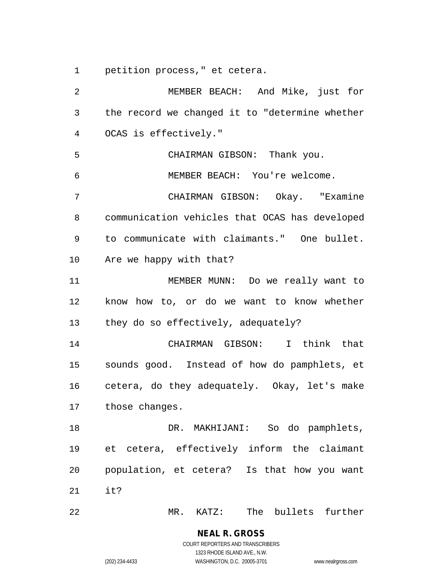petition process," et cetera.

 MEMBER BEACH: And Mike, just for the record we changed it to "determine whether OCAS is effectively." CHAIRMAN GIBSON: Thank you. MEMBER BEACH: You're welcome. CHAIRMAN GIBSON: Okay. "Examine communication vehicles that OCAS has developed to communicate with claimants." One bullet. Are we happy with that? MEMBER MUNN: Do we really want to know how to, or do we want to know whether they do so effectively, adequately? CHAIRMAN GIBSON: I think that sounds good. Instead of how do pamphlets, et cetera, do they adequately. Okay, let's make those changes. DR. MAKHIJANI: So do pamphlets, et cetera, effectively inform the claimant population, et cetera? Is that how you want it? MR. KATZ: The bullets further

(202) 234-4433 WASHINGTON, D.C. 20005-3701 www.nealrgross.com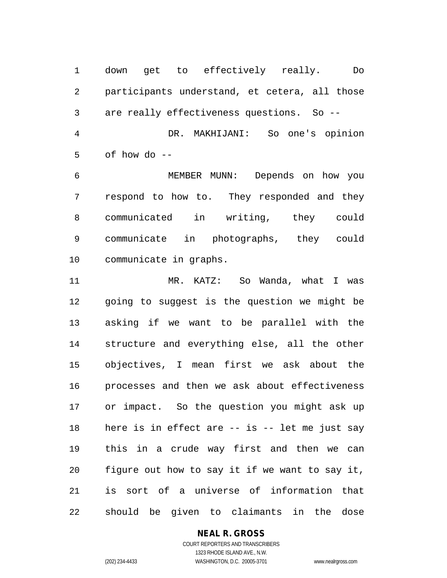down get to effectively really. Do participants understand, et cetera, all those are really effectiveness questions. So -- DR. MAKHIJANI: So one's opinion of how do --

 MEMBER MUNN: Depends on how you respond to how to. They responded and they communicated in writing, they could communicate in photographs, they could communicate in graphs.

 MR. KATZ: So Wanda, what I was going to suggest is the question we might be asking if we want to be parallel with the structure and everything else, all the other objectives, I mean first we ask about the processes and then we ask about effectiveness or impact. So the question you might ask up here is in effect are -- is -- let me just say this in a crude way first and then we can figure out how to say it if we want to say it, is sort of a universe of information that should be given to claimants in the dose

# **NEAL R. GROSS**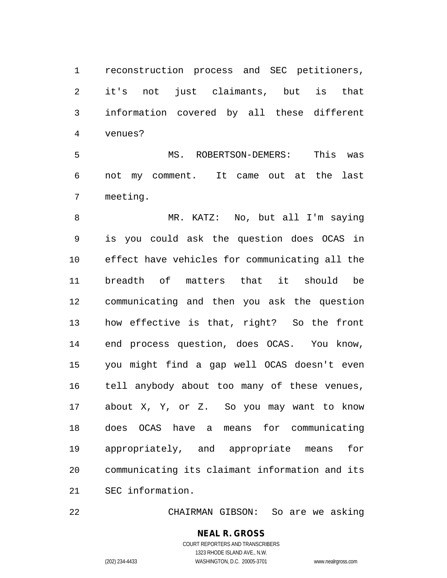reconstruction process and SEC petitioners, it's not just claimants, but is that information covered by all these different venues?

 MS. ROBERTSON-DEMERS: This was not my comment. It came out at the last meeting.

 MR. KATZ: No, but all I'm saying is you could ask the question does OCAS in effect have vehicles for communicating all the breadth of matters that it should be communicating and then you ask the question how effective is that, right? So the front end process question, does OCAS. You know, you might find a gap well OCAS doesn't even tell anybody about too many of these venues, about X, Y, or Z. So you may want to know does OCAS have a means for communicating appropriately, and appropriate means for communicating its claimant information and its SEC information.

CHAIRMAN GIBSON: So are we asking

#### **NEAL R. GROSS** COURT REPORTERS AND TRANSCRIBERS

1323 RHODE ISLAND AVE., N.W. (202) 234-4433 WASHINGTON, D.C. 20005-3701 www.nealrgross.com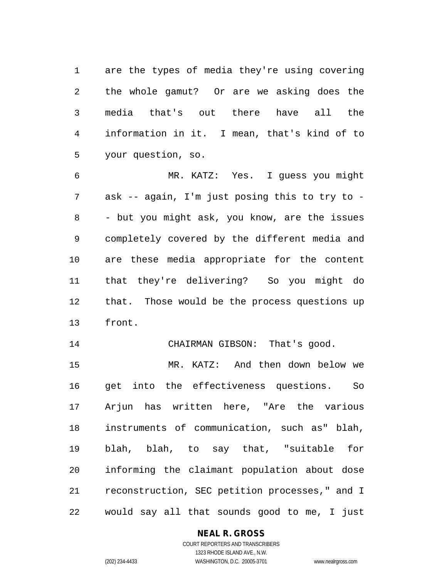are the types of media they're using covering the whole gamut? Or are we asking does the media that's out there have all the information in it. I mean, that's kind of to your question, so.

 MR. KATZ: Yes. I guess you might ask -- again, I'm just posing this to try to - - but you might ask, you know, are the issues completely covered by the different media and are these media appropriate for the content that they're delivering? So you might do that. Those would be the process questions up front.

14 CHAIRMAN GIBSON: That's good.

 MR. KATZ: And then down below we get into the effectiveness questions. So Arjun has written here, "Are the various instruments of communication, such as" blah, blah, blah, to say that, "suitable for informing the claimant population about dose reconstruction, SEC petition processes," and I would say all that sounds good to me, I just

#### **NEAL R. GROSS**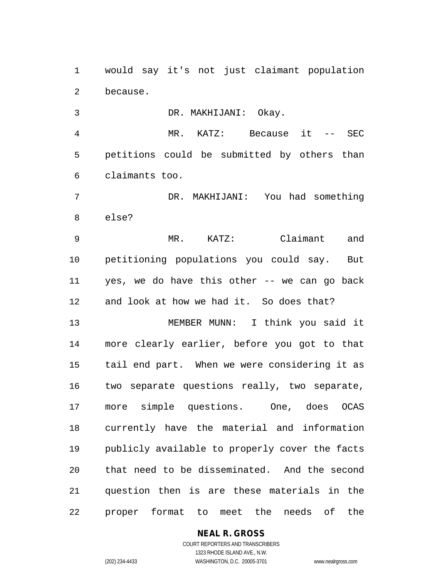would say it's not just claimant population because.

DR. MAKHIJANI: Okay.

 MR. KATZ: Because it -- SEC petitions could be submitted by others than claimants too.

 DR. MAKHIJANI: You had something else?

 MR. KATZ: Claimant and petitioning populations you could say. But yes, we do have this other -- we can go back and look at how we had it. So does that?

 MEMBER MUNN: I think you said it more clearly earlier, before you got to that tail end part. When we were considering it as two separate questions really, two separate, more simple questions. One, does OCAS currently have the material and information publicly available to properly cover the facts that need to be disseminated. And the second question then is are these materials in the proper format to meet the needs of the

# **NEAL R. GROSS**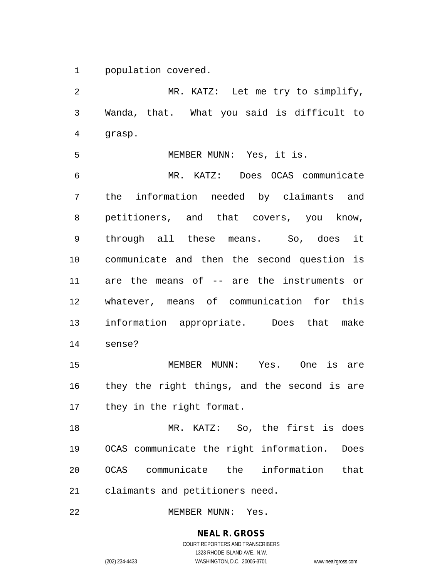population covered.

 MR. KATZ: Let me try to simplify, Wanda, that. What you said is difficult to grasp.

MEMBER MUNN: Yes, it is.

 MR. KATZ: Does OCAS communicate the information needed by claimants and petitioners, and that covers, you know, through all these means. So, does it communicate and then the second question is are the means of -- are the instruments or whatever, means of communication for this information appropriate. Does that make sense?

 MEMBER MUNN: Yes. One is are they the right things, and the second is are they in the right format.

 MR. KATZ: So, the first is does OCAS communicate the right information. Does OCAS communicate the information that claimants and petitioners need.

22 MEMBER MUNN: Yes.

**NEAL R. GROSS** COURT REPORTERS AND TRANSCRIBERS 1323 RHODE ISLAND AVE., N.W.

(202) 234-4433 WASHINGTON, D.C. 20005-3701 www.nealrgross.com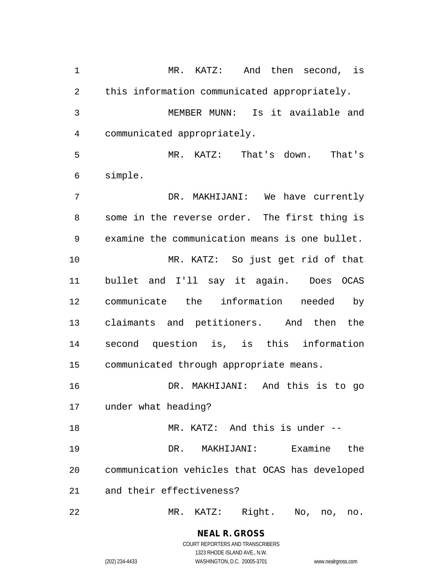MR. KATZ: And then second, is this information communicated appropriately. MEMBER MUNN: Is it available and communicated appropriately. MR. KATZ: That's down. That's simple. DR. MAKHIJANI: We have currently some in the reverse order. The first thing is examine the communication means is one bullet. MR. KATZ: So just get rid of that bullet and I'll say it again. Does OCAS communicate the information needed by claimants and petitioners. And then the second question is, is this information communicated through appropriate means. DR. MAKHIJANI: And this is to go under what heading? MR. KATZ: And this is under -- DR. MAKHIJANI: Examine the communication vehicles that OCAS has developed and their effectiveness? MR. KATZ: Right. No, no, no.

> **NEAL R. GROSS** COURT REPORTERS AND TRANSCRIBERS

> > 1323 RHODE ISLAND AVE., N.W.

(202) 234-4433 WASHINGTON, D.C. 20005-3701 www.nealrgross.com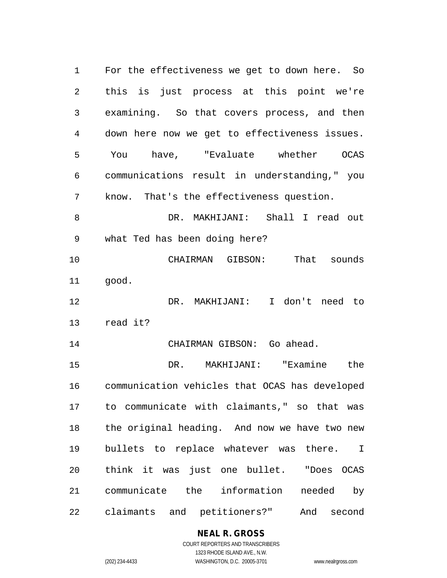For the effectiveness we get to down here. So this is just process at this point we're examining. So that covers process, and then down here now we get to effectiveness issues. You have, "Evaluate whether OCAS communications result in understanding," you know. That's the effectiveness question. DR. MAKHIJANI: Shall I read out what Ted has been doing here? CHAIRMAN GIBSON: That sounds good. DR. MAKHIJANI: I don't need to read it? CHAIRMAN GIBSON: Go ahead. DR. MAKHIJANI: "Examine the communication vehicles that OCAS has developed to communicate with claimants," so that was the original heading. And now we have two new bullets to replace whatever was there. I think it was just one bullet. "Does OCAS communicate the information needed by claimants and petitioners?" And second

# **NEAL R. GROSS**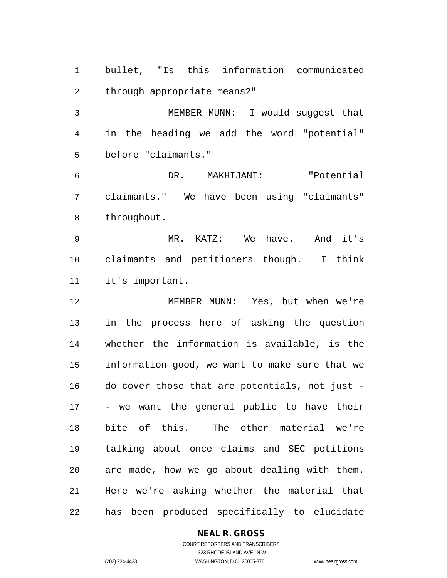bullet, "Is this information communicated through appropriate means?"

 MEMBER MUNN: I would suggest that in the heading we add the word "potential" before "claimants."

 DR. MAKHIJANI: "Potential claimants." We have been using "claimants" throughout.

 MR. KATZ: We have. And it's claimants and petitioners though. I think it's important.

 MEMBER MUNN: Yes, but when we're in the process here of asking the question whether the information is available, is the information good, we want to make sure that we do cover those that are potentials, not just - - we want the general public to have their bite of this. The other material we're talking about once claims and SEC petitions are made, how we go about dealing with them. Here we're asking whether the material that has been produced specifically to elucidate

#### **NEAL R. GROSS**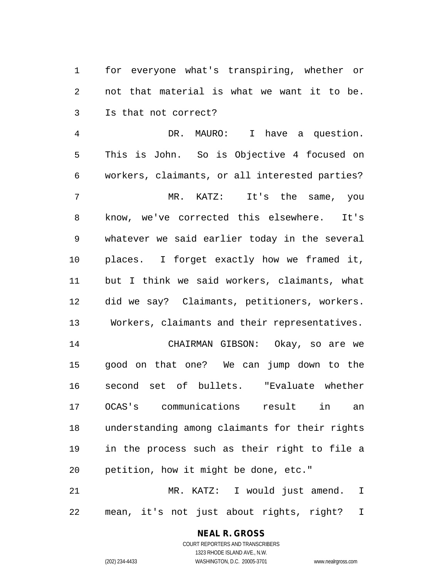for everyone what's transpiring, whether or not that material is what we want it to be. Is that not correct?

 DR. MAURO: I have a question. This is John. So is Objective 4 focused on workers, claimants, or all interested parties? MR. KATZ: It's the same, you know, we've corrected this elsewhere. It's whatever we said earlier today in the several places. I forget exactly how we framed it, but I think we said workers, claimants, what did we say? Claimants, petitioners, workers. Workers, claimants and their representatives. CHAIRMAN GIBSON: Okay, so are we good on that one? We can jump down to the second set of bullets. "Evaluate whether OCAS's communications result in an understanding among claimants for their rights in the process such as their right to file a petition, how it might be done, etc."

 MR. KATZ: I would just amend. I mean, it's not just about rights, right? I

# **NEAL R. GROSS**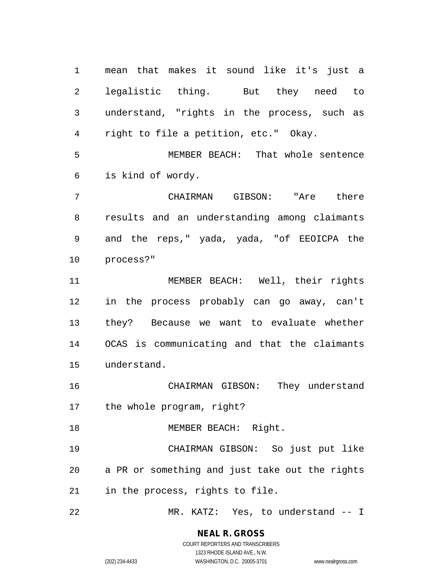mean that makes it sound like it's just a legalistic thing. But they need to understand, "rights in the process, such as right to file a petition, etc." Okay.

 MEMBER BEACH: That whole sentence is kind of wordy.

 CHAIRMAN GIBSON: "Are there results and an understanding among claimants and the reps," yada, yada, "of EEOICPA the process?"

 MEMBER BEACH: Well, their rights in the process probably can go away, can't they? Because we want to evaluate whether OCAS is communicating and that the claimants understand.

 CHAIRMAN GIBSON: They understand the whole program, right?

18 MEMBER BEACH: Right.

 CHAIRMAN GIBSON: So just put like a PR or something and just take out the rights in the process, rights to file.

MR. KATZ: Yes, to understand -- I

# **NEAL R. GROSS**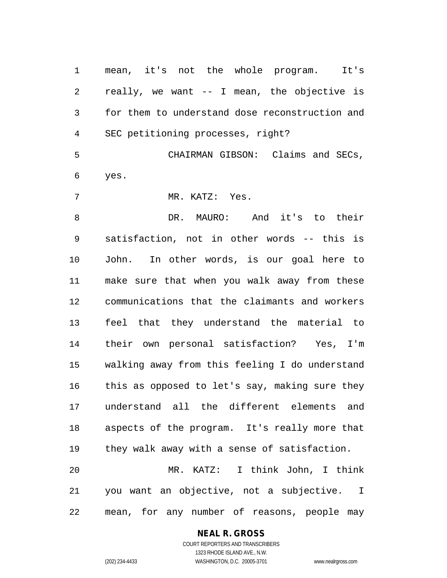mean, it's not the whole program. It's really, we want -- I mean, the objective is for them to understand dose reconstruction and SEC petitioning processes, right?

 CHAIRMAN GIBSON: Claims and SECs, yes.

MR. KATZ: Yes.

 DR. MAURO: And it's to their satisfaction, not in other words -- this is John. In other words, is our goal here to make sure that when you walk away from these communications that the claimants and workers feel that they understand the material to their own personal satisfaction? Yes, I'm walking away from this feeling I do understand this as opposed to let's say, making sure they understand all the different elements and aspects of the program. It's really more that they walk away with a sense of satisfaction. MR. KATZ: I think John, I think

 you want an objective, not a subjective. I mean, for any number of reasons, people may

#### **NEAL R. GROSS** COURT REPORTERS AND TRANSCRIBERS

1323 RHODE ISLAND AVE., N.W.

(202) 234-4433 WASHINGTON, D.C. 20005-3701 www.nealrgross.com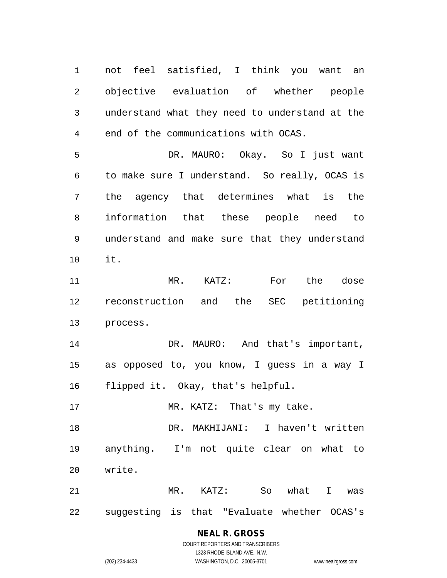not feel satisfied, I think you want an objective evaluation of whether people understand what they need to understand at the end of the communications with OCAS.

 DR. MAURO: Okay. So I just want to make sure I understand. So really, OCAS is the agency that determines what is the information that these people need to understand and make sure that they understand it.

 MR. KATZ: For the dose reconstruction and the SEC petitioning process.

14 DR. MAURO: And that's important, as opposed to, you know, I guess in a way I flipped it. Okay, that's helpful.

17 MR. KATZ: That's my take.

 DR. MAKHIJANI: I haven't written anything. I'm not quite clear on what to write.

 MR. KATZ: So what I was suggesting is that "Evaluate whether OCAS's

# **NEAL R. GROSS**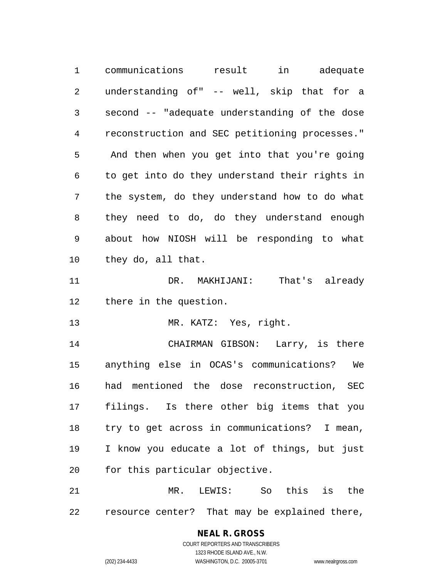communications result in adequate understanding of" -- well, skip that for a second -- "adequate understanding of the dose reconstruction and SEC petitioning processes." And then when you get into that you're going to get into do they understand their rights in the system, do they understand how to do what they need to do, do they understand enough about how NIOSH will be responding to what they do, all that. DR. MAKHIJANI: That's already there in the question. 13 MR. KATZ: Yes, right. CHAIRMAN GIBSON: Larry, is there anything else in OCAS's communications? We had mentioned the dose reconstruction, SEC filings. Is there other big items that you try to get across in communications? I mean, I know you educate a lot of things, but just for this particular objective.

 MR. LEWIS: So this is the resource center? That may be explained there,

> COURT REPORTERS AND TRANSCRIBERS 1323 RHODE ISLAND AVE., N.W. (202) 234-4433 WASHINGTON, D.C. 20005-3701 www.nealrgross.com

**NEAL R. GROSS**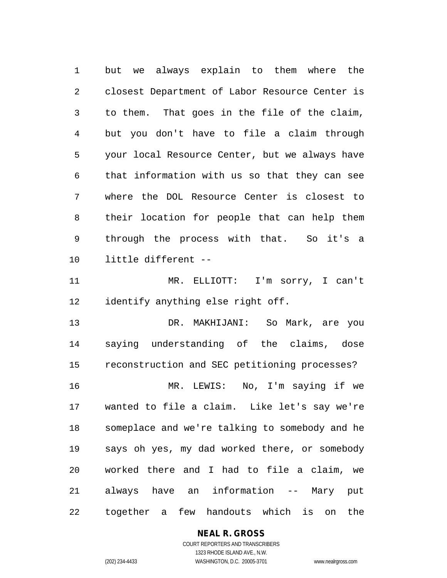but we always explain to them where the closest Department of Labor Resource Center is to them. That goes in the file of the claim, but you don't have to file a claim through your local Resource Center, but we always have that information with us so that they can see where the DOL Resource Center is closest to their location for people that can help them through the process with that. So it's a little different --

 MR. ELLIOTT: I'm sorry, I can't identify anything else right off.

 DR. MAKHIJANI: So Mark, are you saying understanding of the claims, dose reconstruction and SEC petitioning processes? MR. LEWIS: No, I'm saying if we wanted to file a claim. Like let's say we're someplace and we're talking to somebody and he says oh yes, my dad worked there, or somebody worked there and I had to file a claim, we always have an information -- Mary put together a few handouts which is on the

#### **NEAL R. GROSS**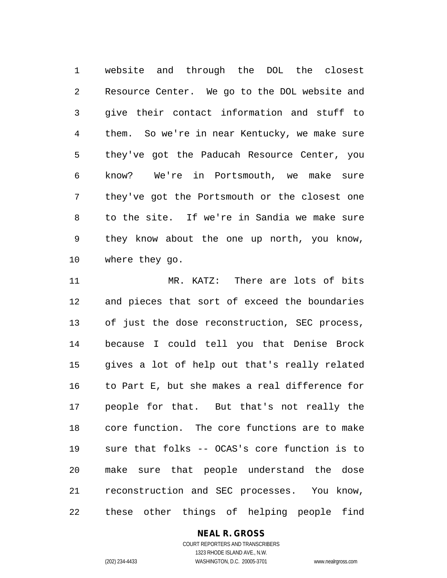website and through the DOL the closest Resource Center. We go to the DOL website and give their contact information and stuff to them. So we're in near Kentucky, we make sure they've got the Paducah Resource Center, you know? We're in Portsmouth, we make sure they've got the Portsmouth or the closest one to the site. If we're in Sandia we make sure they know about the one up north, you know, where they go.

 MR. KATZ: There are lots of bits and pieces that sort of exceed the boundaries of just the dose reconstruction, SEC process, because I could tell you that Denise Brock gives a lot of help out that's really related to Part E, but she makes a real difference for people for that. But that's not really the core function. The core functions are to make sure that folks -- OCAS's core function is to make sure that people understand the dose reconstruction and SEC processes. You know, these other things of helping people find

# **NEAL R. GROSS**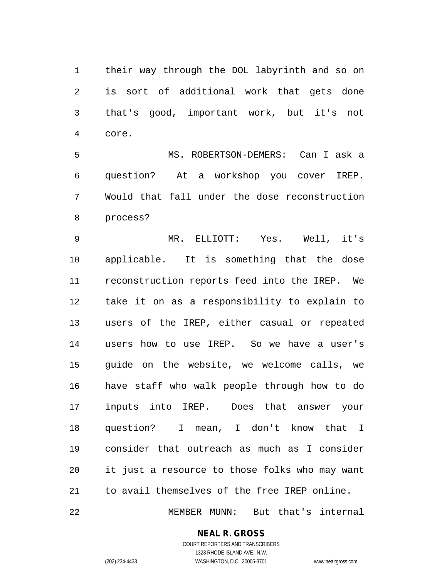their way through the DOL labyrinth and so on is sort of additional work that gets done that's good, important work, but it's not core.

 MS. ROBERTSON-DEMERS: Can I ask a question? At a workshop you cover IREP. Would that fall under the dose reconstruction process?

 MR. ELLIOTT: Yes. Well, it's applicable. It is something that the dose reconstruction reports feed into the IREP. We take it on as a responsibility to explain to users of the IREP, either casual or repeated users how to use IREP. So we have a user's guide on the website, we welcome calls, we have staff who walk people through how to do inputs into IREP. Does that answer your question? I mean, I don't know that I consider that outreach as much as I consider it just a resource to those folks who may want to avail themselves of the free IREP online.

MEMBER MUNN: But that's internal

# **NEAL R. GROSS**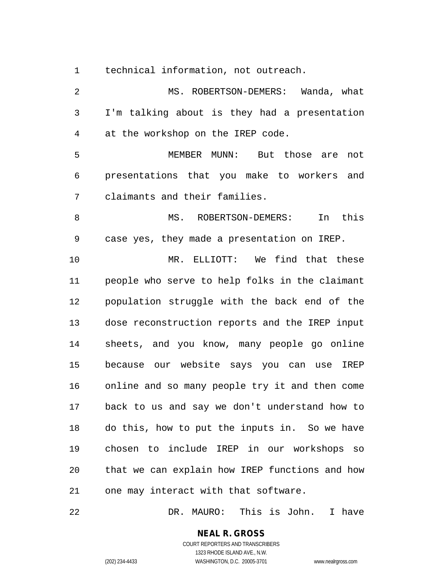technical information, not outreach.

2 MS. ROBERTSON-DEMERS: Wanda, what I'm talking about is they had a presentation at the workshop on the IREP code. MEMBER MUNN: But those are not presentations that you make to workers and claimants and their families. 8 MS. ROBERTSON-DEMERS: In this case yes, they made a presentation on IREP. MR. ELLIOTT: We find that these people who serve to help folks in the claimant population struggle with the back end of the dose reconstruction reports and the IREP input sheets, and you know, many people go online because our website says you can use IREP online and so many people try it and then come back to us and say we don't understand how to do this, how to put the inputs in. So we have chosen to include IREP in our workshops so that we can explain how IREP functions and how one may interact with that software.

DR. MAURO: This is John. I have

**NEAL R. GROSS** COURT REPORTERS AND TRANSCRIBERS

1323 RHODE ISLAND AVE., N.W. (202) 234-4433 WASHINGTON, D.C. 20005-3701 www.nealrgross.com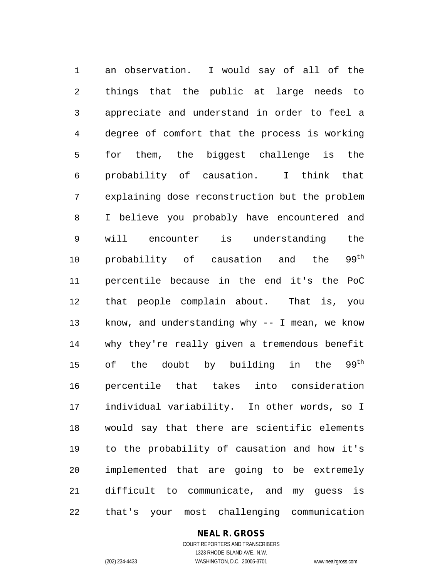an observation. I would say of all of the things that the public at large needs to appreciate and understand in order to feel a degree of comfort that the process is working for them, the biggest challenge is the probability of causation. I think that explaining dose reconstruction but the problem I believe you probably have encountered and will encounter is understanding the 10 probability of causation and the  $99^{th}$  percentile because in the end it's the PoC that people complain about. That is, you know, and understanding why -- I mean, we know why they're really given a tremendous benefit 15 of the doubt by building in the  $99<sup>th</sup>$  percentile that takes into consideration individual variability. In other words, so I would say that there are scientific elements to the probability of causation and how it's implemented that are going to be extremely difficult to communicate, and my guess is that's your most challenging communication

# **NEAL R. GROSS**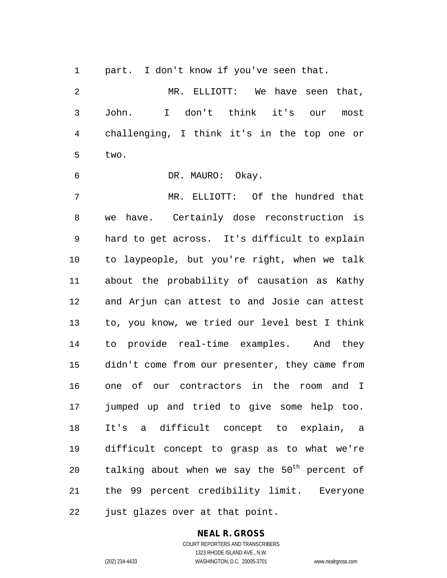part. I don't know if you've seen that.

 MR. ELLIOTT: We have seen that, John. I don't think it's our most challenging, I think it's in the top one or two.

DR. MAURO: Okay.

 MR. ELLIOTT: Of the hundred that we have. Certainly dose reconstruction is hard to get across. It's difficult to explain to laypeople, but you're right, when we talk about the probability of causation as Kathy and Arjun can attest to and Josie can attest to, you know, we tried our level best I think to provide real-time examples. And they didn't come from our presenter, they came from one of our contractors in the room and I jumped up and tried to give some help too. It's a difficult concept to explain, a difficult concept to grasp as to what we're  $t$ alking about when we say the  $50<sup>th</sup>$  percent of the 99 percent credibility limit. Everyone just glazes over at that point.

# **NEAL R. GROSS**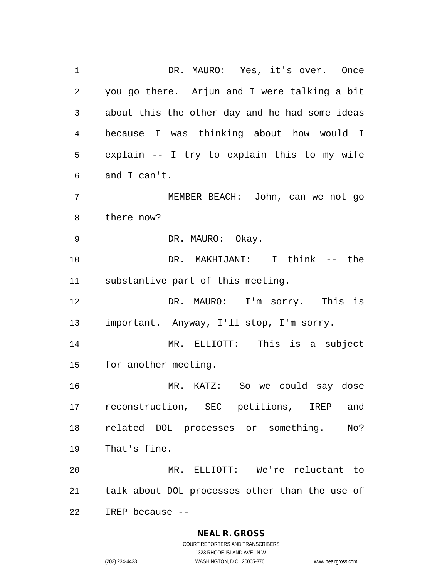DR. MAURO: Yes, it's over. Once you go there. Arjun and I were talking a bit about this the other day and he had some ideas because I was thinking about how would I explain -- I try to explain this to my wife and I can't. MEMBER BEACH: John, can we not go there now? DR. MAURO: Okay. DR. MAKHIJANI: I think -- the substantive part of this meeting. DR. MAURO: I'm sorry. This is important. Anyway, I'll stop, I'm sorry. MR. ELLIOTT: This is a subject for another meeting. MR. KATZ: So we could say dose reconstruction, SEC petitions, IREP and related DOL processes or something. No? That's fine. MR. ELLIOTT: We're reluctant to talk about DOL processes other than the use of IREP because --

#### **NEAL R. GROSS**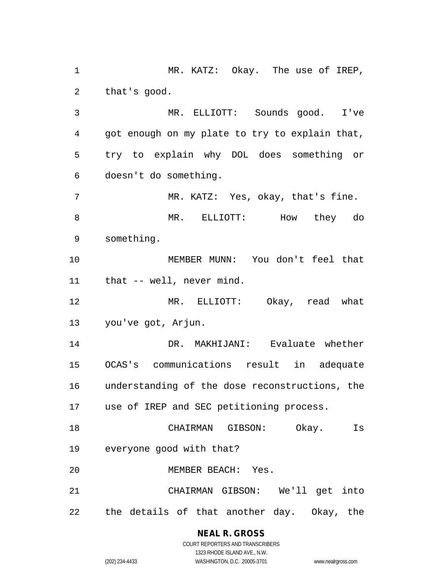1 MR. KATZ: Okay. The use of IREP, that's good.

 MR. ELLIOTT: Sounds good. I've got enough on my plate to try to explain that, try to explain why DOL does something or doesn't do something.

 MR. KATZ: Yes, okay, that's fine. MR. ELLIOTT: How they do something.

 MEMBER MUNN: You don't feel that that -- well, never mind.

 MR. ELLIOTT: Okay, read what you've got, Arjun.

 DR. MAKHIJANI: Evaluate whether OCAS's communications result in adequate understanding of the dose reconstructions, the use of IREP and SEC petitioning process.

 CHAIRMAN GIBSON: Okay. Is everyone good with that?

MEMBER BEACH: Yes.

 CHAIRMAN GIBSON: We'll get into the details of that another day. Okay, the

# **NEAL R. GROSS**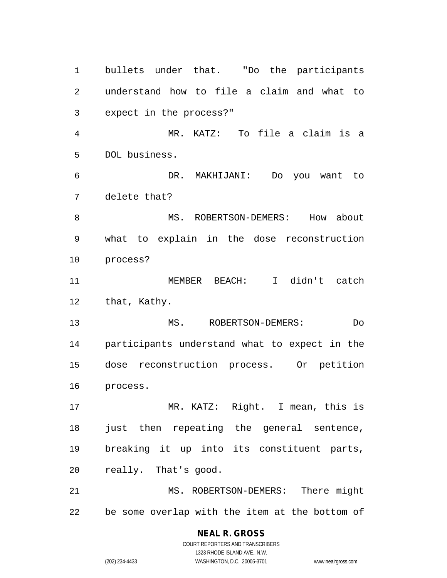bullets under that. "Do the participants understand how to file a claim and what to expect in the process?" MR. KATZ: To file a claim is a DOL business. DR. MAKHIJANI: Do you want to delete that? 8 MS. ROBERTSON-DEMERS: How about what to explain in the dose reconstruction process? MEMBER BEACH: I didn't catch that, Kathy. MS. ROBERTSON-DEMERS: Do participants understand what to expect in the dose reconstruction process. Or petition process. MR. KATZ: Right. I mean, this is just then repeating the general sentence, breaking it up into its constituent parts, really. That's good. MS. ROBERTSON-DEMERS: There might be some overlap with the item at the bottom of

> COURT REPORTERS AND TRANSCRIBERS 1323 RHODE ISLAND AVE., N.W. (202) 234-4433 WASHINGTON, D.C. 20005-3701 www.nealrgross.com

**NEAL R. GROSS**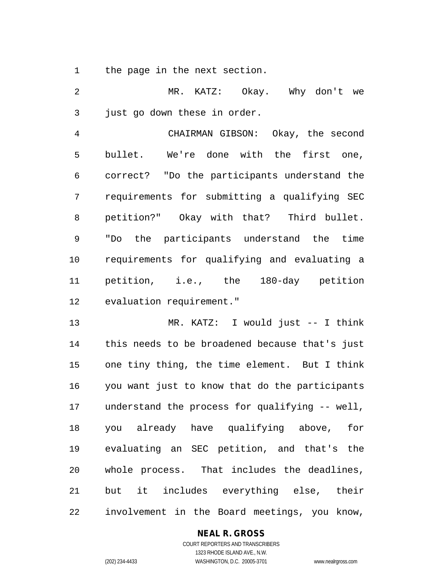the page in the next section.

 MR. KATZ: Okay. Why don't we just go down these in order.

 CHAIRMAN GIBSON: Okay, the second bullet. We're done with the first one, correct? "Do the participants understand the requirements for submitting a qualifying SEC petition?" Okay with that? Third bullet. "Do the participants understand the time requirements for qualifying and evaluating a petition, i.e., the 180-day petition evaluation requirement."

 MR. KATZ: I would just -- I think this needs to be broadened because that's just one tiny thing, the time element. But I think you want just to know that do the participants understand the process for qualifying -- well, you already have qualifying above, for evaluating an SEC petition, and that's the whole process. That includes the deadlines, but it includes everything else, their involvement in the Board meetings, you know,

# **NEAL R. GROSS**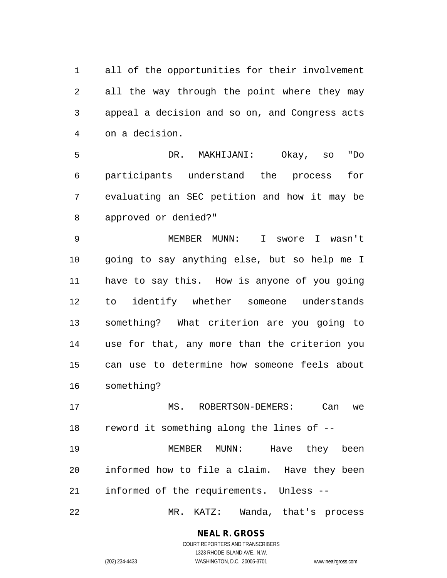all of the opportunities for their involvement all the way through the point where they may appeal a decision and so on, and Congress acts on a decision.

 DR. MAKHIJANI: Okay, so "Do participants understand the process for evaluating an SEC petition and how it may be approved or denied?"

 MEMBER MUNN: I swore I wasn't going to say anything else, but so help me I have to say this. How is anyone of you going to identify whether someone understands something? What criterion are you going to use for that, any more than the criterion you can use to determine how someone feels about something?

 MS. ROBERTSON-DEMERS: Can we reword it something along the lines of --

 MEMBER MUNN: Have they been informed how to file a claim. Have they been informed of the requirements. Unless --

MR. KATZ: Wanda, that's process

**NEAL R. GROSS** COURT REPORTERS AND TRANSCRIBERS

1323 RHODE ISLAND AVE., N.W. (202) 234-4433 WASHINGTON, D.C. 20005-3701 www.nealrgross.com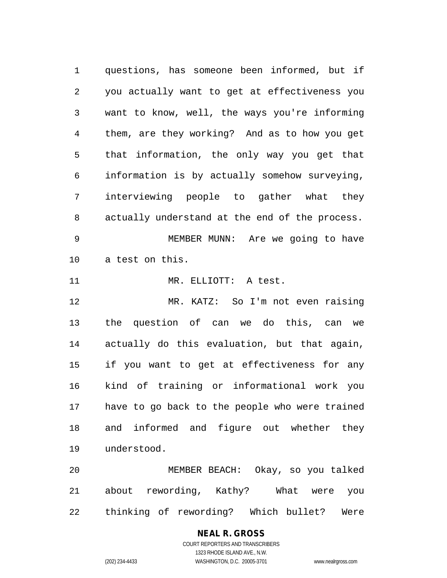questions, has someone been informed, but if you actually want to get at effectiveness you want to know, well, the ways you're informing them, are they working? And as to how you get that information, the only way you get that information is by actually somehow surveying, interviewing people to gather what they actually understand at the end of the process. MEMBER MUNN: Are we going to have a test on this. MR. ELLIOTT: A test. MR. KATZ: So I'm not even raising the question of can we do this, can we actually do this evaluation, but that again, if you want to get at effectiveness for any kind of training or informational work you have to go back to the people who were trained and informed and figure out whether they understood.

 MEMBER BEACH: Okay, so you talked about rewording, Kathy? What were you thinking of rewording? Which bullet? Were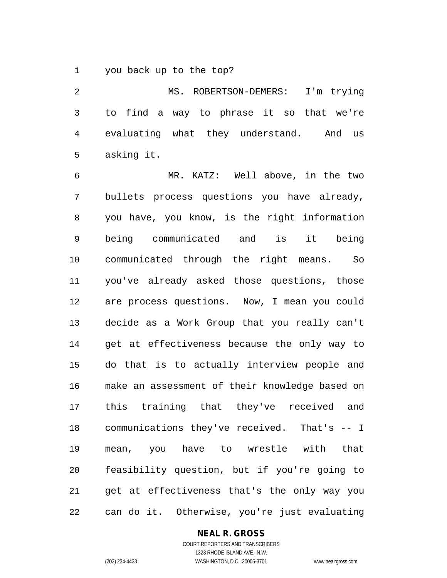you back up to the top?

 MS. ROBERTSON-DEMERS: I'm trying to find a way to phrase it so that we're evaluating what they understand. And us asking it.

 MR. KATZ: Well above, in the two bullets process questions you have already, you have, you know, is the right information being communicated and is it being communicated through the right means. So you've already asked those questions, those are process questions. Now, I mean you could decide as a Work Group that you really can't get at effectiveness because the only way to do that is to actually interview people and make an assessment of their knowledge based on this training that they've received and communications they've received. That's -- I mean, you have to wrestle with that feasibility question, but if you're going to get at effectiveness that's the only way you can do it. Otherwise, you're just evaluating

#### **NEAL R. GROSS**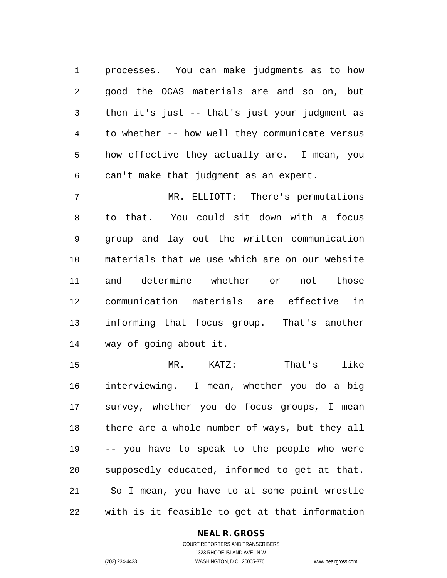processes. You can make judgments as to how good the OCAS materials are and so on, but then it's just -- that's just your judgment as to whether -- how well they communicate versus how effective they actually are. I mean, you can't make that judgment as an expert.

 MR. ELLIOTT: There's permutations to that. You could sit down with a focus group and lay out the written communication materials that we use which are on our website and determine whether or not those communication materials are effective in informing that focus group. That's another way of going about it.

 MR. KATZ: That's like interviewing. I mean, whether you do a big survey, whether you do focus groups, I mean there are a whole number of ways, but they all -- you have to speak to the people who were supposedly educated, informed to get at that. So I mean, you have to at some point wrestle with is it feasible to get at that information

#### **NEAL R. GROSS**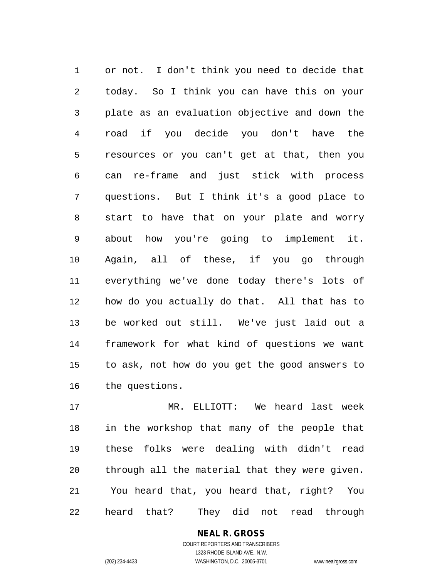or not. I don't think you need to decide that today. So I think you can have this on your plate as an evaluation objective and down the road if you decide you don't have the resources or you can't get at that, then you can re-frame and just stick with process questions. But I think it's a good place to start to have that on your plate and worry about how you're going to implement it. Again, all of these, if you go through everything we've done today there's lots of how do you actually do that. All that has to be worked out still. We've just laid out a framework for what kind of questions we want to ask, not how do you get the good answers to the questions.

 MR. ELLIOTT: We heard last week in the workshop that many of the people that these folks were dealing with didn't read through all the material that they were given. You heard that, you heard that, right? You heard that? They did not read through

# **NEAL R. GROSS**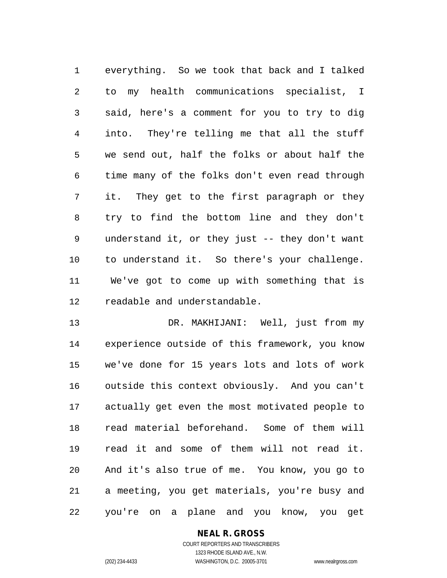everything. So we took that back and I talked to my health communications specialist, I said, here's a comment for you to try to dig into. They're telling me that all the stuff we send out, half the folks or about half the time many of the folks don't even read through it. They get to the first paragraph or they try to find the bottom line and they don't understand it, or they just -- they don't want to understand it. So there's your challenge. We've got to come up with something that is readable and understandable.

 DR. MAKHIJANI: Well, just from my experience outside of this framework, you know we've done for 15 years lots and lots of work outside this context obviously. And you can't actually get even the most motivated people to read material beforehand. Some of them will read it and some of them will not read it. And it's also true of me. You know, you go to a meeting, you get materials, you're busy and you're on a plane and you know, you get

# **NEAL R. GROSS**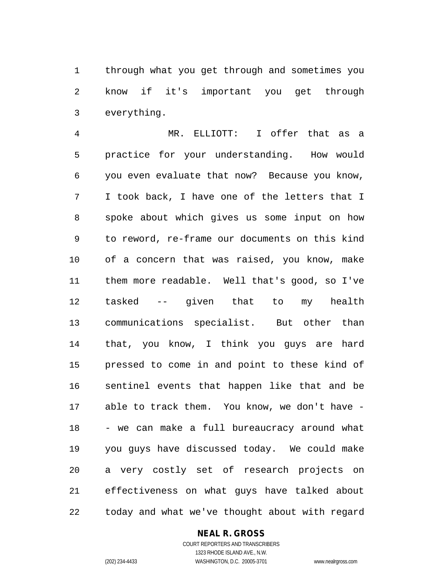through what you get through and sometimes you know if it's important you get through everything.

 MR. ELLIOTT: I offer that as a practice for your understanding. How would you even evaluate that now? Because you know, I took back, I have one of the letters that I spoke about which gives us some input on how to reword, re-frame our documents on this kind of a concern that was raised, you know, make them more readable. Well that's good, so I've tasked -- given that to my health communications specialist. But other than that, you know, I think you guys are hard pressed to come in and point to these kind of sentinel events that happen like that and be able to track them. You know, we don't have - - we can make a full bureaucracy around what you guys have discussed today. We could make a very costly set of research projects on effectiveness on what guys have talked about today and what we've thought about with regard

#### **NEAL R. GROSS**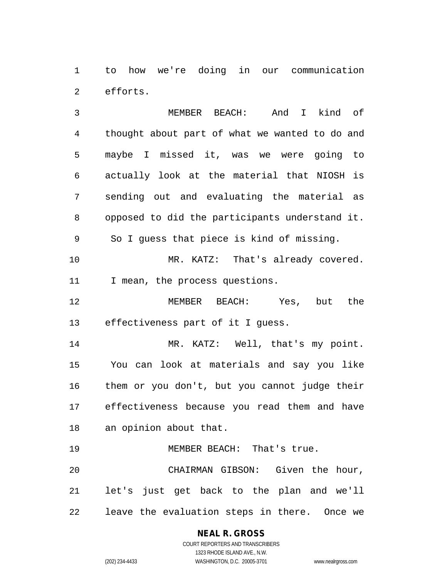to how we're doing in our communication efforts.

 MEMBER BEACH: And I kind of thought about part of what we wanted to do and maybe I missed it, was we were going to actually look at the material that NIOSH is sending out and evaluating the material as opposed to did the participants understand it. So I guess that piece is kind of missing. 10 MR. KATZ: That's already covered. I mean, the process questions. MEMBER BEACH: Yes, but the effectiveness part of it I guess. MR. KATZ: Well, that's my point. You can look at materials and say you like them or you don't, but you cannot judge their effectiveness because you read them and have an opinion about that. 19 MEMBER BEACH: That's true. CHAIRMAN GIBSON: Given the hour, let's just get back to the plan and we'll

leave the evaluation steps in there. Once we

# **NEAL R. GROSS**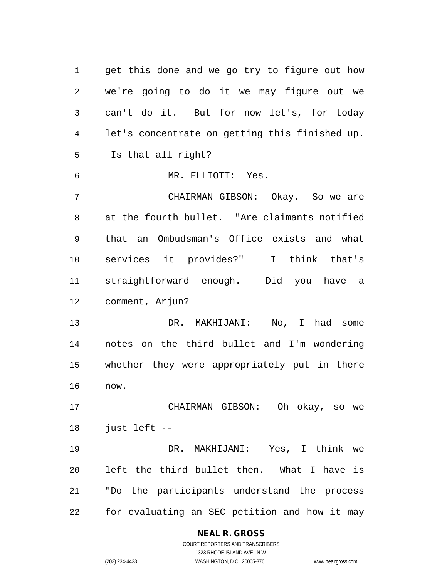get this done and we go try to figure out how we're going to do it we may figure out we can't do it. But for now let's, for today let's concentrate on getting this finished up. Is that all right? MR. ELLIOTT: Yes. CHAIRMAN GIBSON: Okay. So we are at the fourth bullet. "Are claimants notified that an Ombudsman's Office exists and what services it provides?" I think that's straightforward enough. Did you have a comment, Arjun? DR. MAKHIJANI: No, I had some notes on the third bullet and I'm wondering whether they were appropriately put in there now. CHAIRMAN GIBSON: Oh okay, so we just left -- DR. MAKHIJANI: Yes, I think we left the third bullet then. What I have is "Do the participants understand the process for evaluating an SEC petition and how it may

#### **NEAL R. GROSS** COURT REPORTERS AND TRANSCRIBERS

1323 RHODE ISLAND AVE., N.W.

(202) 234-4433 WASHINGTON, D.C. 20005-3701 www.nealrgross.com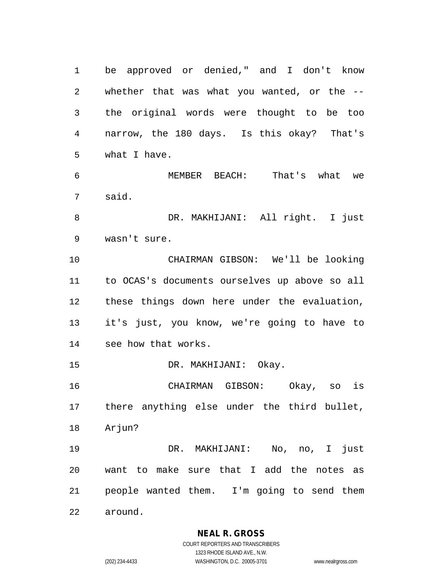be approved or denied," and I don't know whether that was what you wanted, or the -- the original words were thought to be too narrow, the 180 days. Is this okay? That's what I have.

 MEMBER BEACH: That's what we said.

 DR. MAKHIJANI: All right. I just wasn't sure.

 CHAIRMAN GIBSON: We'll be looking to OCAS's documents ourselves up above so all these things down here under the evaluation, it's just, you know, we're going to have to see how that works.

DR. MAKHIJANI: Okay.

 CHAIRMAN GIBSON: Okay, so is there anything else under the third bullet, Arjun?

 DR. MAKHIJANI: No, no, I just want to make sure that I add the notes as people wanted them. I'm going to send them around.

**NEAL R. GROSS**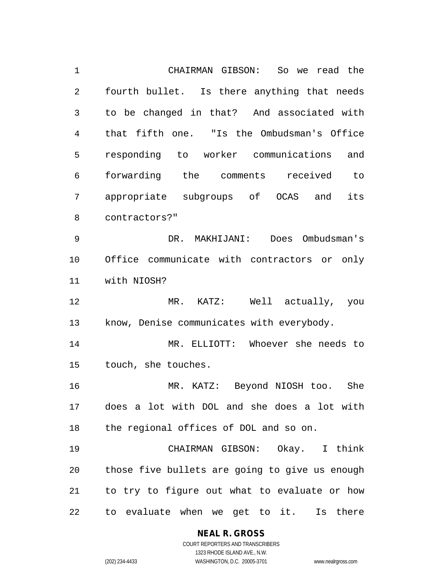CHAIRMAN GIBSON: So we read the fourth bullet. Is there anything that needs to be changed in that? And associated with that fifth one. "Is the Ombudsman's Office responding to worker communications and forwarding the comments received to appropriate subgroups of OCAS and its contractors?" DR. MAKHIJANI: Does Ombudsman's Office communicate with contractors or only with NIOSH? MR. KATZ: Well actually, you know, Denise communicates with everybody. MR. ELLIOTT: Whoever she needs to touch, she touches. MR. KATZ: Beyond NIOSH too. She does a lot with DOL and she does a lot with the regional offices of DOL and so on. CHAIRMAN GIBSON: Okay. I think those five bullets are going to give us enough to try to figure out what to evaluate or how to evaluate when we get to it. Is there

#### **NEAL R. GROSS**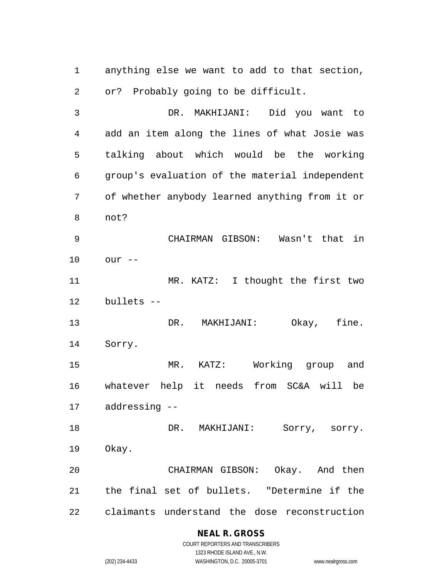anything else we want to add to that section, or? Probably going to be difficult.

 DR. MAKHIJANI: Did you want to add an item along the lines of what Josie was talking about which would be the working group's evaluation of the material independent of whether anybody learned anything from it or not?

 CHAIRMAN GIBSON: Wasn't that in our --

 MR. KATZ: I thought the first two bullets --

 DR. MAKHIJANI: Okay, fine. Sorry.

 MR. KATZ: Working group and whatever help it needs from SC&A will be addressing --

18 DR. MAKHIJANI: Sorry, sorry. Okay.

 CHAIRMAN GIBSON: Okay. And then the final set of bullets. "Determine if the claimants understand the dose reconstruction

# **NEAL R. GROSS**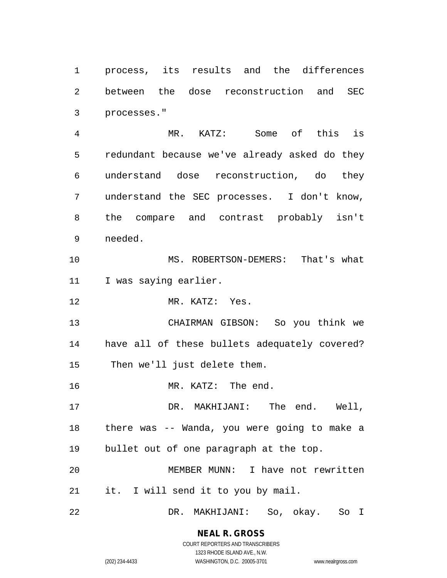process, its results and the differences between the dose reconstruction and SEC processes."

 MR. KATZ: Some of this is redundant because we've already asked do they understand dose reconstruction, do they understand the SEC processes. I don't know, the compare and contrast probably isn't needed.

 MS. ROBERTSON-DEMERS: That's what I was saying earlier.

MR. KATZ: Yes.

 CHAIRMAN GIBSON: So you think we have all of these bullets adequately covered? Then we'll just delete them.

16 MR. KATZ: The end.

 DR. MAKHIJANI: The end. Well, there was -- Wanda, you were going to make a bullet out of one paragraph at the top.

 MEMBER MUNN: I have not rewritten it. I will send it to you by mail.

DR. MAKHIJANI: So, okay. So I

# **NEAL R. GROSS**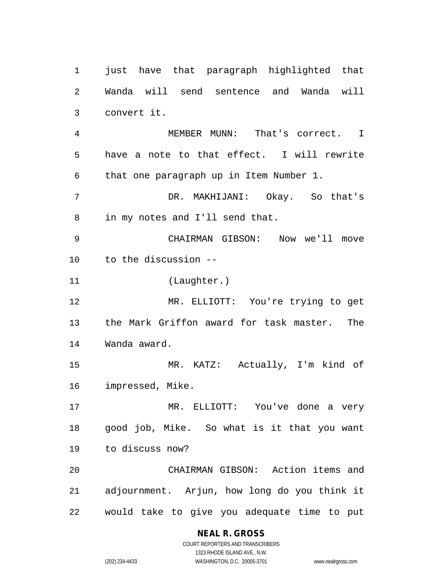just have that paragraph highlighted that Wanda will send sentence and Wanda will convert it. MEMBER MUNN: That's correct. I have a note to that effect. I will rewrite that one paragraph up in Item Number 1. DR. MAKHIJANI: Okay. So that's in my notes and I'll send that. CHAIRMAN GIBSON: Now we'll move to the discussion -- (Laughter.) MR. ELLIOTT: You're trying to get the Mark Griffon award for task master. The Wanda award. MR. KATZ: Actually, I'm kind of impressed, Mike. MR. ELLIOTT: You've done a very good job, Mike. So what is it that you want to discuss now? CHAIRMAN GIBSON: Action items and adjournment. Arjun, how long do you think it would take to give you adequate time to put

# **NEAL R. GROSS**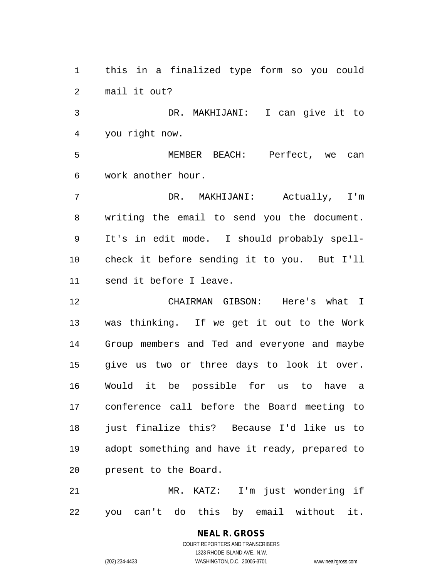this in a finalized type form so you could mail it out?

 DR. MAKHIJANI: I can give it to you right now.

 MEMBER BEACH: Perfect, we can work another hour.

 DR. MAKHIJANI: Actually, I'm writing the email to send you the document. It's in edit mode. I should probably spell- check it before sending it to you. But I'll send it before I leave.

 CHAIRMAN GIBSON: Here's what I was thinking. If we get it out to the Work Group members and Ted and everyone and maybe give us two or three days to look it over. Would it be possible for us to have a conference call before the Board meeting to just finalize this? Because I'd like us to adopt something and have it ready, prepared to present to the Board.

 MR. KATZ: I'm just wondering if you can't do this by email without it.

# **NEAL R. GROSS**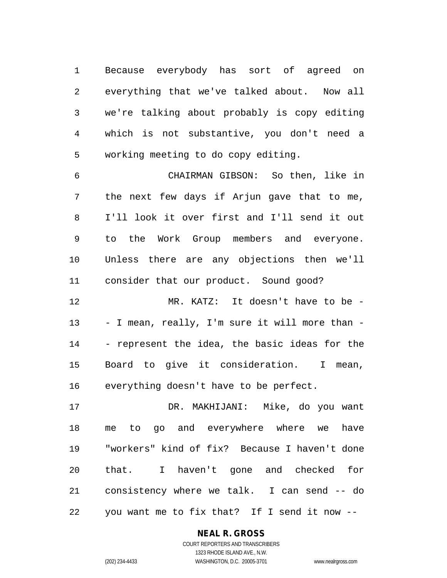Because everybody has sort of agreed on everything that we've talked about. Now all we're talking about probably is copy editing which is not substantive, you don't need a working meeting to do copy editing.

 CHAIRMAN GIBSON: So then, like in the next few days if Arjun gave that to me, I'll look it over first and I'll send it out to the Work Group members and everyone. Unless there are any objections then we'll consider that our product. Sound good?

 MR. KATZ: It doesn't have to be - - I mean, really, I'm sure it will more than - - represent the idea, the basic ideas for the Board to give it consideration. I mean, everything doesn't have to be perfect.

 DR. MAKHIJANI: Mike, do you want me to go and everywhere where we have "workers" kind of fix? Because I haven't done that. I haven't gone and checked for consistency where we talk. I can send -- do you want me to fix that? If I send it now --

# **NEAL R. GROSS**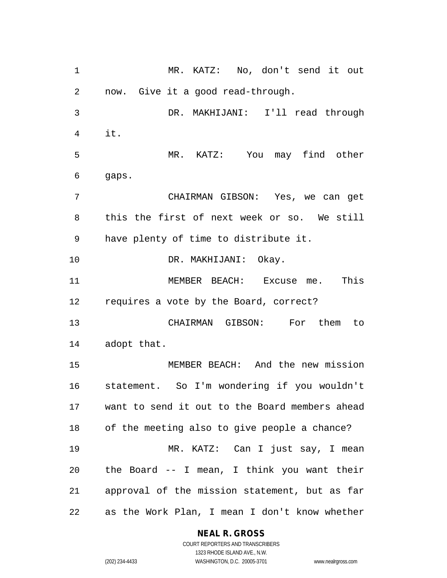MR. KATZ: No, don't send it out now. Give it a good read-through. DR. MAKHIJANI: I'll read through it. MR. KATZ: You may find other gaps. CHAIRMAN GIBSON: Yes, we can get this the first of next week or so. We still have plenty of time to distribute it. DR. MAKHIJANI: Okay. MEMBER BEACH: Excuse me. This requires a vote by the Board, correct? CHAIRMAN GIBSON: For them to adopt that. MEMBER BEACH: And the new mission statement. So I'm wondering if you wouldn't want to send it out to the Board members ahead of the meeting also to give people a chance? MR. KATZ: Can I just say, I mean the Board -- I mean, I think you want their approval of the mission statement, but as far as the Work Plan, I mean I don't know whether

# **NEAL R. GROSS**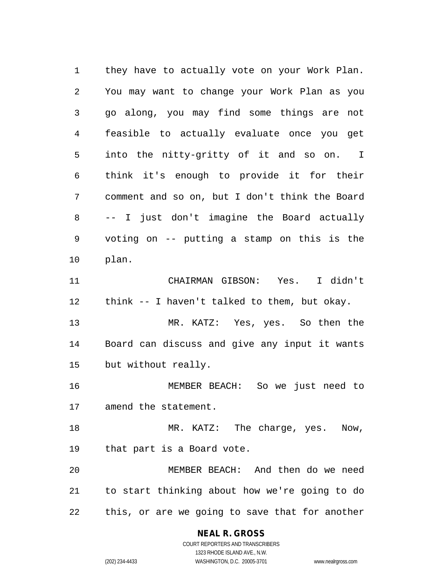they have to actually vote on your Work Plan. You may want to change your Work Plan as you go along, you may find some things are not feasible to actually evaluate once you get into the nitty-gritty of it and so on. I think it's enough to provide it for their comment and so on, but I don't think the Board -- I just don't imagine the Board actually voting on -- putting a stamp on this is the plan. CHAIRMAN GIBSON: Yes. I didn't think -- I haven't talked to them, but okay. MR. KATZ: Yes, yes. So then the Board can discuss and give any input it wants but without really. MEMBER BEACH: So we just need to amend the statement. 18 MR. KATZ: The charge, yes. Now, that part is a Board vote. MEMBER BEACH: And then do we need to start thinking about how we're going to do this, or are we going to save that for another

**NEAL R. GROSS**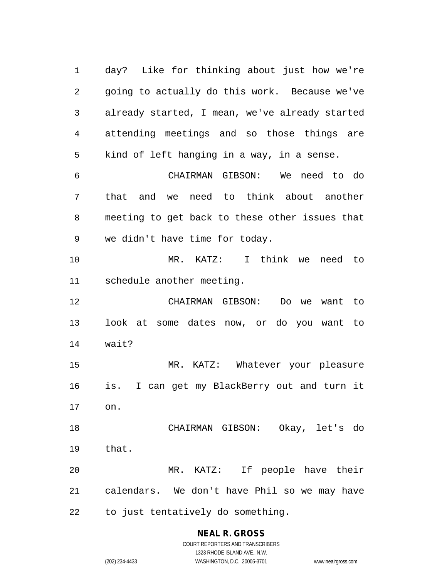day? Like for thinking about just how we're going to actually do this work. Because we've already started, I mean, we've already started attending meetings and so those things are kind of left hanging in a way, in a sense. CHAIRMAN GIBSON: We need to do that and we need to think about another meeting to get back to these other issues that we didn't have time for today. MR. KATZ: I think we need to schedule another meeting. CHAIRMAN GIBSON: Do we want to look at some dates now, or do you want to wait? MR. KATZ: Whatever your pleasure is. I can get my BlackBerry out and turn it on. CHAIRMAN GIBSON: Okay, let's do that. MR. KATZ: If people have their calendars. We don't have Phil so we may have to just tentatively do something.

**NEAL R. GROSS**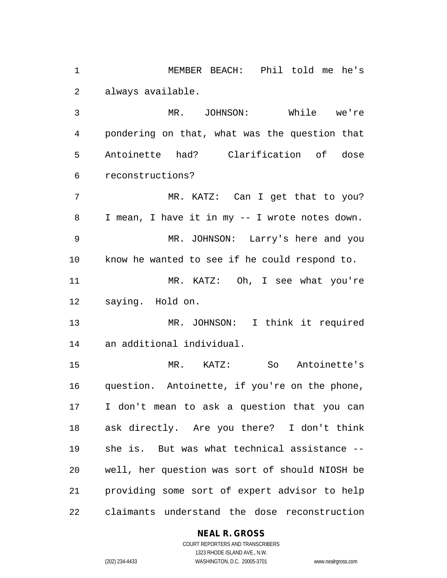MEMBER BEACH: Phil told me he's always available.

 MR. JOHNSON: While we're pondering on that, what was the question that Antoinette had? Clarification of dose reconstructions?

7 MR. KATZ: Can I get that to you? I mean, I have it in my -- I wrote notes down. MR. JOHNSON: Larry's here and you know he wanted to see if he could respond to. MR. KATZ: Oh, I see what you're saying. Hold on.

 MR. JOHNSON: I think it required an additional individual.

 MR. KATZ: So Antoinette's question. Antoinette, if you're on the phone, I don't mean to ask a question that you can ask directly. Are you there? I don't think she is. But was what technical assistance -- well, her question was sort of should NIOSH be providing some sort of expert advisor to help claimants understand the dose reconstruction

# **NEAL R. GROSS**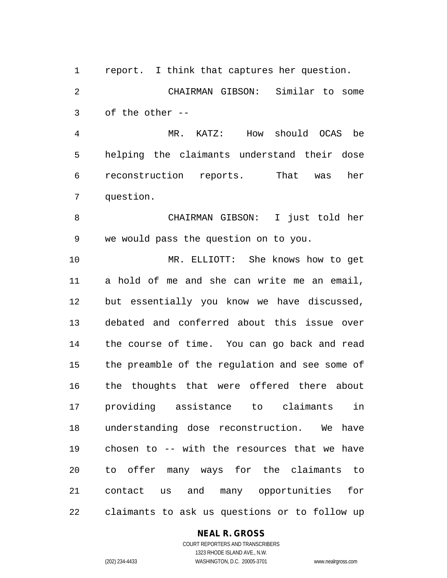report. I think that captures her question.

 CHAIRMAN GIBSON: Similar to some of the other --

 MR. KATZ: How should OCAS be helping the claimants understand their dose reconstruction reports. That was her question.

 CHAIRMAN GIBSON: I just told her we would pass the question on to you.

 MR. ELLIOTT: She knows how to get a hold of me and she can write me an email, but essentially you know we have discussed, debated and conferred about this issue over the course of time. You can go back and read the preamble of the regulation and see some of the thoughts that were offered there about providing assistance to claimants in understanding dose reconstruction. We have chosen to -- with the resources that we have to offer many ways for the claimants to contact us and many opportunities for claimants to ask us questions or to follow up

**NEAL R. GROSS**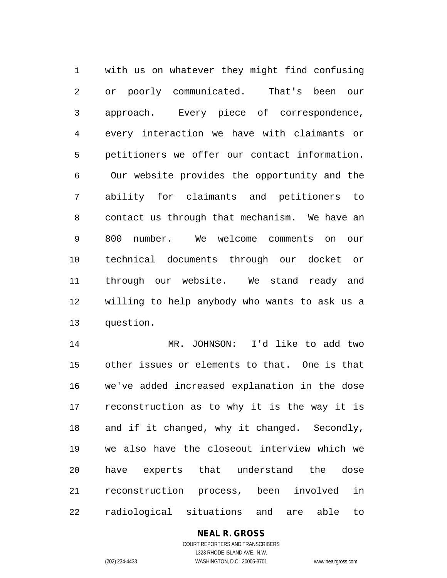with us on whatever they might find confusing or poorly communicated. That's been our approach. Every piece of correspondence, every interaction we have with claimants or petitioners we offer our contact information. Our website provides the opportunity and the ability for claimants and petitioners to contact us through that mechanism. We have an 800 number. We welcome comments on our technical documents through our docket or through our website. We stand ready and willing to help anybody who wants to ask us a question.

 MR. JOHNSON: I'd like to add two other issues or elements to that. One is that we've added increased explanation in the dose reconstruction as to why it is the way it is and if it changed, why it changed. Secondly, we also have the closeout interview which we have experts that understand the dose reconstruction process, been involved in radiological situations and are able to

# **NEAL R. GROSS**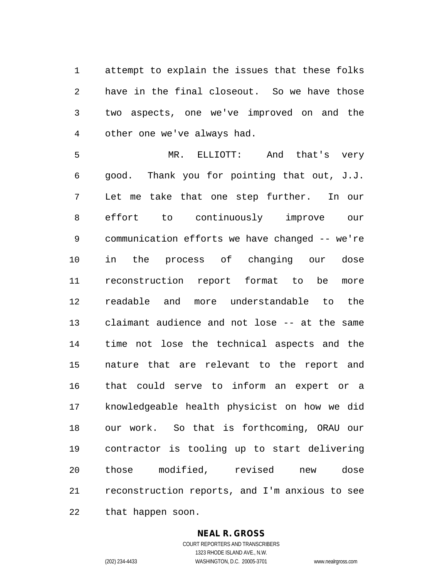attempt to explain the issues that these folks have in the final closeout. So we have those two aspects, one we've improved on and the other one we've always had.

 MR. ELLIOTT: And that's very good. Thank you for pointing that out, J.J. Let me take that one step further. In our effort to continuously improve our communication efforts we have changed -- we're in the process of changing our dose reconstruction report format to be more readable and more understandable to the claimant audience and not lose -- at the same time not lose the technical aspects and the nature that are relevant to the report and that could serve to inform an expert or a knowledgeable health physicist on how we did our work. So that is forthcoming, ORAU our contractor is tooling up to start delivering those modified, revised new dose reconstruction reports, and I'm anxious to see that happen soon.

#### **NEAL R. GROSS**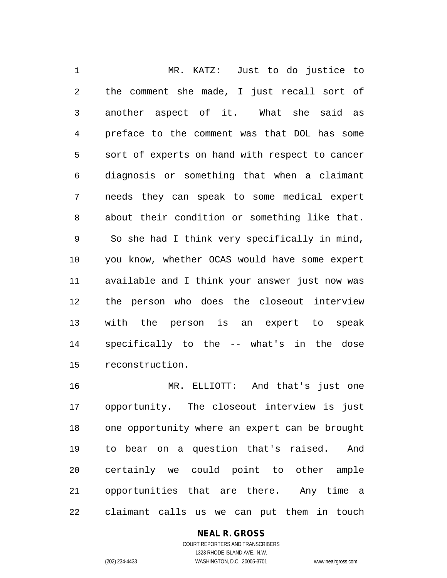MR. KATZ: Just to do justice to the comment she made, I just recall sort of another aspect of it. What she said as preface to the comment was that DOL has some sort of experts on hand with respect to cancer diagnosis or something that when a claimant needs they can speak to some medical expert about their condition or something like that. So she had I think very specifically in mind, you know, whether OCAS would have some expert available and I think your answer just now was the person who does the closeout interview with the person is an expert to speak specifically to the -- what's in the dose reconstruction.

 MR. ELLIOTT: And that's just one opportunity. The closeout interview is just one opportunity where an expert can be brought to bear on a question that's raised. And certainly we could point to other ample opportunities that are there. Any time a claimant calls us we can put them in touch

# **NEAL R. GROSS**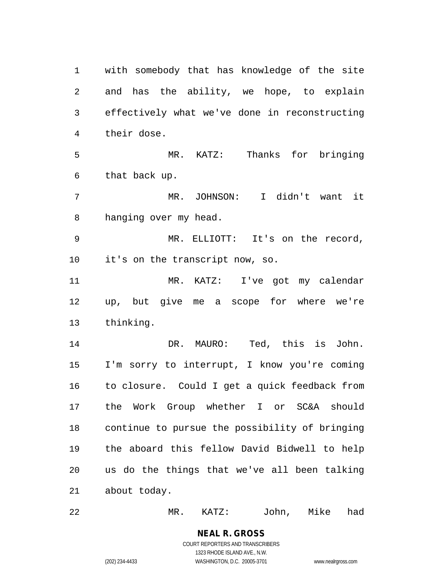with somebody that has knowledge of the site and has the ability, we hope, to explain effectively what we've done in reconstructing their dose. MR. KATZ: Thanks for bringing that back up. MR. JOHNSON: I didn't want it hanging over my head. MR. ELLIOTT: It's on the record, it's on the transcript now, so. MR. KATZ: I've got my calendar up, but give me a scope for where we're thinking. DR. MAURO: Ted, this is John. I'm sorry to interrupt, I know you're coming to closure. Could I get a quick feedback from the Work Group whether I or SC&A should continue to pursue the possibility of bringing the aboard this fellow David Bidwell to help us do the things that we've all been talking about today.

MR. KATZ: John, Mike had

**NEAL R. GROSS** COURT REPORTERS AND TRANSCRIBERS 1323 RHODE ISLAND AVE., N.W.

(202) 234-4433 WASHINGTON, D.C. 20005-3701 www.nealrgross.com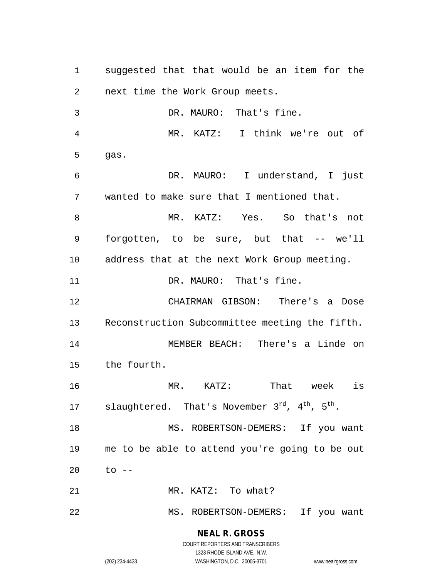suggested that that would be an item for the next time the Work Group meets. DR. MAURO: That's fine. MR. KATZ: I think we're out of gas. DR. MAURO: I understand, I just wanted to make sure that I mentioned that. MR. KATZ: Yes. So that's not forgotten, to be sure, but that -- we'll address that at the next Work Group meeting. 11 DR. MAURO: That's fine. CHAIRMAN GIBSON: There's a Dose Reconstruction Subcommittee meeting the fifth. MEMBER BEACH: There's a Linde on the fourth. MR. KATZ: That week is 17 slaughtered. That's November  $3^{rd}$ ,  $4^{th}$ ,  $5^{th}$ . 18 MS. ROBERTSON-DEMERS: If you want me to be able to attend you're going to be out to -- 21 MR. KATZ: To what? MS. ROBERTSON-DEMERS: If you want

#### **NEAL R. GROSS** COURT REPORTERS AND TRANSCRIBERS

1323 RHODE ISLAND AVE., N.W. (202) 234-4433 WASHINGTON, D.C. 20005-3701 www.nealrgross.com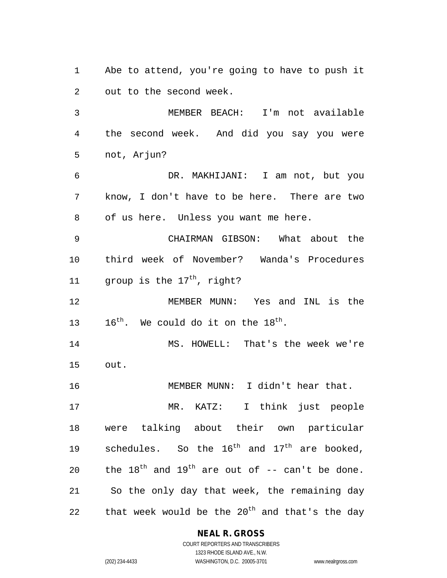Abe to attend, you're going to have to push it out to the second week.

 MEMBER BEACH: I'm not available the second week. And did you say you were not, Arjun?

 DR. MAKHIJANI: I am not, but you know, I don't have to be here. There are two of us here. Unless you want me here.

 CHAIRMAN GIBSON: What about the third week of November? Wanda's Procedures 11  $\alpha$  group is the 17<sup>th</sup>, right?

 MEMBER MUNN: Yes and INL is the 13  $16^{th}$ . We could do it on the  $18^{th}$ .

 MS. HOWELL: That's the week we're out.

MEMBER MUNN: I didn't hear that.

 MR. KATZ: I think just people were talking about their own particular 19 schedules. So the  $16^{th}$  and  $17^{th}$  are booked, 20 the  $18^{th}$  and  $19^{th}$  are out of  $-$  can't be done. So the only day that week, the remaining day 22 that week would be the  $20<sup>th</sup>$  and that's the day

#### **NEAL R. GROSS**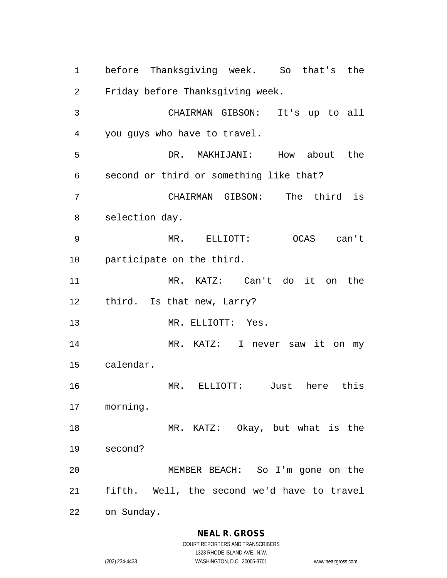before Thanksgiving week. So that's the Friday before Thanksgiving week. CHAIRMAN GIBSON: It's up to all you guys who have to travel. DR. MAKHIJANI: How about the second or third or something like that? CHAIRMAN GIBSON: The third is selection day. MR. ELLIOTT: OCAS can't participate on the third. MR. KATZ: Can't do it on the third. Is that new, Larry? 13 MR. ELLIOTT: Yes. MR. KATZ: I never saw it on my calendar. MR. ELLIOTT: Just here this morning. MR. KATZ: Okay, but what is the second? MEMBER BEACH: So I'm gone on the fifth. Well, the second we'd have to travel on Sunday.

**NEAL R. GROSS**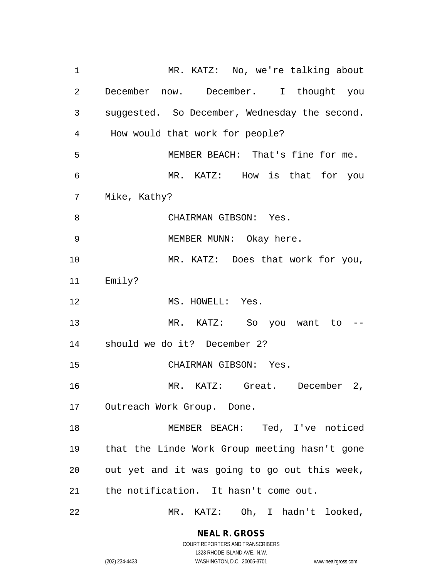MR. KATZ: No, we're talking about December now. December. I thought you suggested. So December, Wednesday the second. How would that work for people? MEMBER BEACH: That's fine for me. MR. KATZ: How is that for you Mike, Kathy? CHAIRMAN GIBSON: Yes. MEMBER MUNN: Okay here. 10 MR. KATZ: Does that work for you, Emily? 12 MS. HOWELL: Yes. MR. KATZ: So you want to -- should we do it? December 2? CHAIRMAN GIBSON: Yes. MR. KATZ: Great. December 2, Outreach Work Group. Done. MEMBER BEACH: Ted, I've noticed that the Linde Work Group meeting hasn't gone out yet and it was going to go out this week, the notification. It hasn't come out. MR. KATZ: Oh, I hadn't looked,

> **NEAL R. GROSS** COURT REPORTERS AND TRANSCRIBERS

1323 RHODE ISLAND AVE., N.W. (202) 234-4433 WASHINGTON, D.C. 20005-3701 www.nealrgross.com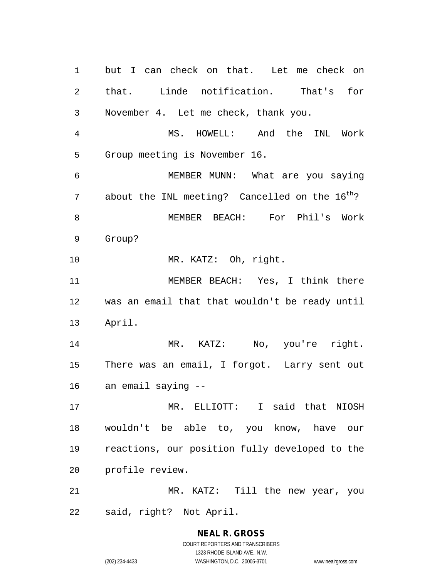but I can check on that. Let me check on that. Linde notification. That's for November 4. Let me check, thank you. MS. HOWELL: And the INL Work Group meeting is November 16. MEMBER MUNN: What are you saying 7 about the INL meeting? Cancelled on the  $16^{th}$ ? MEMBER BEACH: For Phil's Work Group? MR. KATZ: Oh, right. MEMBER BEACH: Yes, I think there was an email that that wouldn't be ready until April. 14 MR. KATZ: No, you're right. There was an email, I forgot. Larry sent out an email saying -- MR. ELLIOTT: I said that NIOSH wouldn't be able to, you know, have our reactions, our position fully developed to the profile review. MR. KATZ: Till the new year, you said, right? Not April.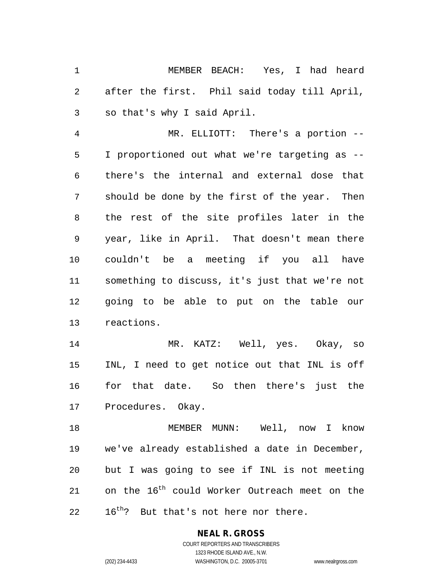MEMBER BEACH: Yes, I had heard after the first. Phil said today till April, so that's why I said April.

 MR. ELLIOTT: There's a portion -- I proportioned out what we're targeting as -- there's the internal and external dose that should be done by the first of the year. Then the rest of the site profiles later in the year, like in April. That doesn't mean there couldn't be a meeting if you all have something to discuss, it's just that we're not going to be able to put on the table our reactions.

 MR. KATZ: Well, yes. Okay, so INL, I need to get notice out that INL is off for that date. So then there's just the Procedures. Okay.

 MEMBER MUNN: Well, now I know we've already established a date in December, but I was going to see if INL is not meeting 21 con the  $16<sup>th</sup>$  could Worker Outreach meet on the  $16^{\text{th}}$ ? But that's not here nor there.

# **NEAL R. GROSS**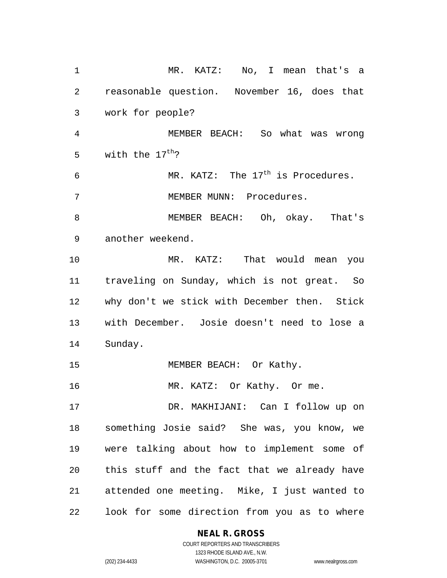MR. KATZ: No, I mean that's a reasonable question. November 16, does that work for people? MEMBER BEACH: So what was wrong 5 with the  $17^{th}$ ? 6 MR. KATZ: The  $17<sup>th</sup>$  is Procedures. MEMBER MUNN: Procedures. MEMBER BEACH: Oh, okay. That's another weekend. MR. KATZ: That would mean you traveling on Sunday, which is not great. So why don't we stick with December then. Stick with December. Josie doesn't need to lose a Sunday. 15 MEMBER BEACH: Or Kathy. 16 MR. KATZ: Or Kathy. Or me. DR. MAKHIJANI: Can I follow up on something Josie said? She was, you know, we were talking about how to implement some of this stuff and the fact that we already have attended one meeting. Mike, I just wanted to look for some direction from you as to where

#### **NEAL R. GROSS**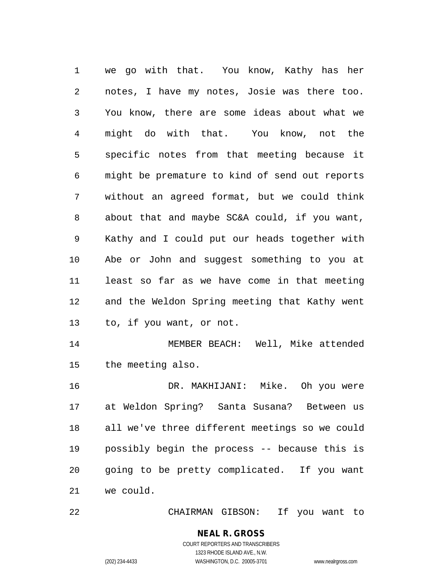we go with that. You know, Kathy has her notes, I have my notes, Josie was there too. You know, there are some ideas about what we might do with that. You know, not the specific notes from that meeting because it might be premature to kind of send out reports without an agreed format, but we could think about that and maybe SC&A could, if you want, Kathy and I could put our heads together with Abe or John and suggest something to you at least so far as we have come in that meeting and the Weldon Spring meeting that Kathy went to, if you want, or not. MEMBER BEACH: Well, Mike attended the meeting also. DR. MAKHIJANI: Mike. Oh you were at Weldon Spring? Santa Susana? Between us

 all we've three different meetings so we could possibly begin the process -- because this is going to be pretty complicated. If you want we could.

CHAIRMAN GIBSON: If you want to

# **NEAL R. GROSS**